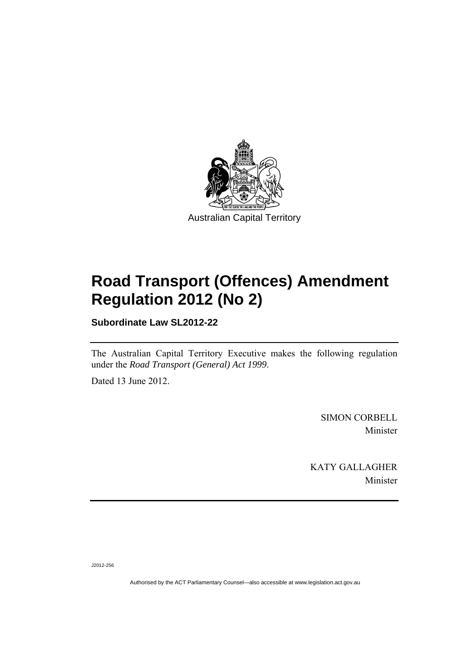

# **Road Transport (Offences) Amendment Regulation 2012 (No 2)**

**Subordinate Law SL2012-22** 

The Australian Capital Territory Executive makes the following regulation under the *Road Transport (General) Act 1999*.

Dated 13 June 2012.

SIMON CORBELL Minister

KATY GALLAGHER Minister

J2012-256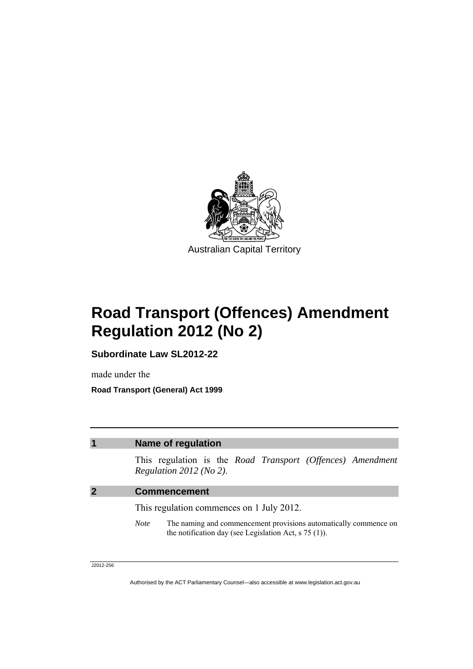

# **Road Transport (Offences) Amendment Regulation 2012 (No 2)**

**Subordinate Law SL2012-22** 

made under the **Road Transport (General) Act 1999** 

### **1 Name of regulation**

This regulation is the *Road Transport (Offences) Amendment Regulation 2012 (No 2)*.

### **2 Commencement**

This regulation commences on 1 July 2012.

*Note* The naming and commencement provisions automatically commence on the notification day (see Legislation Act, s 75 (1)).

J2012-256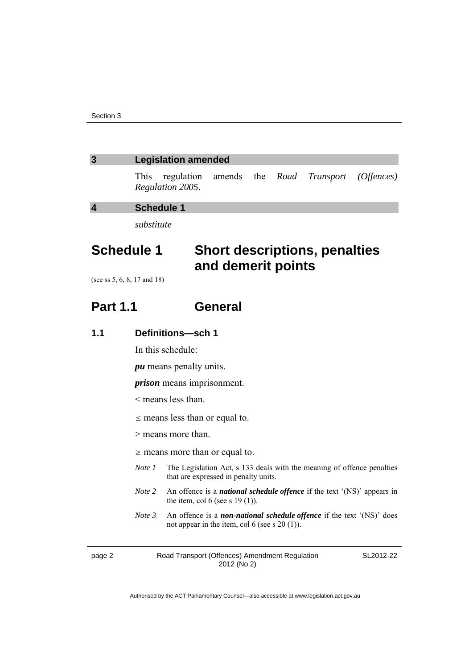### **3 Legislation amended**

This regulation amends the *Road Transport (Offences) Regulation 2005*.

**4 Schedule 1** 

*substitute* 

## **Schedule 1 Short descriptions, penalties and demerit points**

(see ss 5, 6, 8, 17 and 18)

### **Part 1.1 General**

### **1.1 Definitions—sch 1**

In this schedule:

*pu* means penalty units.

*prison* means imprisonment.

- < means less than.
- $\leq$  means less than or equal to.
- > means more than.
- $\geq$  means more than or equal to.
- *Note 1* The Legislation Act, s 133 deals with the meaning of offence penalties that are expressed in penalty units.
- *Note 2* An offence is a *national schedule offence* if the text '(NS)' appears in the item, col 6 (see s 19 (1)).
- *Note 3* An offence is a *non-national schedule offence* if the text '(NS)' does not appear in the item, col 6 (see s 20 (1)).

page 2 Road Transport (Offences) Amendment Regulation 2012 (No 2)

SL2012-22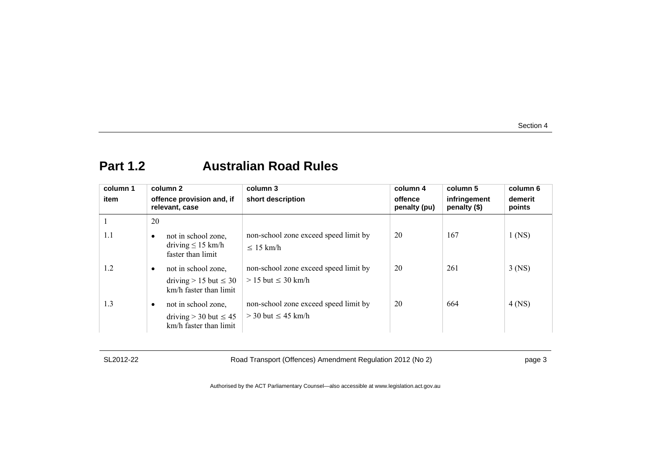### **Part 1.2 Australian Road Rules**

| column 1 |    | column 2                                                                      | column 3                                                           | column 4                | column 5                     | column 6          |
|----------|----|-------------------------------------------------------------------------------|--------------------------------------------------------------------|-------------------------|------------------------------|-------------------|
| item     |    | offence provision and, if<br>relevant, case                                   | short description                                                  | offence<br>penalty (pu) | infringement<br>penalty (\$) | demerit<br>points |
|          | 20 |                                                                               |                                                                    |                         |                              |                   |
| 1.1      |    | not in school zone,<br>driving $\leq 15$ km/h<br>faster than limit            | non-school zone exceed speed limit by<br>$\leq 15$ km/h            | 20                      | 167                          | $1$ (NS)          |
| 1.2      | ٠  | not in school zone,<br>driving $> 15$ but $\leq 30$<br>km/h faster than limit | non-school zone exceed speed limit by<br>$> 15$ but $\leq 30$ km/h | 20                      | 261                          | $3$ (NS)          |
| 1.3      | ٠  | not in school zone,<br>driving $>$ 30 but $\leq$ 45<br>km/h faster than limit | non-school zone exceed speed limit by<br>$>$ 30 but $\leq$ 45 km/h | 20                      | 664                          | $4$ (NS)          |

SL2012-22 Road Transport (Offences) Amendment Regulation 2012 (No 2) page 3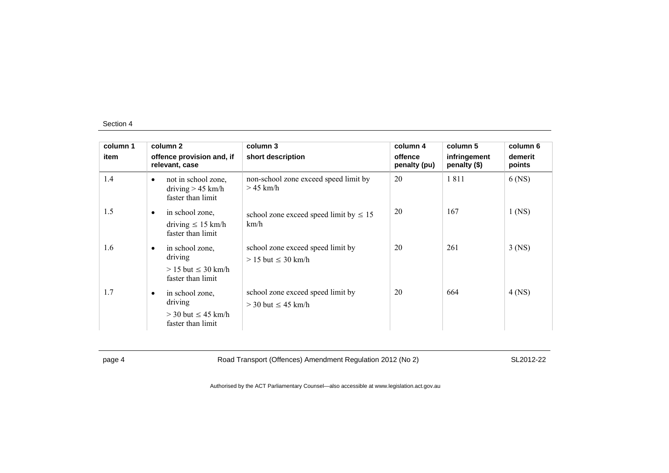| column 1 |           | column 2                                                                     | column 3                                                       | column 4                | column 5                     | column 6          |
|----------|-----------|------------------------------------------------------------------------------|----------------------------------------------------------------|-------------------------|------------------------------|-------------------|
| item     |           | offence provision and, if<br>relevant, case                                  | short description                                              | offence<br>penalty (pu) | infringement<br>penalty (\$) | demerit<br>points |
| 1.4      | $\bullet$ | not in school zone,<br>driving $> 45$ km/h<br>faster than limit              | non-school zone exceed speed limit by<br>$>45$ km/h            | 20                      | 1811                         | 6 (NS)            |
| 1.5      | $\bullet$ | in school zone,<br>driving $\leq 15$ km/h<br>faster than limit               | school zone exceed speed limit by $\leq 15$<br>km/h            | 20                      | 167                          | $1$ (NS)          |
| 1.6      | $\bullet$ | in school zone,<br>driving<br>$> 15$ but $\leq 30$ km/h<br>faster than limit | school zone exceed speed limit by<br>$> 15$ but $\leq 30$ km/h | 20                      | 261                          | $3$ (NS)          |
| 1.7      | $\bullet$ | in school zone.<br>driving<br>$>$ 30 but $\leq$ 45 km/h<br>faster than limit | school zone exceed speed limit by<br>$>$ 30 but $\leq$ 45 km/h | 20                      | 664                          | $4$ (NS)          |

page 4 Road Transport (Offences) Amendment Regulation 2012 (No 2) SL2012-22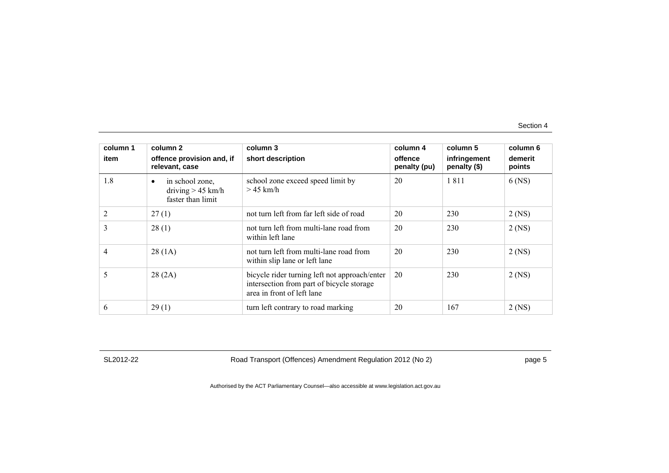| column 1 | column 2                                                                 | column 3                                                                                                                 | column 4                | column 5                     | column 6          |
|----------|--------------------------------------------------------------------------|--------------------------------------------------------------------------------------------------------------------------|-------------------------|------------------------------|-------------------|
| item     | offence provision and, if<br>relevant, case                              | short description                                                                                                        | offence<br>penalty (pu) | infringement<br>penalty (\$) | demerit<br>points |
| 1.8      | in school zone,<br>$\bullet$<br>driving $> 45$ km/h<br>faster than limit | school zone exceed speed limit by<br>$>$ 45 km/h                                                                         | 20                      | 1811                         | $6$ (NS)          |
| 2        | 27(1)                                                                    | not turn left from far left side of road                                                                                 | 20                      | 230                          | $2$ (NS)          |
| 3        | 28(1)                                                                    | not turn left from multi-lane road from<br>within left lane                                                              | 20                      | 230                          | $2$ (NS)          |
| 4        | 28(1A)                                                                   | not turn left from multi-lane road from<br>within slip lane or left lane                                                 | 20                      | 230                          | $2$ (NS)          |
| 5        | 28(2A)                                                                   | bicycle rider turning left not approach/enter<br>intersection from part of bicycle storage<br>area in front of left lane | 20                      | 230                          | $2$ (NS)          |
| 6        | 29(1)                                                                    | turn left contrary to road marking                                                                                       | 20                      | 167                          | $2$ (NS)          |

SL2012-22 Road Transport (Offences) Amendment Regulation 2012 (No 2) page 5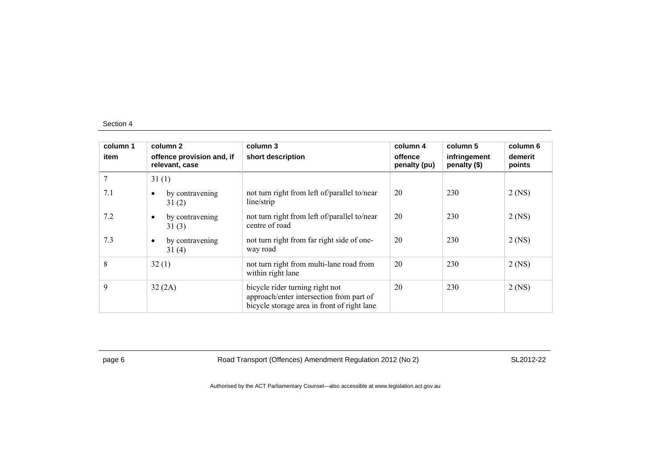| column 1<br>item | column 2<br>offence provision and, if<br>relevant, case | column 3<br>short description                                                                                              | column 4<br>offence<br>penalty (pu) | column 5<br>infringement<br>penalty (\$) | column 6<br>demerit<br>points |
|------------------|---------------------------------------------------------|----------------------------------------------------------------------------------------------------------------------------|-------------------------------------|------------------------------------------|-------------------------------|
| 7                | 31(1)                                                   |                                                                                                                            |                                     |                                          |                               |
| 7.1              | by contravening<br>$\bullet$<br>31(2)                   | not turn right from left of/parallel to/near<br>line/strip                                                                 | 20                                  | 230                                      | $2$ (NS)                      |
| 7.2              | by contravening<br>$\bullet$<br>31(3)                   | not turn right from left of/parallel to/near<br>centre of road                                                             | 20                                  | 230                                      | $2$ (NS)                      |
| 7.3              | by contravening<br>$\bullet$<br>31(4)                   | not turn right from far right side of one-<br>way road                                                                     | 20                                  | 230                                      | $2$ (NS)                      |
| 8                | 32(1)                                                   | not turn right from multi-lane road from<br>within right lane                                                              | 20                                  | 230                                      | $2$ (NS)                      |
| 9                | 32(2A)                                                  | bicycle rider turning right not<br>approach/enter intersection from part of<br>bicycle storage area in front of right lane | 20                                  | 230                                      | $2$ (NS)                      |

page 6 Road Transport (Offences) Amendment Regulation 2012 (No 2) SL2012-22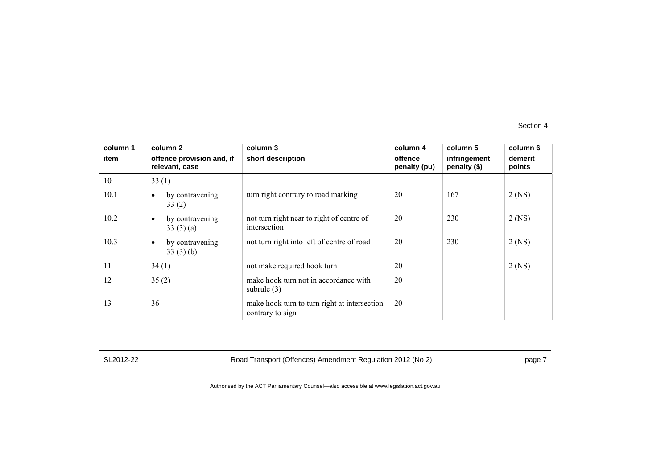| column 1 | column 2                                    | column 3                                                         | column 4                | column 5                     | column 6          |
|----------|---------------------------------------------|------------------------------------------------------------------|-------------------------|------------------------------|-------------------|
| item     | offence provision and, if<br>relevant, case | short description                                                | offence<br>penalty (pu) | infringement<br>penalty (\$) | demerit<br>points |
| 10       | 33(1)                                       |                                                                  |                         |                              |                   |
| 10.1     | by contravening<br>$\bullet$<br>33(2)       | turn right contrary to road marking                              | 20                      | 167                          | $2$ (NS)          |
| 10.2     | by contravening<br>$\bullet$<br>33(3)(a)    | not turn right near to right of centre of<br>intersection        | 20                      | 230                          | $2$ (NS)          |
| 10.3     | by contravening<br>$\bullet$<br>33(3)(b)    | not turn right into left of centre of road                       | 20                      | 230                          | $2$ (NS)          |
| 11       | 34(1)                                       | not make required hook turn                                      | 20                      |                              | $2$ (NS)          |
| 12       | 35(2)                                       | make hook turn not in accordance with<br>subrule $(3)$           | 20                      |                              |                   |
| 13       | 36                                          | make hook turn to turn right at intersection<br>contrary to sign | 20                      |                              |                   |

SL2012-22 Road Transport (Offences) Amendment Regulation 2012 (No 2) page 7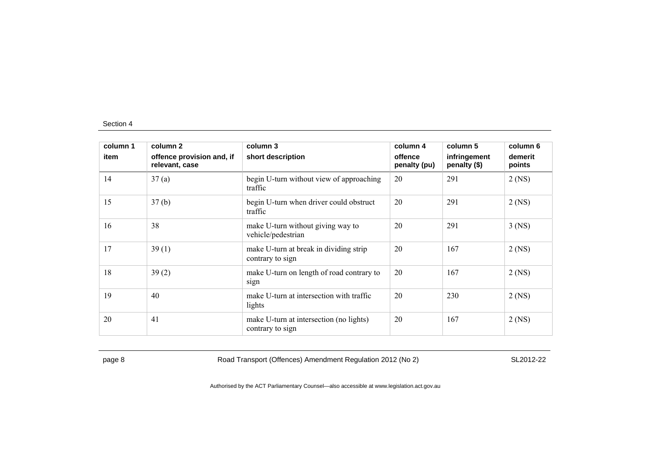| column 1 | column 2                                    | column 3                                                    | column 4                | column 5                     | column 6          |
|----------|---------------------------------------------|-------------------------------------------------------------|-------------------------|------------------------------|-------------------|
| item     | offence provision and, if<br>relevant, case | short description                                           | offence<br>penalty (pu) | infringement<br>penalty (\$) | demerit<br>points |
| 14       | 37(a)                                       | begin U-turn without view of approaching<br>traffic         | 20                      | 291                          | $2$ (NS)          |
| 15       | 37(b)                                       | begin U-turn when driver could obstruct<br>traffic          | 20                      | 291                          | $2$ (NS)          |
| 16       | 38                                          | make U-turn without giving way to<br>vehicle/pedestrian     | 20                      | 291                          | $3$ (NS)          |
| 17       | 39(1)                                       | make U-turn at break in dividing strip<br>contrary to sign  | 20                      | 167                          | $2$ (NS)          |
| 18       | 39(2)                                       | make U-turn on length of road contrary to<br>sign           | 20                      | 167                          | $2$ (NS)          |
| 19       | 40                                          | make U-turn at intersection with traffic<br>lights          | 20                      | 230                          | $2$ (NS)          |
| 20       | 41                                          | make U-turn at intersection (no lights)<br>contrary to sign | 20                      | 167                          | $2$ (NS)          |

page 8 Road Transport (Offences) Amendment Regulation 2012 (No 2) SL2012-22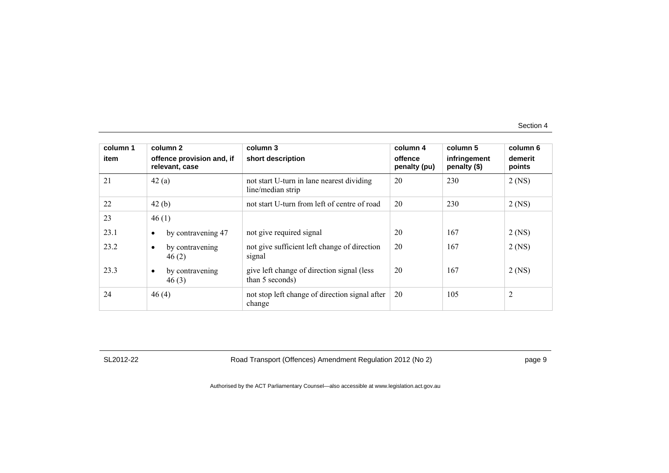| column 1<br>item | column 2<br>offence provision and, if<br>relevant, case | column 3<br>short description                                  | column 4<br>offence<br>penalty (pu) | column 5<br>infringement<br>penalty (\$) | column 6<br>demerit<br>points |
|------------------|---------------------------------------------------------|----------------------------------------------------------------|-------------------------------------|------------------------------------------|-------------------------------|
| 21               | 42(a)                                                   | not start U-turn in lane nearest dividing<br>line/median strip | 20                                  | 230                                      | $2$ (NS)                      |
| 22               | 42(b)                                                   | not start U-turn from left of centre of road                   | 20                                  | 230                                      | $2$ (NS)                      |
| 23               | 46(1)                                                   |                                                                |                                     |                                          |                               |
| 23.1             | by contravening 47<br>$\bullet$                         | not give required signal                                       | 20                                  | 167                                      | $2$ (NS)                      |
| 23.2             | by contravening<br>$\bullet$<br>46(2)                   | not give sufficient left change of direction<br>signal         | 20                                  | 167                                      | $2$ (NS)                      |
| 23.3             | by contravening<br>$\bullet$<br>46(3)                   | give left change of direction signal (less<br>than 5 seconds)  | 20                                  | 167                                      | $2$ (NS)                      |
| 24               | 46(4)                                                   | not stop left change of direction signal after<br>change       | 20                                  | 105                                      | 2                             |

SL2012-22 Road Transport (Offences) Amendment Regulation 2012 (No 2) page 9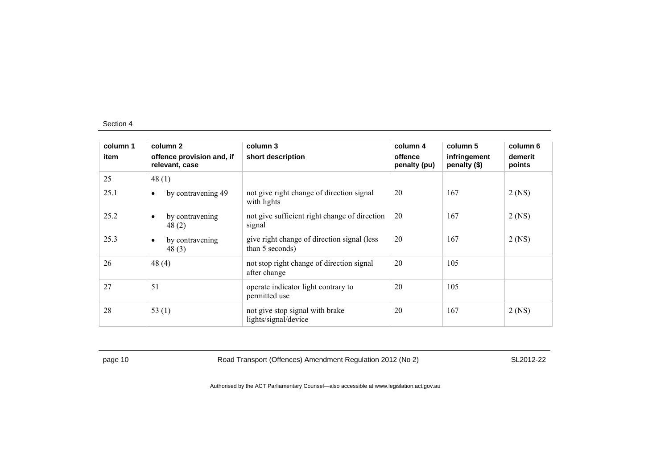| column 1 | column 2                                    | column 3                                                        | column 4                | column 5                     | column 6          |
|----------|---------------------------------------------|-----------------------------------------------------------------|-------------------------|------------------------------|-------------------|
| item     | offence provision and, if<br>relevant, case | short description                                               | offence<br>penalty (pu) | infringement<br>penalty (\$) | demerit<br>points |
| 25       | 48 $(1)$                                    |                                                                 |                         |                              |                   |
| 25.1     | by contravening 49<br>$\bullet$             | not give right change of direction signal<br>with lights        | 20                      | 167                          | $2$ (NS)          |
| 25.2     | by contravening<br>٠<br>48(2)               | not give sufficient right change of direction<br>signal         | 20                      | 167                          | $2$ (NS)          |
| 25.3     | by contravening<br>٠<br>48(3)               | give right change of direction signal (less)<br>than 5 seconds) | 20                      | 167                          | $2$ (NS)          |
| 26       | 48(4)                                       | not stop right change of direction signal<br>after change       | 20                      | 105                          |                   |
| 27       | 51                                          | operate indicator light contrary to<br>permitted use            | 20                      | 105                          |                   |
| 28       | 53 $(1)$                                    | not give stop signal with brake<br>lights/signal/device         | 20                      | 167                          | $2$ (NS)          |

page 10 Road Transport (Offences) Amendment Regulation 2012 (No 2) SL2012-22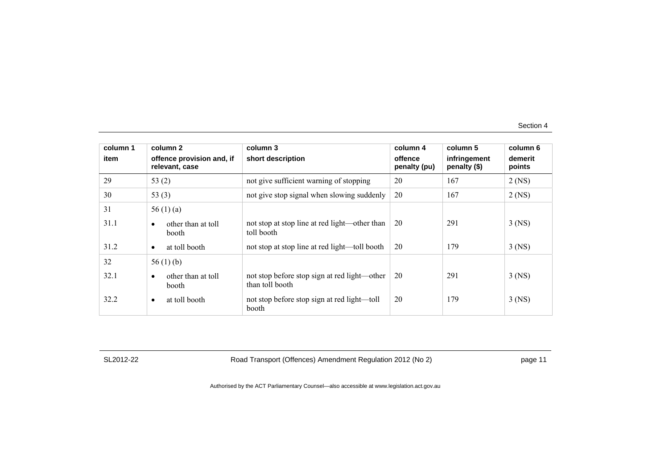| column 1 | column 2                                        | column 3                                                        | column 4                | column 5                     | column 6          |
|----------|-------------------------------------------------|-----------------------------------------------------------------|-------------------------|------------------------------|-------------------|
| item     | offence provision and, if<br>relevant, case     | short description                                               | offence<br>penalty (pu) | infringement<br>penalty (\$) | demerit<br>points |
| 29       | 53 $(2)$                                        | not give sufficient warning of stopping                         | 20                      | 167                          | $2$ (NS)          |
| 30       | 53 $(3)$                                        | not give stop signal when slowing suddenly                      | 20                      | 167                          | $2$ (NS)          |
| 31       | 56 $(1)$ $(a)$                                  |                                                                 |                         |                              |                   |
| 31.1     | other than at toll<br>$\bullet$<br><b>booth</b> | not stop at stop line at red light—other than<br>toll booth     | 20                      | 291                          | $3$ (NS)          |
| 31.2     | at toll booth<br>$\bullet$                      | not stop at stop line at red light—toll booth                   | 20                      | 179                          | $3$ (NS)          |
| 32       | 56 $(1)$ (b)                                    |                                                                 |                         |                              |                   |
| 32.1     | other than at toll<br>$\bullet$<br>booth        | not stop before stop sign at red light—other<br>than toll booth | 20                      | 291                          | $3$ (NS)          |
| 32.2     | at toll booth<br>$\bullet$                      | not stop before stop sign at red light—toll<br>booth            | 20                      | 179                          | $3$ (NS)          |

SL2012-22 Road Transport (Offences) Amendment Regulation 2012 (No 2) page 11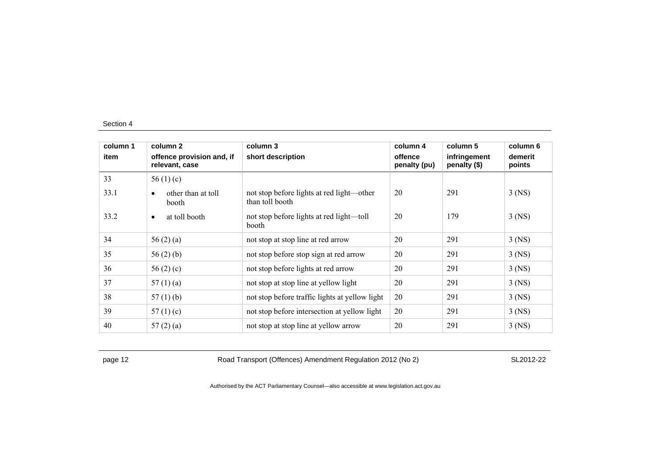| column 1 | column 2                                    | column 3                                                     | column 4                | column 5                     | column 6          |
|----------|---------------------------------------------|--------------------------------------------------------------|-------------------------|------------------------------|-------------------|
| item     | offence provision and, if<br>relevant, case | short description                                            | offence<br>penalty (pu) | infringement<br>penalty (\$) | demerit<br>points |
| 33       | 56 $(1)(c)$                                 |                                                              |                         |                              |                   |
| 33.1     | other than at toll<br>booth                 | not stop before lights at red light—other<br>than toll booth | 20                      | 291                          | $3$ (NS)          |
| 33.2     | at toll booth<br>$\bullet$                  | not stop before lights at red light—toll<br>booth            | 20                      | 179                          | $3$ (NS)          |
| 34       | 56 $(2)$ $(a)$                              | not stop at stop line at red arrow                           | 20                      | 291                          | $3$ (NS)          |
| 35       | 56 $(2)$ $(b)$                              | not stop before stop sign at red arrow                       | 20                      | 291                          | $3$ (NS)          |
| 36       | 56 $(2)$ $(c)$                              | not stop before lights at red arrow                          | 20                      | 291                          | $3$ (NS)          |
| 37       | 57(1)(a)                                    | not stop at stop line at yellow light                        | 20                      | 291                          | $3$ (NS)          |
| 38       | 57 $(1)$ (b)                                | not stop before traffic lights at yellow light               | 20                      | 291                          | $3$ (NS)          |
| 39       | 57 $(1)(c)$                                 | not stop before intersection at yellow light                 | 20                      | 291                          | $3$ (NS)          |
| 40       | 57(2)(a)                                    | not stop at stop line at yellow arrow                        | 20                      | 291                          | $3$ (NS)          |

page 12 **Road Transport (Offences) Amendment Regulation 2012 (No 2)** SL2012-22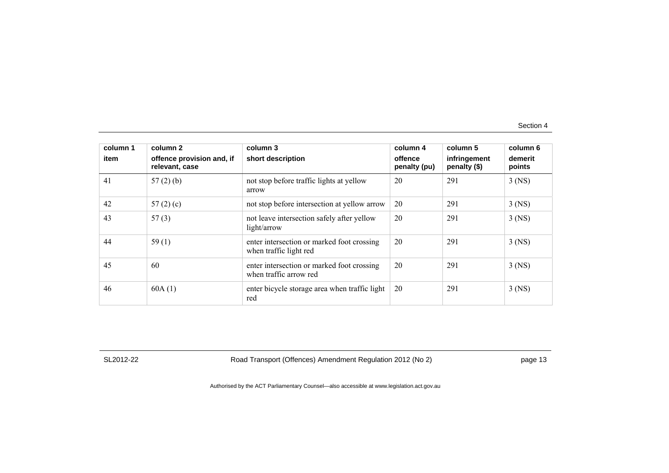| column 1<br>item | column 2<br>offence provision and, if | column 3<br>short description                                        | column 4<br>offence | column 5<br>infringement | column 6<br>demerit |
|------------------|---------------------------------------|----------------------------------------------------------------------|---------------------|--------------------------|---------------------|
|                  | relevant, case                        |                                                                      | penalty (pu)        | penalty (\$)             | points              |
| 41               | 57(2)(b)                              | not stop before traffic lights at yellow<br>arrow                    | 20                  | 291                      | $3$ (NS)            |
| 42               | 57 $(2)$ $(c)$                        | not stop before intersection at yellow arrow                         | 20                  | 291                      | $3$ (NS)            |
| 43               | 57(3)                                 | not leave intersection safely after yellow<br>light/arrow            | 20                  | 291                      | $3$ (NS)            |
| 44               | 59(1)                                 | enter intersection or marked foot crossing<br>when traffic light red | 20                  | 291                      | $3$ (NS)            |
| 45               | 60                                    | enter intersection or marked foot crossing<br>when traffic arrow red | 20                  | 291                      | $3$ (NS)            |
| 46               | 60A(1)                                | enter bicycle storage area when traffic light<br>red                 | 20                  | 291                      | $3$ (NS)            |

SL2012-22 Road Transport (Offences) Amendment Regulation 2012 (No 2) page 13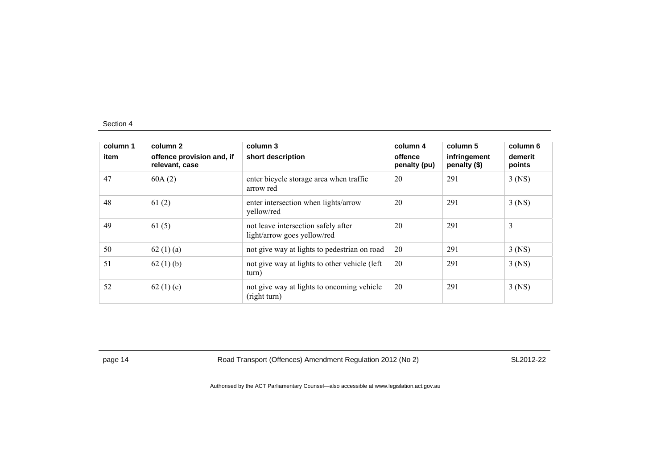| column 1<br>item | column 2<br>offence provision and, if<br>relevant, case | column 3<br>short description                                      | column 4<br>offence<br>penalty (pu) | column 5<br>infringement<br>penalty (\$) | column 6<br>demerit<br>points |
|------------------|---------------------------------------------------------|--------------------------------------------------------------------|-------------------------------------|------------------------------------------|-------------------------------|
| 47               | 60A(2)                                                  | enter bicycle storage area when traffic<br>arrow red               | 20                                  | 291                                      | $3$ (NS)                      |
| 48               | 61(2)                                                   | enter intersection when lights/arrow<br>yellow/red                 | 20                                  | 291                                      | $3$ (NS)                      |
| 49               | 61(5)                                                   | not leave intersection safely after<br>light/arrow goes yellow/red | 20                                  | 291                                      | 3                             |
| 50               | 62(1)(a)                                                | not give way at lights to pedestrian on road                       | 20                                  | 291                                      | $3$ (NS)                      |
| 51               | 62(1)(b)                                                | not give way at lights to other vehicle (left)<br>turn)            | 20                                  | 291                                      | $3$ (NS)                      |
| 52               | 62 $(1)(c)$                                             | not give way at lights to oncoming vehicle<br>(right turn)         | 20                                  | 291                                      | $3$ (NS)                      |

page 14 **Road Transport (Offences) Amendment Regulation 2012 (No 2)** SL2012-22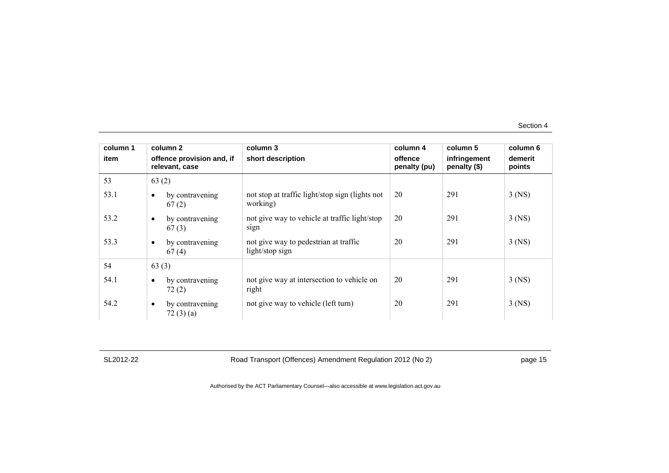| column 1 | column 2                                    | column 3                                                    | column 4                | column 5                     | column 6          |
|----------|---------------------------------------------|-------------------------------------------------------------|-------------------------|------------------------------|-------------------|
| item     | offence provision and, if<br>relevant, case | short description                                           | offence<br>penalty (pu) | infringement<br>penalty (\$) | demerit<br>points |
| 53       | 63(2)                                       |                                                             |                         |                              |                   |
| 53.1     | by contravening<br>67(2)                    | not stop at traffic light/stop sign (lights not<br>working) | 20                      | 291                          | $3$ (NS)          |
| 53.2     | by contravening<br>$\bullet$<br>67(3)       | not give way to vehicle at traffic light/stop<br>sign       | 20                      | 291                          | $3$ (NS)          |
| 53.3     | by contravening<br>$\bullet$<br>67(4)       | not give way to pedestrian at traffic<br>light/stop sign    | 20                      | 291                          | $3$ (NS)          |
| 54       | 63(3)                                       |                                                             |                         |                              |                   |
| 54.1     | by contravening<br>$\bullet$<br>72(2)       | not give way at intersection to vehicle on<br>right         | 20                      | 291                          | $3$ (NS)          |
| 54.2     | by contravening<br>$\bullet$<br>72(3)(a)    | not give way to vehicle (left turn)                         | 20                      | 291                          | $3$ (NS)          |

SL2012-22 Road Transport (Offences) Amendment Regulation 2012 (No 2) page 15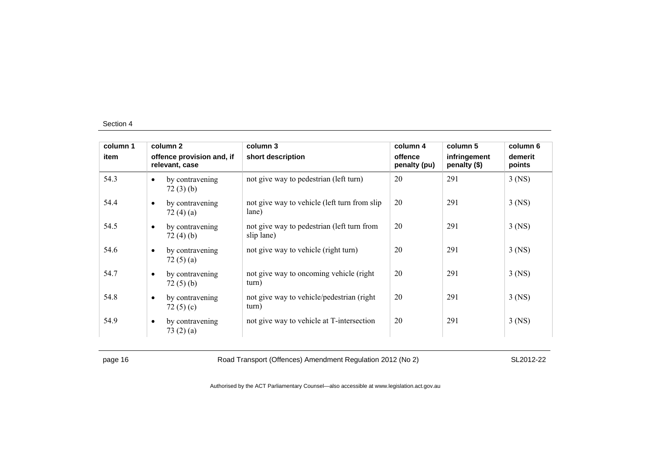| column 1 |                                             | column 2                       | column 3                                                 | column 4                | column 5                     | column 6          |
|----------|---------------------------------------------|--------------------------------|----------------------------------------------------------|-------------------------|------------------------------|-------------------|
| item     | offence provision and, if<br>relevant, case |                                | short description                                        | offence<br>penalty (pu) | infringement<br>penalty (\$) | demerit<br>points |
| 54.3     | $\bullet$                                   | by contravening<br>72(3)(b)    | not give way to pedestrian (left turn)                   | 20                      | 291                          | $3$ (NS)          |
| 54.4     | $\bullet$                                   | by contravening<br>72 $(4)(a)$ | not give way to vehicle (left turn from slip<br>lane)    | 20                      | 291                          | $3$ (NS)          |
| 54.5     | $\bullet$                                   | by contravening<br>72(4)(b)    | not give way to pedestrian (left turn from<br>slip lane) | 20                      | 291                          | $3$ (NS)          |
| 54.6     | $\bullet$                                   | by contravening<br>72(5)(a)    | not give way to vehicle (right turn)                     | 20                      | 291                          | $3$ (NS)          |
| 54.7     | $\bullet$                                   | by contravening<br>72(5)(b)    | not give way to oncoming vehicle (right)<br>turn)        | 20                      | 291                          | $3$ (NS)          |
| 54.8     | $\bullet$                                   | by contravening<br>72 $(5)(c)$ | not give way to vehicle/pedestrian (right)<br>turn)      | 20                      | 291                          | $3$ (NS)          |
| 54.9     | $\bullet$                                   | by contravening<br>73(2)(a)    | not give way to vehicle at T-intersection                | 20                      | 291                          | $3$ (NS)          |

page 16 **Road Transport (Offences) Amendment Regulation 2012 (No 2)** SL2012-22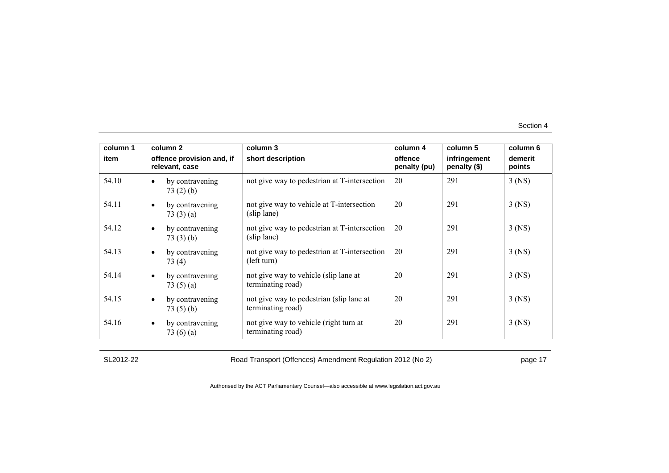| column 1 | column 2                                       | column 3                                                      | column 4                | column 5                     | column 6          |
|----------|------------------------------------------------|---------------------------------------------------------------|-------------------------|------------------------------|-------------------|
| item     | offence provision and, if<br>relevant, case    | short description                                             | offence<br>penalty (pu) | infringement<br>penalty (\$) | demerit<br>points |
| 54.10    | by contravening<br>$\bullet$<br>73(2)(b)       | not give way to pedestrian at T-intersection                  | 20                      | 291                          | $3$ (NS)          |
| 54.11    | by contravening<br>$\bullet$<br>73(3)(a)       | not give way to vehicle at T-intersection<br>(slip lane)      | 20                      | 291                          | $3$ (NS)          |
| 54.12    | by contravening<br>$\bullet$<br>73(3)(b)       | not give way to pedestrian at T-intersection<br>(slip lane)   | 20                      | 291                          | $3$ (NS)          |
| 54.13    | by contravening<br>$\bullet$<br>73 (4)         | not give way to pedestrian at T-intersection<br>(left turn)   | 20                      | 291                          | $3$ (NS)          |
| 54.14    | by contravening<br>$\bullet$<br>73 $(5)(a)$    | not give way to vehicle (slip lane at<br>terminating road)    | 20                      | 291                          | $3$ (NS)          |
| 54.15    | by contravening<br>$\bullet$<br>73(5)(b)       | not give way to pedestrian (slip lane at<br>terminating road) | 20                      | 291                          | $3$ (NS)          |
| 54.16    | by contravening<br>$\bullet$<br>73 $(6)$ $(a)$ | not give way to vehicle (right turn at<br>terminating road)   | 20                      | 291                          | $3$ (NS)          |

SL2012-22 Road Transport (Offences) Amendment Regulation 2012 (No 2) page 17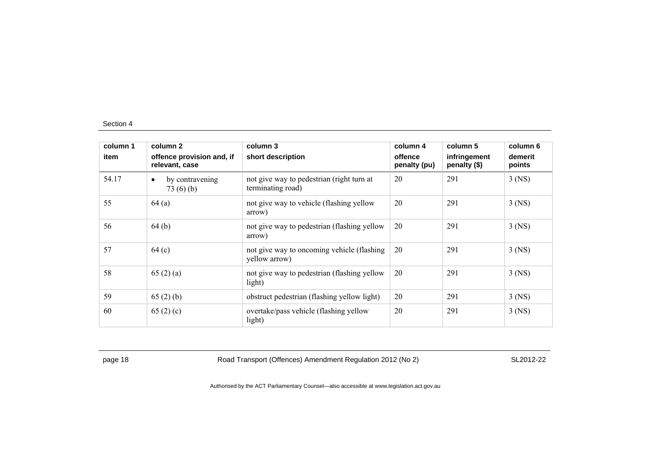| column 1 | column 2                                    | column 3                                                       | column 4                | column 5                     | column 6          |
|----------|---------------------------------------------|----------------------------------------------------------------|-------------------------|------------------------------|-------------------|
| item     | offence provision and, if<br>relevant, case | short description                                              | offence<br>penalty (pu) | infringement<br>penalty (\$) | demerit<br>points |
| 54.17    | by contravening<br>$\bullet$<br>73(6)(b)    | not give way to pedestrian (right turn at<br>terminating road) | 20                      | 291                          | $3$ (NS)          |
| 55       | 64(a)                                       | not give way to vehicle (flashing yellow<br>arrow)             | 20                      | 291                          | $3$ (NS)          |
| 56       | 64(b)                                       | not give way to pedestrian (flashing yellow<br>arrow)          | 20                      | 291                          | $3$ (NS)          |
| 57       | 64 <sub>(c)</sub>                           | not give way to oncoming vehicle (flashing)<br>yellow arrow)   | 20                      | 291                          | $3$ (NS)          |
| 58       | 65(2)(a)                                    | not give way to pedestrian (flashing yellow<br>light)          | 20                      | 291                          | $3$ (NS)          |
| 59       | 65(2)(b)                                    | obstruct pedestrian (flashing yellow light)                    | 20                      | 291                          | $3$ (NS)          |
| 60       | 65 $(2)$ (c)                                | overtake/pass vehicle (flashing yellow<br>light)               | 20                      | 291                          | $3$ (NS)          |

page 18 **Road Transport (Offences) Amendment Regulation 2012 (No 2)** SL2012-22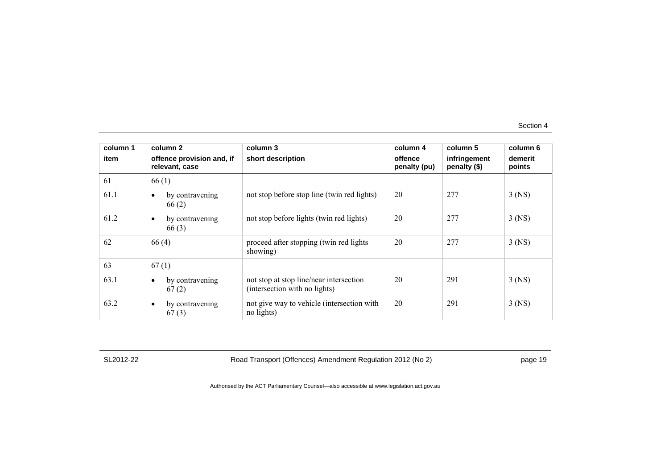| column 1 | column 2                                    | column 3                                                                 | column 4                | column 5                     | column 6          |
|----------|---------------------------------------------|--------------------------------------------------------------------------|-------------------------|------------------------------|-------------------|
| item     | offence provision and, if<br>relevant, case | short description                                                        | offence<br>penalty (pu) | infringement<br>penalty (\$) | demerit<br>points |
| 61       | 66(1)                                       |                                                                          |                         |                              |                   |
| 61.1     | by contravening<br>66(2)                    | not stop before stop line (twin red lights)                              | 20                      | 277                          | $3$ (NS)          |
| 61.2     | by contravening<br>$\bullet$<br>66(3)       | not stop before lights (twin red lights)                                 | 20                      | 277                          | $3$ (NS)          |
| 62       | 66(4)                                       | proceed after stopping (twin red lights<br>showing)                      | 20                      | 277                          | $3$ (NS)          |
| 63       | 67(1)                                       |                                                                          |                         |                              |                   |
| 63.1     | by contravening<br>67(2)                    | not stop at stop line/near intersection<br>(intersection with no lights) | 20                      | 291                          | $3$ (NS)          |
| 63.2     | by contravening<br>$\bullet$<br>67(3)       | not give way to vehicle (intersection with<br>no lights)                 | 20                      | 291                          | $3$ (NS)          |

SL2012-22 Road Transport (Offences) Amendment Regulation 2012 (No 2) page 19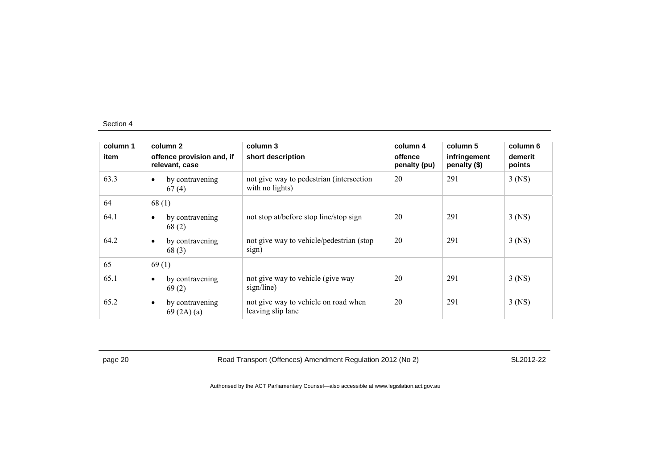| column 1 | column 2                                    | column 3                                                    | column 4                | column 5                     | column 6          |
|----------|---------------------------------------------|-------------------------------------------------------------|-------------------------|------------------------------|-------------------|
| item     | offence provision and, if<br>relevant, case | short description                                           | offence<br>penalty (pu) | infringement<br>penalty (\$) | demerit<br>points |
| 63.3     | by contravening<br>$\bullet$<br>67(4)       | not give way to pedestrian (intersection<br>with no lights) | 20                      | 291                          | $3$ (NS)          |
| 64       | 68(1)                                       |                                                             |                         |                              |                   |
| 64.1     | by contravening<br>$\bullet$<br>68(2)       | not stop at/before stop line/stop sign                      | 20                      | 291                          | $3$ (NS)          |
| 64.2     | by contravening<br>$\bullet$<br>68(3)       | not give way to vehicle/pedestrian (stop)<br>sign)          | 20                      | 291                          | $3$ (NS)          |
| 65       | 69(1)                                       |                                                             |                         |                              |                   |
| 65.1     | by contravening<br>$\bullet$<br>69(2)       | not give way to vehicle (give way<br>sign/line)             | 20                      | 291                          | $3$ (NS)          |
| 65.2     | by contravening<br>$\bullet$<br>69(2A)(a)   | not give way to vehicle on road when<br>leaving slip lane   | 20                      | 291                          | $3$ (NS)          |

page 20 Road Transport (Offences) Amendment Regulation 2012 (No 2) SL2012-22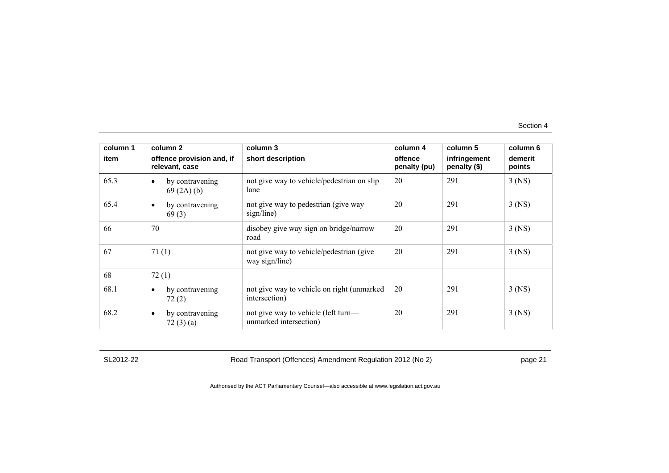| column 1 | column 2                                    | column 3                                                      | column 4                | column 5                     | column 6          |
|----------|---------------------------------------------|---------------------------------------------------------------|-------------------------|------------------------------|-------------------|
| item     | offence provision and, if<br>relevant, case | short description                                             | offence<br>penalty (pu) | infringement<br>penalty (\$) | demerit<br>points |
| 65.3     | by contravening<br>$\bullet$<br>69(2A)(b)   | not give way to vehicle/pedestrian on slip<br>lane            | 20                      | 291                          | $3$ (NS)          |
| 65.4     | by contravening<br>$\bullet$<br>69(3)       | not give way to pedestrian (give way<br>sign/line)            | 20                      | 291                          | $3$ (NS)          |
| 66       | 70                                          | disobey give way sign on bridge/narrow<br>road                | 20                      | 291                          | $3$ (NS)          |
| 67       | 71(1)                                       | not give way to vehicle/pedestrian (give<br>way sign/line)    | 20                      | 291                          | $3$ (NS)          |
| 68       | 72(1)                                       |                                                               |                         |                              |                   |
| 68.1     | by contravening<br>$\bullet$<br>72(2)       | not give way to vehicle on right (unmarked)<br>intersection)  | 20                      | 291                          | $3$ (NS)          |
| 68.2     | by contravening<br>$\bullet$<br>72(3)(a)    | not give way to vehicle (left turn—<br>unmarked intersection) | 20                      | 291                          | $3$ (NS)          |

SL2012-22 Road Transport (Offences) Amendment Regulation 2012 (No 2) page 21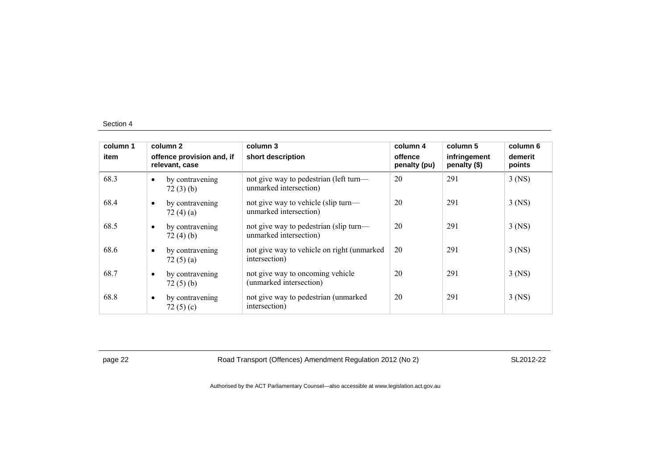| column 1<br>item |           | column 2<br>offence provision and, if<br>relevant, case | column 3<br>short description                                    | column 4<br>offence<br>penalty (pu) | column 5<br>infringement<br>penalty (\$) | column 6<br>demerit<br>points |
|------------------|-----------|---------------------------------------------------------|------------------------------------------------------------------|-------------------------------------|------------------------------------------|-------------------------------|
| 68.3             | $\bullet$ | by contravening<br>72(3)(b)                             | not give way to pedestrian (left turn—<br>unmarked intersection) | 20                                  | 291                                      | $3$ (NS)                      |
| 68.4             | $\bullet$ | by contravening<br>72 $(4)(a)$                          | not give way to vehicle (slip turn—<br>unmarked intersection)    | 20                                  | 291                                      | $3$ (NS)                      |
| 68.5             | $\bullet$ | by contravening<br>72(4)(b)                             | not give way to pedestrian (slip turn—<br>unmarked intersection) | 20                                  | 291                                      | $3$ (NS)                      |
| 68.6             | $\bullet$ | by contravening<br>72 $(5)(a)$                          | not give way to vehicle on right (unmarked)<br>intersection)     | 20                                  | 291                                      | $3$ (NS)                      |
| 68.7             | $\bullet$ | by contravening<br>72(5)(b)                             | not give way to oncoming vehicle<br>(unmarked intersection)      | 20                                  | 291                                      | $3$ (NS)                      |
| 68.8             | $\bullet$ | by contravening<br>72 $(5)(c)$                          | not give way to pedestrian (unmarked<br>intersection)            | 20                                  | 291                                      | $3$ (NS)                      |

page 22 Road Transport (Offences) Amendment Regulation 2012 (No 2) SL2012-22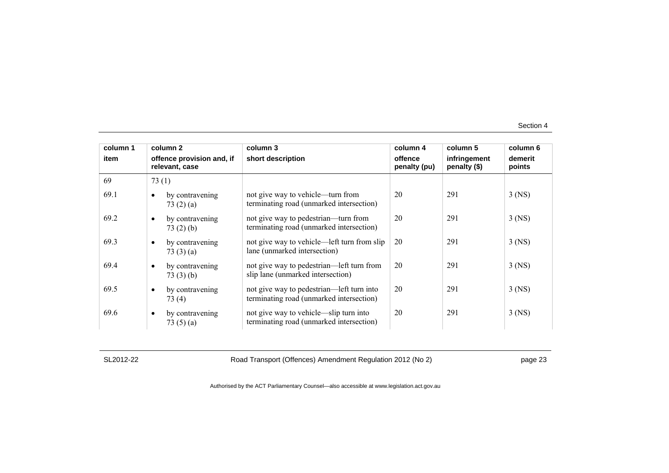| column 1 | column 2                                    |                 | column 3                                                                              | column 4                | column 5                     | column 6          |
|----------|---------------------------------------------|-----------------|---------------------------------------------------------------------------------------|-------------------------|------------------------------|-------------------|
| item     | offence provision and, if<br>relevant, case |                 | short description                                                                     | offence<br>penalty (pu) | infringement<br>penalty (\$) | demerit<br>points |
| 69       | 73(1)                                       |                 |                                                                                       |                         |                              |                   |
| 69.1     | 73(2)(a)                                    | by contravening | not give way to vehicle—turn from<br>terminating road (unmarked intersection)         | 20                      | 291                          | $3$ (NS)          |
| 69.2     | 73(2)(b)                                    | by contravening | not give way to pedestrian—turn from<br>terminating road (unmarked intersection)      | 20                      | 291                          | $3$ (NS)          |
| 69.3     | by contravening<br>73(3)(a)                 |                 | not give way to vehicle—left turn from slip<br>lane (unmarked intersection)           | 20                      | 291                          | $3$ (NS)          |
| 69.4     | by contravening<br>$\bullet$<br>73(3)(b)    |                 | not give way to pedestrian—left turn from<br>slip lane (unmarked intersection)        | 20                      | 291                          | $3$ (NS)          |
| 69.5     | 73(4)                                       | by contravening | not give way to pedestrian—left turn into<br>terminating road (unmarked intersection) | 20                      | 291                          | $3$ (NS)          |
| 69.6     | $\bullet$<br>73 $(5)(a)$                    | by contravening | not give way to vehicle—slip turn into<br>terminating road (unmarked intersection)    | 20                      | 291                          | $3$ (NS)          |

SL2012-22 Road Transport (Offences) Amendment Regulation 2012 (No 2) page 23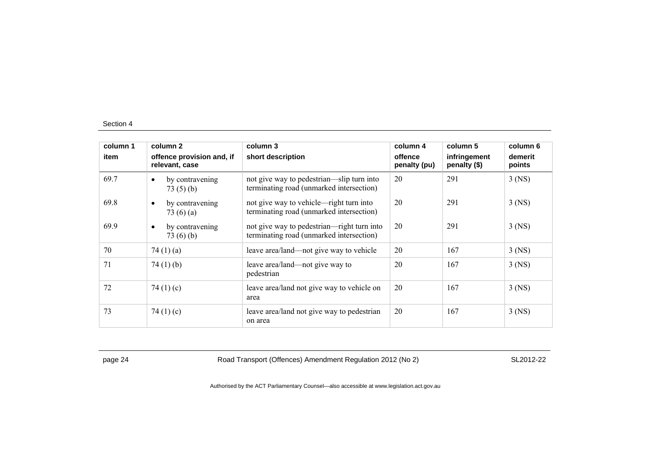| column 1 | column 2                                    | column 3                                                                               | column 4                | column 5                     | column 6          |
|----------|---------------------------------------------|----------------------------------------------------------------------------------------|-------------------------|------------------------------|-------------------|
| item     | offence provision and, if<br>relevant, case | short description                                                                      | offence<br>penalty (pu) | infringement<br>penalty (\$) | demerit<br>points |
| 69.7     | by contravening<br>$\bullet$<br>73(5)(b)    | not give way to pedestrian—slip turn into<br>terminating road (unmarked intersection)  | 20                      | 291                          | $3$ (NS)          |
| 69.8     | by contravening<br>$\bullet$<br>73 $(6)(a)$ | not give way to vehicle—right turn into<br>terminating road (unmarked intersection)    | 20                      | 291                          | $3$ (NS)          |
| 69.9     | by contravening<br>$\bullet$<br>73(6)(b)    | not give way to pedestrian—right turn into<br>terminating road (unmarked intersection) | 20                      | 291                          | 3 (NS)            |
| 70       | 74 $(1)(a)$                                 | leave area/land—not give way to vehicle                                                | 20                      | 167                          | $3$ (NS)          |
| 71       | 74 $(1)$ $(b)$                              | leave area/land—not give way to<br>pedestrian                                          | 20                      | 167                          | $3$ (NS)          |
| 72       | 74 $(1)(c)$                                 | leave area/land not give way to vehicle on<br>area                                     | 20                      | 167                          | $3$ (NS)          |
| 73       | 74 $(1)(c)$                                 | leave area/land not give way to pedestrian<br>on area                                  | 20                      | 167                          | $3$ (NS)          |

page 24 Road Transport (Offences) Amendment Regulation 2012 (No 2) SL2012-22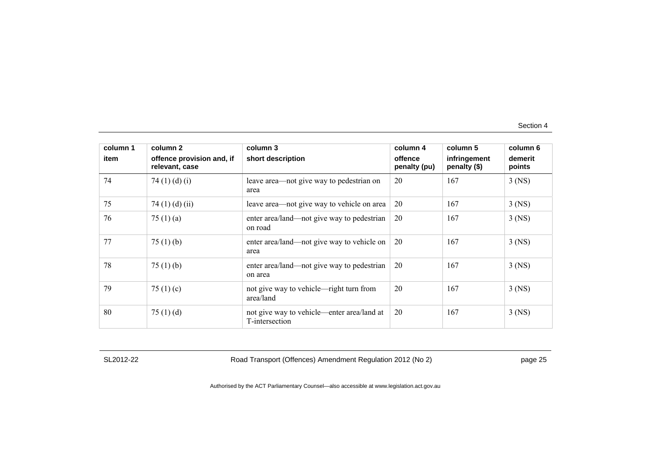| column 1 | column 2                                    | column 3                                                     | column 4                | column 5                     | column 6          |
|----------|---------------------------------------------|--------------------------------------------------------------|-------------------------|------------------------------|-------------------|
| item     | offence provision and, if<br>relevant, case | short description                                            | offence<br>penalty (pu) | infringement<br>penalty (\$) | demerit<br>points |
| 74       | 74 $(1)$ $(d)$ $(i)$                        | leave area—not give way to pedestrian on<br>area             | 20                      | 167                          | $3$ (NS)          |
| 75       | 74 $(1)$ $(d)$ $(ii)$                       | leave area—not give way to vehicle on area                   | 20                      | 167                          | $3$ (NS)          |
| 76       | 75 $(1)$ $(a)$                              | enter area/land—not give way to pedestrian<br>on road        | 20                      | 167                          | $3$ (NS)          |
| 77       | 75 $(1)$ (b)                                | enter area/land—not give way to vehicle on<br>area           | 20                      | 167                          | $3$ (NS)          |
| 78       | 75 $(1)$ (b)                                | enter area/land—not give way to pedestrian<br>on area        | 20                      | 167                          | $3$ (NS)          |
| 79       | 75 $(1)(c)$                                 | not give way to vehicle—right turn from<br>area/land         | 20                      | 167                          | $3$ (NS)          |
| 80       | 75 $(1)$ $(d)$                              | not give way to vehicle—enter area/land at<br>T-intersection | 20                      | 167                          | $3$ (NS)          |

SL2012-22 Road Transport (Offences) Amendment Regulation 2012 (No 2) page 25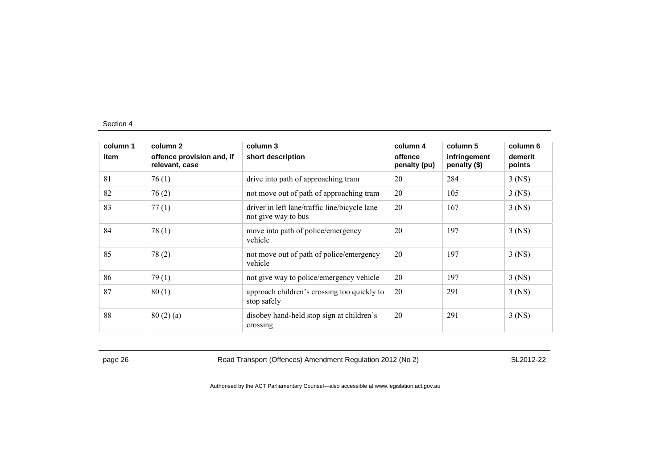| column 1 | column 2                                    | column 3                                                             | column 4                | column 5                     | column 6          |
|----------|---------------------------------------------|----------------------------------------------------------------------|-------------------------|------------------------------|-------------------|
| item     | offence provision and, if<br>relevant, case | short description                                                    | offence<br>penalty (pu) | infringement<br>penalty (\$) | demerit<br>points |
| 81       | 76(1)                                       | drive into path of approaching tram                                  | 20                      | 284                          | $3$ (NS)          |
| 82       | 76(2)                                       | not move out of path of approaching tram                             | 20                      | 105                          | $3$ (NS)          |
| 83       | 77(1)                                       | driver in left lane/traffic line/bicycle lane<br>not give way to bus | 20                      | 167                          | $3$ (NS)          |
| 84       | 78(1)                                       | move into path of police/emergency<br>vehicle                        | 20                      | 197                          | $3$ (NS)          |
| 85       | 78(2)                                       | not move out of path of police/emergency<br>vehicle                  | 20                      | 197                          | $3$ (NS)          |
| 86       | 79(1)                                       | not give way to police/emergency vehicle                             | 20                      | 197                          | $3$ (NS)          |
| 87       | 80(1)                                       | approach children's crossing too quickly to<br>stop safely           | 20                      | 291                          | $3$ (NS)          |
| 88       | 80(2)(a)                                    | disobey hand-held stop sign at children's<br>crossing                | 20                      | 291                          | $3$ (NS)          |

page 26 Road Transport (Offences) Amendment Regulation 2012 (No 2) SL2012-22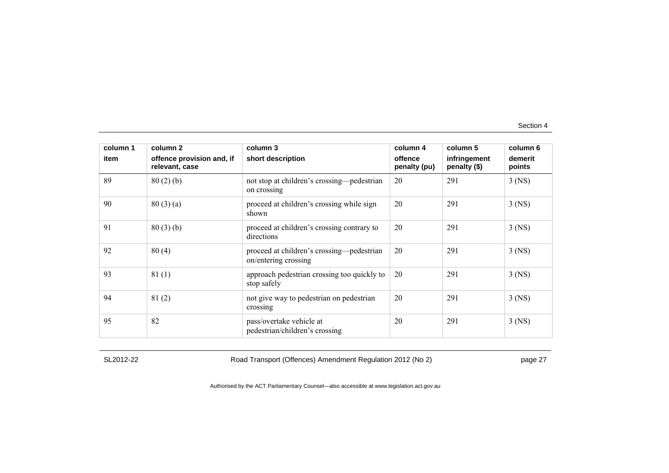| column 1<br>item | column 2<br>offence provision and, if<br>relevant, case | column 3<br>short description                                     | column 4<br>offence<br>penalty (pu) | column 5<br>infringement<br>penalty (\$) | column 6<br>demerit<br>points |
|------------------|---------------------------------------------------------|-------------------------------------------------------------------|-------------------------------------|------------------------------------------|-------------------------------|
| 89               | 80(2)(b)                                                | not stop at children's crossing—pedestrian<br>on crossing         | 20                                  | 291                                      | $3$ (NS)                      |
| 90               | 80(3)(a)                                                | proceed at children's crossing while sign<br>shown                | 20                                  | 291                                      | $3$ (NS)                      |
| 91               | 80(3)(b)                                                | proceed at children's crossing contrary to<br>directions          | 20                                  | 291                                      | $3$ (NS)                      |
| 92               | 80(4)                                                   | proceed at children's crossing—pedestrian<br>on/entering crossing | 20                                  | 291                                      | $3$ (NS)                      |
| 93               | 81(1)                                                   | approach pedestrian crossing too quickly to<br>stop safely        | 20                                  | 291                                      | $3$ (NS)                      |
| 94               | 81(2)                                                   | not give way to pedestrian on pedestrian<br>crossing              | 20                                  | 291                                      | $3$ (NS)                      |
| 95               | 82                                                      | pass/overtake vehicle at<br>pedestrian/children's crossing        | 20                                  | 291                                      | $3$ (NS)                      |

SL2012-22 Road Transport (Offences) Amendment Regulation 2012 (No 2) page 27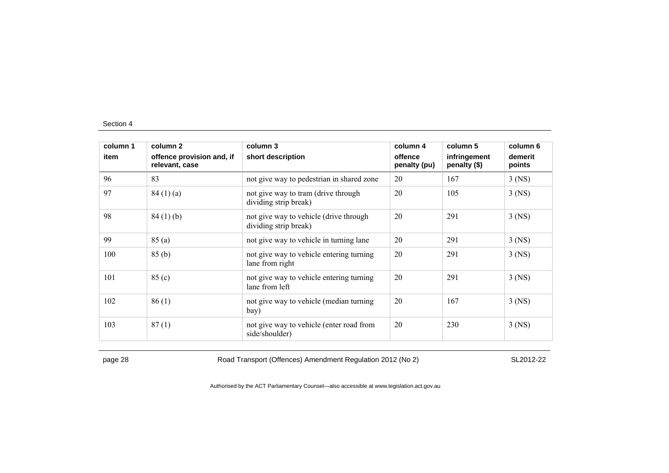| column 1 | column 2                                    | column 4<br>column 3<br>short description<br>offence<br>penalty (pu) | column 5 |                              | column 6<br>demerit<br>points |
|----------|---------------------------------------------|----------------------------------------------------------------------|----------|------------------------------|-------------------------------|
| item     | offence provision and, if<br>relevant, case |                                                                      |          | infringement<br>penalty (\$) |                               |
| 96       | 83                                          | not give way to pedestrian in shared zone                            | 20       | 167                          | $3$ (NS)                      |
| 97       | 84(1)(a)                                    | not give way to tram (drive through<br>dividing strip break)         | 20       | 105                          | $3$ (NS)                      |
| 98       | 84(1)(b)                                    | not give way to vehicle (drive through<br>dividing strip break)      | 20       | 291                          | $3$ (NS)                      |
| 99       | 85(a)                                       | not give way to vehicle in turning lane                              | 20       | 291                          | $3$ (NS)                      |
| 100      | 85(b)                                       | not give way to vehicle entering turning<br>lane from right          | 20       | 291                          | $3$ (NS)                      |
| 101      | 85 (c)                                      | not give way to vehicle entering turning<br>lane from left           | 20       | 291                          | $3$ (NS)                      |
| 102      | 86(1)                                       | not give way to vehicle (median turning<br>bay)                      | 20       | 167                          | $3$ (NS)                      |
| 103      | 87(1)                                       | not give way to vehicle (enter road from<br>side/shoulder)           | 20       | 230                          | $3$ (NS)                      |

page 28 Road Transport (Offences) Amendment Regulation 2012 (No 2) SL2012-22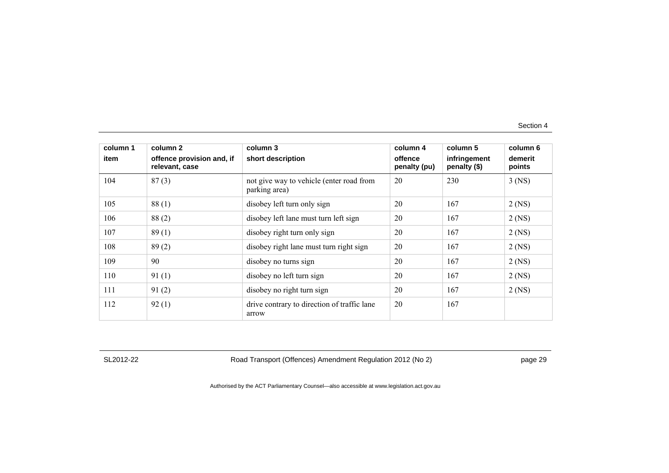| column 1 | column 2                                    | column 3                                                  | column 4                | column 5                     | column 6          |
|----------|---------------------------------------------|-----------------------------------------------------------|-------------------------|------------------------------|-------------------|
| item     | offence provision and, if<br>relevant, case | short description                                         | offence<br>penalty (pu) | infringement<br>penalty (\$) | demerit<br>points |
| 104      | 87(3)                                       | not give way to vehicle (enter road from<br>parking area) | 20                      | 230                          | $3$ (NS)          |
| 105      | 88(1)                                       | disobey left turn only sign                               | 20                      | 167                          | $2$ (NS)          |
| 106      | 88(2)                                       | disobey left lane must turn left sign                     | 20                      | 167                          | $2$ (NS)          |
| 107      | 89(1)                                       | disobey right turn only sign                              | 20                      | 167                          | $2$ (NS)          |
| 108      | 89(2)                                       | disobey right lane must turn right sign                   | 20                      | 167                          | $2$ (NS)          |
| 109      | 90                                          | disobey no turns sign                                     | 20                      | 167                          | $2$ (NS)          |
| 110      | 91(1)                                       | disobey no left turn sign                                 | 20                      | 167                          | $2$ (NS)          |
| 111      | 91(2)                                       | disobey no right turn sign                                | 20                      | 167                          | $2$ (NS)          |
| 112      | 92(1)                                       | drive contrary to direction of traffic lane<br>arrow      | 20                      | 167                          |                   |

SL2012-22 Road Transport (Offences) Amendment Regulation 2012 (No 2) page 29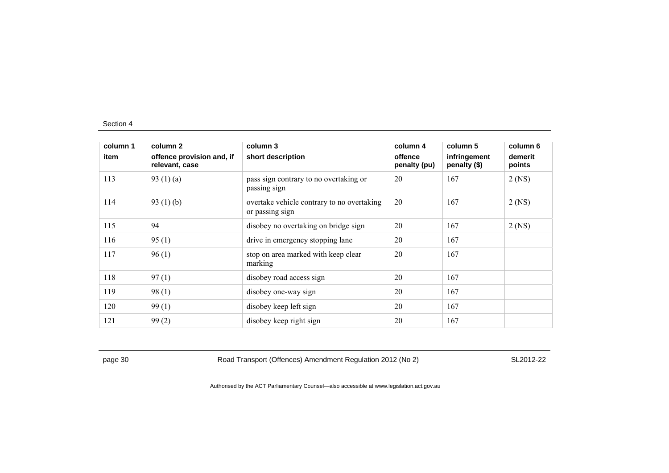| column 1 | column 2                                    | column 3                                                      | column 4                | column 5                     | column 6          |
|----------|---------------------------------------------|---------------------------------------------------------------|-------------------------|------------------------------|-------------------|
| item     | offence provision and, if<br>relevant, case | short description                                             | offence<br>penalty (pu) | infringement<br>penalty (\$) | demerit<br>points |
| 113      | 93 $(1)(a)$                                 | pass sign contrary to no overtaking or<br>passing sign        | 20                      | 167                          | $2$ (NS)          |
| 114      | 93 $(1)(b)$                                 | overtake vehicle contrary to no overtaking<br>or passing sign | 20                      | 167                          | $2$ (NS)          |
| 115      | 94                                          | disobey no overtaking on bridge sign                          | 20                      | 167                          | $2$ (NS)          |
| 116      | 95(1)                                       | drive in emergency stopping lane                              | 20                      | 167                          |                   |
| 117      | 96(1)                                       | stop on area marked with keep clear<br>marking                | 20                      | 167                          |                   |
| 118      | 97(1)                                       | disobey road access sign                                      | 20                      | 167                          |                   |
| 119      | 98(1)                                       | disobey one-way sign                                          | 20                      | 167                          |                   |
| 120      | 99(1)                                       | disobey keep left sign                                        | 20                      | 167                          |                   |
| 121      | 99(2)                                       | disobey keep right sign                                       | 20                      | 167                          |                   |

page 30 Road Transport (Offences) Amendment Regulation 2012 (No 2) SL2012-22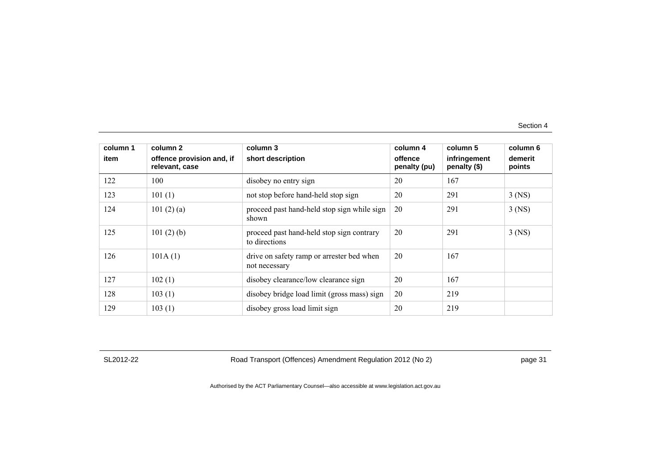| column 1 | column 2                                    | column 3                                                   | column 4                | column 5                     | column 6          |
|----------|---------------------------------------------|------------------------------------------------------------|-------------------------|------------------------------|-------------------|
| item     | offence provision and, if<br>relevant, case | short description                                          | offence<br>penalty (pu) | infringement<br>penalty (\$) | demerit<br>points |
| 122      | 100                                         | disobey no entry sign                                      | 20                      | 167                          |                   |
| 123      | 101(1)                                      | not stop before hand-held stop sign                        | 20                      | 291                          | $3$ (NS)          |
| 124      | 101 $(2)$ $(a)$                             | proceed past hand-held stop sign while sign<br>shown       | 20                      | 291                          | $3$ (NS)          |
| 125      | 101(2)(b)                                   | proceed past hand-held stop sign contrary<br>to directions | 20                      | 291                          | $3$ (NS)          |
| 126      | 101A(1)                                     | drive on safety ramp or arrester bed when<br>not necessary | 20                      | 167                          |                   |
| 127      | 102(1)                                      | disobey clearance/low clearance sign                       | 20                      | 167                          |                   |
| 128      | 103(1)                                      | disobey bridge load limit (gross mass) sign                | 20                      | 219                          |                   |
| 129      | 103(1)                                      | disobey gross load limit sign                              | 20                      | 219                          |                   |

SL2012-22 Road Transport (Offences) Amendment Regulation 2012 (No 2) page 31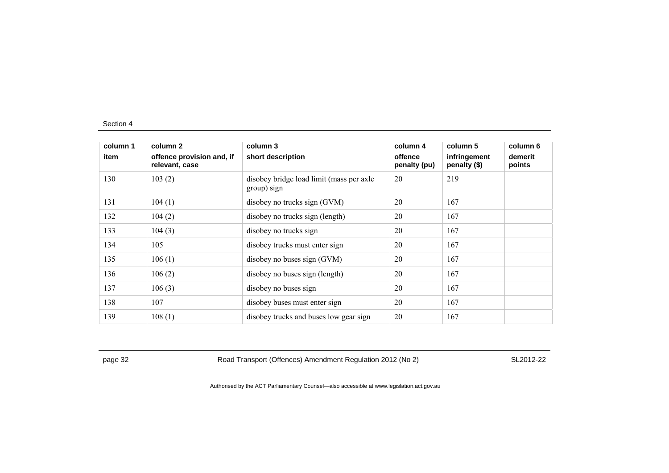| column 1 | column 2                                    | column 3                                                | column 4                | column 5                     | column 6          |
|----------|---------------------------------------------|---------------------------------------------------------|-------------------------|------------------------------|-------------------|
| item     | offence provision and, if<br>relevant, case | short description                                       | offence<br>penalty (pu) | infringement<br>penalty (\$) | demerit<br>points |
| 130      | 103(2)                                      | disobey bridge load limit (mass per axle<br>group) sign | 20                      | 219                          |                   |
| 131      | 104(1)                                      | disobey no trucks sign (GVM)                            | 20                      | 167                          |                   |
| 132      | 104(2)                                      | disobey no trucks sign (length)                         | 20                      | 167                          |                   |
| 133      | 104(3)                                      | disobey no trucks sign                                  | 20                      | 167                          |                   |
| 134      | 105                                         | disobey trucks must enter sign                          | 20                      | 167                          |                   |
| 135      | 106(1)                                      | disobey no buses sign (GVM)                             | 20                      | 167                          |                   |
| 136      | 106(2)                                      | disobey no buses sign (length)                          | 20                      | 167                          |                   |
| 137      | 106(3)                                      | disobey no buses sign                                   | 20                      | 167                          |                   |
| 138      | 107                                         | disobey buses must enter sign                           | 20                      | 167                          |                   |
| 139      | 108(1)                                      | disobey trucks and buses low gear sign                  | 20                      | 167                          |                   |

page 32 Road Transport (Offences) Amendment Regulation 2012 (No 2) SL2012-22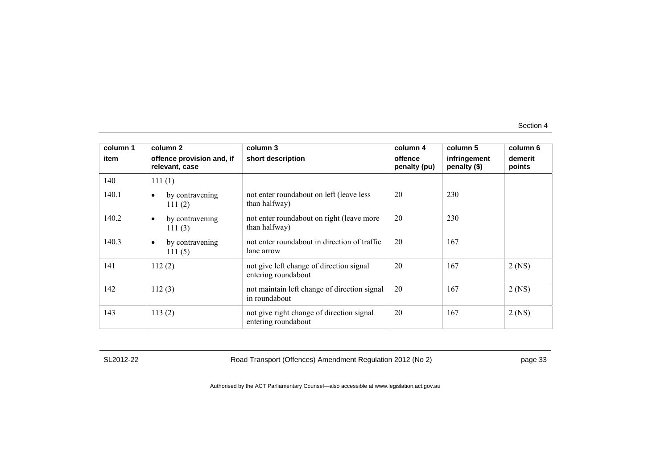| column 1 | column 2                                    | column 3                                                         | column 4                | column 5                     | column 6          |
|----------|---------------------------------------------|------------------------------------------------------------------|-------------------------|------------------------------|-------------------|
| item     | offence provision and, if<br>relevant, case | short description                                                | offence<br>penalty (pu) | infringement<br>penalty (\$) | demerit<br>points |
| 140      | 111(1)                                      |                                                                  |                         |                              |                   |
| 140.1    | by contravening<br>$\bullet$<br>111(2)      | not enter roundabout on left (leave less<br>than halfway)        | 20                      | 230                          |                   |
| 140.2    | by contravening<br>$\bullet$<br>111 $(3)$   | not enter roundabout on right (leave more<br>than halfway)       | 20                      | 230                          |                   |
| 140.3    | by contravening<br>$\bullet$<br>111(5)      | not enter roundabout in direction of traffic<br>lane arrow       | 20                      | 167                          |                   |
| 141      | 112(2)                                      | not give left change of direction signal<br>entering roundabout  | 20                      | 167                          | $2$ (NS)          |
| 142      | 112(3)                                      | not maintain left change of direction signal<br>in roundabout    | 20                      | 167                          | $2$ (NS)          |
| 143      | 113(2)                                      | not give right change of direction signal<br>entering roundabout | 20                      | 167                          | $2$ (NS)          |

SL2012-22 Road Transport (Offences) Amendment Regulation 2012 (No 2) page 33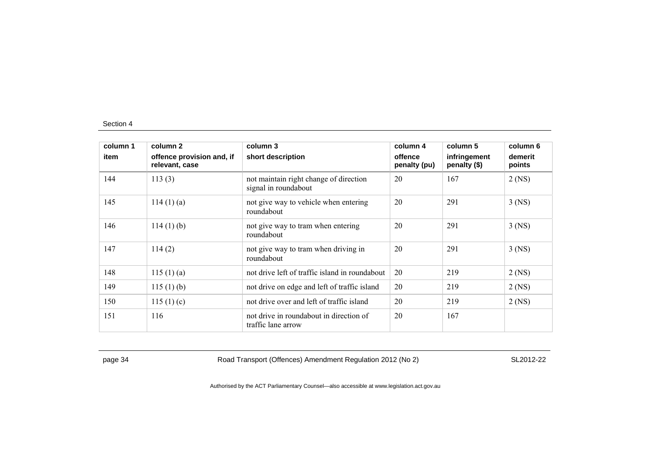| column 1<br>item | column 2<br>offence provision and, if<br>relevant, case | column 3<br>short description                                 | column 4<br>offence<br>penalty (pu) | column 5<br>infringement<br>penalty (\$) | column 6<br>demerit<br>points |
|------------------|---------------------------------------------------------|---------------------------------------------------------------|-------------------------------------|------------------------------------------|-------------------------------|
|                  |                                                         |                                                               |                                     |                                          |                               |
| 145              | $114(1)$ (a)                                            | not give way to vehicle when entering<br>roundabout           | 20                                  | 291                                      | $3$ (NS)                      |
| 146              | $114(1)$ (b)                                            | not give way to tram when entering<br>roundabout              | 20                                  | 291                                      | $3$ (NS)                      |
| 147              | 114(2)                                                  | not give way to tram when driving in<br>roundabout            | 20                                  | 291                                      | $3$ (NS)                      |
| 148              | 115(1)(a)                                               | not drive left of traffic island in roundabout                | 20                                  | 219                                      | $2$ (NS)                      |
| 149              | 115(1)(b)                                               | not drive on edge and left of traffic island                  | 20                                  | 219                                      | $2$ (NS)                      |
| 150              | 115(1)(c)                                               | not drive over and left of traffic island                     | 20                                  | 219                                      | $2$ (NS)                      |
| 151              | 116                                                     | not drive in roundabout in direction of<br>traffic lane arrow | 20                                  | 167                                      |                               |

page 34 Road Transport (Offences) Amendment Regulation 2012 (No 2) SL2012-22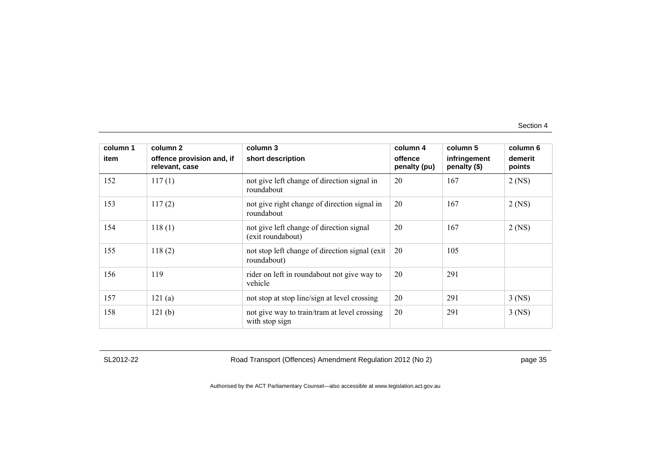| column 1 | column 2                                    | column 3                                                       | column 4                | column 5                     | column 6          |
|----------|---------------------------------------------|----------------------------------------------------------------|-------------------------|------------------------------|-------------------|
| item     | offence provision and, if<br>relevant, case | short description                                              | offence<br>penalty (pu) | infringement<br>penalty (\$) | demerit<br>points |
| 152      | 117(1)                                      | not give left change of direction signal in<br>roundabout      | 20                      | 167                          | $2$ (NS)          |
| 153      | 117(2)                                      | not give right change of direction signal in<br>roundabout     | 20                      | 167                          | $2$ (NS)          |
| 154      | 118(1)                                      | not give left change of direction signal<br>(exit roundabout)  | 20                      | 167                          | $2$ (NS)          |
| 155      | 118(2)                                      | not stop left change of direction signal (exit)<br>roundabout) | 20                      | 105                          |                   |
| 156      | 119                                         | rider on left in roundabout not give way to<br>vehicle         | 20                      | 291                          |                   |
| 157      | 121(a)                                      | not stop at stop line/sign at level crossing                   | 20                      | 291                          | $3$ (NS)          |
| 158      | 121(b)                                      | not give way to train/tram at level crossing<br>with stop sign | 20                      | 291                          | $3$ (NS)          |

SL2012-22 Road Transport (Offences) Amendment Regulation 2012 (No 2) page 35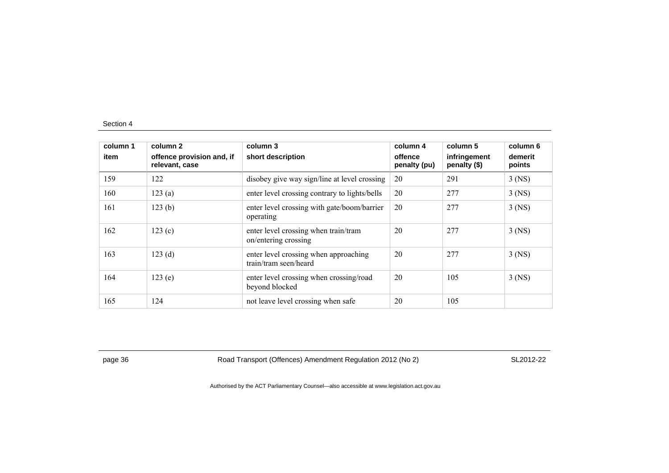| column 1<br>item | column 2<br>offence provision and, if<br>relevant, case | column 3<br>short description                                  | column 4<br>offence<br>penalty (pu) | column 5<br>infringement<br>penalty (\$) | column 6<br>demerit<br>points |
|------------------|---------------------------------------------------------|----------------------------------------------------------------|-------------------------------------|------------------------------------------|-------------------------------|
| 159              | 122                                                     | disobey give way sign/line at level crossing                   | 20                                  | 291                                      | $3$ (NS)                      |
| 160              | 123(a)                                                  | enter level crossing contrary to lights/bells                  | 20                                  | 277                                      | $3$ (NS)                      |
| 161              | 123(b)                                                  | enter level crossing with gate/boom/barrier<br>operating       | 20                                  | 277                                      | $3$ (NS)                      |
| 162              | 123(c)                                                  | enter level crossing when train/tram<br>on/entering crossing   | 20                                  | 277                                      | $3$ (NS)                      |
| 163              | 123(d)                                                  | enter level crossing when approaching<br>train/tram seen/heard | 20                                  | 277                                      | $3$ (NS)                      |
| 164              | 123(e)                                                  | enter level crossing when crossing/road<br>beyond blocked      | 20                                  | 105                                      | $3$ (NS)                      |
| 165              | 124                                                     | not leave level crossing when safe                             | 20                                  | 105                                      |                               |

page 36 Road Transport (Offences) Amendment Regulation 2012 (No 2) SL2012-22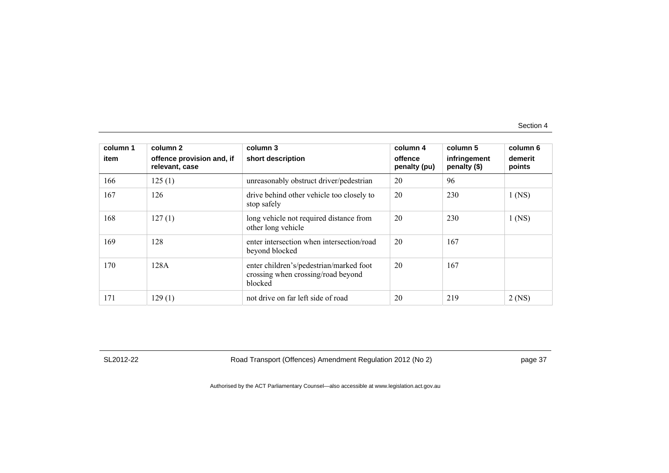| column 1<br>item | column 2<br>offence provision and, if<br>relevant, case | column 3<br>short description                                                            | column 4<br>offence<br>penalty (pu) | column 5<br>infringement<br>penalty (\$) | column 6<br>demerit<br>points |
|------------------|---------------------------------------------------------|------------------------------------------------------------------------------------------|-------------------------------------|------------------------------------------|-------------------------------|
| 166              | 125(1)                                                  | unreasonably obstruct driver/pedestrian                                                  | 20                                  | 96                                       |                               |
| 167              | 126                                                     | drive behind other vehicle too closely to<br>stop safely                                 | 20                                  | 230                                      | $1$ (NS)                      |
| 168              | 127(1)                                                  | long vehicle not required distance from<br>other long vehicle                            | 20                                  | 230                                      | $1$ (NS)                      |
| 169              | 128                                                     | enter intersection when intersection/road<br>beyond blocked                              | 20                                  | 167                                      |                               |
| 170              | 128A                                                    | enter children's/pedestrian/marked foot<br>crossing when crossing/road beyond<br>blocked | 20                                  | 167                                      |                               |
| 171              | 129(1)                                                  | not drive on far left side of road                                                       | 20                                  | 219                                      | $2$ (NS)                      |

SL2012-22 Road Transport (Offences) Amendment Regulation 2012 (No 2) page 37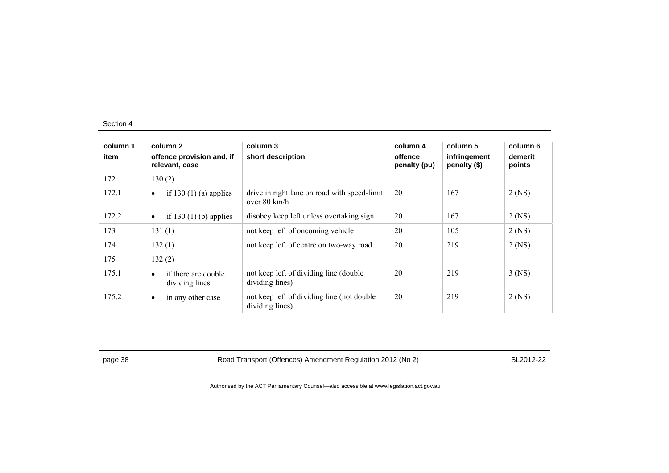| column 1<br>item |           | column 2<br>offence provision and, if<br>relevant, case | column 3<br>short description                                          | column 4<br>offence<br>penalty (pu) | column 5<br>infringement<br>penalty (\$) | column 6<br>demerit<br>points |
|------------------|-----------|---------------------------------------------------------|------------------------------------------------------------------------|-------------------------------------|------------------------------------------|-------------------------------|
| 172              |           | 130(2)                                                  |                                                                        |                                     |                                          |                               |
| 172.1            | $\bullet$ | if 130 $(1)$ (a) applies                                | drive in right lane on road with speed-limit<br>over $80 \text{ km/h}$ | 20                                  | 167                                      | $2$ (NS)                      |
| 172.2            | $\bullet$ | if 130 $(1)$ (b) applies                                | disobey keep left unless overtaking sign                               | 20                                  | 167                                      | $2$ (NS)                      |
| 173              |           | 131(1)                                                  | not keep left of oncoming vehicle                                      | 20                                  | 105                                      | $2$ (NS)                      |
| 174              |           | 132(1)                                                  | not keep left of centre on two-way road                                | 20                                  | 219                                      | $2$ (NS)                      |
| 175              |           | 132(2)                                                  |                                                                        |                                     |                                          |                               |
| 175.1            | $\bullet$ | if there are double<br>dividing lines                   | not keep left of dividing line (double)<br>dividing lines)             | 20                                  | 219                                      | $3$ (NS)                      |
| 175.2            | $\bullet$ | in any other case                                       | not keep left of dividing line (not double)<br>dividing lines)         | 20                                  | 219                                      | $2$ (NS)                      |

page 38 Road Transport (Offences) Amendment Regulation 2012 (No 2) SL2012-22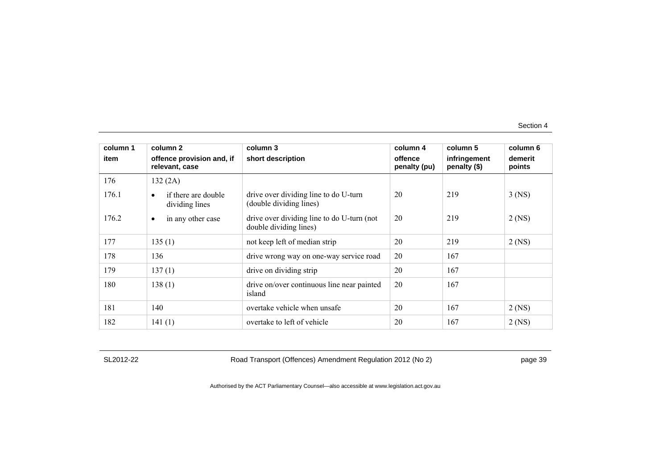| column 1 | column 2                                           | column 3                                                             | column 4                | column 5                     | column 6          |
|----------|----------------------------------------------------|----------------------------------------------------------------------|-------------------------|------------------------------|-------------------|
| item     | offence provision and, if<br>relevant, case        | short description                                                    | offence<br>penalty (pu) | infringement<br>penalty (\$) | demerit<br>points |
| 176      | 132(2A)                                            |                                                                      |                         |                              |                   |
| 176.1    | if there are double<br>$\bullet$<br>dividing lines | drive over dividing line to do U-turn<br>(double dividing lines)     | 20                      | 219                          | $3$ (NS)          |
| 176.2    | in any other case<br>$\bullet$                     | drive over dividing line to do U-turn (not<br>double dividing lines) | 20                      | 219                          | $2$ (NS)          |
| 177      | 135(1)                                             | not keep left of median strip                                        | 20                      | 219                          | $2$ (NS)          |
| 178      | 136                                                | drive wrong way on one-way service road                              | 20                      | 167                          |                   |
| 179      | 137(1)                                             | drive on dividing strip                                              | 20                      | 167                          |                   |
| 180      | 138(1)                                             | drive on/over continuous line near painted<br>island                 | 20                      | 167                          |                   |
| 181      | 140                                                | overtake vehicle when unsafe                                         | 20                      | 167                          | $2$ (NS)          |
| 182      | 141(1)                                             | overtake to left of vehicle                                          | 20                      | 167                          | $2$ (NS)          |

SL2012-22 Road Transport (Offences) Amendment Regulation 2012 (No 2) page 39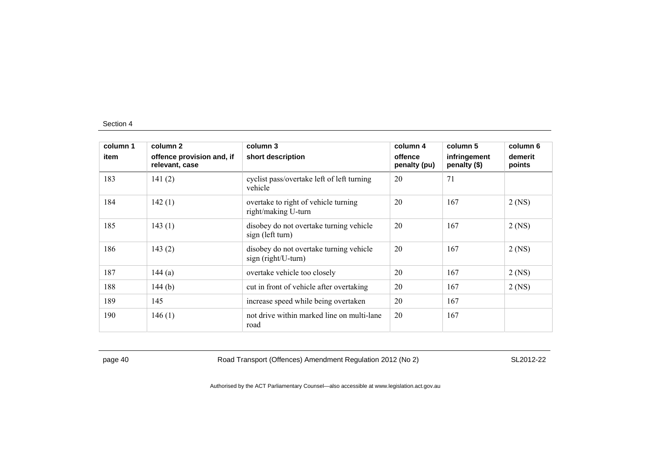| column 1 | column 2                                    | column 3                                                        | column 4                | column 5                     | column 6          |
|----------|---------------------------------------------|-----------------------------------------------------------------|-------------------------|------------------------------|-------------------|
| item     | offence provision and, if<br>relevant, case | short description                                               | offence<br>penalty (pu) | infringement<br>penalty (\$) | demerit<br>points |
| 183      | 141(2)                                      | cyclist pass/overtake left of left turning<br>vehicle           | 20                      | 71                           |                   |
| 184      | 142(1)                                      | overtake to right of vehicle turning<br>right/making U-turn     | 20                      | 167                          | $2$ (NS)          |
| 185      | 143(1)                                      | disobey do not overtake turning vehicle<br>sign (left turn)     | 20                      | 167                          | $2$ (NS)          |
| 186      | 143(2)                                      | disobey do not overtake turning vehicle<br>$sign(right/U-turn)$ | 20                      | 167                          | $2$ (NS)          |
| 187      | 144 $(a)$                                   | overtake vehicle too closely                                    | 20                      | 167                          | $2$ (NS)          |
| 188      | 144 $(b)$                                   | cut in front of vehicle after overtaking                        | 20                      | 167                          | $2$ (NS)          |
| 189      | 145                                         | increase speed while being overtaken                            | 20                      | 167                          |                   |
| 190      | 146(1)                                      | not drive within marked line on multi-lane<br>road              | 20                      | 167                          |                   |

page 40 Road Transport (Offences) Amendment Regulation 2012 (No 2) SL2012-22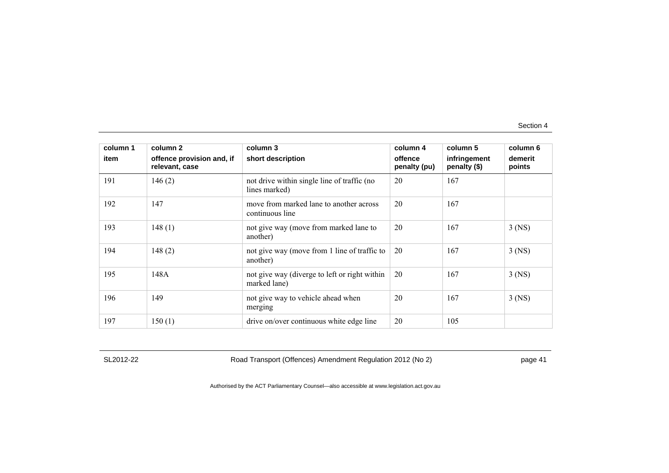| column 1 | column 2                                    | column 3                                                      | column 4                | column 5                     | column 6          |
|----------|---------------------------------------------|---------------------------------------------------------------|-------------------------|------------------------------|-------------------|
| item     | offence provision and, if<br>relevant, case | short description                                             | offence<br>penalty (pu) | infringement<br>penalty (\$) | demerit<br>points |
| 191      | 146(2)                                      | not drive within single line of traffic (no<br>lines marked)  | 20                      | 167                          |                   |
| 192      | 147                                         | move from marked lane to another across<br>continuous line    | 20                      | 167                          |                   |
| 193      | 148(1)                                      | not give way (move from marked lane to<br>another)            | 20                      | 167                          | $3$ (NS)          |
| 194      | 148(2)                                      | not give way (move from 1 line of traffic to<br>another)      | 20                      | 167                          | $3$ (NS)          |
| 195      | 148A                                        | not give way (diverge to left or right within<br>marked lane) | 20                      | 167                          | $3$ (NS)          |
| 196      | 149                                         | not give way to vehicle ahead when<br>merging                 | 20                      | 167                          | $3$ (NS)          |
| 197      | 150(1)                                      | drive on/over continuous white edge line                      | 20                      | 105                          |                   |

SL2012-22 Road Transport (Offences) Amendment Regulation 2012 (No 2) page 41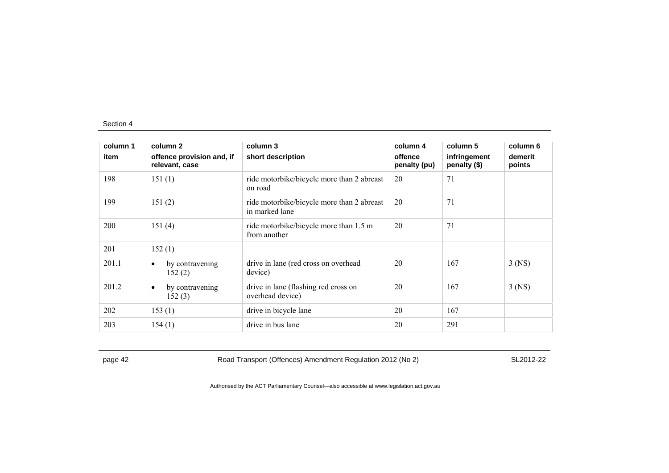| column 1 | column 2                                    | column 3                                                     | column 4                | column 5                     | column 6          |
|----------|---------------------------------------------|--------------------------------------------------------------|-------------------------|------------------------------|-------------------|
| item     | offence provision and, if<br>relevant, case | short description                                            | offence<br>penalty (pu) | infringement<br>penalty (\$) | demerit<br>points |
| 198      | 151(1)                                      | ride motorbike/bicycle more than 2 abreast<br>on road        | 20                      | 71                           |                   |
| 199      | 151(2)                                      | ride motorbike/bicycle more than 2 abreast<br>in marked lane | 20                      | 71                           |                   |
| 200      | 151(4)                                      | ride motorbike/bicycle more than 1.5 m<br>from another       | 20                      | 71                           |                   |
| 201      | 152(1)                                      |                                                              |                         |                              |                   |
| 201.1    | by contravening<br>٠<br>152(2)              | drive in lane (red cross on overhead<br>device)              | 20                      | 167                          | $3$ (NS)          |
| 201.2    | by contravening<br>$\bullet$<br>152(3)      | drive in lane (flashing red cross on<br>overhead device)     | 20                      | 167                          | $3$ (NS)          |
| 202      | 153(1)                                      | drive in bicycle lane                                        | 20                      | 167                          |                   |
| 203      | 154(1)                                      | drive in bus lane                                            | 20                      | 291                          |                   |

page 42 Road Transport (Offences) Amendment Regulation 2012 (No 2) SL2012-22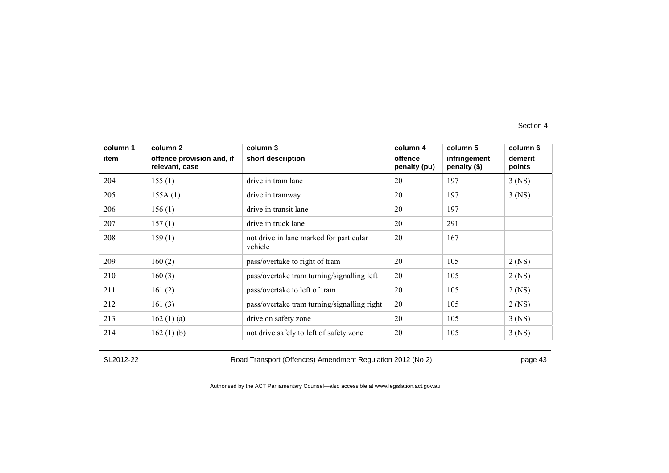| column 1 | column 2                                    | column 3                                           | column 4                | column 5                     | column 6          |
|----------|---------------------------------------------|----------------------------------------------------|-------------------------|------------------------------|-------------------|
| item     | offence provision and, if<br>relevant, case | short description                                  | offence<br>penalty (pu) | infringement<br>penalty (\$) | demerit<br>points |
| 204      | 155(1)                                      | drive in tram lane                                 | 20                      | 197                          | $3$ (NS)          |
| 205      | 155A(1)                                     | drive in tramway                                   | 20                      | 197                          | $3$ (NS)          |
| 206      | 156(1)                                      | drive in transit lane                              | 20                      | 197                          |                   |
| 207      | 157(1)                                      | drive in truck lane                                | 20                      | 291                          |                   |
| 208      | 159(1)                                      | not drive in lane marked for particular<br>vehicle | 20                      | 167                          |                   |
| 209      | 160(2)                                      | pass/overtake to right of tram                     | 20                      | 105                          | $2$ (NS)          |
| 210      | 160(3)                                      | pass/overtake tram turning/signalling left         | 20                      | 105                          | $2$ (NS)          |
| 211      | 161(2)                                      | pass/overtake to left of tram                      | 20                      | 105                          | $2$ (NS)          |
| 212      | 161(3)                                      | pass/overtake tram turning/signalling right        | 20                      | 105                          | $2$ (NS)          |
| 213      | 162 $(1)$ $(a)$                             | drive on safety zone                               | 20                      | 105                          | $3$ (NS)          |
| 214      | 162(1)(b)                                   | not drive safely to left of safety zone            | 20                      | 105                          | $3$ (NS)          |

SL2012-22 Road Transport (Offences) Amendment Regulation 2012 (No 2) page 43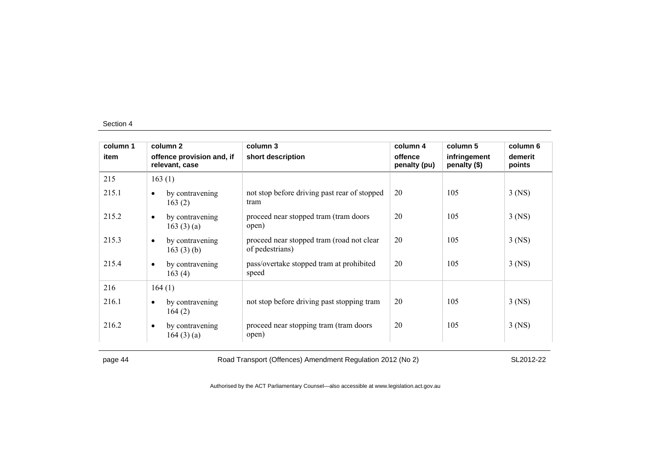|                                                 |                                                              | column 4                | column 5                     | column 6          |
|-------------------------------------------------|--------------------------------------------------------------|-------------------------|------------------------------|-------------------|
| offence provision and, if<br>relevant, case     | short description                                            | offence<br>penalty (pu) | infringement<br>penalty (\$) | demerit<br>points |
| 163(1)                                          |                                                              |                         |                              |                   |
| by contravening<br>$\bullet$<br>163(2)          | not stop before driving past rear of stopped<br>tram         | 20                      | 105                          | $3$ (NS)          |
| by contravening<br>$\bullet$<br>163 $(3)$ $(a)$ | proceed near stopped tram (tram doors<br>open)               | 20                      | 105                          | $3$ (NS)          |
| by contravening<br>$\bullet$<br>163 $(3)$ (b)   | proceed near stopped tram (road not clear<br>of pedestrians) | 20                      | 105                          | $3$ (NS)          |
| by contravening<br>$\bullet$<br>163(4)          | pass/overtake stopped tram at prohibited<br>speed            | 20                      | 105                          | $3$ (NS)          |
| 164(1)                                          |                                                              |                         |                              |                   |
| by contravening<br>$\bullet$<br>164(2)          | not stop before driving past stopping tram                   | 20                      | 105                          | $3$ (NS)          |
| by contravening<br>$\bullet$<br>164(3)(a)       | proceed near stopping tram (tram doors<br>open)              | 20                      | 105                          | $3$ (NS)          |
|                                                 |                                                              |                         |                              |                   |

page 44 Road Transport (Offences) Amendment Regulation 2012 (No 2) SL2012-22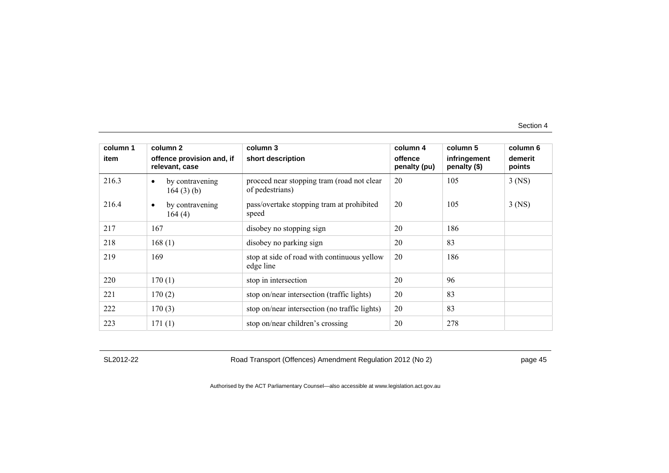| column 1 | column 2                                    | column 3                                                      | column 4                | column 5                     | column 6          |
|----------|---------------------------------------------|---------------------------------------------------------------|-------------------------|------------------------------|-------------------|
| item     | offence provision and, if<br>relevant, case | short description                                             | offence<br>penalty (pu) | infringement<br>penalty (\$) | demerit<br>points |
| 216.3    | by contravening<br>$\bullet$<br>164(3)(b)   | proceed near stopping tram (road not clear<br>of pedestrians) | 20                      | 105                          | $3$ (NS)          |
| 216.4    | by contravening<br>$\bullet$<br>164(4)      | pass/overtake stopping tram at prohibited<br>speed            | 20                      | 105                          | $3$ (NS)          |
| 217      | 167                                         | disobey no stopping sign                                      | 20                      | 186                          |                   |
| 218      | 168(1)                                      | disobey no parking sign                                       | 20                      | 83                           |                   |
| 219      | 169                                         | stop at side of road with continuous yellow<br>edge line      | 20                      | 186                          |                   |
| 220      | 170(1)                                      | stop in intersection                                          | 20                      | 96                           |                   |
| 221      | 170(2)                                      | stop on/near intersection (traffic lights)                    | 20                      | 83                           |                   |
| 222      | 170(3)                                      | stop on/near intersection (no traffic lights)                 | 20                      | 83                           |                   |
| 223      | 171(1)                                      | stop on/near children's crossing                              | 20                      | 278                          |                   |

SL2012-22 Road Transport (Offences) Amendment Regulation 2012 (No 2) page 45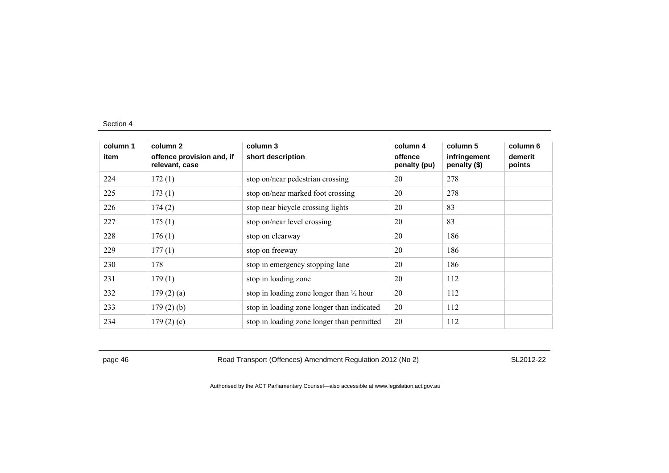| column 1 | column 2                                    | column 3                                            | column 4                | column 5                     | column 6          |
|----------|---------------------------------------------|-----------------------------------------------------|-------------------------|------------------------------|-------------------|
| item     | offence provision and, if<br>relevant, case | short description                                   | offence<br>penalty (pu) | infringement<br>penalty (\$) | demerit<br>points |
| 224      | 172(1)                                      | stop on/near pedestrian crossing                    | 20                      | 278                          |                   |
| 225      | 173(1)                                      | stop on/near marked foot crossing                   | 20                      | 278                          |                   |
| 226      | 174(2)                                      | stop near bicycle crossing lights                   | 20                      | 83                           |                   |
| 227      | 175(1)                                      | stop on/near level crossing                         | 20                      | 83                           |                   |
| 228      | 176(1)                                      | stop on clearway                                    | 20                      | 186                          |                   |
| 229      | 177(1)                                      | stop on freeway                                     | 20                      | 186                          |                   |
| 230      | 178                                         | stop in emergency stopping lane                     | 20                      | 186                          |                   |
| 231      | 179(1)                                      | stop in loading zone                                | 20                      | 112                          |                   |
| 232      | 179(2)(a)                                   | stop in loading zone longer than $\frac{1}{2}$ hour | 20                      | 112                          |                   |
| 233      | $179(2)$ (b)                                | stop in loading zone longer than indicated          | 20                      | 112                          |                   |
| 234      | 179(2)(c)                                   | stop in loading zone longer than permitted          | 20                      | 112                          |                   |

page 46 Road Transport (Offences) Amendment Regulation 2012 (No 2) SL2012-22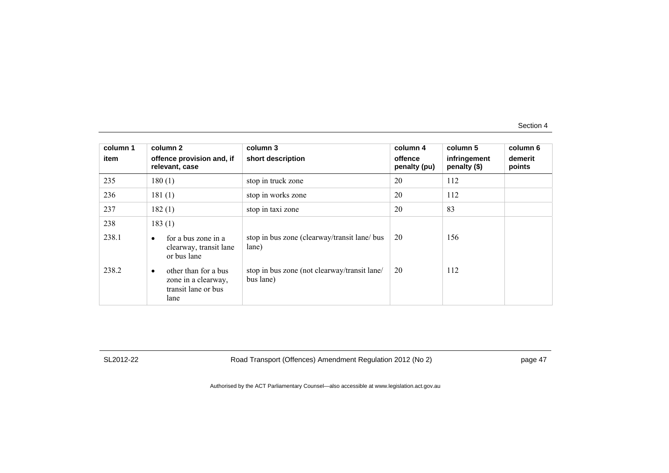| column 1<br>item | column 2<br>offence provision and, if<br>relevant, case                         | column 3<br>short description                             | column 4<br>offence<br>penalty (pu) | column 5<br>infringement<br>penalty (\$) | column 6<br>demerit<br>points |
|------------------|---------------------------------------------------------------------------------|-----------------------------------------------------------|-------------------------------------|------------------------------------------|-------------------------------|
| 235              | 180(1)                                                                          | stop in truck zone                                        | 20                                  | 112                                      |                               |
| 236              | 181(1)                                                                          | stop in works zone                                        | 20                                  | 112                                      |                               |
| 237              | 182(1)                                                                          | stop in taxi zone                                         | 20                                  | 83                                       |                               |
| 238              | 183(1)                                                                          |                                                           |                                     |                                          |                               |
| 238.1            | for a bus zone in a<br>$\bullet$<br>clearway, transit lane<br>or bus lane       | stop in bus zone (clearway/transit lane/ bus<br>lane)     | 20                                  | 156                                      |                               |
| 238.2            | other than for a bus<br>٠<br>zone in a clearway,<br>transit lane or bus<br>lane | stop in bus zone (not clearway/transit lane/<br>bus lane) | 20                                  | 112                                      |                               |

SL2012-22 Road Transport (Offences) Amendment Regulation 2012 (No 2) page 47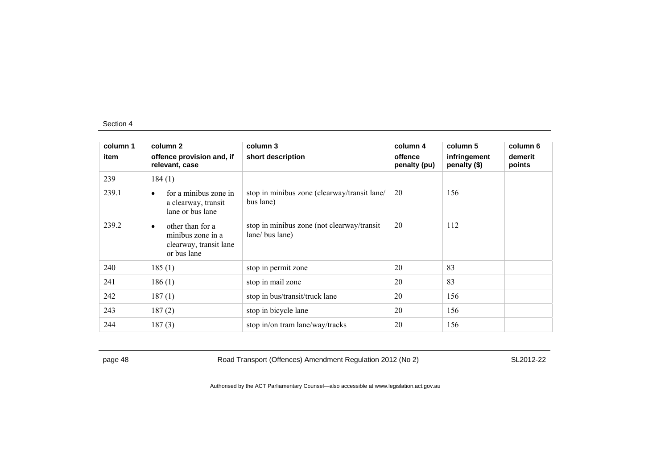| column 1 | column 2                                                                                    | column 3                                                      | column 4                | column 5                     | column 6          |
|----------|---------------------------------------------------------------------------------------------|---------------------------------------------------------------|-------------------------|------------------------------|-------------------|
| item     | offence provision and, if<br>relevant, case                                                 | short description                                             | offence<br>penalty (pu) | infringement<br>penalty (\$) | demerit<br>points |
| 239      | 184(1)                                                                                      |                                                               |                         |                              |                   |
| 239.1    | for a minibus zone in<br>$\bullet$<br>a clearway, transit<br>lane or bus lane               | stop in minibus zone (clearway/transit lane/<br>bus lane)     | 20                      | 156                          |                   |
| 239.2    | other than for a<br>$\bullet$<br>minibus zone in a<br>clearway, transit lane<br>or bus lane | stop in minibus zone (not clearway/transit<br>lane/ bus lane) | 20                      | 112                          |                   |
| 240      | 185(1)                                                                                      | stop in permit zone                                           | 20                      | 83                           |                   |
| 241      | 186(1)                                                                                      | stop in mail zone                                             | 20                      | 83                           |                   |
| 242      | 187(1)                                                                                      | stop in bus/transit/truck lane                                | 20                      | 156                          |                   |
| 243      | 187(2)                                                                                      | stop in bicycle lane                                          | 20                      | 156                          |                   |
| 244      | 187(3)                                                                                      | stop in/on tram lane/way/tracks                               | 20                      | 156                          |                   |

page 48 Road Transport (Offences) Amendment Regulation 2012 (No 2) SL2012-22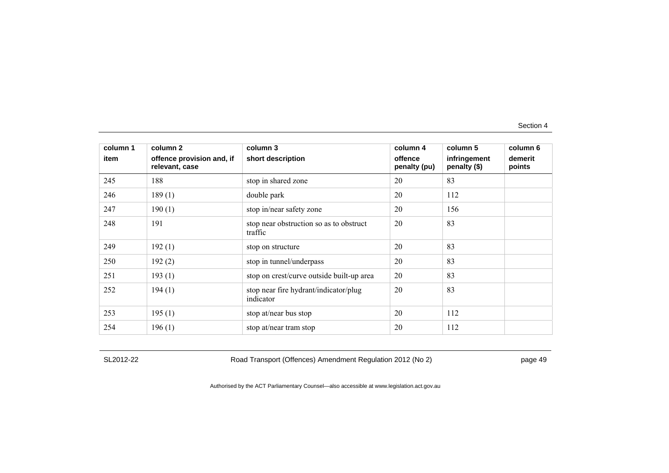| column 1 | column 2                                    | column 3                                           | column 4                | column 5                     | column 6          |
|----------|---------------------------------------------|----------------------------------------------------|-------------------------|------------------------------|-------------------|
| item     | offence provision and, if<br>relevant, case | short description                                  | offence<br>penalty (pu) | infringement<br>penalty (\$) | demerit<br>points |
| 245      | 188                                         | stop in shared zone                                | 20                      | 83                           |                   |
| 246      | 189(1)                                      | double park                                        | 20                      | 112                          |                   |
| 247      | 190(1)                                      | stop in/near safety zone                           | 20                      | 156                          |                   |
| 248      | 191                                         | stop near obstruction so as to obstruct<br>traffic | 20                      | 83                           |                   |
| 249      | 192(1)                                      | stop on structure                                  | 20                      | 83                           |                   |
| 250      | 192(2)                                      | stop in tunnel/underpass                           | 20                      | 83                           |                   |
| 251      | 193(1)                                      | stop on crest/curve outside built-up area          | 20                      | 83                           |                   |
| 252      | 194(1)                                      | stop near fire hydrant/indicator/plug<br>indicator | 20                      | 83                           |                   |
| 253      | 195(1)                                      | stop at/near bus stop                              | 20                      | 112                          |                   |
| 254      | 196(1)                                      | stop at/near tram stop                             | 20                      | 112                          |                   |

SL2012-22 Road Transport (Offences) Amendment Regulation 2012 (No 2) page 49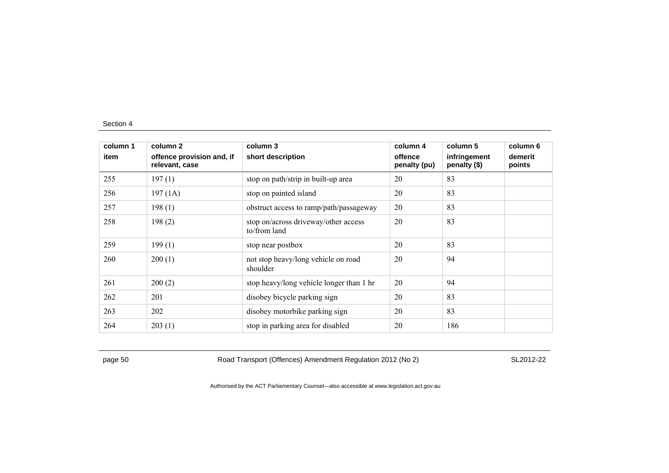| column 1 | column 2                                    | column 3                                             | column 4                | column 5                     | column 6          |
|----------|---------------------------------------------|------------------------------------------------------|-------------------------|------------------------------|-------------------|
| item     | offence provision and, if<br>relevant, case | short description                                    | offence<br>penalty (pu) | infringement<br>penalty (\$) | demerit<br>points |
| 255      | 197(1)                                      | stop on path/strip in built-up area                  | 20                      | 83                           |                   |
| 256      | 197(1A)                                     | stop on painted island                               | 20                      | 83                           |                   |
| 257      | 198(1)                                      | obstruct access to ramp/path/passageway              | 20                      | 83                           |                   |
| 258      | 198(2)                                      | stop on/across driveway/other access<br>to/from land | 20                      | 83                           |                   |
| 259      | 199(1)                                      | stop near postbox                                    | 20                      | 83                           |                   |
| 260      | 200(1)                                      | not stop heavy/long vehicle on road<br>shoulder      | 20                      | 94                           |                   |
| 261      | 200(2)                                      | stop heavy/long vehicle longer than 1 hr             | 20                      | 94                           |                   |
| 262      | 201                                         | disobey bicycle parking sign                         | 20                      | 83                           |                   |
| 263      | 202                                         | disobey motorbike parking sign                       | 20                      | 83                           |                   |
| 264      | 203(1)                                      | stop in parking area for disabled                    | 20                      | 186                          |                   |

page 50 Road Transport (Offences) Amendment Regulation 2012 (No 2) SL2012-22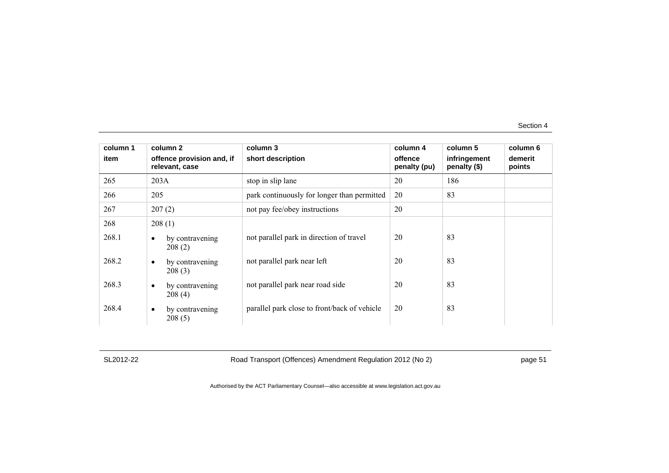| column 1 | column 2                                    | column 3                                     | column 4                | column 5                     | column 6          |
|----------|---------------------------------------------|----------------------------------------------|-------------------------|------------------------------|-------------------|
| item     | offence provision and, if<br>relevant, case | short description                            | offence<br>penalty (pu) | infringement<br>penalty (\$) | demerit<br>points |
| 265      | 203A                                        | stop in slip lane                            | 20                      | 186                          |                   |
| 266      | 205                                         | park continuously for longer than permitted  | 20                      | 83                           |                   |
| 267      | 207(2)                                      | not pay fee/obey instructions                | 20                      |                              |                   |
| 268      | 208(1)                                      |                                              |                         |                              |                   |
| 268.1    | by contravening<br>$\bullet$<br>208(2)      | not parallel park in direction of travel     | 20                      | 83                           |                   |
| 268.2    | by contravening<br>$\bullet$<br>208(3)      | not parallel park near left                  | 20                      | 83                           |                   |
| 268.3    | by contravening<br>$\bullet$<br>208(4)      | not parallel park near road side             | 20                      | 83                           |                   |
| 268.4    | by contravening<br>$\bullet$<br>208(5)      | parallel park close to front/back of vehicle | 20                      | 83                           |                   |

SL2012-22 Road Transport (Offences) Amendment Regulation 2012 (No 2) page 51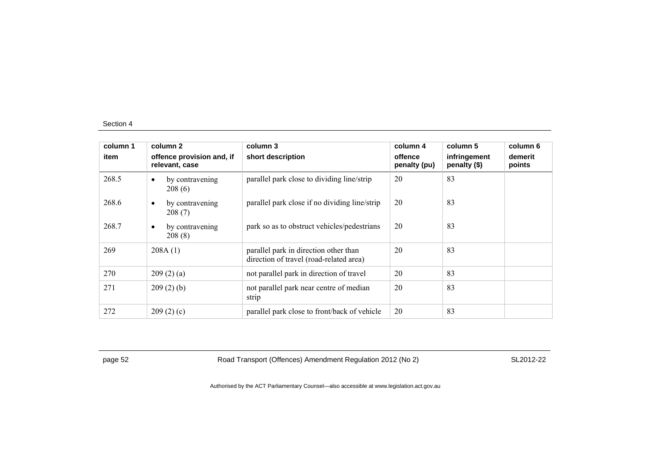| column 1 | column 2                                    | column 3                                                                         | column 4                | column 5                     | column 6          |
|----------|---------------------------------------------|----------------------------------------------------------------------------------|-------------------------|------------------------------|-------------------|
| item     | offence provision and, if<br>relevant, case | short description                                                                | offence<br>penalty (pu) | infringement<br>penalty (\$) | demerit<br>points |
| 268.5    | by contravening<br>$\bullet$<br>208(6)      | parallel park close to dividing line/strip                                       | 20                      | 83                           |                   |
| 268.6    | by contravening<br>$\bullet$<br>208(7)      | parallel park close if no dividing line/strip                                    | 20                      | 83                           |                   |
| 268.7    | by contravening<br>$\bullet$<br>208(8)      | park so as to obstruct vehicles/pedestrians                                      | 20                      | 83                           |                   |
| 269      | 208A(1)                                     | parallel park in direction other than<br>direction of travel (road-related area) | 20                      | 83                           |                   |
| 270      | 209(2)(a)                                   | not parallel park in direction of travel                                         | 20                      | 83                           |                   |
| 271      | 209(2)(b)                                   | not parallel park near centre of median<br>strip                                 | 20                      | 83                           |                   |
| 272      | 209(2)(c)                                   | parallel park close to front/back of vehicle                                     | 20                      | 83                           |                   |

page 52 Road Transport (Offences) Amendment Regulation 2012 (No 2) SL2012-22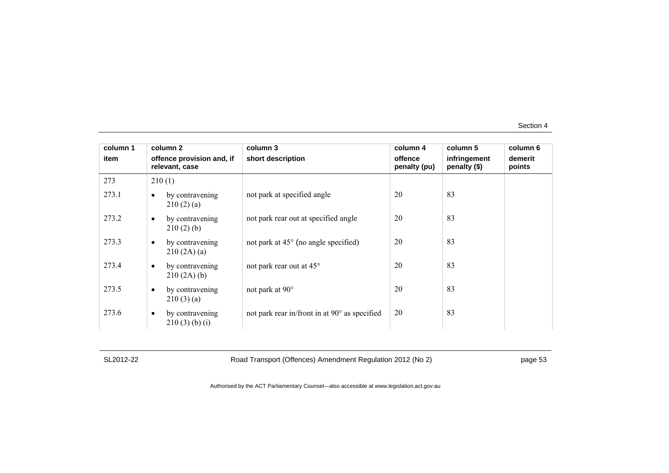| column 1 | column 2                                     | column 3                                      | column 4                | column 5                     | column 6          |
|----------|----------------------------------------------|-----------------------------------------------|-------------------------|------------------------------|-------------------|
| item     | offence provision and, if<br>relevant, case  | short description                             | offence<br>penalty (pu) | infringement<br>penalty (\$) | demerit<br>points |
| 273      | 210(1)                                       |                                               |                         |                              |                   |
| 273.1    | by contravening<br>$\bullet$<br>210(2)(a)    | not park at specified angle                   | 20                      | 83                           |                   |
| 273.2    | by contravening<br>$\bullet$<br>210(2)(b)    | not park rear out at specified angle          | 20                      | 83                           |                   |
| 273.3    | by contravening<br>$\bullet$<br>210(2A)(a)   | not park at $45^{\circ}$ (no angle specified) | 20                      | 83                           |                   |
| 273.4    | by contravening<br>$\bullet$<br>210(2A)(b)   | not park rear out at 45°                      | 20                      | 83                           |                   |
| 273.5    | by contravening<br>$\bullet$<br>210(3)(a)    | not park at 90°                               | 20                      | 83                           |                   |
| 273.6    | by contravening<br>$\bullet$<br>210(3)(b)(i) | not park rear in/front in at 90° as specified | 20                      | 83                           |                   |

SL2012-22 Road Transport (Offences) Amendment Regulation 2012 (No 2) page 53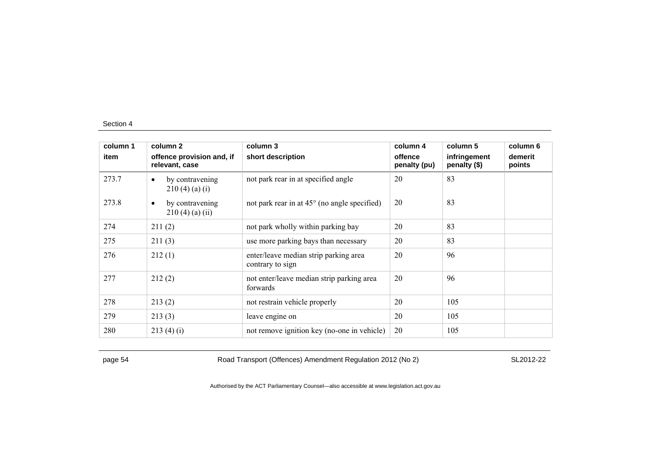| column 1 | column 2                                          | column 3                                                  | column 4                | column 5                     | column 6          |
|----------|---------------------------------------------------|-----------------------------------------------------------|-------------------------|------------------------------|-------------------|
| item     | offence provision and, if<br>relevant, case       | short description                                         | offence<br>penalty (pu) | infringement<br>penalty (\$) | demerit<br>points |
| 273.7    | by contravening<br>$\bullet$<br>$210(4)$ (a) (i)  | not park rear in at specified angle                       | 20                      | 83                           |                   |
| 273.8    | by contravening<br>$\bullet$<br>$210(4)$ (a) (ii) | not park rear in at 45° (no angle specified)              | 20                      | 83                           |                   |
| 274      | 211(2)                                            | not park wholly within parking bay                        | 20                      | 83                           |                   |
| 275      | 211(3)                                            | use more parking bays than necessary                      | 20                      | 83                           |                   |
| 276      | 212(1)                                            | enter/leave median strip parking area<br>contrary to sign | 20                      | 96                           |                   |
| 277      | 212(2)                                            | not enter/leave median strip parking area<br>forwards     | 20                      | 96                           |                   |
| 278      | 213(2)                                            | not restrain vehicle properly                             | 20                      | 105                          |                   |
| 279      | 213(3)                                            | leave engine on                                           | 20                      | 105                          |                   |
| 280      | 213(4)(i)                                         | not remove ignition key (no-one in vehicle)               | 20                      | 105                          |                   |

page 54 Road Transport (Offences) Amendment Regulation 2012 (No 2) SL2012-22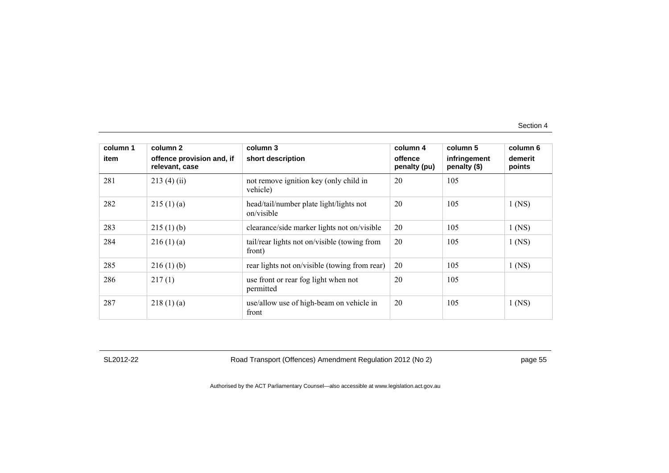| column 1 | column 2                                    | column 3                                               | column 4                | column 5                     | column 6          |
|----------|---------------------------------------------|--------------------------------------------------------|-------------------------|------------------------------|-------------------|
| item     | offence provision and, if<br>relevant, case | short description                                      | offence<br>penalty (pu) | infringement<br>penalty (\$) | demerit<br>points |
| 281      | 213(4)(ii)                                  | not remove ignition key (only child in<br>vehicle)     | 20                      | 105                          |                   |
| 282      | 215(1)(a)                                   | head/tail/number plate light/lights not<br>on/visible  | 20                      | 105                          | $1$ (NS)          |
| 283      | 215(1)(b)                                   | clearance/side marker lights not on/visible            | 20                      | 105                          | $1$ (NS)          |
| 284      | 216(1)(a)                                   | tail/rear lights not on/visible (towing from<br>front) | 20                      | 105                          | $1$ (NS)          |
| 285      | 216(1)(b)                                   | rear lights not on/visible (towing from rear)          | 20                      | 105                          | $1$ (NS)          |
| 286      | 217(1)                                      | use front or rear fog light when not<br>permitted      | 20                      | 105                          |                   |
| 287      | 218(1)(a)                                   | use/allow use of high-beam on vehicle in<br>front      | 20                      | 105                          | $1$ (NS)          |

SL2012-22 Road Transport (Offences) Amendment Regulation 2012 (No 2) page 55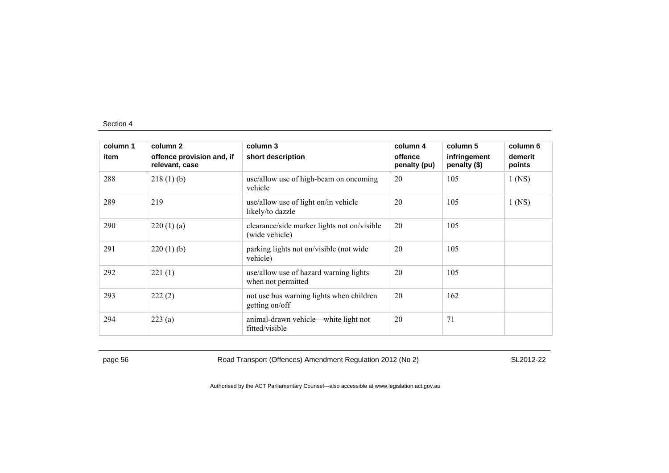| column 1 | column 2                                    | column 3                                                      | column 4                | column 5                     | column 6          |
|----------|---------------------------------------------|---------------------------------------------------------------|-------------------------|------------------------------|-------------------|
| item     | offence provision and, if<br>relevant, case | short description                                             | offence<br>penalty (pu) | infringement<br>penalty (\$) | demerit<br>points |
| 288      | 218(1)(b)                                   | use/allow use of high-beam on oncoming<br>vehicle             | 20                      | 105                          | $1$ (NS)          |
| 289      | 219                                         | use/allow use of light on/in vehicle<br>likely/to dazzle      | 20                      | 105                          | $1$ (NS)          |
| 290      | 220(1)(a)                                   | clearance/side marker lights not on/visible<br>(wide vehicle) | 20                      | 105                          |                   |
| 291      | 220(1)(b)                                   | parking lights not on/visible (not wide)<br>vehicle)          | 20                      | 105                          |                   |
| 292      | 221(1)                                      | use/allow use of hazard warning lights<br>when not permitted  | 20                      | 105                          |                   |
| 293      | 222(2)                                      | not use bus warning lights when children<br>getting on/off    | 20                      | 162                          |                   |
| 294      | 223(a)                                      | animal-drawn vehicle—white light not<br>fitted/visible        | 20                      | 71                           |                   |

page 56 Road Transport (Offences) Amendment Regulation 2012 (No 2) SL2012-22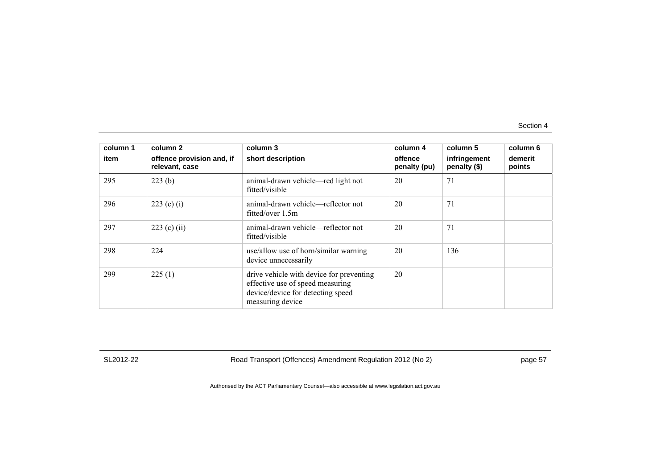| column 1 | column 2                                    | column 3                                                                                                                              | column 4                | column 5                     | column 6          |
|----------|---------------------------------------------|---------------------------------------------------------------------------------------------------------------------------------------|-------------------------|------------------------------|-------------------|
| item     | offence provision and, if<br>relevant, case | short description                                                                                                                     | offence<br>penalty (pu) | infringement<br>penalty (\$) | demerit<br>points |
| 295      | 223(b)                                      | animal-drawn vehicle—red light not<br>fitted/visible                                                                                  | 20                      | 71                           |                   |
| 296      | 223 (c) (i)                                 | animal-drawn vehicle—reflector not<br>fitted/over 1.5m                                                                                | 20                      | 71                           |                   |
| 297      | 223 (c) (ii)                                | animal-drawn vehicle—reflector not<br>fitted/visible                                                                                  | 20                      | 71                           |                   |
| 298      | 224                                         | use/allow use of horn/similar warning<br>device unnecessarily                                                                         | 20                      | 136                          |                   |
| 299      | 225(1)                                      | drive vehicle with device for preventing<br>effective use of speed measuring<br>device/device for detecting speed<br>measuring device | 20                      |                              |                   |

SL2012-22 Road Transport (Offences) Amendment Regulation 2012 (No 2) page 57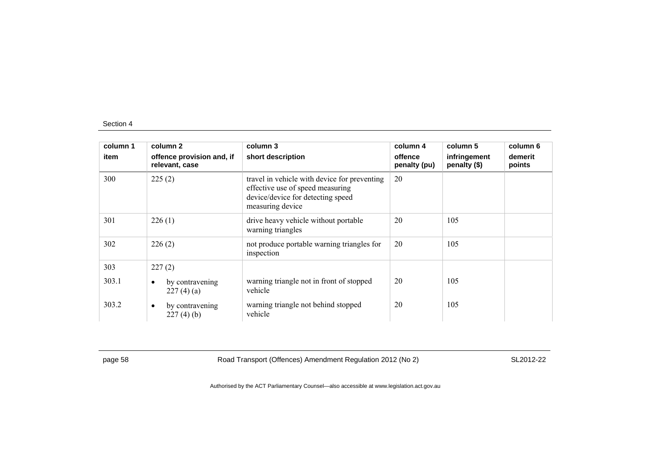| column 1 | column 2                                    | column 3                                                                                                                                  | column 4                | column 5                     | column 6          |
|----------|---------------------------------------------|-------------------------------------------------------------------------------------------------------------------------------------------|-------------------------|------------------------------|-------------------|
| item     | offence provision and, if<br>relevant, case | short description                                                                                                                         | offence<br>penalty (pu) | infringement<br>penalty (\$) | demerit<br>points |
| 300      | 225(2)                                      | travel in vehicle with device for preventing<br>effective use of speed measuring<br>device/device for detecting speed<br>measuring device | 20                      |                              |                   |
| 301      | 226(1)                                      | drive heavy vehicle without portable<br>warning triangles                                                                                 | 20                      | 105                          |                   |
| 302      | 226(2)                                      | not produce portable warning triangles for<br>inspection                                                                                  | 20                      | 105                          |                   |
| 303      | 227(2)                                      |                                                                                                                                           |                         |                              |                   |
| 303.1    | by contravening<br>٠<br>227(4)(a)           | warning triangle not in front of stopped<br>vehicle                                                                                       | 20                      | 105                          |                   |
| 303.2    | by contravening<br>٠<br>227(4)(b)           | warning triangle not behind stopped<br>vehicle                                                                                            | 20                      | 105                          |                   |

page 58 Road Transport (Offences) Amendment Regulation 2012 (No 2) SL2012-22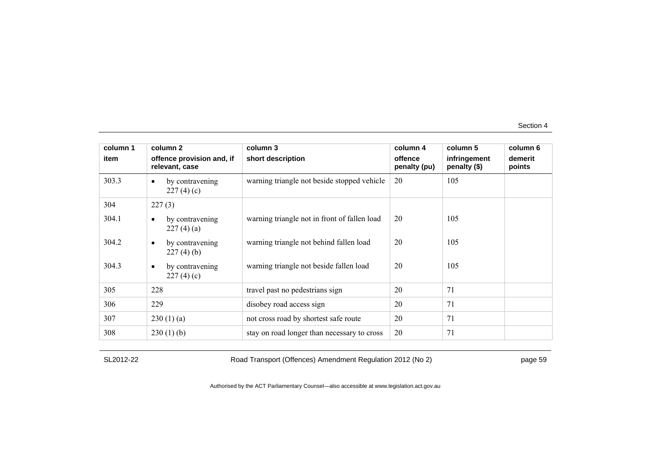| column 1 | column 2                                    | column 3                                     | column 4                | column 5                     | column 6          |
|----------|---------------------------------------------|----------------------------------------------|-------------------------|------------------------------|-------------------|
| item     | offence provision and, if<br>relevant, case | short description                            | offence<br>penalty (pu) | infringement<br>penalty (\$) | demerit<br>points |
| 303.3    | by contravening<br>$\bullet$<br>227(4)(c)   | warning triangle not beside stopped vehicle  | 20                      | 105                          |                   |
| 304      | 227(3)                                      |                                              |                         |                              |                   |
| 304.1    | by contravening<br>227(4)(a)                | warning triangle not in front of fallen load | 20                      | 105                          |                   |
| 304.2    | by contravening<br>$\bullet$<br>227(4)(b)   | warning triangle not behind fallen load      | 20                      | 105                          |                   |
| 304.3    | by contravening<br>$\bullet$<br>227(4)(c)   | warning triangle not beside fallen load      | 20                      | 105                          |                   |
| 305      | 228                                         | travel past no pedestrians sign              | 20                      | 71                           |                   |
| 306      | 229                                         | disobey road access sign                     | 20                      | 71                           |                   |
| 307      | 230(1)(a)                                   | not cross road by shortest safe route        | 20                      | 71                           |                   |
| 308      | 230(1)(b)                                   | stay on road longer than necessary to cross  | 20                      | 71                           |                   |

SL2012-22 Road Transport (Offences) Amendment Regulation 2012 (No 2) page 59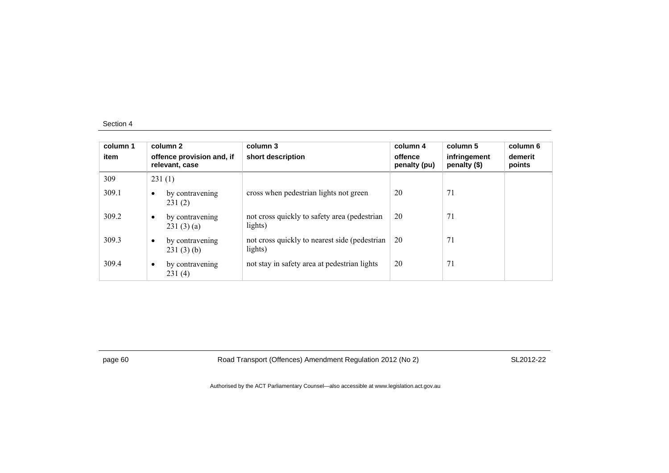| column 1<br>item |           | column 2<br>offence provision and, if<br>relevant, case | column 3<br>short description                             | column 4<br>offence<br>penalty (pu) | column 5<br>infringement<br>penalty (\$) | column 6<br>demerit<br>points |
|------------------|-----------|---------------------------------------------------------|-----------------------------------------------------------|-------------------------------------|------------------------------------------|-------------------------------|
| 309              |           | 231(1)                                                  |                                                           |                                     |                                          |                               |
| 309.1            |           | by contravening<br>231(2)                               | cross when pedestrian lights not green                    | 20                                  | 71                                       |                               |
| 309.2            | $\bullet$ | by contravening<br>231(3)(a)                            | not cross quickly to safety area (pedestrian<br>lights)   | 20                                  | 71                                       |                               |
| 309.3            | $\bullet$ | by contravening<br>231(3)(b)                            | not cross quickly to nearest side (pedestrian)<br>lights) | 20                                  | 71                                       |                               |
| 309.4            | $\bullet$ | by contravening<br>231(4)                               | not stay in safety area at pedestrian lights              | 20                                  | 71                                       |                               |

page 60 Road Transport (Offences) Amendment Regulation 2012 (No 2) SL2012-22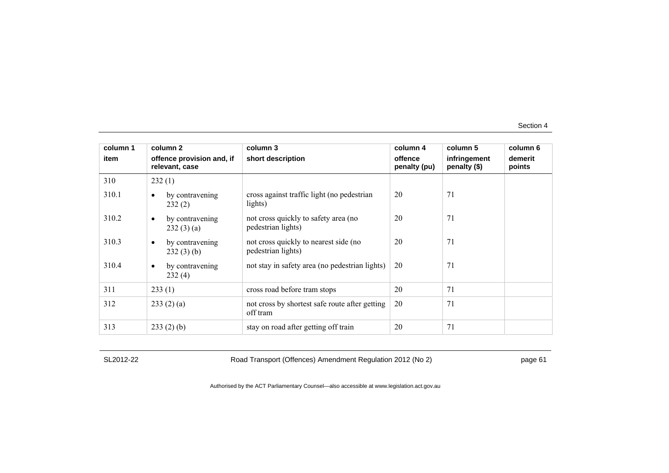| column 1 | column 2                                    | column 3                                                    | column 4                | column 5                     | column 6          |
|----------|---------------------------------------------|-------------------------------------------------------------|-------------------------|------------------------------|-------------------|
| item     | offence provision and, if<br>relevant, case | short description                                           | offence<br>penalty (pu) | infringement<br>penalty (\$) | demerit<br>points |
| 310      | 232(1)                                      |                                                             |                         |                              |                   |
| 310.1    | by contravening<br>$\bullet$<br>232(2)      | cross against traffic light (no pedestrian<br>lights)       | 20                      | 71                           |                   |
| 310.2    | by contravening<br>$\bullet$<br>232(3)(a)   | not cross quickly to safety area (no<br>pedestrian lights)  | 20                      | 71                           |                   |
| 310.3    | by contravening<br>$\bullet$<br>232(3)(b)   | not cross quickly to nearest side (no<br>pedestrian lights) | 20                      | 71                           |                   |
| 310.4    | by contravening<br>$\bullet$<br>232(4)      | not stay in safety area (no pedestrian lights)              | 20                      | 71                           |                   |
| 311      | 233(1)                                      | cross road before tram stops                                | 20                      | 71                           |                   |
| 312      | 233(2)(a)                                   | not cross by shortest safe route after getting<br>off tram  | 20                      | 71                           |                   |
| 313      | 233(2)(b)                                   | stay on road after getting off train                        | 20                      | 71                           |                   |

SL2012-22 Road Transport (Offences) Amendment Regulation 2012 (No 2) page 61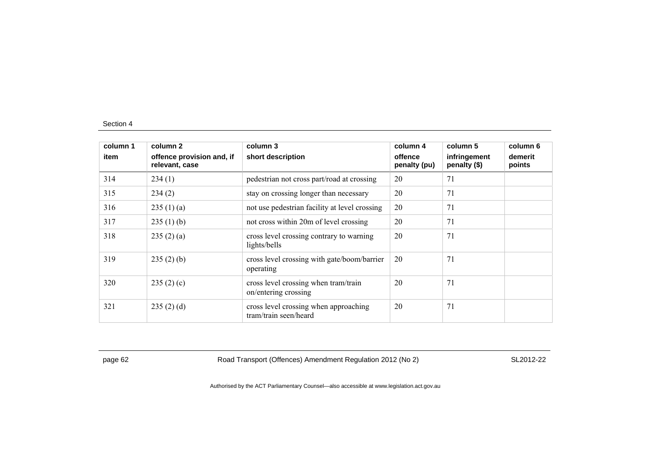| column 1 | column 2                                    | column 3                                                       | column 4                | column 5                     | column 6          |
|----------|---------------------------------------------|----------------------------------------------------------------|-------------------------|------------------------------|-------------------|
| item     | offence provision and, if<br>relevant, case | short description                                              | offence<br>penalty (pu) | infringement<br>penalty (\$) | demerit<br>points |
| 314      | 234(1)                                      | pedestrian not cross part/road at crossing                     | 20                      | 71                           |                   |
| 315      | 234(2)                                      | stay on crossing longer than necessary                         | 20                      | 71                           |                   |
| 316      | 235(1)(a)                                   | not use pedestrian facility at level crossing                  | 20                      | 71                           |                   |
| 317      | 235(1)(b)                                   | not cross within 20m of level crossing                         | 20                      | 71                           |                   |
| 318      | 235(2)(a)                                   | cross level crossing contrary to warning<br>lights/bells       | 20                      | 71                           |                   |
| 319      | 235(2)(b)                                   | cross level crossing with gate/boom/barrier<br>operating       | 20                      | 71                           |                   |
| 320      | 235(2)(c)                                   | cross level crossing when tram/train<br>on/entering crossing   | 20                      | 71                           |                   |
| 321      | 235(2)(d)                                   | cross level crossing when approaching<br>tram/train seen/heard | 20                      | 71                           |                   |

page 62 Road Transport (Offences) Amendment Regulation 2012 (No 2) SL2012-22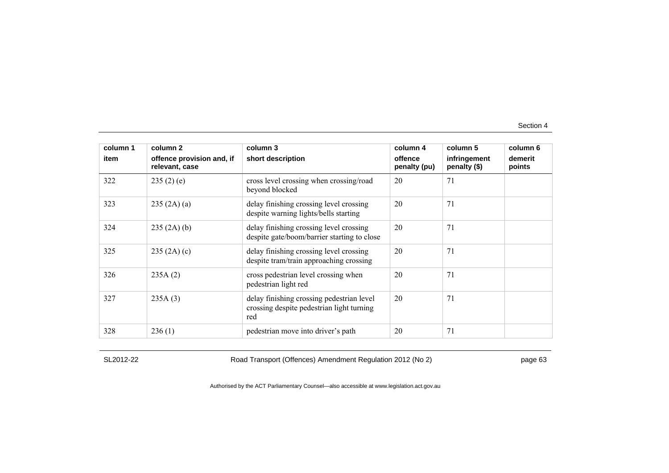| column 1 | column 2                                    | column 3                                                                                      | column 4                | column 5                     | column 6          |
|----------|---------------------------------------------|-----------------------------------------------------------------------------------------------|-------------------------|------------------------------|-------------------|
| item     | offence provision and, if<br>relevant, case | short description                                                                             | offence<br>penalty (pu) | infringement<br>penalty (\$) | demerit<br>points |
| 322      | 235(2)(e)                                   | cross level crossing when crossing/road<br>beyond blocked                                     | 20                      | 71                           |                   |
| 323      | 235 (2A) (a)                                | delay finishing crossing level crossing<br>despite warning lights/bells starting              | 20                      | 71                           |                   |
| 324      | 235(2A)(b)                                  | delay finishing crossing level crossing<br>despite gate/boom/barrier starting to close        | 20                      | 71                           |                   |
| 325      | 235(2A)(c)                                  | delay finishing crossing level crossing<br>despite tram/train approaching crossing            | 20                      | 71                           |                   |
| 326      | 235A(2)                                     | cross pedestrian level crossing when<br>pedestrian light red                                  | 20                      | 71                           |                   |
| 327      | 235A(3)                                     | delay finishing crossing pedestrian level<br>crossing despite pedestrian light turning<br>red | 20                      | 71                           |                   |
| 328      | 236(1)                                      | pedestrian move into driver's path                                                            | 20                      | 71                           |                   |

SL2012-22 Road Transport (Offences) Amendment Regulation 2012 (No 2) page 63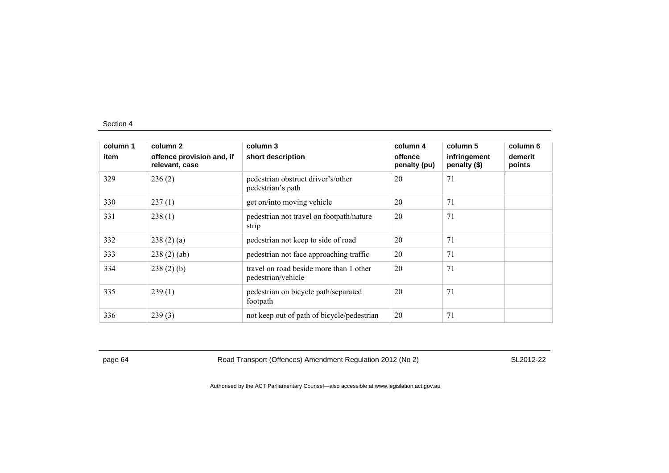| column 1 | column 2                                    | column 3                                                      | column 4                | column 5                     | column 6          |
|----------|---------------------------------------------|---------------------------------------------------------------|-------------------------|------------------------------|-------------------|
| item     | offence provision and, if<br>relevant, case | short description                                             | offence<br>penalty (pu) | infringement<br>penalty (\$) | demerit<br>points |
| 329      | 236(2)                                      | pedestrian obstruct driver's/other<br>pedestrian's path       | 20                      | 71                           |                   |
| 330      | 237(1)                                      | get on/into moving vehicle                                    | 20                      | 71                           |                   |
| 331      | 238(1)                                      | pedestrian not travel on footpath/nature<br>strip             | 20                      | 71                           |                   |
| 332      | 238(2)(a)                                   | pedestrian not keep to side of road                           | 20                      | 71                           |                   |
| 333      | 238(2)(ab)                                  | pedestrian not face approaching traffic                       | 20                      | 71                           |                   |
| 334      | 238(2)(b)                                   | travel on road beside more than 1 other<br>pedestrian/vehicle | 20                      | 71                           |                   |
| 335      | 239(1)                                      | pedestrian on bicycle path/separated<br>footpath              | 20                      | 71                           |                   |
| 336      | 239(3)                                      | not keep out of path of bicycle/pedestrian                    | 20                      | 71                           |                   |

page 64 Road Transport (Offences) Amendment Regulation 2012 (No 2) SL2012-22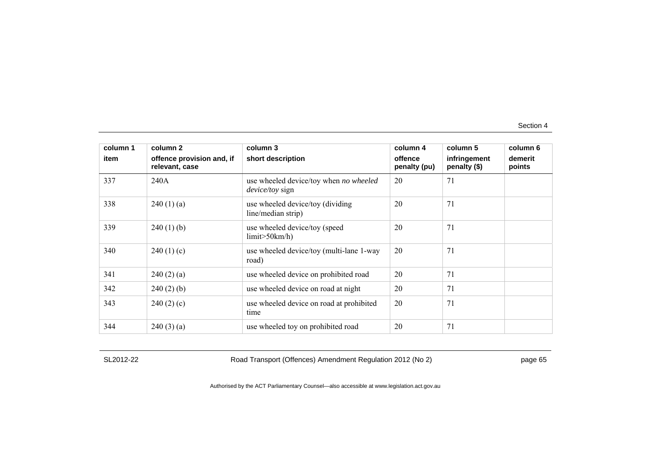| column 1<br>item | column 2<br>offence provision and, if<br>relevant, case | column 3<br>short description                                    | column 4<br>offence<br>penalty (pu) | column 5<br>infringement<br>penalty (\$) | column 6<br>demerit<br>points |
|------------------|---------------------------------------------------------|------------------------------------------------------------------|-------------------------------------|------------------------------------------|-------------------------------|
| 337              | 240A                                                    | use wheeled device/toy when no wheeled<br><i>device/toy</i> sign | 20                                  | 71                                       |                               |
| 338              | 240(1)(a)                                               | use wheeled device/toy (dividing<br>line/median strip)           | 20                                  | 71                                       |                               |
| 339              | $240(1)$ (b)                                            | use wheeled device/toy (speed<br>limit > 50km/h                  | 20                                  | 71                                       |                               |
| 340              | 240(1)(c)                                               | use wheeled device/toy (multi-lane 1-way<br>road)                | 20                                  | 71                                       |                               |
| 341              | 240(2)(a)                                               | use wheeled device on prohibited road                            | 20                                  | 71                                       |                               |
| 342              | $240(2)$ (b)                                            | use wheeled device on road at night                              | 20                                  | 71                                       |                               |
| 343              | 240(2)(c)                                               | use wheeled device on road at prohibited<br>time                 | 20                                  | 71                                       |                               |
| 344              | 240(3)(a)                                               | use wheeled toy on prohibited road                               | 20                                  | 71                                       |                               |

SL2012-22 Road Transport (Offences) Amendment Regulation 2012 (No 2) page 65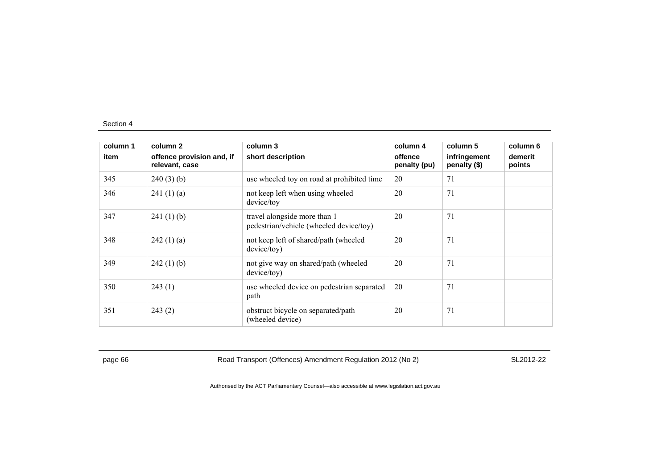| column 1 | column 2                                    | column 3                                                                | column 4                | column 5                     | column 6          |
|----------|---------------------------------------------|-------------------------------------------------------------------------|-------------------------|------------------------------|-------------------|
| item     | offence provision and, if<br>relevant, case | short description                                                       | offence<br>penalty (pu) | infringement<br>penalty (\$) | demerit<br>points |
| 345      | 240(3)(b)                                   | use wheeled toy on road at prohibited time                              | 20                      | 71                           |                   |
| 346      | 241(1)(a)                                   | not keep left when using wheeled<br>device/toy                          | 20                      | 71                           |                   |
| 347      | 241(1)(b)                                   | travel alongside more than 1<br>pedestrian/vehicle (wheeled device/toy) | 20                      | 71                           |                   |
| 348      | 242(1)(a)                                   | not keep left of shared/path (wheeled<br>device/toy)                    | 20                      | 71                           |                   |
| 349      | 242(1)(b)                                   | not give way on shared/path (wheeled<br>device/toy)                     | 20                      | 71                           |                   |
| 350      | 243(1)                                      | use wheeled device on pedestrian separated<br>path                      | 20                      | 71                           |                   |
| 351      | 243(2)                                      | obstruct bicycle on separated/path<br>(wheeled device)                  | 20                      | 71                           |                   |

page 66 Road Transport (Offences) Amendment Regulation 2012 (No 2) SL2012-22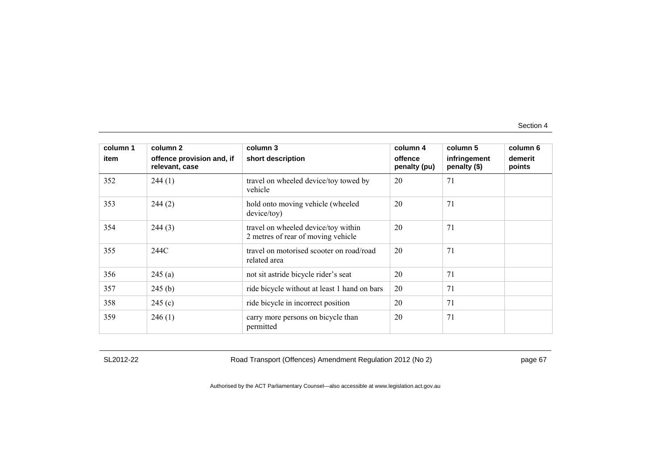| column 1<br>item | column 2<br>offence provision and, if | column 3<br>short description                                             | column 4<br>offence | column 5<br>infringement | column 6<br>demerit |
|------------------|---------------------------------------|---------------------------------------------------------------------------|---------------------|--------------------------|---------------------|
|                  | relevant, case                        |                                                                           | penalty (pu)        | penalty (\$)             | points              |
| 352              | 244(1)                                | travel on wheeled device/toy towed by<br>vehicle                          | 20                  | 71                       |                     |
| 353              | 244(2)                                | hold onto moving vehicle (wheeled<br>device/toy)                          | 20                  | 71                       |                     |
| 354              | 244(3)                                | travel on wheeled device/toy within<br>2 metres of rear of moving vehicle | 20                  | 71                       |                     |
| 355              | 244C                                  | travel on motorised scooter on road/road<br>related area                  | 20                  | 71                       |                     |
| 356              | 245(a)                                | not sit astride bicycle rider's seat                                      | 20                  | 71                       |                     |
| 357              | 245(b)                                | ride bicycle without at least 1 hand on bars                              | 20                  | 71                       |                     |
| 358              | 245(c)                                | ride bicycle in incorrect position                                        | 20                  | 71                       |                     |
| 359              | 246(1)                                | carry more persons on bicycle than<br>permitted                           | 20                  | 71                       |                     |

SL2012-22 Road Transport (Offences) Amendment Regulation 2012 (No 2) page 67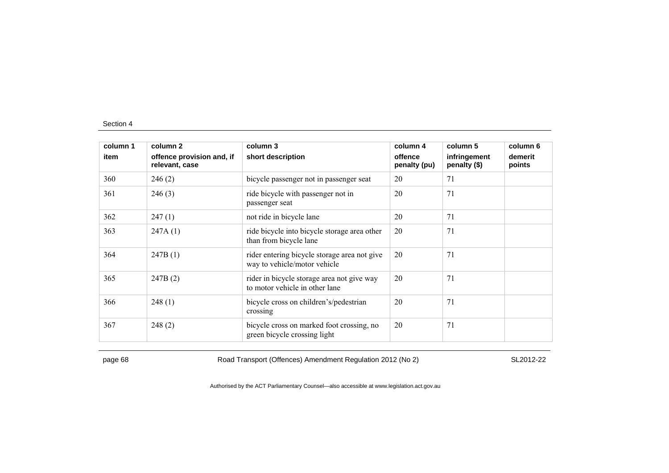| column 1 | column 2                                    | column 3                                                                     | column 4                | column 5                     | column 6          |
|----------|---------------------------------------------|------------------------------------------------------------------------------|-------------------------|------------------------------|-------------------|
| item     | offence provision and, if<br>relevant, case | short description                                                            | offence<br>penalty (pu) | infringement<br>penalty (\$) | demerit<br>points |
| 360      | 246(2)                                      | bicycle passenger not in passenger seat                                      | 20                      | 71                           |                   |
| 361      | 246(3)                                      | ride bicycle with passenger not in<br>passenger seat                         | 20                      | 71                           |                   |
| 362      | 247(1)                                      | not ride in bicycle lane                                                     | 20                      | 71                           |                   |
| 363      | 247A(1)                                     | ride bicycle into bicycle storage area other<br>than from bicycle lane       | 20                      | 71                           |                   |
| 364      | 247B(1)                                     | rider entering bicycle storage area not give<br>way to vehicle/motor vehicle | 20                      | 71                           |                   |
| 365      | 247B(2)                                     | rider in bicycle storage area not give way<br>to motor vehicle in other lane | 20                      | 71                           |                   |
| 366      | 248(1)                                      | bicycle cross on children's/pedestrian<br>crossing                           | 20                      | 71                           |                   |
| 367      | 248(2)                                      | bicycle cross on marked foot crossing, no<br>green bicycle crossing light    | 20                      | 71                           |                   |

page 68 Road Transport (Offences) Amendment Regulation 2012 (No 2) SL2012-22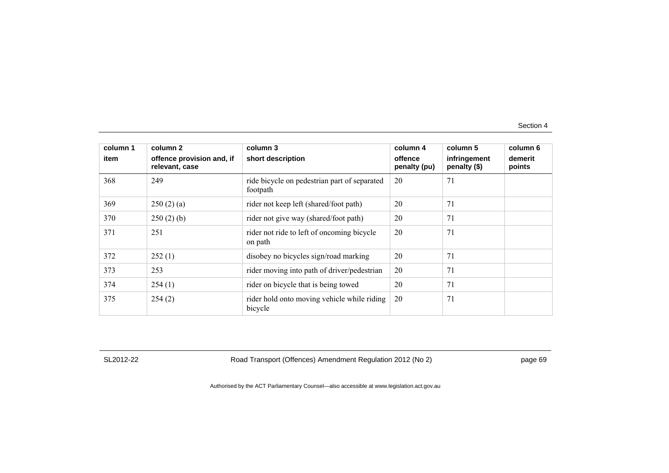| column 1 | column 2                                    | column 3                                                 | column 4                | column 5                     | column 6          |
|----------|---------------------------------------------|----------------------------------------------------------|-------------------------|------------------------------|-------------------|
| item     | offence provision and, if<br>relevant, case | short description                                        | offence<br>penalty (pu) | infringement<br>penalty (\$) | demerit<br>points |
| 368      | 249                                         | ride bicycle on pedestrian part of separated<br>footpath | 20                      | 71                           |                   |
| 369      | 250(2)(a)                                   | rider not keep left (shared/foot path)                   | 20                      | 71                           |                   |
| 370      | 250(2)(b)                                   | rider not give way (shared/foot path)                    | 20                      | 71                           |                   |
| 371      | 251                                         | rider not ride to left of oncoming bicycle<br>on path    | 20                      | 71                           |                   |
| 372      | 252(1)                                      | disobey no bicycles sign/road marking                    | 20                      | 71                           |                   |
| 373      | 253                                         | rider moving into path of driver/pedestrian              | 20                      | 71                           |                   |
| 374      | 254(1)                                      | rider on bicycle that is being towed                     | 20                      | 71                           |                   |
| 375      | 254(2)                                      | rider hold onto moving vehicle while riding<br>bicycle   | 20                      | 71                           |                   |

SL2012-22 Road Transport (Offences) Amendment Regulation 2012 (No 2) page 69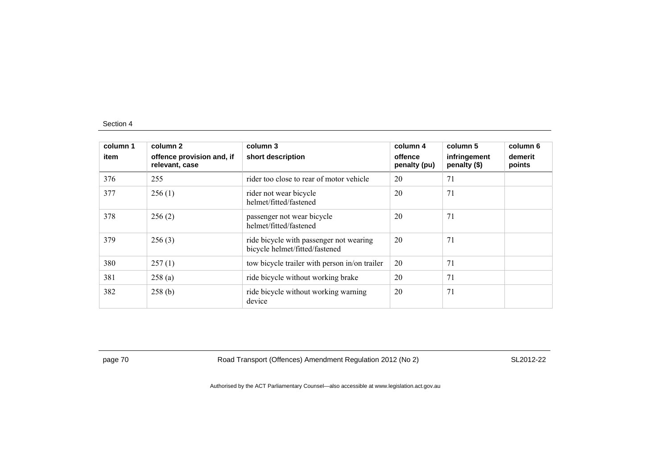| column 1<br>item | column 2<br>offence provision and, if<br>relevant, case | column 3<br>short description                                             | column 4<br>offence<br>penalty (pu) | column 5<br>infringement<br>penalty (\$) | column 6<br>demerit<br>points |
|------------------|---------------------------------------------------------|---------------------------------------------------------------------------|-------------------------------------|------------------------------------------|-------------------------------|
| 376              | 255                                                     | rider too close to rear of motor vehicle                                  | 20                                  | 71                                       |                               |
| 377              | 256(1)                                                  | rider not wear bicycle<br>helmet/fitted/fastened                          | 20                                  | 71                                       |                               |
| 378              | 256(2)                                                  | passenger not wear bicycle<br>helmet/fitted/fastened                      | 20                                  | 71                                       |                               |
| 379              | 256(3)                                                  | ride bicycle with passenger not wearing<br>bicycle helmet/fitted/fastened | 20                                  | 71                                       |                               |
| 380              | 257(1)                                                  | tow bicycle trailer with person in/on trailer                             | 20                                  | 71                                       |                               |
| 381              | 258(a)                                                  | ride bicycle without working brake                                        | 20                                  | 71                                       |                               |
| 382              | 258(b)                                                  | ride bicycle without working warning<br>device                            | 20                                  | 71                                       |                               |

page 70 Road Transport (Offences) Amendment Regulation 2012 (No 2) SL2012-22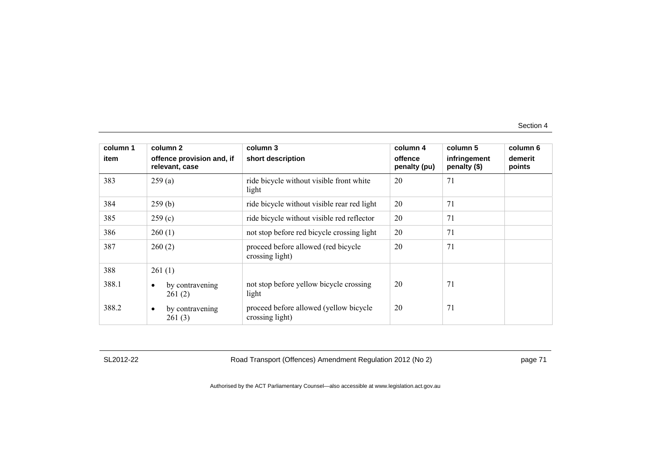| column 1 | column 2                                    | column 3                                                  | column 4                | column 5                     | column 6          |
|----------|---------------------------------------------|-----------------------------------------------------------|-------------------------|------------------------------|-------------------|
| item     | offence provision and, if<br>relevant, case | short description                                         | offence<br>penalty (pu) | infringement<br>penalty (\$) | demerit<br>points |
| 383      | 259(a)                                      | ride bicycle without visible front white<br>light         | 20                      | 71                           |                   |
| 384      | 259(b)                                      | ride bicycle without visible rear red light               | 20                      | 71                           |                   |
| 385      | 259(c)                                      | ride bicycle without visible red reflector                | 20                      | 71                           |                   |
| 386      | 260(1)                                      | not stop before red bicycle crossing light                | 20                      | 71                           |                   |
| 387      | 260(2)                                      | proceed before allowed (red bicycle<br>crossing light)    | 20                      | 71                           |                   |
| 388      | 261(1)                                      |                                                           |                         |                              |                   |
| 388.1    | by contravening<br>$\bullet$<br>261(2)      | not stop before yellow bicycle crossing<br>light          | 20                      | 71                           |                   |
| 388.2    | by contravening<br>$\bullet$<br>261(3)      | proceed before allowed (yellow bicycle<br>crossing light) | 20                      | 71                           |                   |

SL2012-22 Road Transport (Offences) Amendment Regulation 2012 (No 2) page 71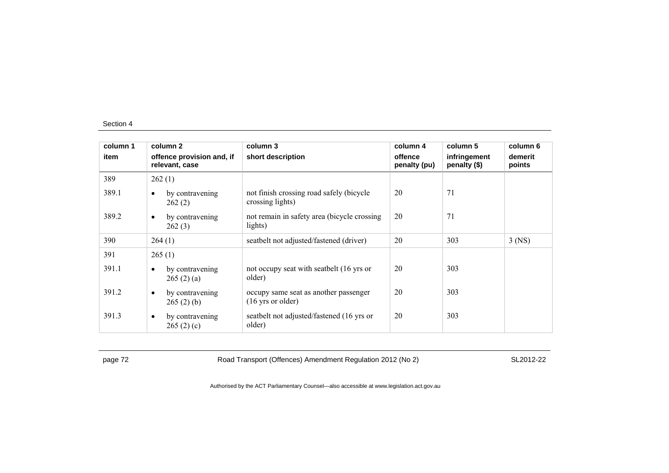| column 1 | column 2                                    | column 3                                                             | column 4                | column 5                     | column 6          |
|----------|---------------------------------------------|----------------------------------------------------------------------|-------------------------|------------------------------|-------------------|
| item     | offence provision and, if<br>relevant, case | short description                                                    | offence<br>penalty (pu) | infringement<br>penalty (\$) | demerit<br>points |
| 389      | 262(1)                                      |                                                                      |                         |                              |                   |
| 389.1    | by contravening<br>$\bullet$<br>262(2)      | not finish crossing road safely (bicycle<br>crossing lights)         | 20                      | 71                           |                   |
| 389.2    | by contravening<br>$\bullet$<br>262(3)      | not remain in safety area (bicycle crossing)<br>lights)              | 20                      | 71                           |                   |
| 390      | 264(1)                                      | seatbelt not adjusted/fastened (driver)                              | 20                      | 303                          | $3$ (NS)          |
| 391      | 265(1)                                      |                                                                      |                         |                              |                   |
| 391.1    | by contravening<br>$\bullet$<br>265(2)(a)   | not occupy seat with seatbelt (16 yrs or<br>older)                   | 20                      | 303                          |                   |
| 391.2    | by contravening<br>$\bullet$<br>265(2)(b)   | occupy same seat as another passenger<br>$(16 \text{ yrs or older})$ | 20                      | 303                          |                   |
| 391.3    | by contravening<br>$\bullet$<br>265(2)(c)   | seatbelt not adjusted/fastened (16 yrs or<br>older)                  | 20                      | 303                          |                   |

page 72 **Road Transport (Offences) Amendment Regulation 2012 (No 2)** SL2012-22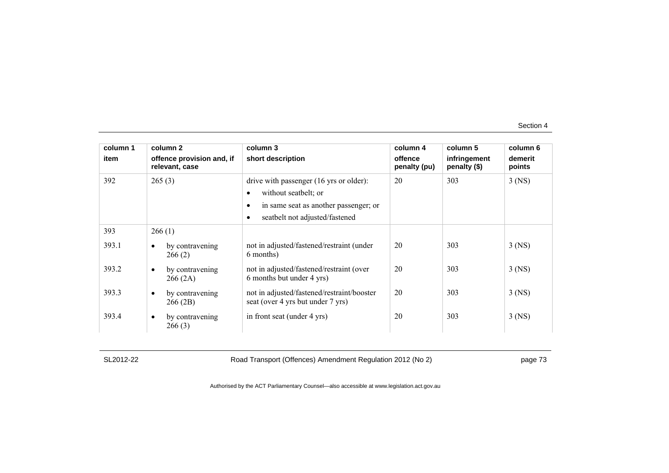| column 1 | column 2                                    | column 3                                                                                                                                                | column 4                | column 5                     | column 6          |
|----------|---------------------------------------------|---------------------------------------------------------------------------------------------------------------------------------------------------------|-------------------------|------------------------------|-------------------|
| item     | offence provision and, if<br>relevant, case | short description                                                                                                                                       | offence<br>penalty (pu) | infringement<br>penalty (\$) | demerit<br>points |
| 392      | 265(3)                                      | drive with passenger (16 yrs or older):<br>without seatbelt; or<br>in same seat as another passenger; or<br>seatbelt not adjusted/fastened<br>$\bullet$ | 20                      | 303                          | $3$ (NS)          |
| 393      | 266(1)                                      |                                                                                                                                                         |                         |                              |                   |
| 393.1    | by contravening<br>$\bullet$<br>266(2)      | not in adjusted/fastened/restraint (under<br>6 months)                                                                                                  | 20                      | 303                          | $3$ (NS)          |
| 393.2    | by contravening<br>$\bullet$<br>266(2A)     | not in adjusted/fastened/restraint (over<br>6 months but under 4 yrs)                                                                                   | 20                      | 303                          | $3$ (NS)          |
| 393.3    | by contravening<br>$\bullet$<br>266 (2B)    | not in adjusted/fastened/restraint/booster<br>seat (over 4 yrs but under 7 yrs)                                                                         | 20                      | 303                          | $3$ (NS)          |
| 393.4    | by contravening<br>$\bullet$<br>266(3)      | in front seat (under 4 yrs)                                                                                                                             | 20                      | 303                          | $3$ (NS)          |

SL2012-22 Road Transport (Offences) Amendment Regulation 2012 (No 2) page 73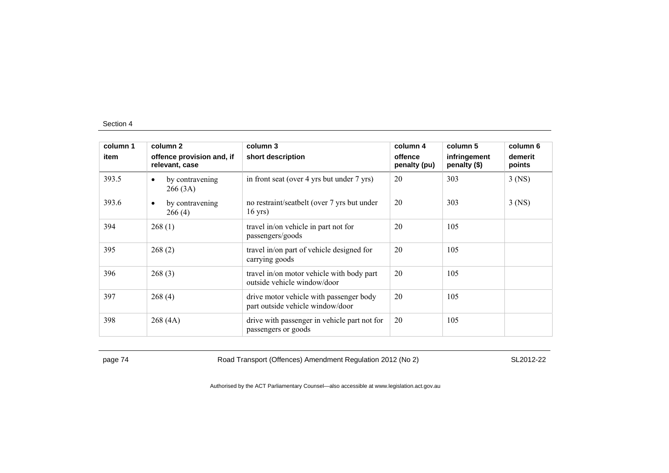| column 1 | column 2                                    | column 3                                                                    | column 4                | column 5                     | column 6          |
|----------|---------------------------------------------|-----------------------------------------------------------------------------|-------------------------|------------------------------|-------------------|
| item     | offence provision and, if<br>relevant, case | short description                                                           | offence<br>penalty (pu) | infringement<br>penalty (\$) | demerit<br>points |
| 393.5    | by contravening<br>$\bullet$<br>266(3A)     | in front seat (over 4 yrs but under 7 yrs)                                  | 20                      | 303                          | $3$ (NS)          |
| 393.6    | by contravening<br>$\bullet$<br>266(4)      | no restraint/seatbelt (over 7 yrs but under<br>$16$ yrs)                    | 20                      | 303                          | $3$ (NS)          |
| 394      | 268(1)                                      | travel in/on vehicle in part not for<br>passengers/goods                    | 20                      | 105                          |                   |
| 395      | 268(2)                                      | travel in/on part of vehicle designed for<br>carrying goods                 | 20                      | 105                          |                   |
| 396      | 268(3)                                      | travel in/on motor vehicle with body part<br>outside vehicle window/door    | 20                      | 105                          |                   |
| 397      | 268(4)                                      | drive motor vehicle with passenger body<br>part outside vehicle window/door | 20                      | 105                          |                   |
| 398      | 268(4A)                                     | drive with passenger in vehicle part not for<br>passengers or goods         | 20                      | 105                          |                   |

page 74 Road Transport (Offences) Amendment Regulation 2012 (No 2) SL2012-22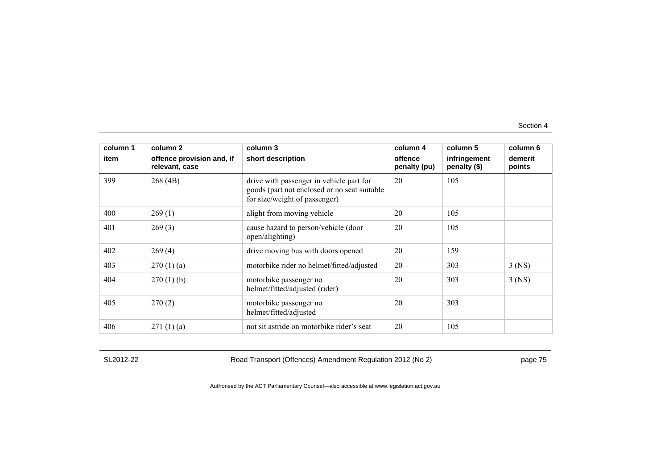| column 1 | column 2                                    | column 3                                                                                                                   | column 4                | column 5                     | column 6          |
|----------|---------------------------------------------|----------------------------------------------------------------------------------------------------------------------------|-------------------------|------------------------------|-------------------|
| item     | offence provision and, if<br>relevant, case | short description                                                                                                          | offence<br>penalty (pu) | infringement<br>penalty (\$) | demerit<br>points |
| 399      | 268(4B)                                     | drive with passenger in vehicle part for<br>goods (part not enclosed or no seat suitable)<br>for size/weight of passenger) | 20                      | 105                          |                   |
| 400      | 269(1)                                      | alight from moving vehicle                                                                                                 | 20                      | 105                          |                   |
| 401      | 269(3)                                      | cause hazard to person/vehicle (door<br>open/alighting)                                                                    | 20                      | 105                          |                   |
| 402      | 269(4)                                      | drive moving bus with doors opened                                                                                         | 20                      | 159                          |                   |
| 403      | 270(1)(a)                                   | motorbike rider no helmet/fitted/adjusted                                                                                  | 20                      | 303                          | $3$ (NS)          |
| 404      | $270(1)$ (b)                                | motorbike passenger no<br>helmet/fitted/adjusted (rider)                                                                   | 20                      | 303                          | $3$ (NS)          |
| 405      | 270(2)                                      | motorbike passenger no<br>helmet/fitted/adjusted                                                                           | 20                      | 303                          |                   |
| 406      | 271(1)(a)                                   | not sit astride on motorbike rider's seat                                                                                  | 20                      | 105                          |                   |

SL2012-22 Road Transport (Offences) Amendment Regulation 2012 (No 2) page 75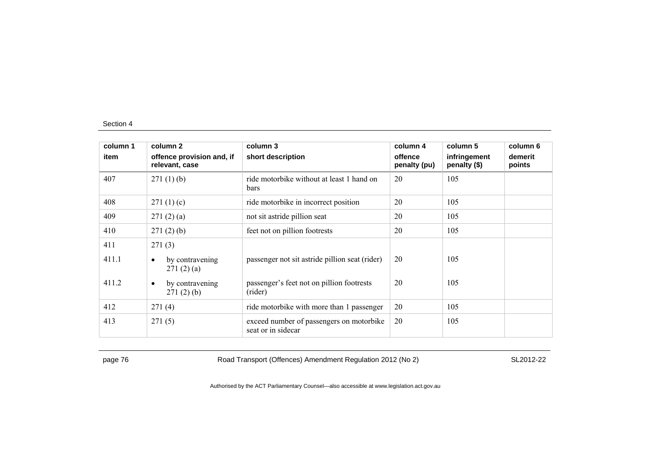| column 1 | column 2                                    | column 3                                                       | column 4                | column 5                     | column 6          |
|----------|---------------------------------------------|----------------------------------------------------------------|-------------------------|------------------------------|-------------------|
| item     | offence provision and, if<br>relevant, case | short description                                              | offence<br>penalty (pu) | infringement<br>penalty (\$) | demerit<br>points |
| 407      | 271(1)(b)                                   | ride motorbike without at least 1 hand on<br>bars              | 20                      | 105                          |                   |
| 408      | 271(1)(c)                                   | ride motorbike in incorrect position                           | 20                      | 105                          |                   |
| 409      | 271(2)(a)                                   | not sit astride pillion seat                                   | 20                      | 105                          |                   |
| 410      | 271(2)(b)                                   | feet not on pillion footrests                                  | 20                      | 105                          |                   |
| 411      | 271(3)                                      |                                                                |                         |                              |                   |
| 411.1    | by contravening<br>$\bullet$<br>271(2)(a)   | passenger not sit astride pillion seat (rider)                 | 20                      | 105                          |                   |
| 411.2    | by contravening<br>$\bullet$<br>271(2)(b)   | passenger's feet not on pillion footrests<br>(rider)           | 20                      | 105                          |                   |
| 412      | 271(4)                                      | ride motorbike with more than 1 passenger                      | 20                      | 105                          |                   |
| 413      | 271(5)                                      | exceed number of passengers on motorbike<br>seat or in sidecar | 20                      | 105                          |                   |

page 76 **Road Transport (Offences) Amendment Regulation 2012 (No 2)** SL2012-22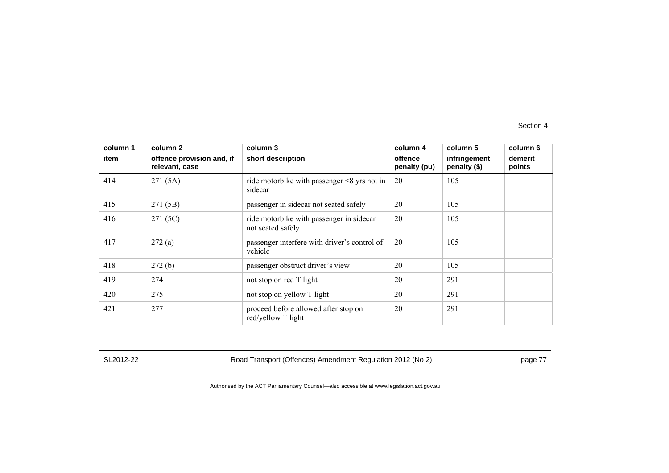| column 1 | column 2                                    | column 3                                                      | column 4                | column 5                     | column 6          |
|----------|---------------------------------------------|---------------------------------------------------------------|-------------------------|------------------------------|-------------------|
| item     | offence provision and, if<br>relevant, case | short description                                             | offence<br>penalty (pu) | infringement<br>penalty (\$) | demerit<br>points |
| 414      | 271(5A)                                     | ride motorbike with passenger $\leq$ 8 yrs not in<br>sidecar  | 20                      | 105                          |                   |
| 415      | 271 (5B)                                    | passenger in sidecar not seated safely                        | 20                      | 105                          |                   |
| 416      | 271 (5C)                                    | ride motorbike with passenger in sidecar<br>not seated safely | 20                      | 105                          |                   |
| 417      | 272(a)                                      | passenger interfere with driver's control of<br>vehicle       | 20                      | 105                          |                   |
| 418      | 272(b)                                      | passenger obstruct driver's view                              | 20                      | 105                          |                   |
| 419      | 274                                         | not stop on red T light                                       | 20                      | 291                          |                   |
| 420      | 275                                         | not stop on yellow T light                                    | 20                      | 291                          |                   |
| 421      | 277                                         | proceed before allowed after stop on<br>red/yellow T light    | 20                      | 291                          |                   |

SL2012-22 Road Transport (Offences) Amendment Regulation 2012 (No 2) page 77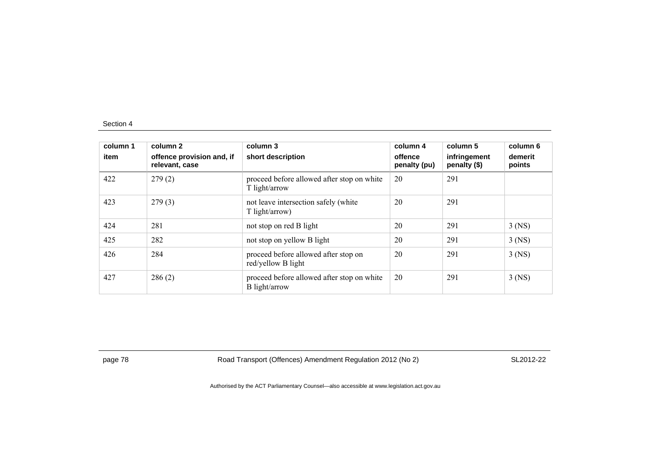| column 1<br>item | column 2<br>offence provision and, if<br>relevant, case | column 3<br>short description                               | column 4<br>offence<br>penalty (pu) | column 5<br>infringement<br>penalty (\$) | column 6<br>demerit<br>points |
|------------------|---------------------------------------------------------|-------------------------------------------------------------|-------------------------------------|------------------------------------------|-------------------------------|
| 422              | 279(2)                                                  | proceed before allowed after stop on white<br>T light/arrow | 20                                  | 291                                      |                               |
| 423              | 279(3)                                                  | not leave intersection safely (white<br>T light/arrow)      | 20                                  | 291                                      |                               |
| 424              | 281                                                     | not stop on red B light                                     | 20                                  | 291                                      | $3$ (NS)                      |
| 425              | 282                                                     | not stop on yellow B light                                  | 20                                  | 291                                      | $3$ (NS)                      |
| 426              | 284                                                     | proceed before allowed after stop on<br>red/yellow B light  | 20                                  | 291                                      | $3$ (NS)                      |
| 427              | 286(2)                                                  | proceed before allowed after stop on white<br>B light/arrow | 20                                  | 291                                      | $3$ (NS)                      |

page 78 **Road Transport (Offences) Amendment Regulation 2012 (No 2)** SL2012-22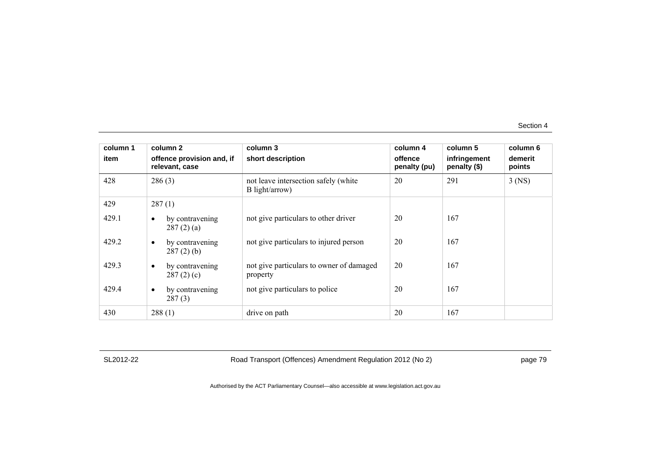| column 1 | column 2                                     | column 3                                               | column 4                | column 5                     | column 6          |
|----------|----------------------------------------------|--------------------------------------------------------|-------------------------|------------------------------|-------------------|
| item     | offence provision and, if<br>relevant, case  | short description                                      | offence<br>penalty (pu) | infringement<br>penalty (\$) | demerit<br>points |
| 428      | 286(3)                                       | not leave intersection safely (white<br>B light/arrow) | 20                      | 291                          | $3$ (NS)          |
| 429      | 287(1)                                       |                                                        |                         |                              |                   |
| 429.1    | by contravening<br>$\bullet$<br>287(2)(a)    | not give particulars to other driver                   | 20                      | 167                          |                   |
| 429.2    | by contravening<br>$\bullet$<br>$287(2)$ (b) | not give particulars to injured person                 | 20                      | 167                          |                   |
| 429.3    | by contravening<br>$\bullet$<br>287(2)(c)    | not give particulars to owner of damaged<br>property   | 20                      | 167                          |                   |
| 429.4    | by contravening<br>$\bullet$<br>287(3)       | not give particulars to police                         | 20                      | 167                          |                   |
| 430      | 288(1)                                       | drive on path                                          | 20                      | 167                          |                   |

SL2012-22 Road Transport (Offences) Amendment Regulation 2012 (No 2) page 79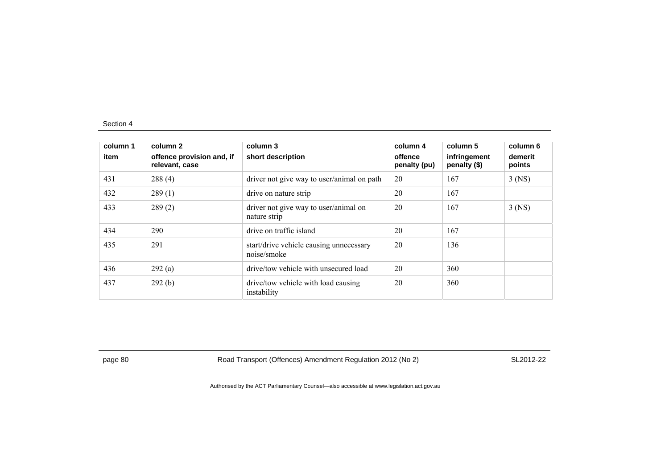| column 1<br>item | column 2<br>offence provision and, if<br>relevant, case | column 3<br>short description                          | column 4<br>offence<br>penalty (pu) | column 5<br>infringement<br>penalty (\$) | column 6<br>demerit<br>points |
|------------------|---------------------------------------------------------|--------------------------------------------------------|-------------------------------------|------------------------------------------|-------------------------------|
| 431              | 288(4)                                                  | driver not give way to user/animal on path             | 20                                  | 167                                      | $3$ (NS)                      |
| 432              | 289(1)                                                  | drive on nature strip                                  | 20                                  | 167                                      |                               |
| 433              | 289(2)                                                  | driver not give way to user/animal on<br>nature strip  | 20                                  | 167                                      | $3$ (NS)                      |
| 434              | 290                                                     | drive on traffic island                                | 20                                  | 167                                      |                               |
| 435              | 291                                                     | start/drive vehicle causing unnecessary<br>noise/smoke | 20                                  | 136                                      |                               |
| 436              | 292(a)                                                  | drive/tow vehicle with unsecured load                  | 20                                  | 360                                      |                               |
| 437              | 292(b)                                                  | drive/tow vehicle with load causing<br>instability     | 20                                  | 360                                      |                               |

page 80 Road Transport (Offences) Amendment Regulation 2012 (No 2) SL2012-22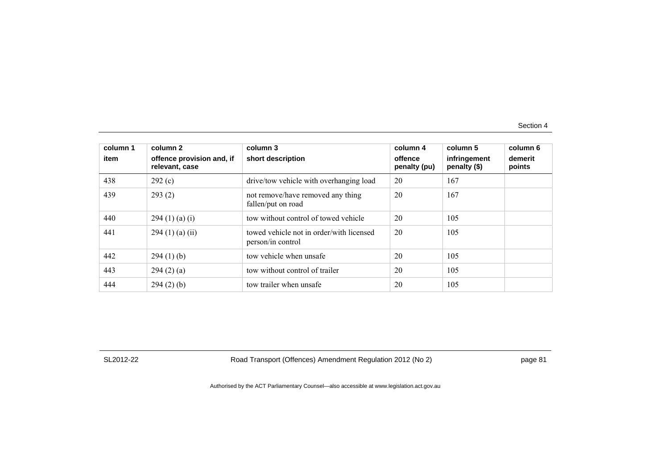| column 1<br>item | column 2<br>offence provision and, if<br>relevant, case | column 3<br>short description                                 | column 4<br>offence<br>penalty (pu) | column 5<br>infringement<br>penalty (\$) | column 6<br>demerit<br>points |
|------------------|---------------------------------------------------------|---------------------------------------------------------------|-------------------------------------|------------------------------------------|-------------------------------|
| 438              | 292(c)                                                  | drive/tow vehicle with overhanging load                       | 20                                  | 167                                      |                               |
| 439              | 293(2)                                                  | not remove/have removed any thing<br>fallen/put on road       | 20                                  | 167                                      |                               |
| 440              | 294 (1) (a) (i)                                         | tow without control of towed vehicle                          | 20                                  | 105                                      |                               |
| 441              | $294(1)$ (a) (ii)                                       | towed vehicle not in order/with licensed<br>person/in control | 20                                  | 105                                      |                               |
| 442              | 294(1)(b)                                               | tow vehicle when unsafe                                       | 20                                  | 105                                      |                               |
| 443              | 294(2)(a)                                               | tow without control of trailer                                | 20                                  | 105                                      |                               |
| 444              | 294(2)(b)                                               | tow trailer when unsafe                                       | 20                                  | 105                                      |                               |

SL2012-22 Road Transport (Offences) Amendment Regulation 2012 (No 2) page 81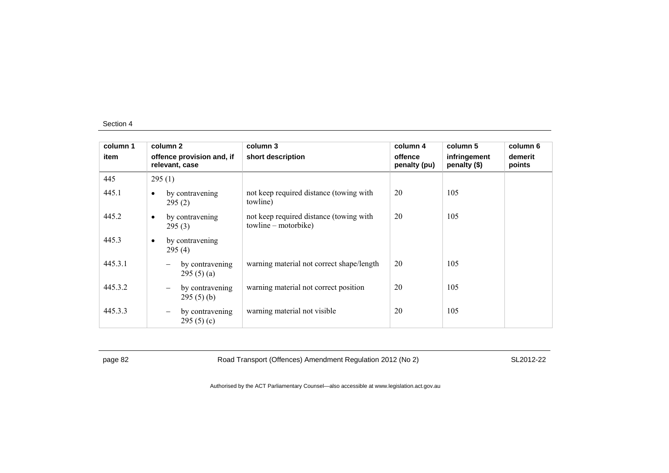| column 1 | column 2                                          | column 3                                                          | column 4                | column 5                     | column 6          |
|----------|---------------------------------------------------|-------------------------------------------------------------------|-------------------------|------------------------------|-------------------|
| item     | offence provision and, if<br>relevant, case       | short description                                                 | offence<br>penalty (pu) | infringement<br>penalty (\$) | demerit<br>points |
| 445      | 295(1)                                            |                                                                   |                         |                              |                   |
| 445.1    | by contravening<br>$\bullet$<br>295(2)            | not keep required distance (towing with<br>towline)               | 20                      | 105                          |                   |
| 445.2    | by contravening<br>$\bullet$<br>295(3)            | not keep required distance (towing with<br>$towline - motorbike)$ | 20                      | 105                          |                   |
| 445.3    | by contravening<br>$\bullet$<br>295(4)            |                                                                   |                         |                              |                   |
| 445.3.1  | by contravening<br>295(5)(a)                      | warning material not correct shape/length                         | 20                      | 105                          |                   |
| 445.3.2  | by contravening<br>-<br>295(5)(b)                 | warning material not correct position                             | 20                      | 105                          |                   |
| 445.3.3  | by contravening<br>$\qquad \qquad -$<br>295(5)(c) | warning material not visible                                      | 20                      | 105                          |                   |

page 82 Road Transport (Offences) Amendment Regulation 2012 (No 2) SL2012-22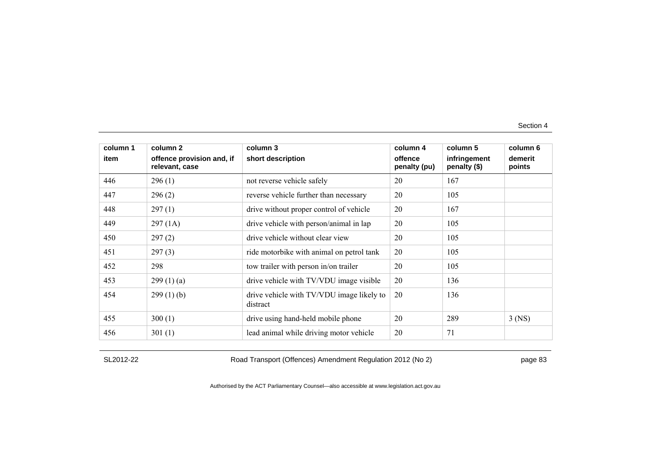| column 1 | column 2                                    | column 3                                              | column 4                | column 5                     | column 6          |
|----------|---------------------------------------------|-------------------------------------------------------|-------------------------|------------------------------|-------------------|
| item     | offence provision and, if<br>relevant, case | short description                                     | offence<br>penalty (pu) | infringement<br>penalty (\$) | demerit<br>points |
| 446      | 296(1)                                      | not reverse vehicle safely                            | 20                      | 167                          |                   |
| 447      | 296(2)                                      | reverse vehicle further than necessary                | 20                      | 105                          |                   |
| 448      | 297(1)                                      | drive without proper control of vehicle               | 20                      | 167                          |                   |
| 449      | 297(1A)                                     | drive vehicle with person/animal in lap               | 20                      | 105                          |                   |
| 450      | 297(2)                                      | drive vehicle without clear view                      | 20                      | 105                          |                   |
| 451      | 297(3)                                      | ride motorbike with animal on petrol tank             | 20                      | 105                          |                   |
| 452      | 298                                         | tow trailer with person in/on trailer                 | 20                      | 105                          |                   |
| 453      | 299(1)(a)                                   | drive vehicle with TV/VDU image visible               | 20                      | 136                          |                   |
| 454      | 299(1)(b)                                   | drive vehicle with TV/VDU image likely to<br>distract | 20                      | 136                          |                   |
| 455      | 300(1)                                      | drive using hand-held mobile phone                    | 20                      | 289                          | $3$ (NS)          |
| 456      | 301(1)                                      | lead animal while driving motor vehicle               | 20                      | 71                           |                   |

SL2012-22 Road Transport (Offences) Amendment Regulation 2012 (No 2) page 83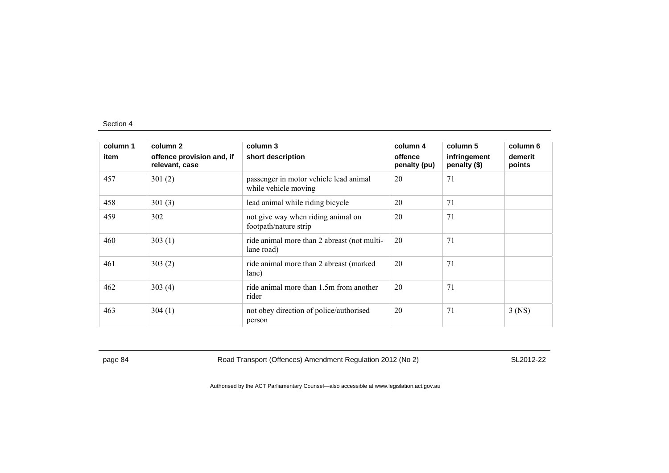| column 1 | column 2                                    | column 3                                                       | column 4                | column 5                       | column 6          |
|----------|---------------------------------------------|----------------------------------------------------------------|-------------------------|--------------------------------|-------------------|
| item     | offence provision and, if<br>relevant, case | short description                                              | offence<br>penalty (pu) | infringement<br>penalty $(\$)$ | demerit<br>points |
| 457      | 301(2)                                      | passenger in motor vehicle lead animal<br>while vehicle moving | 20                      | 71                             |                   |
| 458      | 301(3)                                      | lead animal while riding bicycle                               | 20                      | 71                             |                   |
| 459      | 302                                         | not give way when riding animal on<br>footpath/nature strip    | 20                      | 71                             |                   |
| 460      | 303(1)                                      | ride animal more than 2 abreast (not multi-<br>lane road)      | 20                      | 71                             |                   |
| 461      | 303(2)                                      | ride animal more than 2 abreast (marked)<br>lane)              | 20                      | 71                             |                   |
| 462      | 303(4)                                      | ride animal more than 1.5m from another<br>rider               | 20                      | 71                             |                   |
| 463      | 304(1)                                      | not obey direction of police/authorised<br>person              | 20                      | 71                             | $3$ (NS)          |

page 84 Road Transport (Offences) Amendment Regulation 2012 (No 2) SL2012-22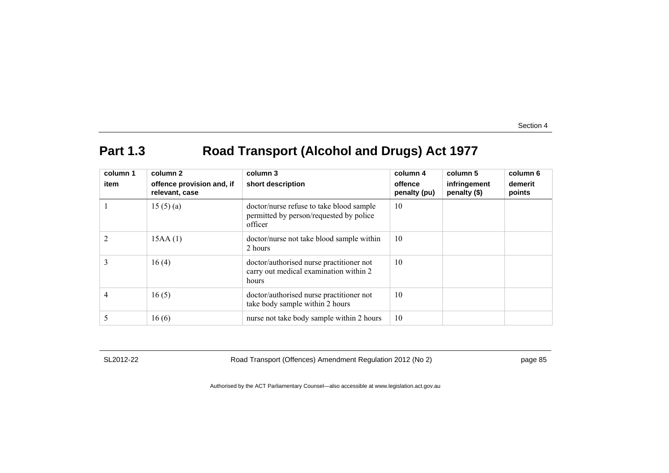# **Part 1.3 Road Transport (Alcohol and Drugs) Act 1977**

| column 1<br>item | column 2<br>offence provision and, if<br>relevant, case | column 3<br>short description                                                                  | column 4<br>offence<br>penalty (pu) | column 5<br>infringement<br>penalty (\$) | column 6<br>demerit<br>points |
|------------------|---------------------------------------------------------|------------------------------------------------------------------------------------------------|-------------------------------------|------------------------------------------|-------------------------------|
|                  | 15(5)(a)                                                | doctor/nurse refuse to take blood sample<br>permitted by person/requested by police<br>officer | 10                                  |                                          |                               |
|                  | 15AA(1)                                                 | doctor/nurse not take blood sample within<br>2 hours                                           | 10                                  |                                          |                               |
| 3                | 16(4)                                                   | doctor/authorised nurse practitioner not<br>carry out medical examination within 2<br>hours    | 10                                  |                                          |                               |
| 4                | 16(5)                                                   | doctor/authorised nurse practitioner not<br>take body sample within 2 hours                    | 10                                  |                                          |                               |
|                  | 16(6)                                                   | nurse not take body sample within 2 hours                                                      | 10                                  |                                          |                               |

SL2012-22 Road Transport (Offences) Amendment Regulation 2012 (No 2) page 85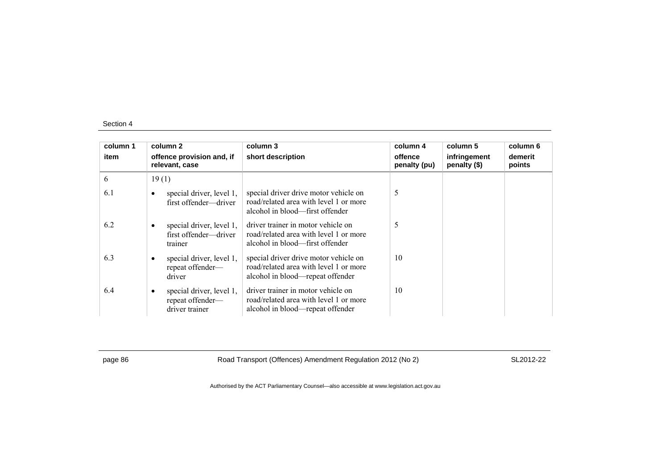| column 1<br>item | column 2<br>offence provision and, if<br>relevant, case        | column 3<br>short description                                                                                       | column 4<br>offence<br>penalty (pu) | column 5<br>infringement<br>penalty (\$) | column 6<br>demerit<br>points |
|------------------|----------------------------------------------------------------|---------------------------------------------------------------------------------------------------------------------|-------------------------------------|------------------------------------------|-------------------------------|
| 6                | 19(1)                                                          |                                                                                                                     |                                     |                                          |                               |
| 6.1              | special driver, level 1,<br>first offender—driver              | special driver drive motor vehicle on<br>road/related area with level 1 or more<br>alcohol in blood—first offender  | 5                                   |                                          |                               |
| 6.2              | special driver, level 1,<br>first offender—driver<br>trainer   | driver trainer in motor vehicle on<br>road/related area with level 1 or more<br>alcohol in blood—first offender     | 5                                   |                                          |                               |
| 6.3              | special driver, level 1,<br>repeat offender-<br>driver         | special driver drive motor vehicle on<br>road/related area with level 1 or more<br>alcohol in blood—repeat offender | 10                                  |                                          |                               |
| 6.4              | special driver, level 1,<br>repeat offender-<br>driver trainer | driver trainer in motor vehicle on<br>road/related area with level 1 or more<br>alcohol in blood—repeat offender    | 10                                  |                                          |                               |

page 86 Road Transport (Offences) Amendment Regulation 2012 (No 2) SL2012-22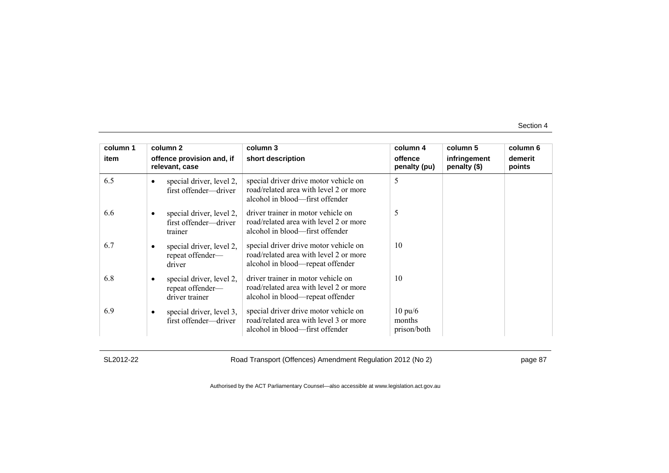| column 1 | column 2                                                       | column 3                                                                                                            | column 4                                   | column 5                     | column 6          |
|----------|----------------------------------------------------------------|---------------------------------------------------------------------------------------------------------------------|--------------------------------------------|------------------------------|-------------------|
| item     | offence provision and, if<br>relevant, case                    | short description                                                                                                   | offence<br>penalty (pu)                    | infringement<br>penalty (\$) | demerit<br>points |
| 6.5      | special driver, level 2,<br>first offender—driver              | special driver drive motor vehicle on<br>road/related area with level 2 or more<br>alcohol in blood—first offender  | 5                                          |                              |                   |
| 6.6      | special driver, level 2,<br>first offender-driver<br>trainer   | driver trainer in motor vehicle on<br>road/related area with level 2 or more<br>alcohol in blood—first offender     | 5                                          |                              |                   |
| 6.7      | special driver, level 2,<br>repeat offender-<br>driver         | special driver drive motor vehicle on<br>road/related area with level 2 or more<br>alcohol in blood—repeat offender | 10                                         |                              |                   |
| 6.8      | special driver, level 2,<br>repeat offender-<br>driver trainer | driver trainer in motor vehicle on<br>road/related area with level 2 or more<br>alcohol in blood—repeat offender    | 10                                         |                              |                   |
| 6.9      | special driver, level 3,<br>first offender-driver              | special driver drive motor vehicle on<br>road/related area with level 3 or more<br>alcohol in blood—first offender  | $10 \text{ pu}/6$<br>months<br>prison/both |                              |                   |

SL2012-22 Road Transport (Offences) Amendment Regulation 2012 (No 2) page 87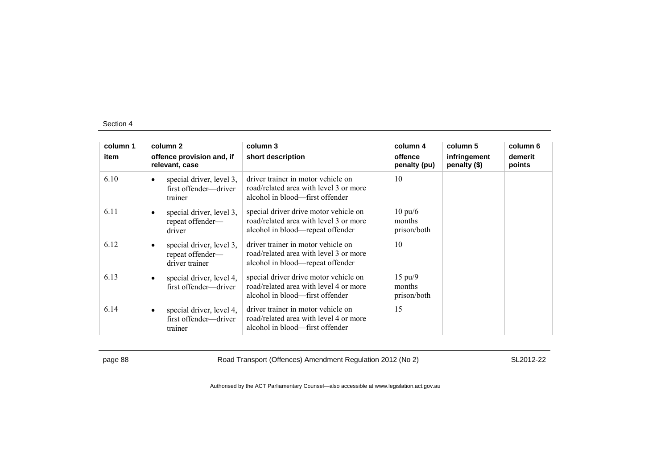| column 1 |           | column 2                                                       | column 3                                                                                                            | column 4                                   | column 5                     | column 6          |
|----------|-----------|----------------------------------------------------------------|---------------------------------------------------------------------------------------------------------------------|--------------------------------------------|------------------------------|-------------------|
| item     |           | offence provision and, if<br>relevant, case                    | short description                                                                                                   | offence<br>penalty (pu)                    | infringement<br>penalty (\$) | demerit<br>points |
| 6.10     | $\bullet$ | special driver, level 3,<br>first offender-driver<br>trainer   | driver trainer in motor vehicle on<br>road/related area with level 3 or more<br>alcohol in blood—first offender     | 10                                         |                              |                   |
| 6.11     | ٠         | special driver, level 3,<br>repeat offender-<br>driver         | special driver drive motor vehicle on<br>road/related area with level 3 or more<br>alcohol in blood—repeat offender | $10 \text{ pu}/6$<br>months<br>prison/both |                              |                   |
| 6.12     | $\bullet$ | special driver, level 3,<br>repeat offender-<br>driver trainer | driver trainer in motor vehicle on<br>road/related area with level 3 or more<br>alcohol in blood—repeat offender    | 10                                         |                              |                   |
| 6.13     | $\bullet$ | special driver, level 4,<br>first offender-driver              | special driver drive motor vehicle on<br>road/related area with level 4 or more<br>alcohol in blood—first offender  | $15 \text{ pu}/9$<br>months<br>prison/both |                              |                   |
| 6.14     | $\bullet$ | special driver, level 4,<br>first offender—driver<br>trainer   | driver trainer in motor vehicle on<br>road/related area with level 4 or more<br>alcohol in blood—first offender     | 15                                         |                              |                   |

page 88 Road Transport (Offences) Amendment Regulation 2012 (No 2) SL2012-22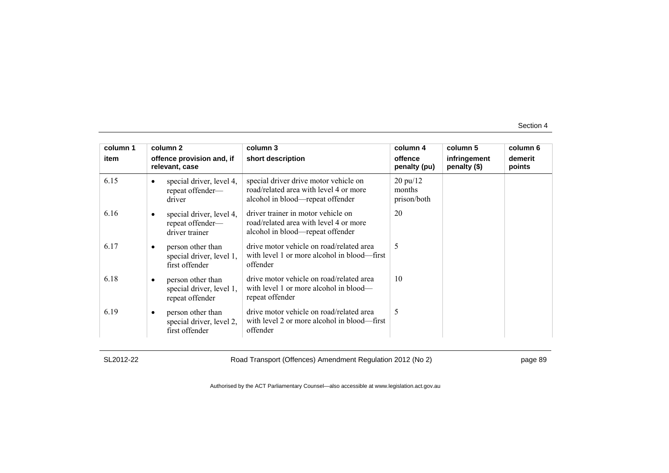| column 1 |           | column 2                                                         | column 3                                                                                                            | column 4                                    | column 5                     | column 6          |
|----------|-----------|------------------------------------------------------------------|---------------------------------------------------------------------------------------------------------------------|---------------------------------------------|------------------------------|-------------------|
| item     |           | offence provision and, if<br>relevant, case                      | short description                                                                                                   | offence<br>penalty (pu)                     | infringement<br>penalty (\$) | demerit<br>points |
| 6.15     |           | special driver, level 4,<br>repeat offender-<br>driver           | special driver drive motor vehicle on<br>road/related area with level 4 or more<br>alcohol in blood—repeat offender | $20 \text{ pu}/12$<br>months<br>prison/both |                              |                   |
| 6.16     |           | special driver, level 4,<br>repeat offender-<br>driver trainer   | driver trainer in motor vehicle on<br>road/related area with level 4 or more<br>alcohol in blood—repeat offender    | 20                                          |                              |                   |
| 6.17     |           | person other than<br>special driver, level 1,<br>first offender  | drive motor vehicle on road/related area<br>with level 1 or more alcohol in blood—first<br>offender                 | 5                                           |                              |                   |
| 6.18     | ٠         | person other than<br>special driver, level 1,<br>repeat offender | drive motor vehicle on road/related area<br>with level 1 or more alcohol in blood—<br>repeat offender               | 10                                          |                              |                   |
| 6.19     | $\bullet$ | person other than<br>special driver, level 2,<br>first offender  | drive motor vehicle on road/related area<br>with level 2 or more alcohol in blood—first<br>offender                 | 5                                           |                              |                   |

SL2012-22 Road Transport (Offences) Amendment Regulation 2012 (No 2) page 89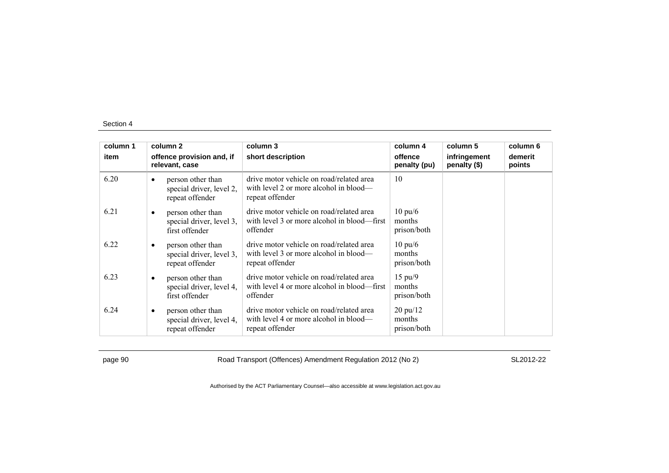| column 1 |           | column 2                                                         | column 3                                                                                              | column 4                                    | column 5                     | column 6          |
|----------|-----------|------------------------------------------------------------------|-------------------------------------------------------------------------------------------------------|---------------------------------------------|------------------------------|-------------------|
| item     |           | offence provision and, if<br>relevant, case                      | short description                                                                                     | offence<br>penalty (pu)                     | infringement<br>penalty (\$) | demerit<br>points |
| 6.20     | $\bullet$ | person other than<br>special driver, level 2,<br>repeat offender | drive motor vehicle on road/related area<br>with level 2 or more alcohol in blood—<br>repeat offender | 10                                          |                              |                   |
| 6.21     |           | person other than<br>special driver, level 3,<br>first offender  | drive motor vehicle on road/related area<br>with level 3 or more alcohol in blood—first<br>offender   | $10 \text{ pu}/6$<br>months<br>prison/both  |                              |                   |
| 6.22     | ٠         | person other than<br>special driver, level 3,<br>repeat offender | drive motor vehicle on road/related area<br>with level 3 or more alcohol in blood—<br>repeat offender | $10 \text{ pu}/6$<br>months<br>prison/both  |                              |                   |
| 6.23     | ٠         | person other than<br>special driver, level 4,<br>first offender  | drive motor vehicle on road/related area<br>with level 4 or more alcohol in blood—first<br>offender   | $15 \text{ pu}/9$<br>months<br>prison/both  |                              |                   |
| 6.24     | $\bullet$ | person other than<br>special driver, level 4,<br>repeat offender | drive motor vehicle on road/related area<br>with level 4 or more alcohol in blood—<br>repeat offender | $20 \text{ pu}/12$<br>months<br>prison/both |                              |                   |

page 90 Road Transport (Offences) Amendment Regulation 2012 (No 2) SL2012-22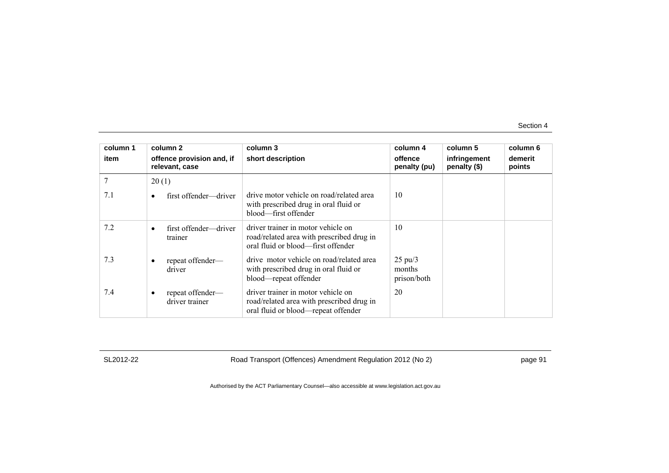| column 1 | column 2                                    | column 3                                                                                                               | column 4                                   | column 5                     | column 6          |
|----------|---------------------------------------------|------------------------------------------------------------------------------------------------------------------------|--------------------------------------------|------------------------------|-------------------|
| item     | offence provision and, if<br>relevant, case | short description                                                                                                      | offence<br>penalty (pu)                    | infringement<br>penalty (\$) | demerit<br>points |
|          | 20(1)                                       |                                                                                                                        |                                            |                              |                   |
| 7.1      | first offender—driver                       | drive motor vehicle on road/related area<br>with prescribed drug in oral fluid or<br>blood—first offender              | 10                                         |                              |                   |
| 7.2      | first offender—driver<br>trainer            | driver trainer in motor vehicle on<br>road/related area with prescribed drug in<br>oral fluid or blood—first offender  | 10                                         |                              |                   |
| 7.3      | repeat offender-<br>driver                  | drive motor vehicle on road/related area<br>with prescribed drug in oral fluid or<br>blood—repeat offender             | $25 \text{ pu}/3$<br>months<br>prison/both |                              |                   |
| 7.4      | repeat offender—<br>driver trainer          | driver trainer in motor vehicle on<br>road/related area with prescribed drug in<br>oral fluid or blood—repeat offender | 20                                         |                              |                   |

SL2012-22 Road Transport (Offences) Amendment Regulation 2012 (No 2) page 91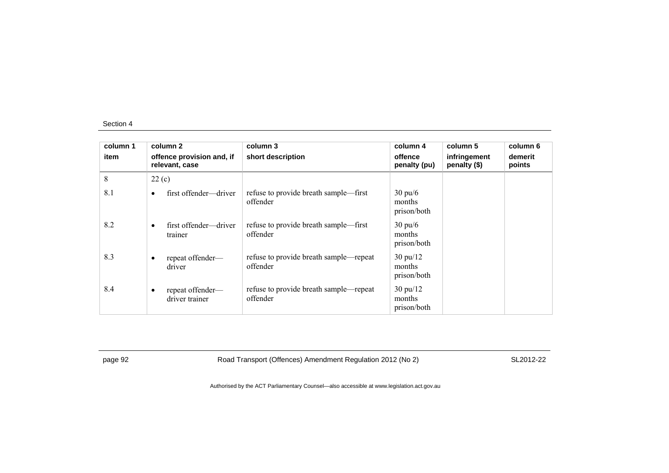| column 1<br>item | column 2<br>offence provision and, if<br>relevant, case |                                    | column 3<br>short description                      | column 4<br>offence<br>penalty (pu)         | column 5<br>infringement<br>penalty (\$) | column 6<br>demerit<br>points |
|------------------|---------------------------------------------------------|------------------------------------|----------------------------------------------------|---------------------------------------------|------------------------------------------|-------------------------------|
| 8                | 22(c)                                                   |                                    |                                                    |                                             |                                          |                               |
| 8.1              | $\bullet$                                               | first offender—driver              | refuse to provide breath sample—first<br>offender  | $30 \text{ pu/6}$<br>months<br>prison/both  |                                          |                               |
| 8.2              | $\bullet$                                               | first offender—driver<br>trainer   | refuse to provide breath sample—first<br>offender  | $30 \text{ pu/6}$<br>months<br>prison/both  |                                          |                               |
| 8.3              | $\bullet$                                               | repeat offender-<br>driver         | refuse to provide breath sample—repeat<br>offender | $30 \text{ pu}/12$<br>months<br>prison/both |                                          |                               |
| 8.4              | $\bullet$                                               | repeat offender-<br>driver trainer | refuse to provide breath sample—repeat<br>offender | $30 \text{ pu}/12$<br>months<br>prison/both |                                          |                               |

page 92 Road Transport (Offences) Amendment Regulation 2012 (No 2) SL2012-22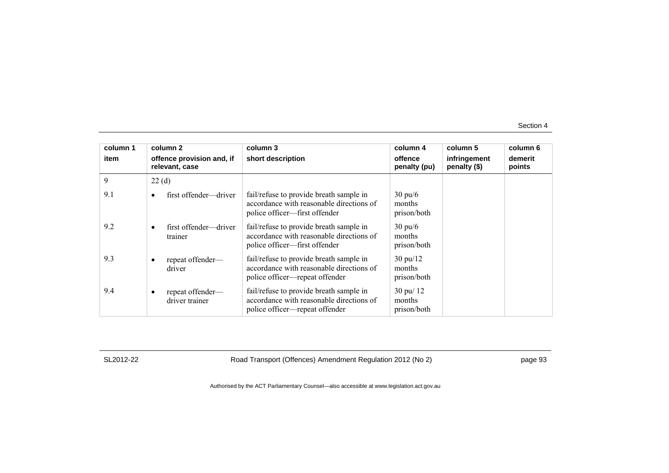| column 1 |                                             | column 2                           | column 3                                                                                                              | column 4                                      | column 5                     | column 6          |
|----------|---------------------------------------------|------------------------------------|-----------------------------------------------------------------------------------------------------------------------|-----------------------------------------------|------------------------------|-------------------|
| item     | offence provision and, if<br>relevant, case |                                    | short description                                                                                                     | offence<br>penalty (pu)                       | infringement<br>penalty (\$) | demerit<br>points |
| 9        | 22(d)                                       |                                    |                                                                                                                       |                                               |                              |                   |
| 9.1      |                                             | first offender—driver              | fail/refuse to provide breath sample in<br>accordance with reasonable directions of<br>police officer—first offender  | $30 \text{ pu}/6$<br>months<br>prison/both    |                              |                   |
| 9.2      |                                             | first offender—driver<br>trainer   | fail/refuse to provide breath sample in<br>accordance with reasonable directions of<br>police officer—first offender  | $30 \text{ pu}/6$<br>months<br>prison/both    |                              |                   |
| 9.3      |                                             | repeat offender-<br>driver         | fail/refuse to provide breath sample in<br>accordance with reasonable directions of<br>police officer—repeat offender | $30 \text{ pu}/12$<br>months<br>prison/both   |                              |                   |
| 9.4      | $\bullet$                                   | repeat offender-<br>driver trainer | fail/refuse to provide breath sample in<br>accordance with reasonable directions of<br>police officer—repeat offender | $30 \text{ pu} / 12$<br>months<br>prison/both |                              |                   |

SL2012-22 Road Transport (Offences) Amendment Regulation 2012 (No 2) page 93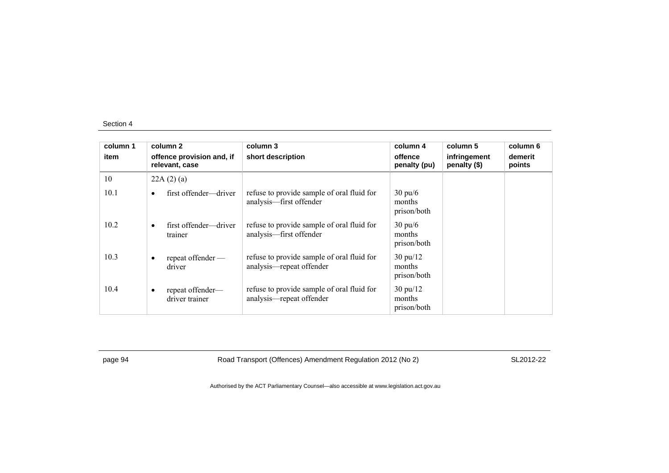| column 1 | column 2                                        | column 3                                                               | column 4                                    | column 5                     | column 6          |
|----------|-------------------------------------------------|------------------------------------------------------------------------|---------------------------------------------|------------------------------|-------------------|
| item     | offence provision and, if<br>relevant, case     | short description                                                      | offence<br>penalty (pu)                     | infringement<br>penalty (\$) | demerit<br>points |
| 10       | 22A(2)(a)                                       |                                                                        |                                             |                              |                   |
| 10.1     | first offender—driver<br>$\bullet$              | refuse to provide sample of oral fluid for<br>analysis—first offender  | $30 \text{ pu/6}$<br>months<br>prison/both  |                              |                   |
| 10.2     | first offender—driver<br>$\bullet$<br>trainer   | refuse to provide sample of oral fluid for<br>analysis-first offender  | $30 \text{ pu/6}$<br>months<br>prison/both  |                              |                   |
| 10.3     | repeat offender —<br>$\bullet$<br>driver        | refuse to provide sample of oral fluid for<br>analysis—repeat offender | $30 \text{ pu}/12$<br>months<br>prison/both |                              |                   |
| 10.4     | repeat offender-<br>$\bullet$<br>driver trainer | refuse to provide sample of oral fluid for<br>analysis—repeat offender | $30 \text{ pu}/12$<br>months<br>prison/both |                              |                   |

page 94 Road Transport (Offences) Amendment Regulation 2012 (No 2) SL2012-22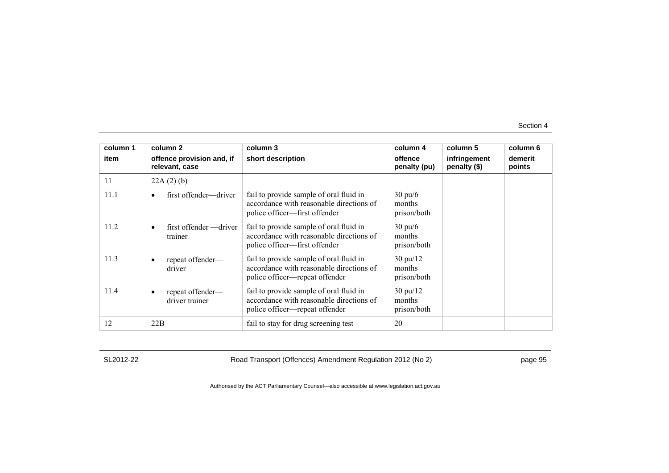| column 1 | column 2                                    | column 3                                                                                                              | column 4                                    | column 5                     | column 6          |
|----------|---------------------------------------------|-----------------------------------------------------------------------------------------------------------------------|---------------------------------------------|------------------------------|-------------------|
| item     | offence provision and, if<br>relevant, case | short description                                                                                                     | offence<br>penalty (pu)                     | infringement<br>penalty (\$) | demerit<br>points |
| 11       | 22A(2)(b)                                   |                                                                                                                       |                                             |                              |                   |
| 11.1     | first offender—driver                       | fail to provide sample of oral fluid in<br>accordance with reasonable directions of<br>police officer-first offender  | $30 \text{ pu}/6$<br>months<br>prison/both  |                              |                   |
| 11.2     | first offender — driver<br>trainer          | fail to provide sample of oral fluid in<br>accordance with reasonable directions of<br>police officer—first offender  | $30 \text{ pu}/6$<br>months<br>prison/both  |                              |                   |
| 11.3     | repeat offender-<br>٠<br>driver             | fail to provide sample of oral fluid in<br>accordance with reasonable directions of<br>police officer—repeat offender | $30 \text{ pu}/12$<br>months<br>prison/both |                              |                   |
| 11.4     | repeat offender-<br>driver trainer          | fail to provide sample of oral fluid in<br>accordance with reasonable directions of<br>police officer—repeat offender | $30 \text{ pu}/12$<br>months<br>prison/both |                              |                   |
| 12       | 22B                                         | fail to stay for drug screening test                                                                                  | 20                                          |                              |                   |

SL2012-22 Road Transport (Offences) Amendment Regulation 2012 (No 2) page 95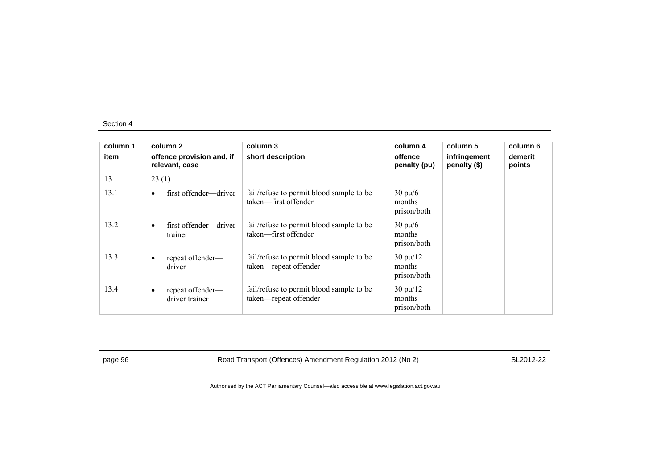| column 1 |           | column 2                                    | column 3                                                          | column 4                                    | column 5                     | column 6          |
|----------|-----------|---------------------------------------------|-------------------------------------------------------------------|---------------------------------------------|------------------------------|-------------------|
| item     |           | offence provision and, if<br>relevant, case | short description                                                 | offence<br>penalty (pu)                     | infringement<br>penalty (\$) | demerit<br>points |
| 13       | 23(1)     |                                             |                                                                   |                                             |                              |                   |
| 13.1     | $\bullet$ | first offender—driver                       | fail/refuse to permit blood sample to be<br>taken—first offender  | $30 \text{ pu/6}$<br>months<br>prison/both  |                              |                   |
| 13.2     | $\bullet$ | first offender—driver<br>trainer            | fail/refuse to permit blood sample to be<br>taken—first offender  | $30 \text{ pu/6}$<br>months<br>prison/both  |                              |                   |
| 13.3     | $\bullet$ | repeat offender-<br>driver                  | fail/refuse to permit blood sample to be<br>taken—repeat offender | $30 \text{ pu}/12$<br>months<br>prison/both |                              |                   |
| 13.4     | $\bullet$ | repeat offender—<br>driver trainer          | fail/refuse to permit blood sample to be<br>taken-repeat offender | $30 \text{ pu}/12$<br>months<br>prison/both |                              |                   |

page 96 Road Transport (Offences) Amendment Regulation 2012 (No 2) SL2012-22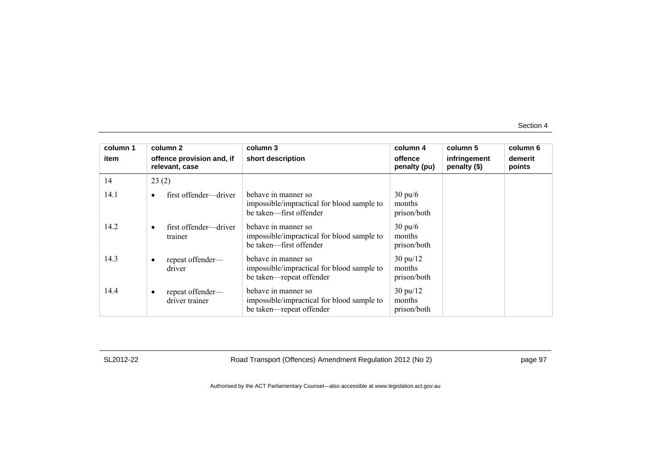| column 1 | column 2                                    | column 3                                                                                      | column 4                                    | column 5                     | column 6          |
|----------|---------------------------------------------|-----------------------------------------------------------------------------------------------|---------------------------------------------|------------------------------|-------------------|
| item     | offence provision and, if<br>relevant, case | short description                                                                             | offence<br>penalty (pu)                     | infringement<br>penalty (\$) | demerit<br>points |
| 14       | 23(2)                                       |                                                                                               |                                             |                              |                   |
| 14.1     | first offender—driver                       | behave in manner so<br>impossible/impractical for blood sample to<br>be taken—first offender  | $30 \text{ pu/6}$<br>months<br>prison/both  |                              |                   |
| 14.2     | first offender—driver<br>٠<br>trainer       | behave in manner so<br>impossible/impractical for blood sample to<br>be taken—first offender  | $30 \text{ pu/6}$<br>months<br>prison/both  |                              |                   |
| 14.3     | repeat offender-<br>driver                  | behave in manner so<br>impossible/impractical for blood sample to<br>be taken—repeat offender | $30 \text{ pu}/12$<br>months<br>prison/both |                              |                   |
| 14.4     | repeat offender-<br>driver trainer          | behave in manner so<br>impossible/impractical for blood sample to<br>be taken—repeat offender | $30 \text{ pu}/12$<br>months<br>prison/both |                              |                   |

SL2012-22 Road Transport (Offences) Amendment Regulation 2012 (No 2) page 97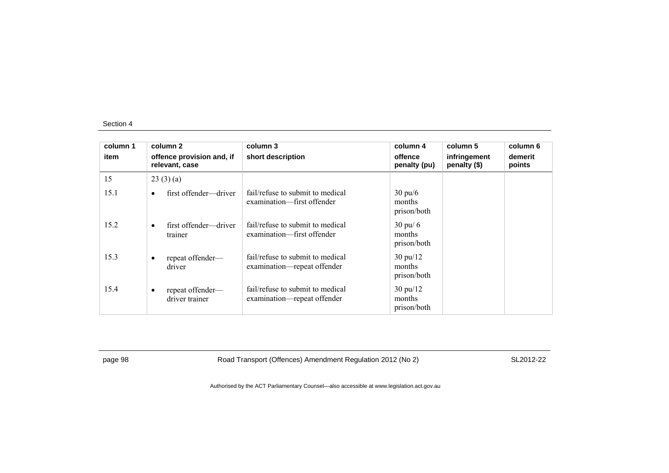| column 1 | column 2                                      | column 3                                                        | column 4                                    | column 5                     | column 6          |
|----------|-----------------------------------------------|-----------------------------------------------------------------|---------------------------------------------|------------------------------|-------------------|
| item     | offence provision and, if<br>relevant, case   | short description                                               | offence<br>penalty (pu)                     | infringement<br>penalty (\$) | demerit<br>points |
| 15       | 23(3)(a)                                      |                                                                 |                                             |                              |                   |
| 15.1     | first offender—driver<br>$\bullet$            | fail/refuse to submit to medical<br>examination—first offender  | $30 \text{ pu/6}$<br>months<br>prison/both  |                              |                   |
| 15.2     | first offender—driver<br>$\bullet$<br>trainer | fail/refuse to submit to medical<br>examination—first offender  | $30 \text{ pu}$ 6<br>months<br>prison/both  |                              |                   |
| 15.3     | repeat offender-<br>$\bullet$<br>driver       | fail/refuse to submit to medical<br>examination—repeat offender | $30 \text{ pu}/12$<br>months<br>prison/both |                              |                   |
| 15.4     | repeat offender-<br>٠<br>driver trainer       | fail/refuse to submit to medical<br>examination—repeat offender | $30 \text{ pu}/12$<br>months<br>prison/both |                              |                   |

page 98 Road Transport (Offences) Amendment Regulation 2012 (No 2) SL2012-22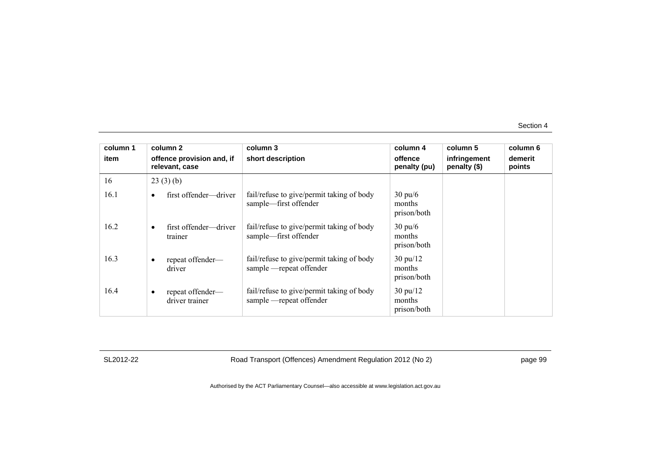| column 1 | column 2                                    | column 3                                                              | column 4                                    | column 5                     | column 6          |
|----------|---------------------------------------------|-----------------------------------------------------------------------|---------------------------------------------|------------------------------|-------------------|
| item     | offence provision and, if<br>relevant, case | short description                                                     | offence<br>penalty (pu)                     | infringement<br>penalty (\$) | demerit<br>points |
| 16       | 23(3)(b)                                    |                                                                       |                                             |                              |                   |
| 16.1     | first offender—driver                       | fail/refuse to give/permit taking of body<br>sample—first offender    | $30 \text{ pu/6}$<br>months<br>prison/both  |                              |                   |
| 16.2     | first offender—driver<br>trainer            | fail/refuse to give/permit taking of body<br>sample—first offender    | $30 \text{ pu}/6$<br>months<br>prison/both  |                              |                   |
| 16.3     | repeat offender-<br>driver                  | fail/refuse to give/permit taking of body<br>sample —repeat offender  | $30 \text{ pu}/12$<br>months<br>prison/both |                              |                   |
| 16.4     | repeat offender—<br>٠<br>driver trainer     | fail/refuse to give/permit taking of body<br>sample - repeat offender | $30 \text{ pu}/12$<br>months<br>prison/both |                              |                   |

SL2012-22 Road Transport (Offences) Amendment Regulation 2012 (No 2) page 99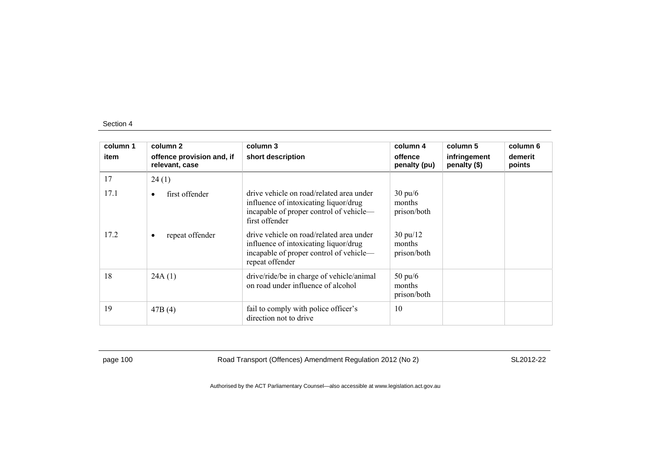| column 1<br>item | column 2<br>offence provision and, if<br>relevant, case | column 3<br>short description                                                                                                                   | column 4<br>offence<br>penalty (pu)         | column 5<br>infringement<br>penalty (\$) | column 6<br>demerit<br>points |
|------------------|---------------------------------------------------------|-------------------------------------------------------------------------------------------------------------------------------------------------|---------------------------------------------|------------------------------------------|-------------------------------|
| 17               | 24(1)                                                   |                                                                                                                                                 |                                             |                                          |                               |
| 17.1             | first offender<br>$\bullet$                             | drive vehicle on road/related area under<br>influence of intoxicating liquor/drug<br>incapable of proper control of vehicle-<br>first offender  | $30 \text{ pu/6}$<br>months<br>prison/both  |                                          |                               |
| 17.2             | repeat offender<br>$\bullet$                            | drive vehicle on road/related area under<br>influence of intoxicating liquor/drug<br>incapable of proper control of vehicle-<br>repeat offender | $30 \text{ pu}/12$<br>months<br>prison/both |                                          |                               |
| 18               | 24A(1)                                                  | drive/ride/be in charge of vehicle/animal<br>on road under influence of alcohol                                                                 | $50 \text{ pu}/6$<br>months<br>prison/both  |                                          |                               |
| 19               | 47B(4)                                                  | fail to comply with police officer's<br>direction not to drive                                                                                  | 10                                          |                                          |                               |

page 100 Road Transport (Offences) Amendment Regulation 2012 (No 2) SL2012-22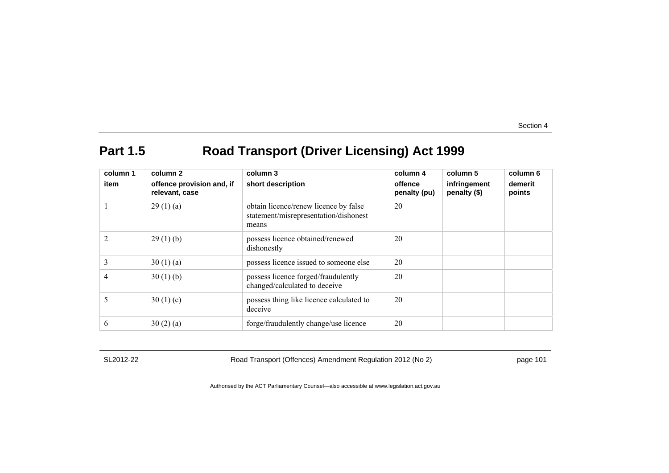# **Part 1.5 Road Transport (Driver Licensing) Act 1999**

| column 1       | column 2                                    | column 3                                                                                | column 4                | column 5                     | column 6          |
|----------------|---------------------------------------------|-----------------------------------------------------------------------------------------|-------------------------|------------------------------|-------------------|
| item           | offence provision and, if<br>relevant, case | short description                                                                       | offence<br>penalty (pu) | infringement<br>penalty (\$) | demerit<br>points |
|                | 29(1)(a)                                    | obtain licence/renew licence by false<br>statement/misrepresentation/dishonest<br>means | 20                      |                              |                   |
| $\overline{2}$ | 29(1)(b)                                    | possess licence obtained/renewed<br>dishonestly                                         | 20                      |                              |                   |
| 3              | 30(1)(a)                                    | possess licence issued to someone else                                                  | 20                      |                              |                   |
| 4              | 30(1)(b)                                    | possess licence forged/fraudulently<br>changed/calculated to deceive                    | 20                      |                              |                   |
| 5              | 30(1)(c)                                    | possess thing like licence calculated to<br>deceive                                     | 20                      |                              |                   |
| 6              | 30(2)(a)                                    | forge/fraudulently change/use licence                                                   | 20                      |                              |                   |

SL2012-22 Road Transport (Offences) Amendment Regulation 2012 (No 2) page 101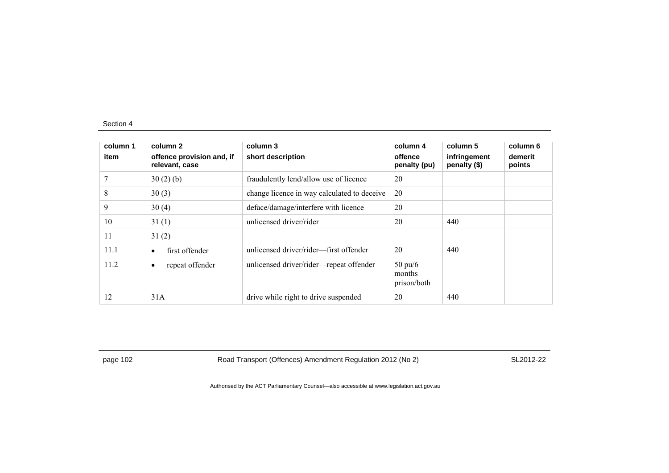| column 1<br>item | column 2<br>offence provision and, if<br>relevant, case | column 3<br>short description               | column 4<br>offence<br>penalty (pu)        | column 5<br>infringement<br>penalty (\$) | column 6<br>demerit<br>points |
|------------------|---------------------------------------------------------|---------------------------------------------|--------------------------------------------|------------------------------------------|-------------------------------|
|                  | 30(2)(b)                                                | fraudulently lend/allow use of licence      | 20                                         |                                          |                               |
| 8                | 30(3)                                                   | change licence in way calculated to deceive | 20                                         |                                          |                               |
| 9                | 30(4)                                                   | deface/damage/interfere with licence        | 20                                         |                                          |                               |
| 10               | 31(1)                                                   | unlicensed driver/rider                     | 20                                         | 440                                      |                               |
| 11               | 31(2)                                                   |                                             |                                            |                                          |                               |
| 11.1             | first offender<br>$\bullet$                             | unlicensed driver/rider—first offender      | 20                                         | 440                                      |                               |
| 11.2             | repeat offender<br>$\bullet$                            | unlicensed driver/rider-repeat offender     | $50 \text{ pu}/6$<br>months<br>prison/both |                                          |                               |
| 12               | 31A                                                     | drive while right to drive suspended        | 20                                         | 440                                      |                               |

page 102 Road Transport (Offences) Amendment Regulation 2012 (No 2) SL2012-22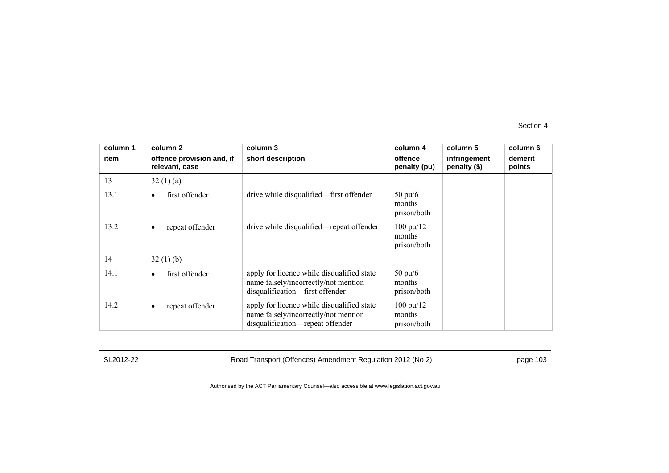| column 1 | column 2                                    | column 3                                                                                                               | column 4                                     | column 5                     | column 6          |
|----------|---------------------------------------------|------------------------------------------------------------------------------------------------------------------------|----------------------------------------------|------------------------------|-------------------|
| item     | offence provision and, if<br>relevant, case | short description                                                                                                      | offence<br>penalty (pu)                      | infringement<br>penalty (\$) | demerit<br>points |
| 13       | 32(1)(a)                                    |                                                                                                                        |                                              |                              |                   |
| 13.1     | first offender                              | drive while disqualified—first offender                                                                                | $50 \text{ pu}/6$<br>months<br>prison/both   |                              |                   |
| 13.2     | repeat offender<br>٠                        | drive while disqualified—repeat offender                                                                               | $100 \text{ pu}/12$<br>months<br>prison/both |                              |                   |
| 14       | 32(1)(b)                                    |                                                                                                                        |                                              |                              |                   |
| 14.1     | first offender<br>$\bullet$                 | apply for licence while disqualified state<br>name falsely/incorrectly/not mention<br>disqualification-first offender  | $50 \text{ pu}/6$<br>months<br>prison/both   |                              |                   |
| 14.2     | repeat offender<br>٠                        | apply for licence while disqualified state<br>name falsely/incorrectly/not mention<br>disqualification-repeat offender | $100 \text{ pu}/12$<br>months<br>prison/both |                              |                   |

SL2012-22 Road Transport (Offences) Amendment Regulation 2012 (No 2) page 103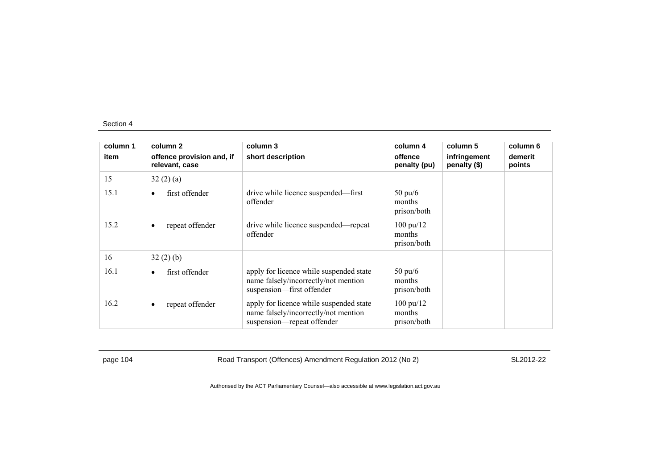| column 1 | column 2                                    | column 3                                                                                                      | column 4                                     | column 5                     | column 6          |
|----------|---------------------------------------------|---------------------------------------------------------------------------------------------------------------|----------------------------------------------|------------------------------|-------------------|
| item     | offence provision and, if<br>relevant, case | short description                                                                                             | offence<br>penalty (pu)                      | infringement<br>penalty (\$) | demerit<br>points |
| 15       | 32(2)(a)                                    |                                                                                                               |                                              |                              |                   |
| 15.1     | first offender<br>$\bullet$                 | drive while licence suspended—first<br>offender                                                               | $50 \text{ pu/6}$<br>months<br>prison/both   |                              |                   |
| 15.2     | repeat offender<br>$\bullet$                | drive while licence suspended—repeat<br>offender                                                              | $100 \text{ pu}/12$<br>months<br>prison/both |                              |                   |
| 16       | 32(2)(b)                                    |                                                                                                               |                                              |                              |                   |
| 16.1     | first offender<br>$\bullet$                 | apply for licence while suspended state<br>name falsely/incorrectly/not mention<br>suspension-first offender  | $50 \text{ pu}/6$<br>months<br>prison/both   |                              |                   |
| 16.2     | repeat offender<br>$\bullet$                | apply for licence while suspended state<br>name falsely/incorrectly/not mention<br>suspension—repeat offender | $100 \text{ pu}/12$<br>months<br>prison/both |                              |                   |

page 104 Road Transport (Offences) Amendment Regulation 2012 (No 2) SL2012-22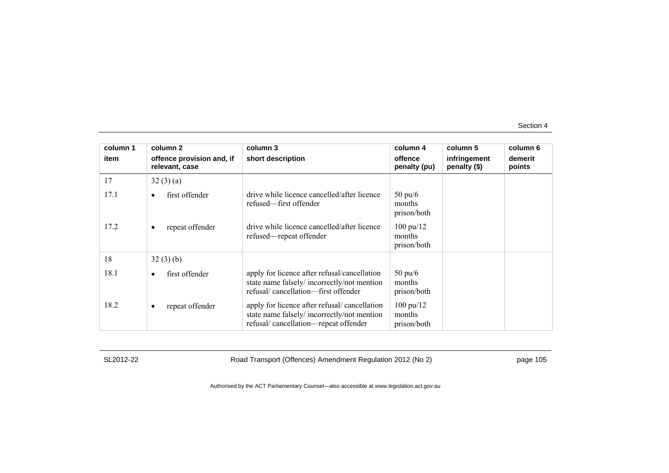| column 1 | column 2                                    | column 3                                                                                                                           | column 4                                     | column 5                     | column 6          |
|----------|---------------------------------------------|------------------------------------------------------------------------------------------------------------------------------------|----------------------------------------------|------------------------------|-------------------|
| item     | offence provision and, if<br>relevant, case | short description                                                                                                                  | offence<br>penalty (pu)                      | infringement<br>penalty (\$) | demerit<br>points |
| 17       | 32(3)(a)                                    |                                                                                                                                    |                                              |                              |                   |
| 17.1     | first offender                              | drive while licence cancelled/after licence<br>refused—first offender                                                              | $50 \text{ pu}/6$<br>months<br>prison/both   |                              |                   |
| 17.2     | repeat offender<br>٠                        | drive while licence cancelled/after licence<br>refused—repeat offender                                                             | $100 \text{ pu}/12$<br>months<br>prison/both |                              |                   |
| 18       | 32(3)(b)                                    |                                                                                                                                    |                                              |                              |                   |
| 18.1     | first offender<br>٠                         | apply for licence after refusal/cancellation<br>state name falsely/incorrectly/not mention<br>refusal/cancellation—first offender  | $50 \text{ pu}/6$<br>months<br>prison/both   |                              |                   |
| 18.2     | repeat offender<br>٠                        | apply for licence after refusal/cancellation<br>state name falsely/incorrectly/not mention<br>refusal/cancellation-repeat offender | $100 \text{ pu}/12$<br>months<br>prison/both |                              |                   |

SL2012-22 Road Transport (Offences) Amendment Regulation 2012 (No 2) page 105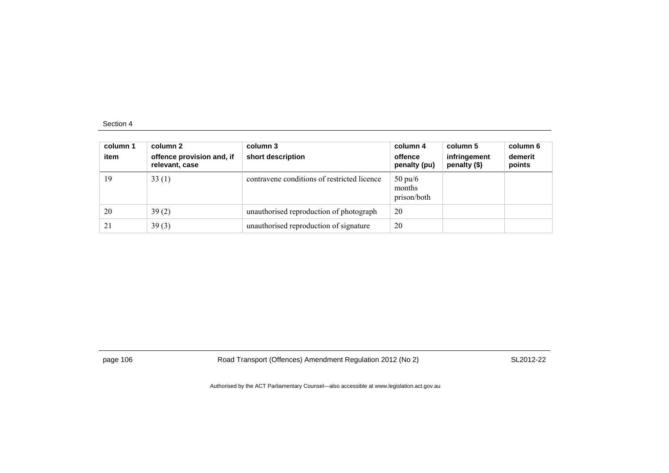| column 1<br>item | column 2<br>offence provision and, if<br>relevant, case | column 3<br>short description               | column 4<br>offence<br>penalty (pu)        | column 5<br>infringement<br>penalty (\$) | column 6<br>demerit<br>points |
|------------------|---------------------------------------------------------|---------------------------------------------|--------------------------------------------|------------------------------------------|-------------------------------|
| 19               | 33(1)                                                   | contravene conditions of restricted licence | $50 \text{ pu}/6$<br>months<br>prison/both |                                          |                               |
| 20               | 39(2)                                                   | unauthorised reproduction of photograph     | 20                                         |                                          |                               |
| 21               | 39(3)                                                   | unauthorised reproduction of signature      | 20                                         |                                          |                               |

page 106 Road Transport (Offences) Amendment Regulation 2012 (No 2) SL2012-22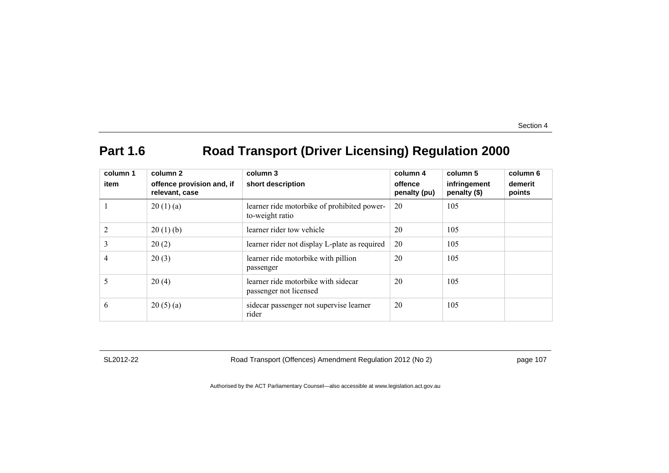# Part 1.6 Road Transport (Driver Licensing) Regulation 2000

| column 1<br>item | column 2<br>offence provision and, if<br>relevant, case | column 3<br>short description                                  | column 4<br>offence<br>penalty (pu) | column 5<br>infringement<br>penalty (\$) | column 6<br>demerit<br>points |
|------------------|---------------------------------------------------------|----------------------------------------------------------------|-------------------------------------|------------------------------------------|-------------------------------|
|                  | 20(1)(a)                                                | learner ride motorbike of prohibited power-<br>to-weight ratio | 20                                  | 105                                      |                               |
|                  | 20(1)(b)                                                | learner rider tow vehicle                                      | 20                                  | 105                                      |                               |
| 3                | 20(2)                                                   | learner rider not display L-plate as required                  | 20                                  | 105                                      |                               |
| 4                | 20(3)                                                   | learner ride motorbike with pillion<br>passenger               | 20                                  | 105                                      |                               |
| 5                | 20(4)                                                   | learner ride motorbike with sidecar<br>passenger not licensed  | 20                                  | 105                                      |                               |
| 6                | 20(5)(a)                                                | sidecar passenger not supervise learner<br>rider               | 20                                  | 105                                      |                               |

SL2012-22 Road Transport (Offences) Amendment Regulation 2012 (No 2) page 107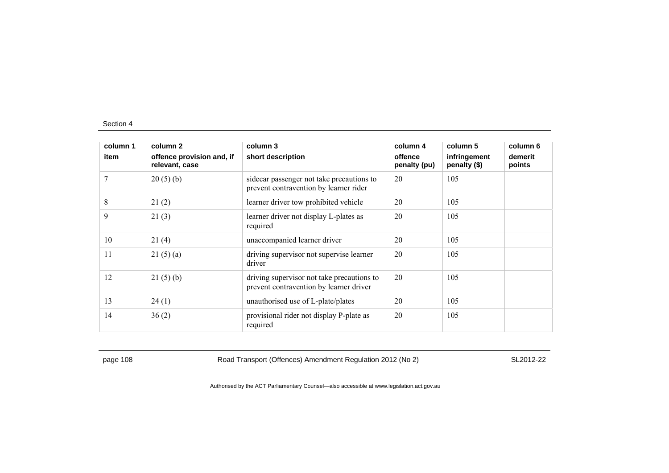| column 1 | column 2                                    | column 3                                                                              | column 4                | column 5                     | column 6          |
|----------|---------------------------------------------|---------------------------------------------------------------------------------------|-------------------------|------------------------------|-------------------|
| item     | offence provision and, if<br>relevant, case | short description                                                                     | offence<br>penalty (pu) | infringement<br>penalty (\$) | demerit<br>points |
| 7        | 20(5)(b)                                    | sidecar passenger not take precautions to<br>prevent contravention by learner rider   | 20                      | 105                          |                   |
| 8        | 21(2)                                       | learner driver tow prohibited vehicle                                                 | 20                      | 105                          |                   |
| 9        | 21(3)                                       | learner driver not display L-plates as<br>required                                    | 20                      | 105                          |                   |
| 10       | 21(4)                                       | unaccompanied learner driver                                                          | 20                      | 105                          |                   |
| 11       | 21(5)(a)                                    | driving supervisor not supervise learner<br>driver                                    | 20                      | 105                          |                   |
| 12       | 21(5)(b)                                    | driving supervisor not take precautions to<br>prevent contravention by learner driver | 20                      | 105                          |                   |
| 13       | 24(1)                                       | unauthorised use of L-plate/plates                                                    | 20                      | 105                          |                   |
| 14       | 36(2)                                       | provisional rider not display P-plate as<br>required                                  | 20                      | 105                          |                   |

page 108 Road Transport (Offences) Amendment Regulation 2012 (No 2) SL2012-22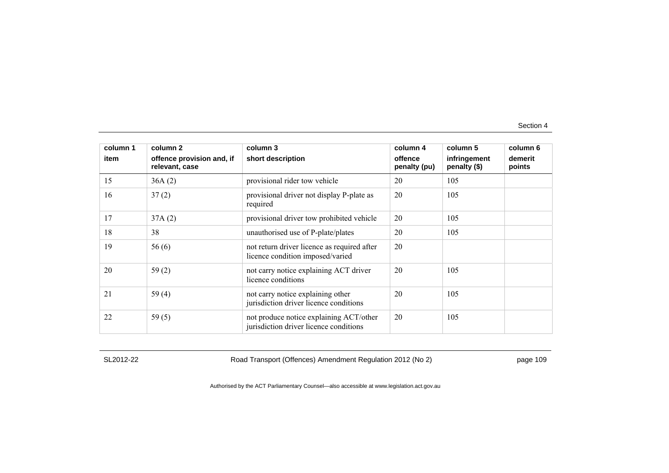| column 1<br>item | column <sub>2</sub><br>offence provision and, if<br>relevant, case | column 3<br>short description                                                     | column 4<br>offence<br>penalty (pu) | column 5<br>infringement<br>penalty (\$) | column 6<br>demerit<br>points |
|------------------|--------------------------------------------------------------------|-----------------------------------------------------------------------------------|-------------------------------------|------------------------------------------|-------------------------------|
| 15               | 36A(2)                                                             | provisional rider tow vehicle                                                     | 20                                  | 105                                      |                               |
| 16               | 37(2)                                                              | provisional driver not display P-plate as<br>required                             | 20                                  | 105                                      |                               |
| 17               | 37A(2)                                                             | provisional driver tow prohibited vehicle                                         | 20                                  | 105                                      |                               |
| 18               | 38                                                                 | unauthorised use of P-plate/plates                                                | 20                                  | 105                                      |                               |
| 19               | 56(6)                                                              | not return driver licence as required after<br>licence condition imposed/varied   | 20                                  |                                          |                               |
| 20               | 59(2)                                                              | not carry notice explaining ACT driver<br>licence conditions                      | 20                                  | 105                                      |                               |
| 21               | 59(4)                                                              | not carry notice explaining other<br>jurisdiction driver licence conditions       | 20                                  | 105                                      |                               |
| 22               | 59(5)                                                              | not produce notice explaining ACT/other<br>jurisdiction driver licence conditions | 20                                  | 105                                      |                               |

SL2012-22 Road Transport (Offences) Amendment Regulation 2012 (No 2) page 109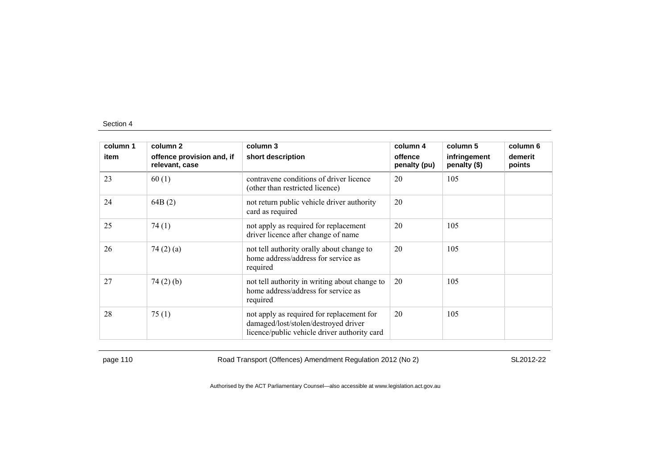| column 1 | column 2                                    | column 3                                                                                                                          | column 4                | column 5                     | column 6          |
|----------|---------------------------------------------|-----------------------------------------------------------------------------------------------------------------------------------|-------------------------|------------------------------|-------------------|
| item     | offence provision and, if<br>relevant, case | short description                                                                                                                 | offence<br>penalty (pu) | infringement<br>penalty (\$) | demerit<br>points |
| 23       | 60(1)                                       | contravene conditions of driver licence<br>(other than restricted licence)                                                        | 20                      | 105                          |                   |
| 24       | 64B(2)                                      | not return public vehicle driver authority<br>card as required                                                                    | 20                      |                              |                   |
| 25       | 74(1)                                       | not apply as required for replacement<br>driver licence after change of name                                                      | 20                      | 105                          |                   |
| 26       | 74 $(2)$ $(a)$                              | not tell authority orally about change to<br>home address/address for service as<br>required                                      | 20                      | 105                          |                   |
| 27       | 74(2)(b)                                    | not tell authority in writing about change to<br>home address/address for service as<br>required                                  | 20                      | 105                          |                   |
| 28       | 75(1)                                       | not apply as required for replacement for<br>damaged/lost/stolen/destroyed driver<br>licence/public vehicle driver authority card | 20                      | 105                          |                   |

page 110 SL2012-22 Road Transport (Offences) Amendment Regulation 2012 (No 2) SL2012-22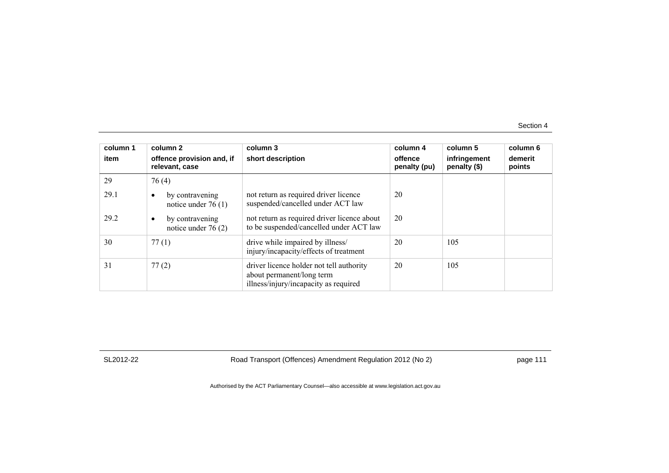| column 1<br>item | column 2<br>offence provision and, if<br>relevant, case | column 3<br>short description                                                                                  | column 4<br>offence<br>penalty (pu) | column 5<br>infringement<br>penalty (\$) | column 6<br>demerit<br>points |
|------------------|---------------------------------------------------------|----------------------------------------------------------------------------------------------------------------|-------------------------------------|------------------------------------------|-------------------------------|
| 29               | 76(4)                                                   |                                                                                                                |                                     |                                          |                               |
| 29.1             | by contravening<br>$\bullet$<br>notice under $76(1)$    | not return as required driver licence<br>suspended/cancelled under ACT law                                     | 20                                  |                                          |                               |
| 29.2             | by contravening<br>notice under $76(2)$                 | not return as required driver licence about<br>to be suspended/cancelled under ACT law                         | 20                                  |                                          |                               |
| 30               | 77(1)                                                   | drive while impaired by illness/<br>injury/incapacity/effects of treatment                                     | 20                                  | 105                                      |                               |
| 31               | 77(2)                                                   | driver licence holder not tell authority<br>about permanent/long term<br>illness/injury/incapacity as required | 20                                  | 105                                      |                               |

SL2012-22 Road Transport (Offences) Amendment Regulation 2012 (No 2) page 111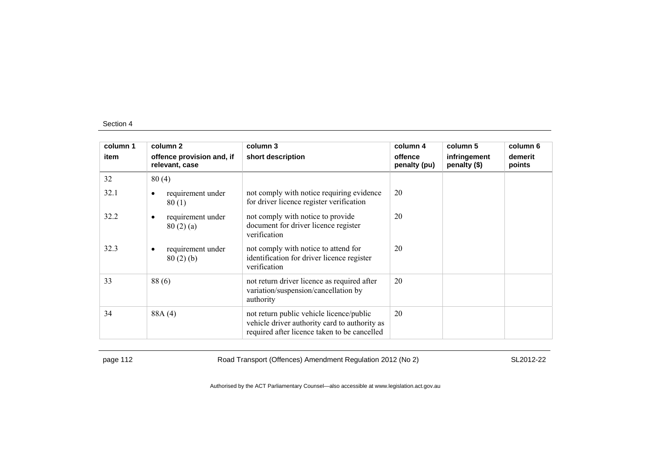| column 1 | column 2                                    | column 3                                                                                                                                  | column 4                | column 5                     | column 6          |
|----------|---------------------------------------------|-------------------------------------------------------------------------------------------------------------------------------------------|-------------------------|------------------------------|-------------------|
| item     | offence provision and, if<br>relevant, case | short description                                                                                                                         | offence<br>penalty (pu) | infringement<br>penalty (\$) | demerit<br>points |
| 32       | 80(4)                                       |                                                                                                                                           |                         |                              |                   |
| 32.1     | requirement under<br>$\bullet$<br>80(1)     | not comply with notice requiring evidence<br>for driver licence register verification                                                     | 20                      |                              |                   |
| 32.2     | requirement under<br>٠<br>80(2)(a)          | not comply with notice to provide<br>document for driver licence register<br>verification                                                 | 20                      |                              |                   |
| 32.3     | requirement under<br>٠<br>80(2)(b)          | not comply with notice to attend for<br>identification for driver licence register<br>verification                                        | 20                      |                              |                   |
| 33       | 88(6)                                       | not return driver licence as required after<br>variation/suspension/cancellation by<br>authority                                          | 20                      |                              |                   |
| 34       | 88A (4)                                     | not return public vehicle licence/public<br>vehicle driver authority card to authority as<br>required after licence taken to be cancelled | 20                      |                              |                   |

page 112 Road Transport (Offences) Amendment Regulation 2012 (No 2) SL2012-22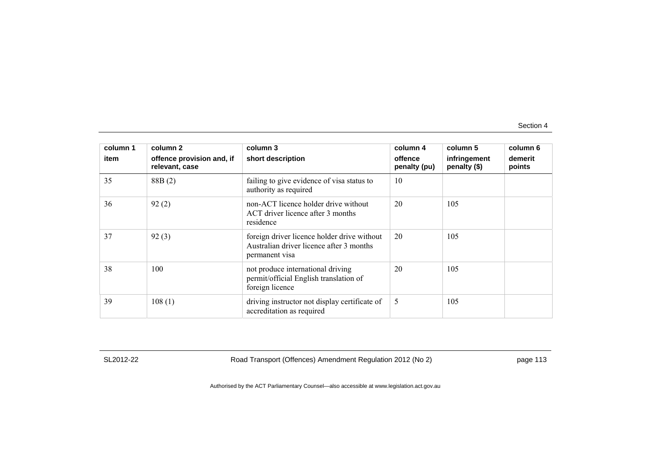| column 1 | column 2                                    | column 3                                                                                                  | column 4                | column 5                     | column 6          |
|----------|---------------------------------------------|-----------------------------------------------------------------------------------------------------------|-------------------------|------------------------------|-------------------|
| item     | offence provision and, if<br>relevant, case | short description                                                                                         | offence<br>penalty (pu) | infringement<br>penalty (\$) | demerit<br>points |
| 35       | 88B(2)                                      | failing to give evidence of visa status to<br>authority as required                                       | 10                      |                              |                   |
| 36       | 92(2)                                       | non-ACT licence holder drive without<br>ACT driver licence after 3 months<br>residence                    | 20                      | 105                          |                   |
| 37       | 92(3)                                       | foreign driver licence holder drive without<br>Australian driver licence after 3 months<br>permanent visa | 20                      | 105                          |                   |
| 38       | 100                                         | not produce international driving<br>permit/official English translation of<br>foreign licence            | 20                      | 105                          |                   |
| 39       | 108(1)                                      | driving instructor not display certificate of<br>accreditation as required                                | 5                       | 105                          |                   |

SL2012-22 Road Transport (Offences) Amendment Regulation 2012 (No 2) page 113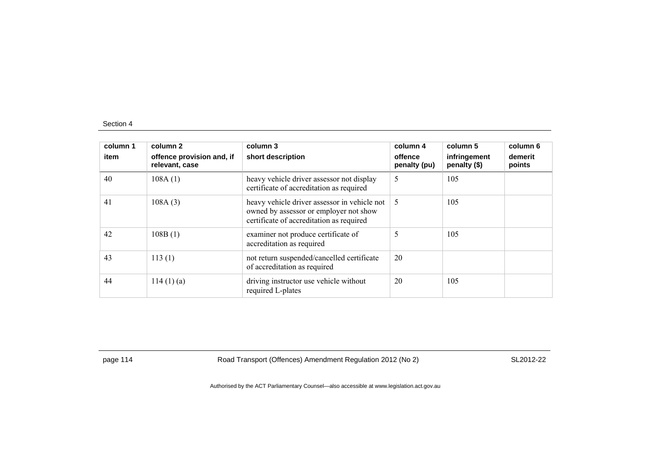| column 1<br>item | column 2<br>offence provision and, if<br>relevant, case | column 3<br>short description                                                                                                      | column 4<br>offence<br>penalty (pu) | column 5<br>infringement<br>penalty (\$) | column 6<br>demerit<br>points |
|------------------|---------------------------------------------------------|------------------------------------------------------------------------------------------------------------------------------------|-------------------------------------|------------------------------------------|-------------------------------|
| 40               | 108A(1)                                                 | heavy vehicle driver assessor not display<br>certificate of accreditation as required                                              | 5                                   | 105                                      |                               |
| 41               | 108A(3)                                                 | heavy vehicle driver assessor in vehicle not<br>owned by assessor or employer not show<br>certificate of accreditation as required | 5                                   | 105                                      |                               |
| 42               | 108B(1)                                                 | examiner not produce certificate of<br>accreditation as required                                                                   | 5                                   | 105                                      |                               |
| 43               | 113(1)                                                  | not return suspended/cancelled certificate<br>of accreditation as required                                                         | 20                                  |                                          |                               |
| 44               | 114(1)(a)                                               | driving instructor use vehicle without<br>required L-plates                                                                        | 20                                  | 105                                      |                               |

page 114 Road Transport (Offences) Amendment Regulation 2012 (No 2) SL2012-22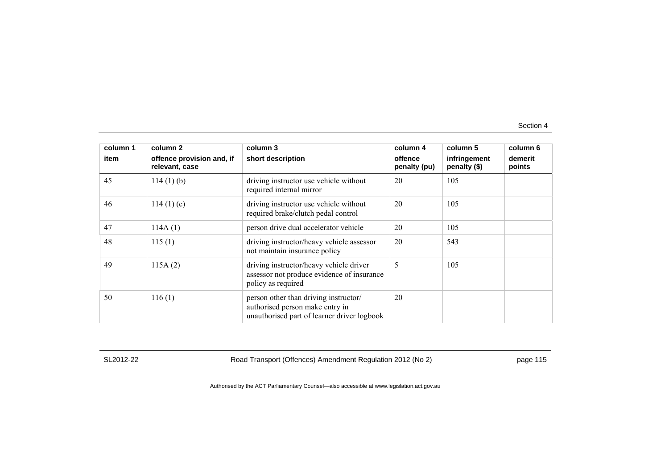| column 1 | column 2                                    | column 3                                                                                                                | column 4                | column 5                     | column 6          |
|----------|---------------------------------------------|-------------------------------------------------------------------------------------------------------------------------|-------------------------|------------------------------|-------------------|
| item     | offence provision and, if<br>relevant, case | short description                                                                                                       | offence<br>penalty (pu) | infringement<br>penalty (\$) | demerit<br>points |
| 45       | $114(1)$ (b)                                | driving instructor use vehicle without<br>required internal mirror                                                      | 20                      | 105                          |                   |
| 46       | 114(1)(c)                                   | driving instructor use vehicle without<br>required brake/clutch pedal control                                           | 20                      | 105                          |                   |
| 47       | 114A(1)                                     | person drive dual accelerator vehicle                                                                                   | 20                      | 105                          |                   |
| 48       | 115(1)                                      | driving instructor/heavy vehicle assessor<br>not maintain insurance policy                                              | 20                      | 543                          |                   |
| 49       | 115A(2)                                     | driving instructor/heavy vehicle driver<br>assessor not produce evidence of insurance<br>policy as required             | 5                       | 105                          |                   |
| 50       | 116(1)                                      | person other than driving instructor/<br>authorised person make entry in<br>unauthorised part of learner driver logbook | 20                      |                              |                   |

SL2012-22 Road Transport (Offences) Amendment Regulation 2012 (No 2) page 115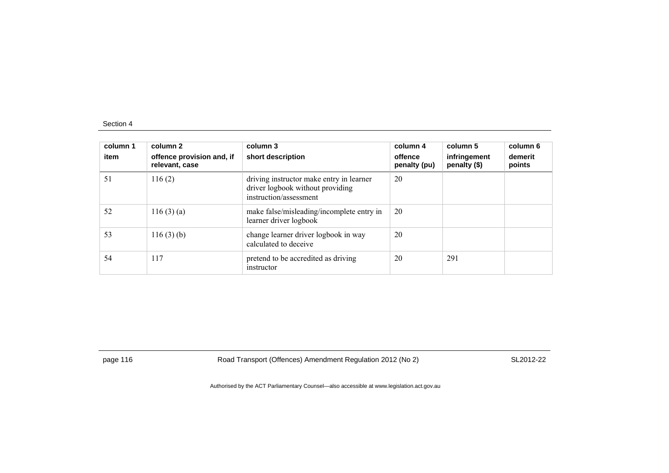| column 1<br>item | column 2<br>offence provision and, if<br>relevant, case | column 3<br>short description                                                                          | column 4<br>offence<br>penalty (pu) | column 5<br>infringement<br>penalty (\$) | column 6<br>demerit<br>points |
|------------------|---------------------------------------------------------|--------------------------------------------------------------------------------------------------------|-------------------------------------|------------------------------------------|-------------------------------|
| 51               | 116(2)                                                  | driving instructor make entry in learner<br>driver logbook without providing<br>instruction/assessment | 20                                  |                                          |                               |
| 52               | 116(3)(a)                                               | make false/misleading/incomplete entry in<br>learner driver logbook                                    | 20                                  |                                          |                               |
| 53               | 116(3)(b)                                               | change learner driver logbook in way<br>calculated to deceive                                          | 20                                  |                                          |                               |
| 54               | 117                                                     | pretend to be accredited as driving<br>instructor                                                      | 20                                  | 291                                      |                               |

page 116 **Road Transport (Offences) Amendment Regulation 2012 (No 2)** SL2012-22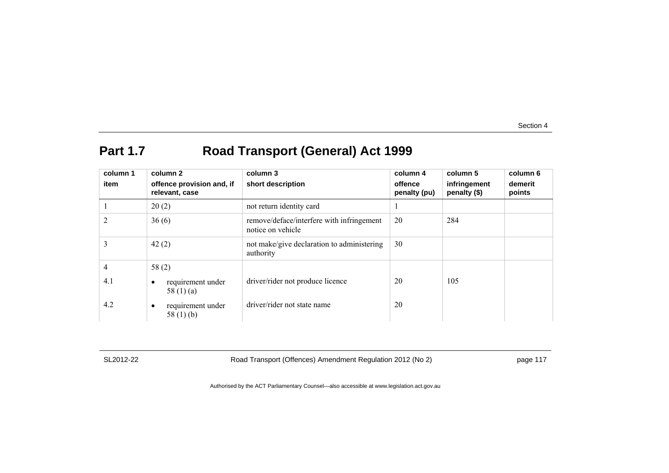# **Part 1.7 Road Transport (General) Act 1999**

| column 1 | column 2                                         | column 3                                                       | column 4                | column 5                     | column 6          |
|----------|--------------------------------------------------|----------------------------------------------------------------|-------------------------|------------------------------|-------------------|
| item     | offence provision and, if<br>relevant, case      | short description                                              | offence<br>penalty (pu) | infringement<br>penalty (\$) | demerit<br>points |
|          | 20(2)                                            | not return identity card                                       |                         |                              |                   |
| 2        | 36(6)                                            | remove/deface/interfere with infringement<br>notice on vehicle | 20                      | 284                          |                   |
| 3        | 42(2)                                            | not make/give declaration to administering<br>authority        | 30                      |                              |                   |
| 4        | 58(2)                                            |                                                                |                         |                              |                   |
| 4.1      | requirement under<br>$\bullet$<br>58 $(1)$ $(a)$ | driver/rider not produce licence                               | 20                      | 105                          |                   |
| 4.2      | requirement under<br>٠<br>58 $(1)$ (b)           | driver/rider not state name                                    | 20                      |                              |                   |

SL2012-22 Road Transport (Offences) Amendment Regulation 2012 (No 2) page 117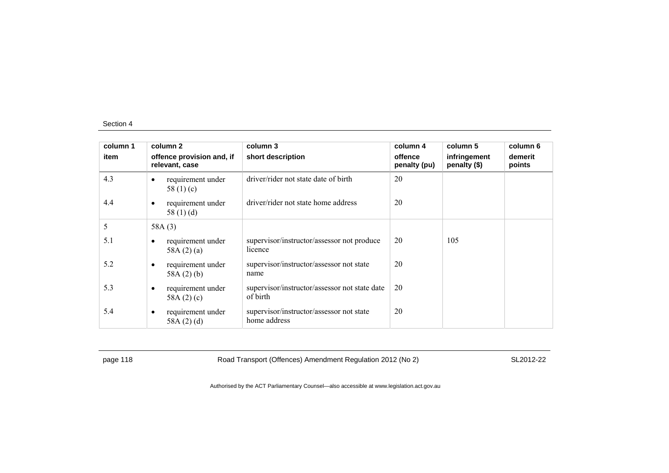| column 1 | column 2                                          | column 3                                                  | column 4                | column 5                     | column 6          |
|----------|---------------------------------------------------|-----------------------------------------------------------|-------------------------|------------------------------|-------------------|
| item     | offence provision and, if<br>relevant, case       | short description                                         | offence<br>penalty (pu) | infringement<br>penalty (\$) | demerit<br>points |
| 4.3      | requirement under<br>٠<br>58 $(1)(c)$             | driver/rider not state date of birth                      | 20                      |                              |                   |
| 4.4      | requirement under<br>$\bullet$<br>58 $(1)$ $(d)$  | driver/rider not state home address                       | 20                      |                              |                   |
| 5        | 58A(3)                                            |                                                           |                         |                              |                   |
| 5.1      | requirement under<br>58A $(2)(a)$                 | supervisor/instructor/assessor not produce<br>licence     | 20                      | 105                          |                   |
| 5.2      | requirement under<br>$\bullet$<br>58A $(2)$ $(b)$ | supervisor/instructor/assessor not state<br>name          | 20                      |                              |                   |
| 5.3      | requirement under<br>$\bullet$<br>58A $(2)(c)$    | supervisor/instructor/assessor not state date<br>of birth | 20                      |                              |                   |
| 5.4      | requirement under<br>$\bullet$<br>58A $(2)(d)$    | supervisor/instructor/assessor not state<br>home address  | 20                      |                              |                   |

page 118 **Road Transport (Offences) Amendment Regulation 2012 (No 2)** SL2012-22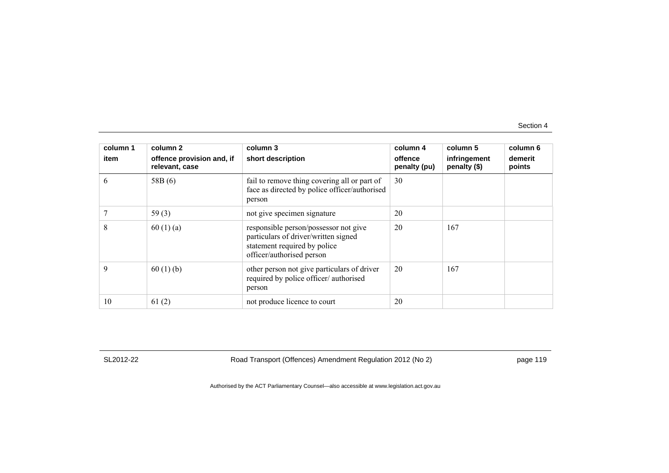| column 1 | column 2                                    | column 3                                                                                                                                   | column 4                | column 5                     | column 6          |
|----------|---------------------------------------------|--------------------------------------------------------------------------------------------------------------------------------------------|-------------------------|------------------------------|-------------------|
| item     | offence provision and, if<br>relevant, case | short description                                                                                                                          | offence<br>penalty (pu) | infringement<br>penalty (\$) | demerit<br>points |
| 6        | 58B(6)                                      | fail to remove thing covering all or part of<br>face as directed by police officer/authorised<br>person                                    | 30                      |                              |                   |
|          | 59 $(3)$                                    | not give specimen signature                                                                                                                | 20                      |                              |                   |
| 8        | 60(1)(a)                                    | responsible person/possessor not give<br>particulars of driver/written signed<br>statement required by police<br>officer/authorised person | 20                      | 167                          |                   |
| 9        | 60(1)(b)                                    | other person not give particulars of driver<br>required by police officer/authorised<br>person                                             | 20                      | 167                          |                   |
| 10       | 61(2)                                       | not produce licence to court                                                                                                               | 20                      |                              |                   |

SL2012-22 Road Transport (Offences) Amendment Regulation 2012 (No 2) page 119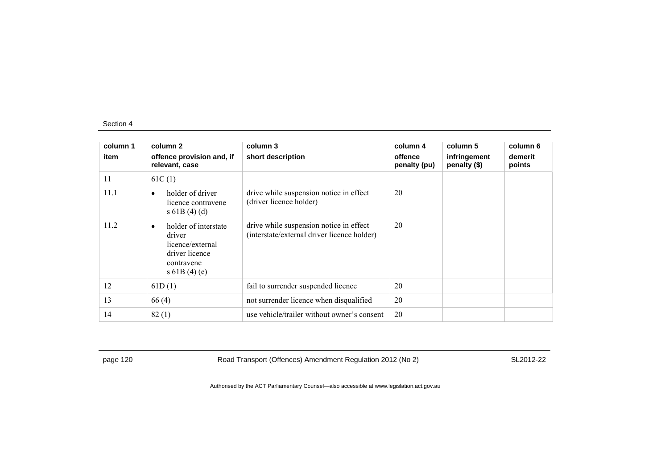| column 1 | column 2                                                                                                         | column 3                                                                               | column 4                | column 5                     | column 6          |
|----------|------------------------------------------------------------------------------------------------------------------|----------------------------------------------------------------------------------------|-------------------------|------------------------------|-------------------|
| item     | offence provision and, if<br>relevant, case                                                                      | short description                                                                      | offence<br>penalty (pu) | infringement<br>penalty (\$) | demerit<br>points |
| 11       | 61C(1)                                                                                                           |                                                                                        |                         |                              |                   |
| 11.1     | holder of driver<br>$\bullet$<br>licence contravene<br>s 61B(4)(d)                                               | drive while suspension notice in effect<br>(driver licence holder)                     | 20                      |                              |                   |
| 11.2     | holder of interstate<br>$\bullet$<br>driver<br>licence/external<br>driver licence<br>contravene<br>s $61B(4)(e)$ | drive while suspension notice in effect<br>(interstate/external driver licence holder) | 20                      |                              |                   |
| 12       | 61D(1)                                                                                                           | fail to surrender suspended licence                                                    | 20                      |                              |                   |
| 13       | 66(4)                                                                                                            | not surrender licence when disqualified                                                | 20                      |                              |                   |
| 14       | 82(1)                                                                                                            | use vehicle/trailer without owner's consent                                            | 20                      |                              |                   |

page 120 Road Transport (Offences) Amendment Regulation 2012 (No 2) SL2012-22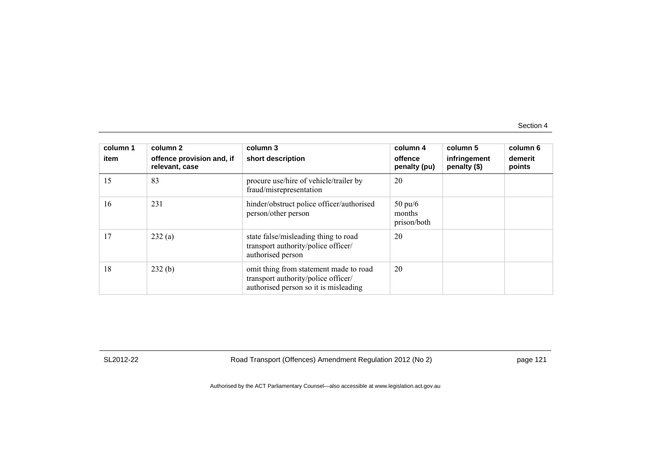| column 1<br>item | column 2<br>offence provision and, if<br>relevant, case | column 3<br>short description                                                                                          | column 4<br>offence<br>penalty (pu)        | column 5<br>infringement<br>penalty (\$) | column 6<br>demerit<br>points |
|------------------|---------------------------------------------------------|------------------------------------------------------------------------------------------------------------------------|--------------------------------------------|------------------------------------------|-------------------------------|
| 15               | 83                                                      | procure use/hire of vehicle/trailer by<br>fraud/misrepresentation                                                      | 20                                         |                                          |                               |
| 16               | 231                                                     | hinder/obstruct police officer/authorised<br>person/other person                                                       | $50 \text{ pu}/6$<br>months<br>prison/both |                                          |                               |
| 17               | 232(a)                                                  | state false/misleading thing to road<br>transport authority/police officer/<br>authorised person                       | 20                                         |                                          |                               |
| 18               | 232(b)                                                  | omit thing from statement made to road<br>transport authority/police officer/<br>authorised person so it is misleading | 20                                         |                                          |                               |

SL2012-22 Road Transport (Offences) Amendment Regulation 2012 (No 2) page 121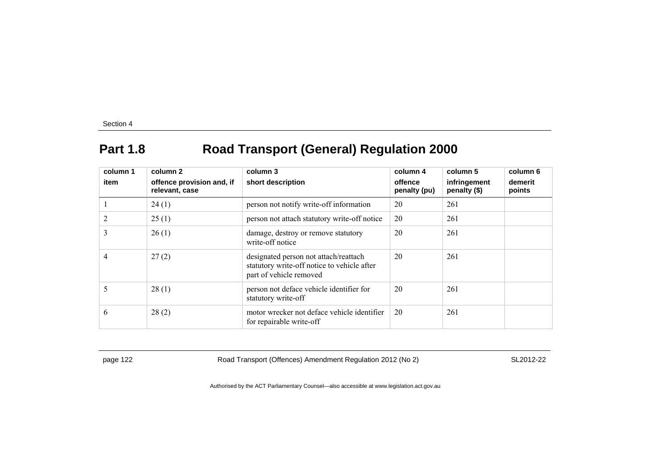# **Part 1.8 Road Transport (General) Regulation 2000**

| column 1<br>item | column 2<br>offence provision and, if<br>relevant, case | column 3<br>short description                                                                                   | column 4<br>offence<br>penalty (pu) | column 5<br>infringement<br>penalty (\$) | column 6<br>demerit<br>points |
|------------------|---------------------------------------------------------|-----------------------------------------------------------------------------------------------------------------|-------------------------------------|------------------------------------------|-------------------------------|
|                  | 24(1)                                                   | person not notify write-off information                                                                         | 20                                  | 261                                      |                               |
| 2                | 25(1)                                                   | person not attach statutory write-off notice                                                                    | 20                                  | 261                                      |                               |
| 3                | 26(1)                                                   | damage, destroy or remove statutory<br>write-off notice                                                         | 20                                  | 261                                      |                               |
| 4                | 27(2)                                                   | designated person not attach/reattach<br>statutory write-off notice to vehicle after<br>part of vehicle removed | 20                                  | 261                                      |                               |
| 5                | 28(1)                                                   | person not deface vehicle identifier for<br>statutory write-off                                                 | 20                                  | 261                                      |                               |
| 6                | 28(2)                                                   | motor wrecker not deface vehicle identifier<br>for repairable write-off                                         | 20                                  | 261                                      |                               |

page 122 Road Transport (Offences) Amendment Regulation 2012 (No 2) SL2012-22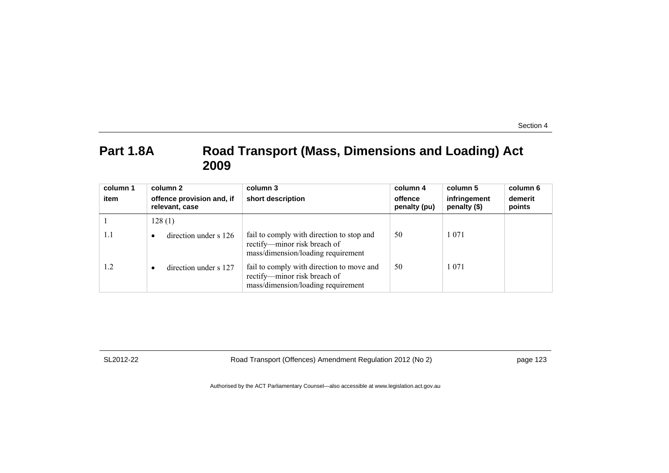### Part 1.8A Road Transport (Mass, Dimensions and Loading) Act **2009**

| column 1<br>item | column 2<br>offence provision and, if | column 3<br>short description                                                                                   | column 4<br>offence | column 5<br>infringement | column 6<br>demerit |
|------------------|---------------------------------------|-----------------------------------------------------------------------------------------------------------------|---------------------|--------------------------|---------------------|
|                  | relevant, case                        |                                                                                                                 | penalty (pu)        | penalty (\$)             | points              |
|                  | 128(1)                                |                                                                                                                 |                     |                          |                     |
| 1.1              | direction under s 126<br>$\bullet$    | fail to comply with direction to stop and<br>rectify—minor risk breach of<br>mass/dimension/loading requirement | 50                  | 1 0 7 1                  |                     |
| 1.2              | direction under s 127<br>$\bullet$    | fail to comply with direction to move and<br>rectify—minor risk breach of<br>mass/dimension/loading requirement | 50                  | 1 0 7 1                  |                     |

SL2012-22 Road Transport (Offences) Amendment Regulation 2012 (No 2) page 123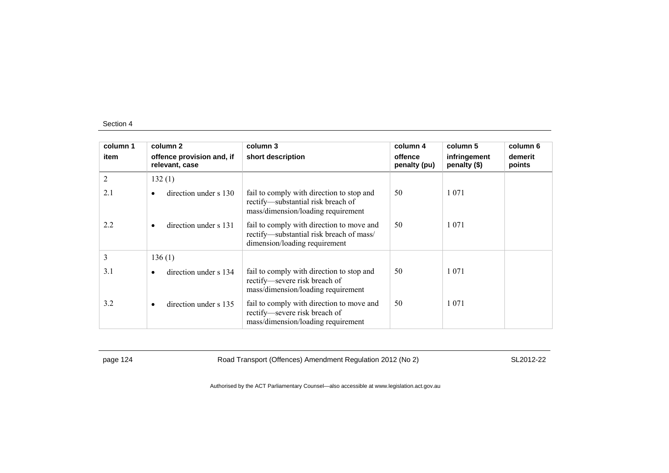| column 1 | column 2                                    | column 3                                                                                                               | column 4                | column 5                     | column 6          |
|----------|---------------------------------------------|------------------------------------------------------------------------------------------------------------------------|-------------------------|------------------------------|-------------------|
| item     | offence provision and, if<br>relevant, case | short description                                                                                                      | offence<br>penalty (pu) | infringement<br>penalty (\$) | demerit<br>points |
| 2        | 132(1)                                      |                                                                                                                        |                         |                              |                   |
| 2.1      | direction under s 130<br>٠                  | fail to comply with direction to stop and<br>rectify—substantial risk breach of<br>mass/dimension/loading requirement  | 50                      | 1 0 7 1                      |                   |
| 2.2      | direction under s 131<br>$\bullet$          | fail to comply with direction to move and<br>rectify-substantial risk breach of mass/<br>dimension/loading requirement | 50                      | 1 0 7 1                      |                   |
| 3        | 136(1)                                      |                                                                                                                        |                         |                              |                   |
| 3.1      | direction under s 134<br>$\bullet$          | fail to comply with direction to stop and<br>rectify-severe risk breach of<br>mass/dimension/loading requirement       | 50                      | 1 0 7 1                      |                   |
| 3.2      | direction under s 135<br>$\bullet$          | fail to comply with direction to move and<br>rectify-severe risk breach of<br>mass/dimension/loading requirement       | 50                      | 1 0 7 1                      |                   |

page 124 Road Transport (Offences) Amendment Regulation 2012 (No 2) SL2012-22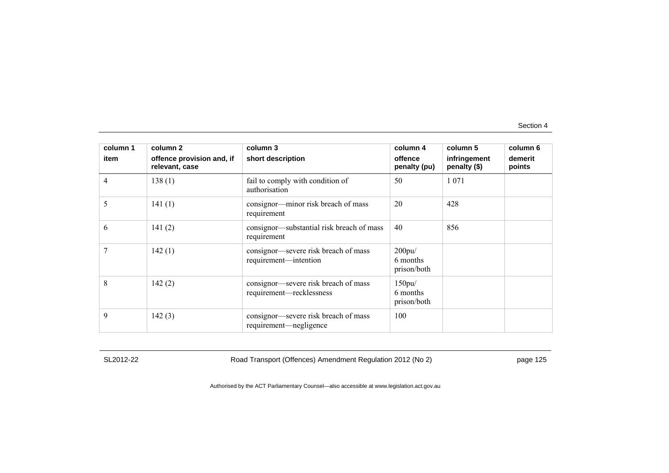| column 1 | column 2                                    | column 3                                                         | column 4                                | column 5                     | column 6          |
|----------|---------------------------------------------|------------------------------------------------------------------|-----------------------------------------|------------------------------|-------------------|
| item     | offence provision and, if<br>relevant, case | short description                                                | offence<br>penalty (pu)                 | infringement<br>penalty (\$) | demerit<br>points |
| 4        | 138(1)                                      | fail to comply with condition of<br>authorisation                | 50                                      | 1 0 7 1                      |                   |
| 5        | 141(1)                                      | consignor-minor risk breach of mass<br>requirement               | 20                                      | 428                          |                   |
| 6        | 141(2)                                      | consignor—substantial risk breach of mass<br>requirement         | 40                                      | 856                          |                   |
|          | 142(1)                                      | consignor—severe risk breach of mass<br>requirement—intention    | $200$ pu $/$<br>6 months<br>prison/both |                              |                   |
| 8        | 142(2)                                      | consignor—severe risk breach of mass<br>requirement-recklessness | 150pu/<br>6 months<br>prison/both       |                              |                   |
| 9        | 142(3)                                      | consignor—severe risk breach of mass<br>requirement—negligence   | 100                                     |                              |                   |

SL2012-22 Road Transport (Offences) Amendment Regulation 2012 (No 2) page 125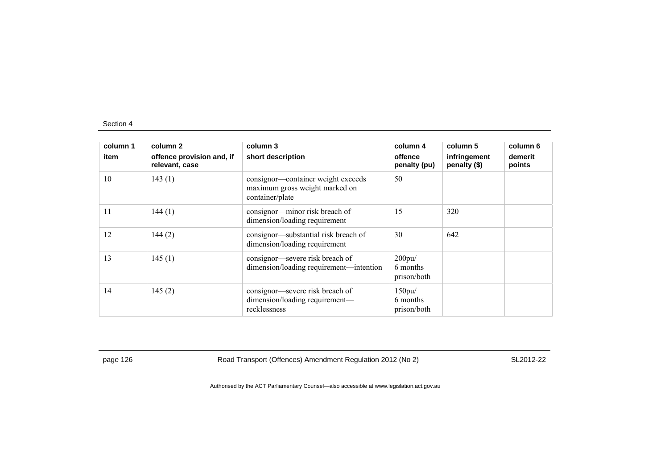| column 1<br>item | column 2<br>offence provision and, if<br>relevant, case | column 3<br>short description                                                           | column 4<br>offence<br>penalty (pu) | column 5<br>infringement<br>penalty (\$) | column 6<br>demerit<br>points |
|------------------|---------------------------------------------------------|-----------------------------------------------------------------------------------------|-------------------------------------|------------------------------------------|-------------------------------|
| 10               | 143(1)                                                  | consignor—container weight exceeds<br>maximum gross weight marked on<br>container/plate | 50                                  |                                          |                               |
| 11               | 144(1)                                                  | consignor-minor risk breach of<br>dimension/loading requirement                         | 15                                  | 320                                      |                               |
| 12               | 144(2)                                                  | consignor—substantial risk breach of<br>dimension/loading requirement                   | 30                                  | 642                                      |                               |
| 13               | 145(1)                                                  | consignor—severe risk breach of<br>dimension/loading requirement-intention              | 200pu/<br>6 months<br>prison/both   |                                          |                               |
| 14               | 145(2)                                                  | consignor—severe risk breach of<br>dimension/loading requirement-<br>recklessness       | 150pu/<br>6 months<br>prison/both   |                                          |                               |

page 126 **Road Transport (Offences) Amendment Regulation 2012 (No 2)** SL2012-22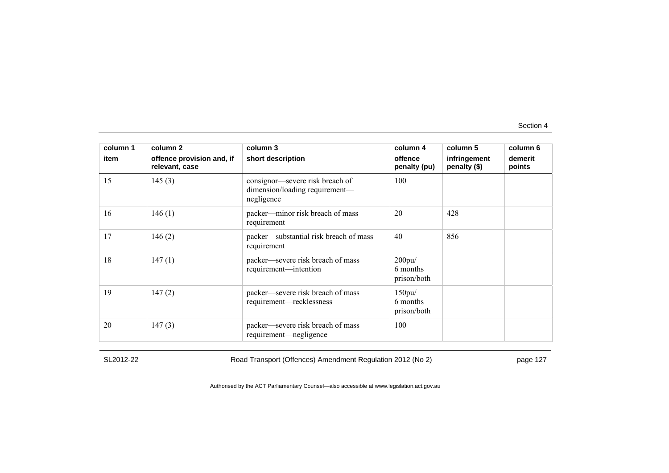| column 1 | column 2                                    | column 3                                                                        | column 4                          | column 5                     | column 6          |
|----------|---------------------------------------------|---------------------------------------------------------------------------------|-----------------------------------|------------------------------|-------------------|
| item     | offence provision and, if<br>relevant, case | short description                                                               | offence<br>penalty (pu)           | infringement<br>penalty (\$) | demerit<br>points |
| 15       | 145(3)                                      | consignor—severe risk breach of<br>dimension/loading requirement—<br>negligence | 100                               |                              |                   |
| 16       | 146(1)                                      | packer—minor risk breach of mass<br>requirement                                 | 20                                | 428                          |                   |
| 17       | 146(2)                                      | packer—substantial risk breach of mass<br>requirement                           | 40                                | 856                          |                   |
| 18       | 147(1)                                      | packer—severe risk breach of mass<br>requirement—intention                      | 200pu/<br>6 months<br>prison/both |                              |                   |
| 19       | 147(2)                                      | packer—severe risk breach of mass<br>requirement—recklessness                   | 150pu/<br>6 months<br>prison/both |                              |                   |
| 20       | 147(3)                                      | packer—severe risk breach of mass<br>requirement—negligence                     | 100                               |                              |                   |

SL2012-22 Road Transport (Offences) Amendment Regulation 2012 (No 2) page 127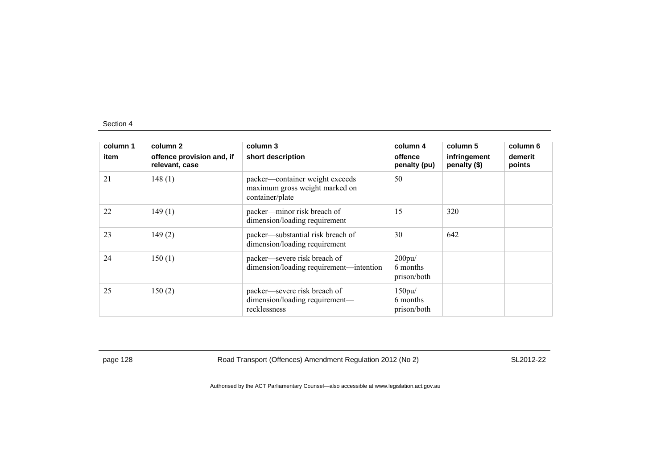| column 1<br>item | column 2<br>offence provision and, if<br>relevant, case | column 3<br>short description                                                        | column 4<br>offence<br>penalty (pu) | column 5<br>infringement<br>penalty (\$) | column 6<br>demerit<br>points |
|------------------|---------------------------------------------------------|--------------------------------------------------------------------------------------|-------------------------------------|------------------------------------------|-------------------------------|
| 21               | 148(1)                                                  | packer—container weight exceeds<br>maximum gross weight marked on<br>container/plate | 50                                  |                                          |                               |
| 22               | 149(1)                                                  | packer—minor risk breach of<br>dimension/loading requirement                         | 15                                  | 320                                      |                               |
| 23               | 149(2)                                                  | packer—substantial risk breach of<br>dimension/loading requirement                   | 30                                  | 642                                      |                               |
| 24               | 150(1)                                                  | packer—severe risk breach of<br>dimension/loading requirement—intention              | 200pu/<br>6 months<br>prison/both   |                                          |                               |
| 25               | 150(2)                                                  | packer—severe risk breach of<br>dimension/loading requirement-<br>recklessness       | 150pu/<br>6 months<br>prison/both   |                                          |                               |

page 128 Road Transport (Offences) Amendment Regulation 2012 (No 2) SL2012-22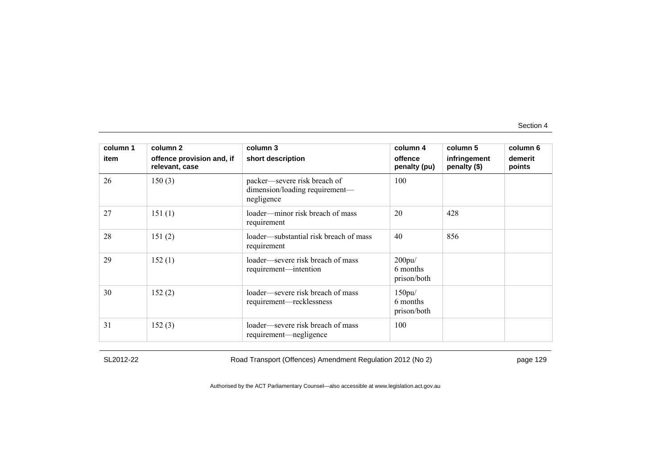| column 1 | column 2                                    | column 3                                                                     | column 4                          | column 5                     | column 6          |
|----------|---------------------------------------------|------------------------------------------------------------------------------|-----------------------------------|------------------------------|-------------------|
| item     | offence provision and, if<br>relevant, case | short description                                                            | offence<br>penalty (pu)           | infringement<br>penalty (\$) | demerit<br>points |
| 26       | 150(3)                                      | packer—severe risk breach of<br>dimension/loading requirement—<br>negligence | 100                               |                              |                   |
| 27       | 151(1)                                      | loader—minor risk breach of mass<br>requirement                              | 20                                | 428                          |                   |
| 28       | 151(2)                                      | loader—substantial risk breach of mass<br>requirement                        | 40                                | 856                          |                   |
| 29       | 152(1)                                      | loader—severe risk breach of mass<br>requirement—intention                   | 200pu/<br>6 months<br>prison/both |                              |                   |
| 30       | 152(2)                                      | loader—severe risk breach of mass<br>requirement—recklessness                | 150pu/<br>6 months<br>prison/both |                              |                   |
| 31       | 152(3)                                      | loader—severe risk breach of mass<br>requirement—negligence                  | 100                               |                              |                   |

SL2012-22 Road Transport (Offences) Amendment Regulation 2012 (No 2) page 129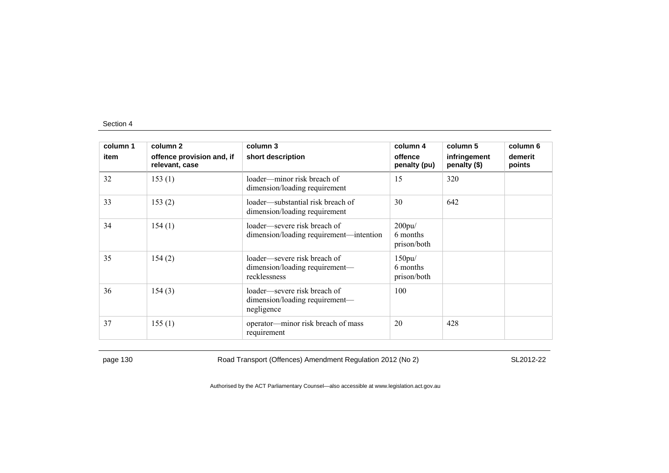| column 1 | column 2                                    | column 3                                                                       | column 4                          | column 5                     | column 6          |
|----------|---------------------------------------------|--------------------------------------------------------------------------------|-----------------------------------|------------------------------|-------------------|
| item     | offence provision and, if<br>relevant, case | short description                                                              | offence<br>penalty (pu)           | infringement<br>penalty (\$) | demerit<br>points |
| 32       | 153(1)                                      | loader—minor risk breach of<br>dimension/loading requirement                   | 15                                | 320                          |                   |
| 33       | 153(2)                                      | loader—substantial risk breach of<br>dimension/loading requirement             | 30                                | 642                          |                   |
| 34       | 154(1)                                      | loader—severe risk breach of<br>dimension/loading requirement—intention        | 200pu/<br>6 months<br>prison/both |                              |                   |
| 35       | 154(2)                                      | loader—severe risk breach of<br>dimension/loading requirement—<br>recklessness | 150pu/<br>6 months<br>prison/both |                              |                   |
| 36       | 154(3)                                      | loader—severe risk breach of<br>dimension/loading requirement—<br>negligence   | 100                               |                              |                   |
| 37       | 155(1)                                      | operator—minor risk breach of mass<br>requirement                              | 20                                | 428                          |                   |

page 130 Road Transport (Offences) Amendment Regulation 2012 (No 2) SL2012-22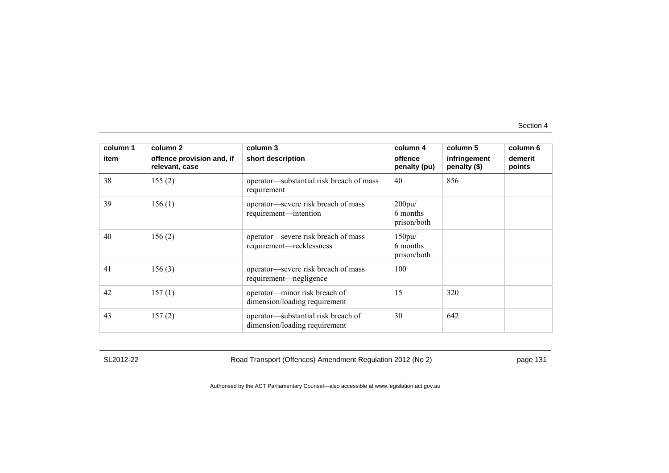| column 1 | column 2                                    | column 3                                                             | column 4                          | column 5                     | column 6          |
|----------|---------------------------------------------|----------------------------------------------------------------------|-----------------------------------|------------------------------|-------------------|
| item     | offence provision and, if<br>relevant, case | short description                                                    | offence<br>penalty (pu)           | infringement<br>penalty (\$) | demerit<br>points |
| 38       | 155(2)                                      | operator—substantial risk breach of mass<br>requirement              | 40                                | 856                          |                   |
| 39       | 156(1)                                      | operator-severe risk breach of mass<br>requirement—intention         | 200pu/<br>6 months<br>prison/both |                              |                   |
| 40       | 156(2)                                      | operator-severe risk breach of mass<br>requirement-recklessness      | 150pu/<br>6 months<br>prison/both |                              |                   |
| 41       | 156(3)                                      | operator—severe risk breach of mass<br>requirement—negligence        | 100                               |                              |                   |
| 42       | 157(1)                                      | operator-minor risk breach of<br>dimension/loading requirement       | 15                                | 320                          |                   |
| 43       | 157(2)                                      | operator—substantial risk breach of<br>dimension/loading requirement | 30                                | 642                          |                   |

SL2012-22 Road Transport (Offences) Amendment Regulation 2012 (No 2) page 131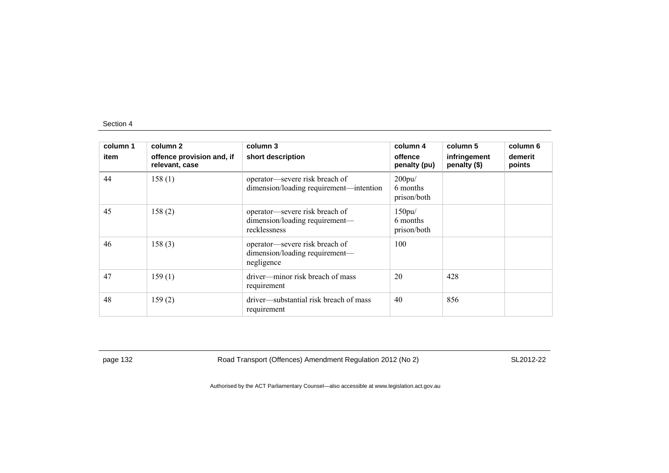| column 1<br>item | column 2<br>offence provision and, if<br>relevant, case | column 3<br>short description                                                    | column 4<br>offence<br>penalty (pu) | column 5<br>infringement<br>penalty (\$) | column 6<br>demerit<br>points |
|------------------|---------------------------------------------------------|----------------------------------------------------------------------------------|-------------------------------------|------------------------------------------|-------------------------------|
| 44               | 158(1)                                                  | operator—severe risk breach of<br>dimension/loading requirement—intention        | 200pu/<br>6 months<br>prison/both   |                                          |                               |
| 45               | 158(2)                                                  | operator-severe risk breach of<br>dimension/loading requirement—<br>recklessness | 150pu/<br>6 months<br>prison/both   |                                          |                               |
| 46               | 158(3)                                                  | operator—severe risk breach of<br>dimension/loading requirement-<br>negligence   | 100                                 |                                          |                               |
| 47               | 159(1)                                                  | driver—minor risk breach of mass<br>requirement                                  | 20                                  | 428                                      |                               |
| 48               | 159(2)                                                  | driver—substantial risk breach of mass<br>requirement                            | 40                                  | 856                                      |                               |

page 132 Road Transport (Offences) Amendment Regulation 2012 (No 2) SL2012-22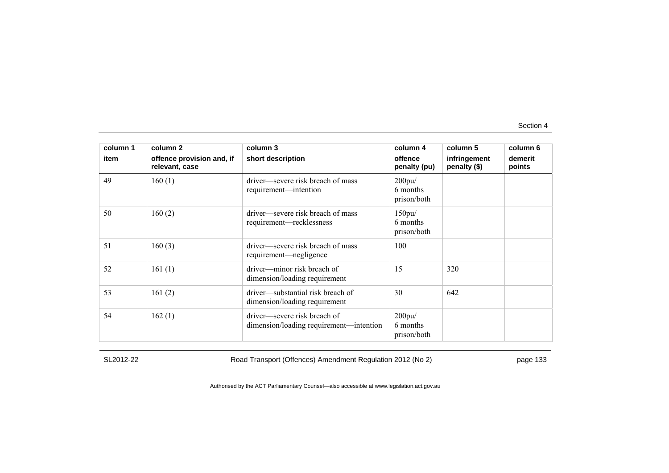| column 1 | column 2                                    | column 3                                                                | column 4                          | column 5                     | column 6          |
|----------|---------------------------------------------|-------------------------------------------------------------------------|-----------------------------------|------------------------------|-------------------|
| item     | offence provision and, if<br>relevant, case | short description                                                       | offence<br>penalty (pu)           | infringement<br>penalty (\$) | demerit<br>points |
| 49       | 160(1)                                      | driver—severe risk breach of mass<br>requirement—intention              | 200pu/<br>6 months<br>prison/both |                              |                   |
| 50       | 160(2)                                      | driver—severe risk breach of mass<br>requirement—recklessness           | 150pu/<br>6 months<br>prison/both |                              |                   |
| 51       | 160(3)                                      | driver—severe risk breach of mass<br>requirement—negligence             | 100                               |                              |                   |
| 52       | 161(1)                                      | driver—minor risk breach of<br>dimension/loading requirement            | 15                                | 320                          |                   |
| 53       | 161(2)                                      | driver—substantial risk breach of<br>dimension/loading requirement      | 30                                | 642                          |                   |
| 54       | 162(1)                                      | driver-severe risk breach of<br>dimension/loading requirement—intention | 200pu/<br>6 months<br>prison/both |                              |                   |

SL2012-22 Road Transport (Offences) Amendment Regulation 2012 (No 2) page 133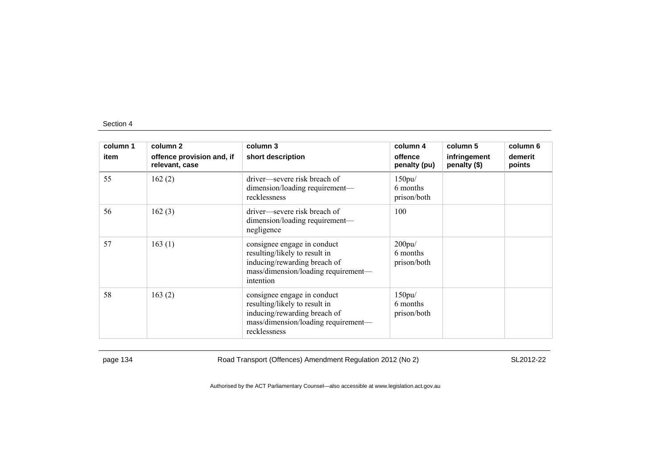| column 1 | column 2                                    | column 3                                                                                                                                            | column 4                          | column 5                     | column 6          |
|----------|---------------------------------------------|-----------------------------------------------------------------------------------------------------------------------------------------------------|-----------------------------------|------------------------------|-------------------|
| item     | offence provision and, if<br>relevant, case | short description                                                                                                                                   | offence<br>penalty (pu)           | infringement<br>penalty (\$) | demerit<br>points |
| 55       | 162(2)                                      | driver—severe risk breach of<br>dimension/loading requirement-<br>recklessness                                                                      | 150pu/<br>6 months<br>prison/both |                              |                   |
| 56       | 162(3)                                      | driver—severe risk breach of<br>dimension/loading requirement—<br>negligence                                                                        | 100                               |                              |                   |
| 57       | 163(1)                                      | consignee engage in conduct<br>resulting/likely to result in<br>inducing/rewarding breach of<br>mass/dimension/loading requirement-<br>intention    | 200pu/<br>6 months<br>prison/both |                              |                   |
| 58       | 163(2)                                      | consignee engage in conduct<br>resulting/likely to result in<br>inducing/rewarding breach of<br>mass/dimension/loading requirement-<br>recklessness | 150pu/<br>6 months<br>prison/both |                              |                   |

page 134 **Road Transport (Offences) Amendment Regulation 2012 (No 2)** SL2012-22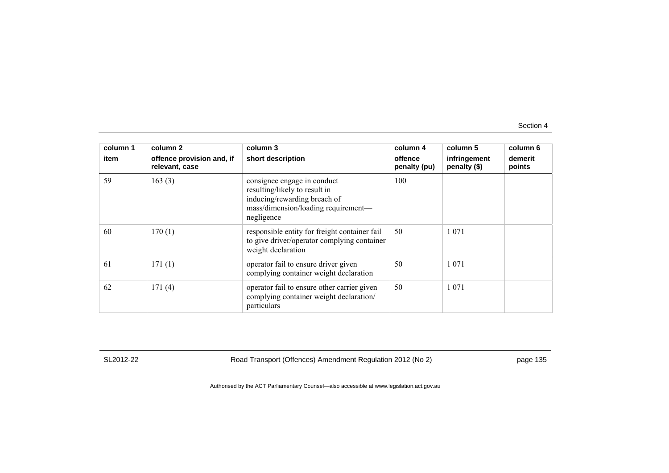| column 1 | column 2                                    | column 3                                                                                                                                          | column 4                | column 5                     | column 6          |
|----------|---------------------------------------------|---------------------------------------------------------------------------------------------------------------------------------------------------|-------------------------|------------------------------|-------------------|
| item     | offence provision and, if<br>relevant, case | short description                                                                                                                                 | offence<br>penalty (pu) | infringement<br>penalty (\$) | demerit<br>points |
| 59       | 163(3)                                      | consignee engage in conduct<br>resulting/likely to result in<br>inducing/rewarding breach of<br>mass/dimension/loading requirement-<br>negligence | 100                     |                              |                   |
| 60       | 170(1)                                      | responsible entity for freight container fail<br>to give driver/operator complying container<br>weight declaration                                | 50                      | 1 0 7 1                      |                   |
| 61       | 171(1)                                      | operator fail to ensure driver given<br>complying container weight declaration                                                                    | 50                      | 1 0 7 1                      |                   |
| 62       | 171(4)                                      | operator fail to ensure other carrier given<br>complying container weight declaration/<br>particulars                                             | 50                      | 1 0 7 1                      |                   |

SL2012-22 Road Transport (Offences) Amendment Regulation 2012 (No 2) page 135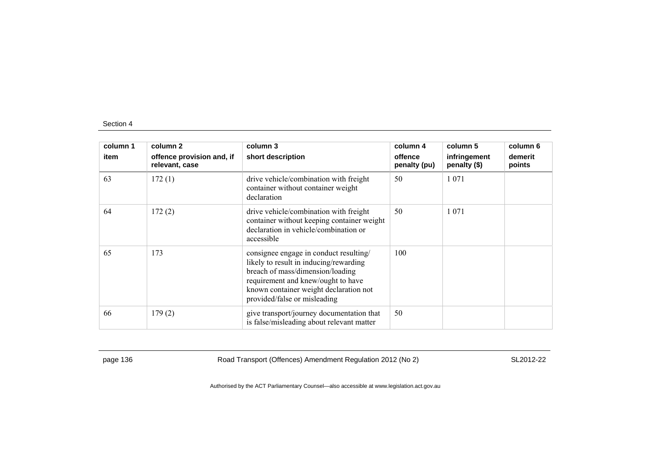| column 1<br>item | column 2<br>offence provision and, if<br>relevant, case | column 3<br>short description                                                                                                                                                                                                        | column 4<br>offence<br>penalty (pu) | column 5<br>infringement<br>penalty (\$) | column 6<br>demerit<br>points |
|------------------|---------------------------------------------------------|--------------------------------------------------------------------------------------------------------------------------------------------------------------------------------------------------------------------------------------|-------------------------------------|------------------------------------------|-------------------------------|
| 63               | 172(1)                                                  | drive vehicle/combination with freight<br>container without container weight<br>declaration                                                                                                                                          | 50                                  | 1 0 7 1                                  |                               |
| 64               | 172(2)                                                  | drive vehicle/combination with freight<br>container without keeping container weight<br>declaration in vehicle/combination or<br>accessible                                                                                          | 50                                  | 1 0 7 1                                  |                               |
| 65               | 173                                                     | consignee engage in conduct resulting/<br>likely to result in inducing/rewarding<br>breach of mass/dimension/loading<br>requirement and knew/ought to have<br>known container weight declaration not<br>provided/false or misleading | 100                                 |                                          |                               |
| 66               | 179(2)                                                  | give transport/journey documentation that<br>is false/misleading about relevant matter                                                                                                                                               | 50                                  |                                          |                               |

page 136 Road Transport (Offences) Amendment Regulation 2012 (No 2) SL2012-22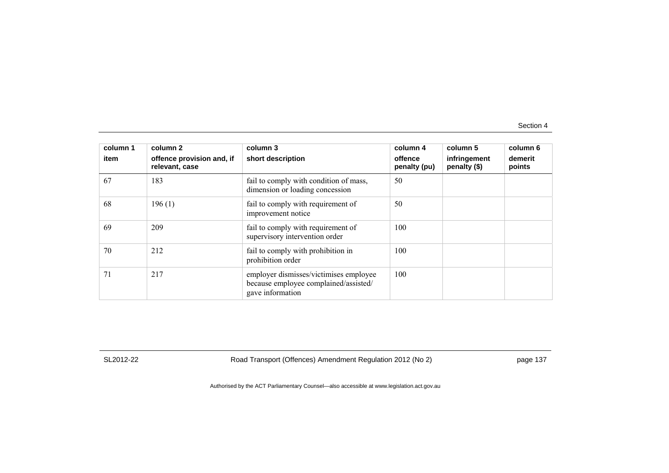| column 1 | column 2                                    | column 3                                                                                            | column 4                | column 5                     | column 6          |
|----------|---------------------------------------------|-----------------------------------------------------------------------------------------------------|-------------------------|------------------------------|-------------------|
| item     | offence provision and, if<br>relevant, case | short description                                                                                   | offence<br>penalty (pu) | infringement<br>penalty (\$) | demerit<br>points |
| 67       | 183                                         | fail to comply with condition of mass,<br>dimension or loading concession                           | 50                      |                              |                   |
| 68       | 196(1)                                      | fail to comply with requirement of<br>improvement notice                                            | 50                      |                              |                   |
| 69       | 209                                         | fail to comply with requirement of<br>supervisory intervention order                                | 100                     |                              |                   |
| 70       | 212                                         | fail to comply with prohibition in<br>prohibition order                                             | 100                     |                              |                   |
| 71       | 217                                         | employer dismisses/victimises employee<br>because employee complained/assisted/<br>gave information | 100                     |                              |                   |

SL2012-22 Road Transport (Offences) Amendment Regulation 2012 (No 2) page 137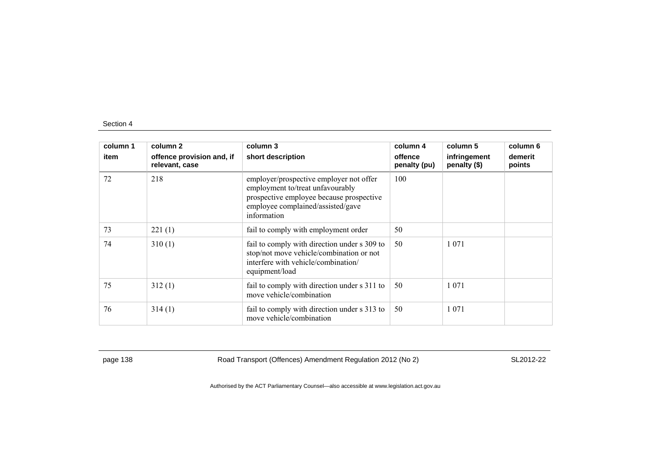| column 1 | column 2                                    | column 3                                                                                                                                                                    | column 4                | column 5                     | column 6          |
|----------|---------------------------------------------|-----------------------------------------------------------------------------------------------------------------------------------------------------------------------------|-------------------------|------------------------------|-------------------|
| item     | offence provision and, if<br>relevant, case | short description                                                                                                                                                           | offence<br>penalty (pu) | infringement<br>penalty (\$) | demerit<br>points |
| 72       | 218                                         | employer/prospective employer not offer<br>employment to/treat unfavourably<br>prospective employee because prospective<br>employee complained/assisted/gave<br>information | 100                     |                              |                   |
| 73       | 221(1)                                      | fail to comply with employment order                                                                                                                                        | 50                      |                              |                   |
| 74       | 310(1)                                      | fail to comply with direction under s 309 to<br>stop/not move vehicle/combination or not<br>interfere with vehicle/combination/<br>equipment/load                           | 50                      | 1 0 7 1                      |                   |
| 75       | 312(1)                                      | fail to comply with direction under s 311 to<br>move vehicle/combination                                                                                                    | 50                      | 1 0 7 1                      |                   |
| 76       | 314(1)                                      | fail to comply with direction under s 313 to<br>move vehicle/combination                                                                                                    | 50                      | 1 0 7 1                      |                   |

page 138 Road Transport (Offences) Amendment Regulation 2012 (No 2) SL2012-22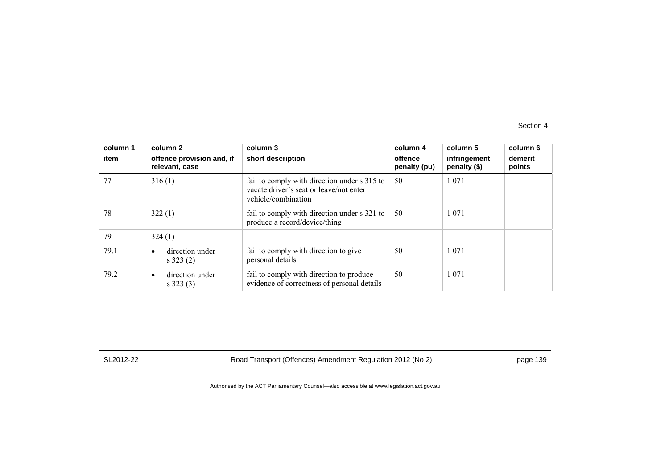| column 1<br>item | column 2<br>offence provision and, if<br>relevant, case | column 3<br>short description                                                                                  | column 4<br>offence<br>penalty (pu) | column 5<br>infringement<br>penalty (\$) | column 6<br>demerit<br>points |
|------------------|---------------------------------------------------------|----------------------------------------------------------------------------------------------------------------|-------------------------------------|------------------------------------------|-------------------------------|
| 77               | 316(1)                                                  | fail to comply with direction under s 315 to<br>vacate driver's seat or leave/not enter<br>vehicle/combination | 50                                  | 1 0 7 1                                  |                               |
| 78               | 322(1)                                                  | fail to comply with direction under s 321 to<br>produce a record/device/thing                                  | 50                                  | 1 0 7 1                                  |                               |
| 79               | 324(1)                                                  |                                                                                                                |                                     |                                          |                               |
| 79.1             | direction under<br>$s$ 323 (2)                          | fail to comply with direction to give<br>personal details                                                      | 50                                  | 1 0 7 1                                  |                               |
| 79.2             | direction under<br>$\bullet$<br>$s$ 323 (3)             | fail to comply with direction to produce<br>evidence of correctness of personal details                        | 50                                  | 1 0 7 1                                  |                               |

SL2012-22 Road Transport (Offences) Amendment Regulation 2012 (No 2) page 139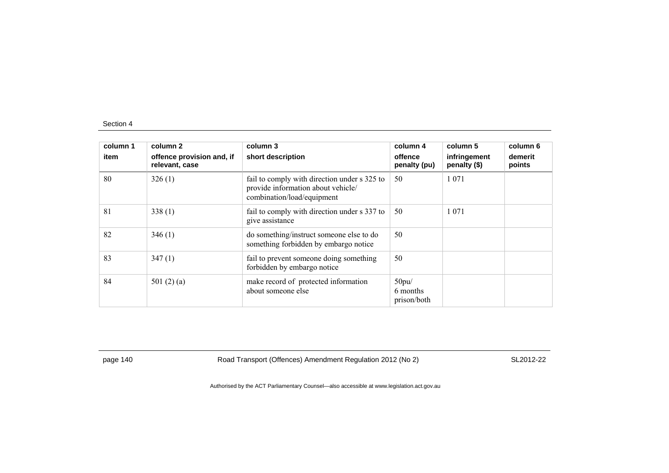| column 1 | column 2                                    | column 3                                                                                                         | column 4                         | column 5                     | column 6          |
|----------|---------------------------------------------|------------------------------------------------------------------------------------------------------------------|----------------------------------|------------------------------|-------------------|
| item     | offence provision and, if<br>relevant, case | short description                                                                                                | offence<br>penalty (pu)          | infringement<br>penalty (\$) | demerit<br>points |
| 80       | 326(1)                                      | fail to comply with direction under s 325 to<br>provide information about vehicle/<br>combination/load/equipment | 50                               | 1 0 7 1                      |                   |
| 81       | 338(1)                                      | fail to comply with direction under s 337 to<br>give assistance                                                  | 50                               | 1 0 7 1                      |                   |
| 82       | 346(1)                                      | do something/instruct someone else to do<br>something forbidden by embargo notice                                | 50                               |                              |                   |
| 83       | 347(1)                                      | fail to prevent someone doing something<br>forbidden by embargo notice                                           | 50                               |                              |                   |
| 84       | 501 $(2)$ $(a)$                             | make record of protected information<br>about someone else                                                       | 50pu/<br>6 months<br>prison/both |                              |                   |

page 140 Road Transport (Offences) Amendment Regulation 2012 (No 2) SL2012-22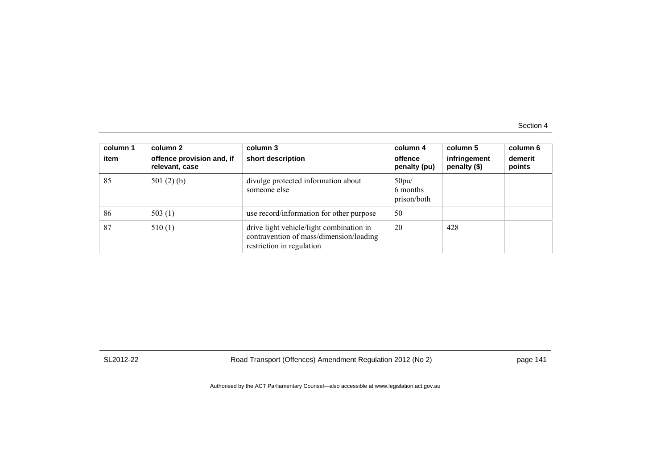| column 1<br>item | column 2<br>offence provision and, if<br>relevant, case | column 3<br>short description                                                                                    | column 4<br>offence<br>penalty (pu) | column 5<br>infringement<br>penalty (\$) | column 6<br>demerit<br>points |
|------------------|---------------------------------------------------------|------------------------------------------------------------------------------------------------------------------|-------------------------------------|------------------------------------------|-------------------------------|
| 85               | 501 $(2)$ $(b)$                                         | divulge protected information about<br>someone else                                                              | 50pu/<br>6 months<br>prison/both    |                                          |                               |
| 86               | 503 $(1)$                                               | use record/information for other purpose                                                                         | 50                                  |                                          |                               |
| 87               | 510(1)                                                  | drive light vehicle/light combination in<br>contravention of mass/dimension/loading<br>restriction in regulation | 20                                  | 428                                      |                               |

SL2012-22 Road Transport (Offences) Amendment Regulation 2012 (No 2) page 141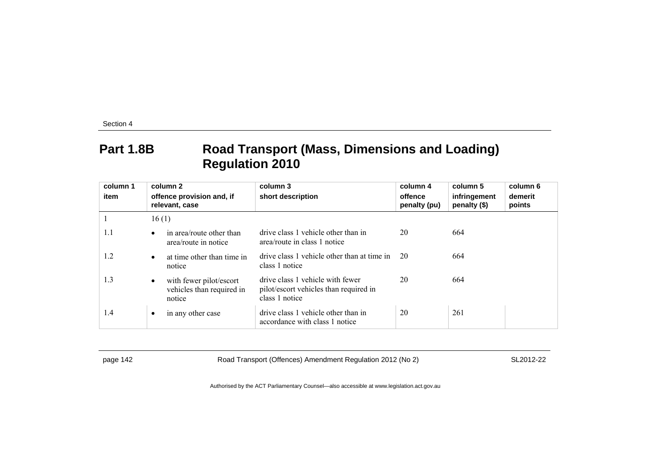## **Part 1.8B Road Transport (Mass, Dimensions and Loading) Regulation 2010**

| column 1 | column 2                                                       | column 3                                                                                     | column 4                | column 5                     | column 6          |
|----------|----------------------------------------------------------------|----------------------------------------------------------------------------------------------|-------------------------|------------------------------|-------------------|
| item     | offence provision and, if<br>relevant, case                    | short description                                                                            | offence<br>penalty (pu) | infringement<br>penalty (\$) | demerit<br>points |
|          | 16(1)                                                          |                                                                                              |                         |                              |                   |
| 1.1      | in area/route other than<br>area/route in notice               | drive class 1 vehicle other than in<br>area/route in class 1 notice                          | 20                      | 664                          |                   |
| 1.2      | at time other than time in<br>notice                           | drive class 1 vehicle other than at time in<br>class 1 notice                                | -20                     | 664                          |                   |
| 1.3      | with fewer pilot/escort<br>vehicles than required in<br>notice | drive class 1 vehicle with fewer<br>pilot/escort vehicles than required in<br>class 1 notice | 20                      | 664                          |                   |
| 1.4      | in any other case                                              | drive class 1 vehicle other than in<br>accordance with class 1 notice                        | 20                      | 261                          |                   |

page 142 Road Transport (Offences) Amendment Regulation 2012 (No 2) SL2012-22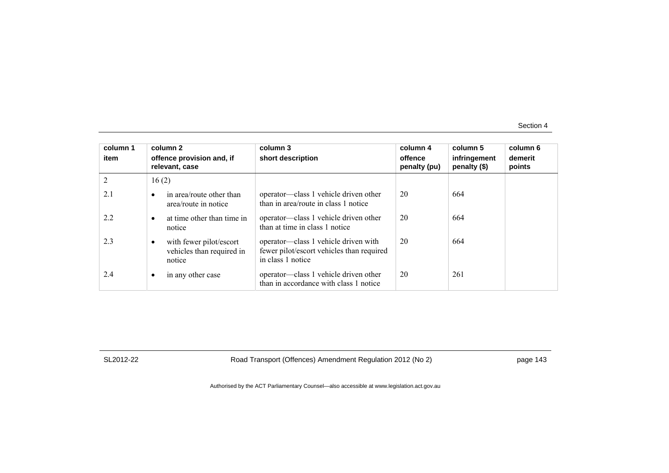| column 1<br>item | column 2<br>offence provision and, if<br>relevant, case             | column 3<br>short description                                                                          | column 4<br>offence<br>penalty (pu) | column 5<br>infringement<br>penalty (\$) | column 6<br>demerit<br>points |
|------------------|---------------------------------------------------------------------|--------------------------------------------------------------------------------------------------------|-------------------------------------|------------------------------------------|-------------------------------|
| 2                | 16(2)                                                               |                                                                                                        |                                     |                                          |                               |
| 2.1              | in area/route other than<br>$\bullet$<br>area/route in notice       | operator—class 1 vehicle driven other<br>than in area/route in class 1 notice                          | 20                                  | 664                                      |                               |
| 2.2              | at time other than time in<br>$\bullet$<br>notice                   | operator—class 1 vehicle driven other<br>than at time in class 1 notice                                | 20                                  | 664                                      |                               |
| 2.3              | with fewer pilot/escort<br>٠<br>vehicles than required in<br>notice | operator—class 1 vehicle driven with<br>fewer pilot/escort vehicles than required<br>in class 1 notice | 20                                  | 664                                      |                               |
| 2.4              | in any other case<br>٠                                              | operator—class 1 vehicle driven other<br>than in accordance with class 1 notice                        | 20                                  | 261                                      |                               |

SL2012-22 Road Transport (Offences) Amendment Regulation 2012 (No 2) page 143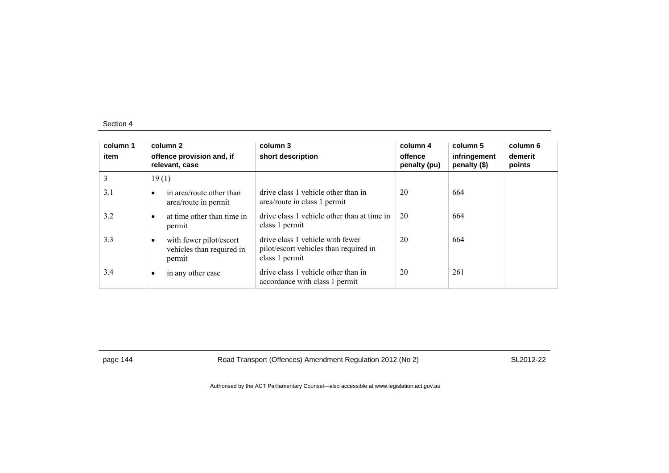| column 1<br>item | column 2<br>offence provision and, if<br>relevant, case        | column 3<br>short description                                                                | column 4<br>offence<br>penalty (pu) | column 5<br>infringement<br>penalty (\$) | column 6<br>demerit<br>points |
|------------------|----------------------------------------------------------------|----------------------------------------------------------------------------------------------|-------------------------------------|------------------------------------------|-------------------------------|
| 3                | 19(1)                                                          |                                                                                              |                                     |                                          |                               |
| 3.1              | in area/route other than<br>area/route in permit               | drive class 1 vehicle other than in<br>area/route in class 1 permit                          | 20                                  | 664                                      |                               |
| 3.2              | at time other than time in<br>permit                           | drive class 1 vehicle other than at time in<br>class 1 permit                                | 20                                  | 664                                      |                               |
| 3.3              | with fewer pilot/escort<br>vehicles than required in<br>permit | drive class 1 vehicle with fewer<br>pilot/escort vehicles than required in<br>class 1 permit | 20                                  | 664                                      |                               |
| 3.4              | in any other case                                              | drive class 1 vehicle other than in<br>accordance with class 1 permit                        | 20                                  | 261                                      |                               |

page 144 Road Transport (Offences) Amendment Regulation 2012 (No 2) SL2012-22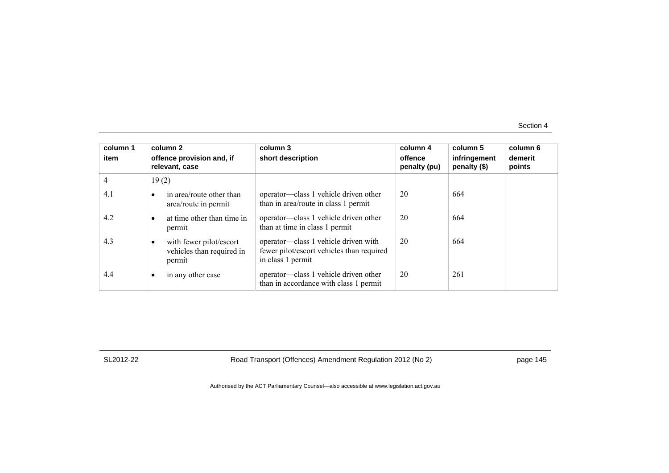| column 1<br>item | column 2<br>offence provision and, if<br>relevant, case        | column 3<br>short description                                                                          | column 4<br>offence<br>penalty (pu) | column 5<br>infringement<br>penalty (\$) | column 6<br>demerit<br>points |
|------------------|----------------------------------------------------------------|--------------------------------------------------------------------------------------------------------|-------------------------------------|------------------------------------------|-------------------------------|
| $\overline{4}$   | 19(2)                                                          |                                                                                                        |                                     |                                          |                               |
| 4.1              | in area/route other than<br>٠<br>area/route in permit          | operator—class 1 vehicle driven other<br>than in area/route in class 1 permit                          | 20                                  | 664                                      |                               |
| 4.2              | at time other than time in<br>٠<br>permit                      | operator—class 1 vehicle driven other<br>than at time in class 1 permit                                | 20                                  | 664                                      |                               |
| 4.3              | with fewer pilot/escort<br>vehicles than required in<br>permit | operator—class 1 vehicle driven with<br>fewer pilot/escort vehicles than required<br>in class 1 permit | 20                                  | 664                                      |                               |
| 4.4              | in any other case<br>٠                                         | operator—class 1 vehicle driven other<br>than in accordance with class 1 permit                        | 20                                  | 261                                      |                               |

SL2012-22 Road Transport (Offences) Amendment Regulation 2012 (No 2) page 145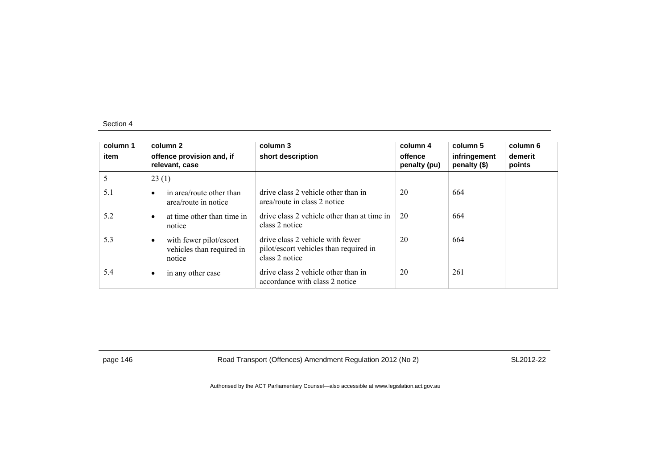| column 1<br>item | column 2<br>offence provision and, if<br>relevant, case        | column 3<br>short description                                                                | column 4<br>offence<br>penalty (pu) | column 5<br>infringement<br>penalty (\$) | column 6<br>demerit<br>points |
|------------------|----------------------------------------------------------------|----------------------------------------------------------------------------------------------|-------------------------------------|------------------------------------------|-------------------------------|
| 5                | 23(1)                                                          |                                                                                              |                                     |                                          |                               |
| 5.1              | in area/route other than<br>area/route in notice               | drive class 2 vehicle other than in<br>area/route in class 2 notice                          | 20                                  | 664                                      |                               |
| 5.2              | at time other than time in<br>notice                           | drive class 2 vehicle other than at time in<br>class 2 notice                                | 20                                  | 664                                      |                               |
| 5.3              | with fewer pilot/escort<br>vehicles than required in<br>notice | drive class 2 vehicle with fewer<br>pilot/escort vehicles than required in<br>class 2 notice | 20                                  | 664                                      |                               |
| 5.4              | in any other case                                              | drive class 2 vehicle other than in<br>accordance with class 2 notice                        | 20                                  | 261                                      |                               |

page 146 Road Transport (Offences) Amendment Regulation 2012 (No 2) SL2012-22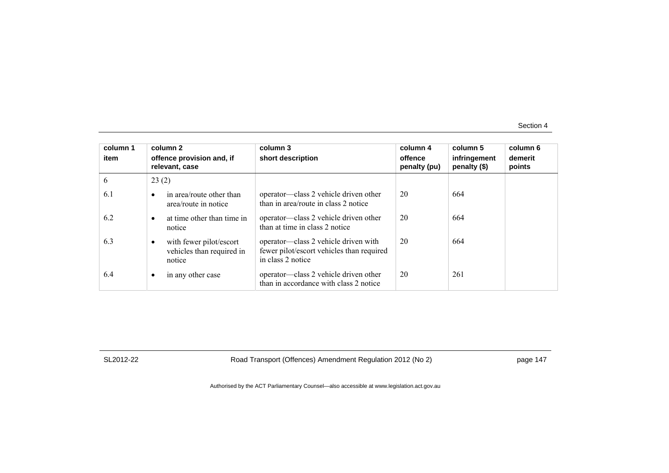| column 1<br>item | column 2<br>offence provision and, if<br>relevant, case             | column 3<br>short description                                                                          | column 4<br>offence<br>penalty (pu) | column 5<br>infringement<br>penalty (\$) | column 6<br>demerit<br>points |
|------------------|---------------------------------------------------------------------|--------------------------------------------------------------------------------------------------------|-------------------------------------|------------------------------------------|-------------------------------|
| 6                | 23(2)                                                               |                                                                                                        |                                     |                                          |                               |
| 6.1              | in area/route other than<br>٠<br>area/route in notice               | operator—class 2 vehicle driven other<br>than in area/route in class 2 notice                          | 20                                  | 664                                      |                               |
| 6.2              | at time other than time in<br>٠<br>notice                           | operator—class 2 vehicle driven other<br>than at time in class 2 notice                                | 20                                  | 664                                      |                               |
| 6.3              | with fewer pilot/escort<br>٠<br>vehicles than required in<br>notice | operator—class 2 vehicle driven with<br>fewer pilot/escort vehicles than required<br>in class 2 notice | 20                                  | 664                                      |                               |
| 6.4              | in any other case<br>٠                                              | operator—class 2 vehicle driven other<br>than in accordance with class 2 notice                        | 20                                  | 261                                      |                               |

SL2012-22 Road Transport (Offences) Amendment Regulation 2012 (No 2) page 147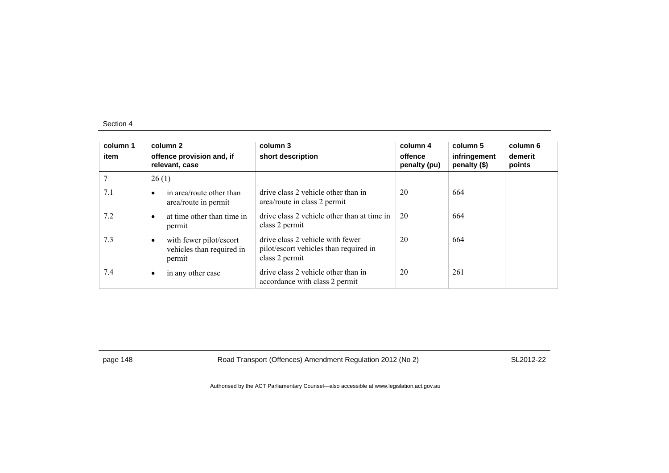| column 1<br>item | column 2<br>offence provision and, if<br>relevant, case        | column 3<br>short description                                                                | column 4<br>offence<br>penalty (pu) | column 5<br>infringement<br>penalty (\$) | column 6<br>demerit<br>points |
|------------------|----------------------------------------------------------------|----------------------------------------------------------------------------------------------|-------------------------------------|------------------------------------------|-------------------------------|
|                  | 26(1)                                                          |                                                                                              |                                     |                                          |                               |
| 7.1              | in area/route other than<br>area/route in permit               | drive class 2 vehicle other than in<br>area/route in class 2 permit                          | 20                                  | 664                                      |                               |
| 7.2              | at time other than time in<br>permit                           | drive class 2 vehicle other than at time in<br>class 2 permit                                | 20                                  | 664                                      |                               |
| 7.3              | with fewer pilot/escort<br>vehicles than required in<br>permit | drive class 2 vehicle with fewer<br>pilot/escort vehicles than required in<br>class 2 permit | 20                                  | 664                                      |                               |
| 7.4              | in any other case                                              | drive class 2 vehicle other than in<br>accordance with class 2 permit                        | 20                                  | 261                                      |                               |

page 148 Road Transport (Offences) Amendment Regulation 2012 (No 2) SL2012-22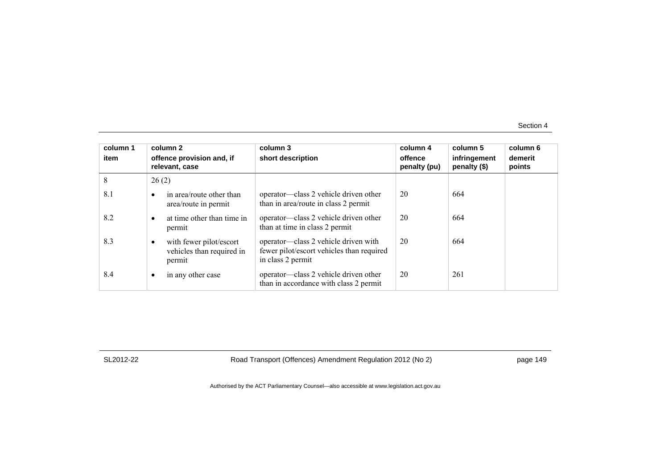| column 1<br>item | column 2<br>offence provision and, if<br>relevant, case                     | column 3<br>short description                                                                          | column 4<br>offence<br>penalty (pu) | column 5<br>infringement<br>penalty (\$) | column 6<br>demerit<br>points |
|------------------|-----------------------------------------------------------------------------|--------------------------------------------------------------------------------------------------------|-------------------------------------|------------------------------------------|-------------------------------|
| 8                | 26(2)                                                                       |                                                                                                        |                                     |                                          |                               |
| 8.1              | in area/route other than<br>$\bullet$<br>area/route in permit               | operator—class 2 vehicle driven other<br>than in area/route in class 2 permit                          | 20                                  | 664                                      |                               |
| 8.2              | at time other than time in<br>$\bullet$<br>permit                           | operator—class 2 vehicle driven other<br>than at time in class 2 permit                                | 20                                  | 664                                      |                               |
| 8.3              | with fewer pilot/escort<br>$\bullet$<br>vehicles than required in<br>permit | operator—class 2 vehicle driven with<br>fewer pilot/escort vehicles than required<br>in class 2 permit | 20                                  | 664                                      |                               |
| 8.4              | in any other case<br>٠                                                      | operator—class 2 vehicle driven other<br>than in accordance with class 2 permit                        | 20                                  | 261                                      |                               |

SL2012-22 Road Transport (Offences) Amendment Regulation 2012 (No 2) page 149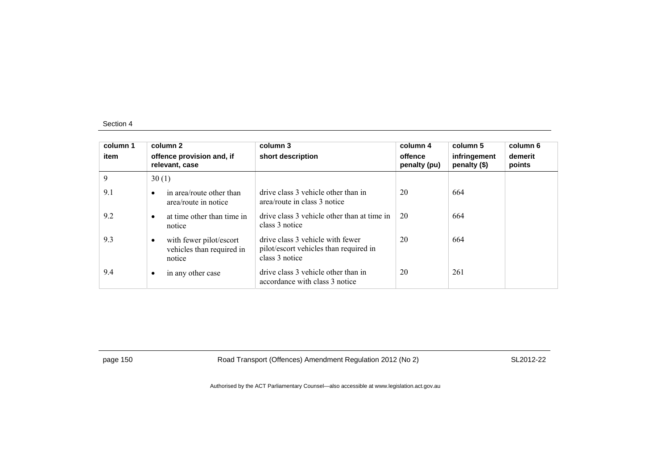| column 1<br>item | column 2<br>offence provision and, if<br>relevant, case        | column 3<br>short description                                                                | column 4<br>offence<br>penalty (pu) | column 5<br>infringement<br>penalty (\$) | column 6<br>demerit<br>points |
|------------------|----------------------------------------------------------------|----------------------------------------------------------------------------------------------|-------------------------------------|------------------------------------------|-------------------------------|
| 9                | 30(1)                                                          |                                                                                              |                                     |                                          |                               |
| 9.1              | in area/route other than<br>area/route in notice               | drive class 3 vehicle other than in<br>area/route in class 3 notice                          | 20                                  | 664                                      |                               |
| 9.2              | at time other than time in<br>notice                           | drive class 3 vehicle other than at time in<br>class 3 notice                                | 20                                  | 664                                      |                               |
| 9.3              | with fewer pilot/escort<br>vehicles than required in<br>notice | drive class 3 vehicle with fewer<br>pilot/escort vehicles than required in<br>class 3 notice | 20                                  | 664                                      |                               |
| 9.4              | in any other case                                              | drive class 3 vehicle other than in<br>accordance with class 3 notice                        | 20                                  | 261                                      |                               |

page 150 **Road Transport (Offences) Amendment Regulation 2012 (No 2)** SL2012-22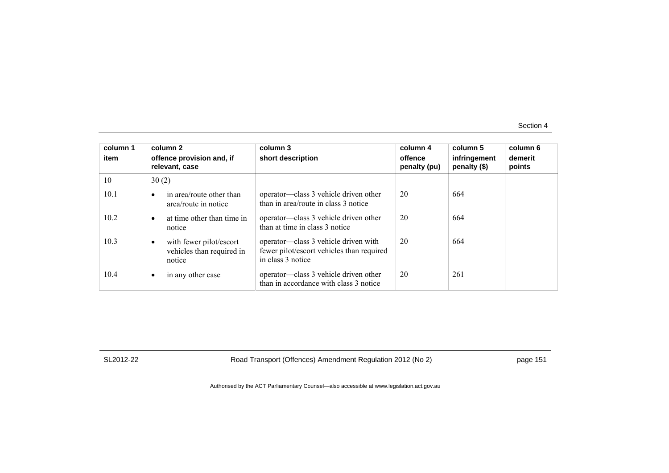| column 1<br>item | column 2<br>offence provision and, if<br>relevant, case                     | column 3<br>short description                                                                          | column 4<br>offence<br>penalty (pu) | column 5<br>infringement<br>penalty (\$) | column 6<br>demerit<br>points |
|------------------|-----------------------------------------------------------------------------|--------------------------------------------------------------------------------------------------------|-------------------------------------|------------------------------------------|-------------------------------|
| 10               | 30(2)                                                                       |                                                                                                        |                                     |                                          |                               |
| 10.1             | in area/route other than<br>$\bullet$<br>area/route in notice               | operator—class 3 vehicle driven other<br>than in area/route in class 3 notice                          | 20                                  | 664                                      |                               |
| 10.2             | at time other than time in<br>$\bullet$<br>notice                           | operator—class 3 vehicle driven other<br>than at time in class 3 notice                                | 20                                  | 664                                      |                               |
| 10.3             | with fewer pilot/escort<br>$\bullet$<br>vehicles than required in<br>notice | operator—class 3 vehicle driven with<br>fewer pilot/escort vehicles than required<br>in class 3 notice | 20                                  | 664                                      |                               |
| 10.4             | in any other case<br>$\bullet$                                              | operator—class 3 vehicle driven other<br>than in accordance with class 3 notice                        | 20                                  | 261                                      |                               |

SL2012-22 Road Transport (Offences) Amendment Regulation 2012 (No 2) page 151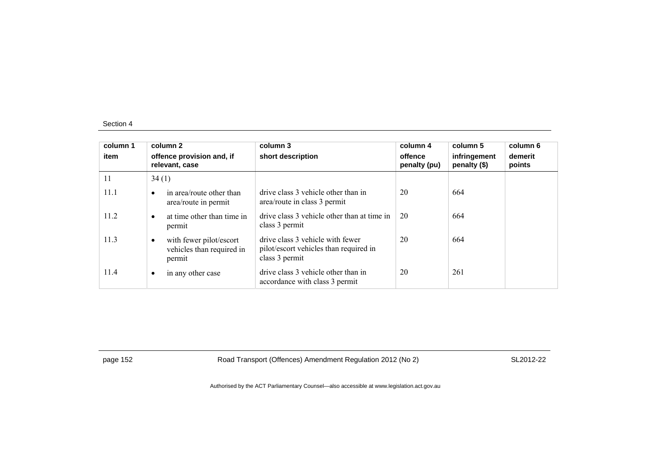| column 1<br>item | column 2<br>offence provision and, if<br>relevant, case             | column 3<br>short description                                                                | column 4<br>offence<br>penalty (pu) | column 5<br>infringement<br>penalty (\$) | column 6<br>demerit<br>points |
|------------------|---------------------------------------------------------------------|----------------------------------------------------------------------------------------------|-------------------------------------|------------------------------------------|-------------------------------|
| 11               | 34(1)                                                               |                                                                                              |                                     |                                          |                               |
| 11.1             | in area/route other than<br>area/route in permit                    | drive class 3 vehicle other than in<br>area/route in class 3 permit                          | 20                                  | 664                                      |                               |
| 11.2             | at time other than time in<br>permit                                | drive class 3 vehicle other than at time in<br>class 3 permit                                | 20                                  | 664                                      |                               |
| 11.3             | with fewer pilot/escort<br>٠<br>vehicles than required in<br>permit | drive class 3 vehicle with fewer<br>pilot/escort vehicles than required in<br>class 3 permit | 20                                  | 664                                      |                               |
| 11.4             | in any other case                                                   | drive class 3 vehicle other than in<br>accordance with class 3 permit                        | 20                                  | 261                                      |                               |

page 152 **Road Transport (Offences) Amendment Regulation 2012 (No 2)** SL2012-22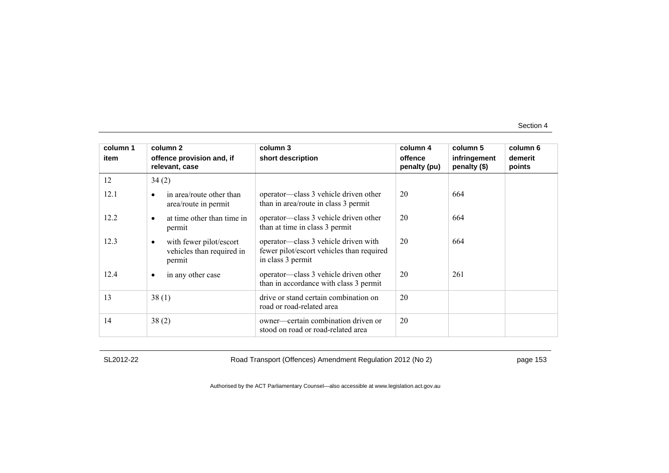| column 1 | column 2                                                                    | column 3                                                                                               | column 4                | column 5                       | column 6          |
|----------|-----------------------------------------------------------------------------|--------------------------------------------------------------------------------------------------------|-------------------------|--------------------------------|-------------------|
| item     | offence provision and, if<br>relevant, case                                 | short description                                                                                      | offence<br>penalty (pu) | infringement<br>penalty $(\$)$ | demerit<br>points |
| 12       | 34(2)                                                                       |                                                                                                        |                         |                                |                   |
| 12.1     | in area/route other than<br>$\bullet$<br>area/route in permit               | operator—class 3 vehicle driven other<br>than in area/route in class 3 permit                          | 20                      | 664                            |                   |
| 12.2     | at time other than time in<br>$\bullet$<br>permit                           | operator—class 3 vehicle driven other<br>than at time in class 3 permit                                | 20                      | 664                            |                   |
| 12.3     | with fewer pilot/escort<br>$\bullet$<br>vehicles than required in<br>permit | operator—class 3 vehicle driven with<br>fewer pilot/escort vehicles than required<br>in class 3 permit | 20                      | 664                            |                   |
| 12.4     | in any other case<br>٠                                                      | operator—class 3 vehicle driven other<br>than in accordance with class 3 permit                        | 20                      | 261                            |                   |
| 13       | 38(1)                                                                       | drive or stand certain combination on<br>road or road-related area                                     | 20                      |                                |                   |
| 14       | 38(2)                                                                       | owner—certain combination driven or<br>stood on road or road-related area                              | 20                      |                                |                   |

SL2012-22 Road Transport (Offences) Amendment Regulation 2012 (No 2) page 153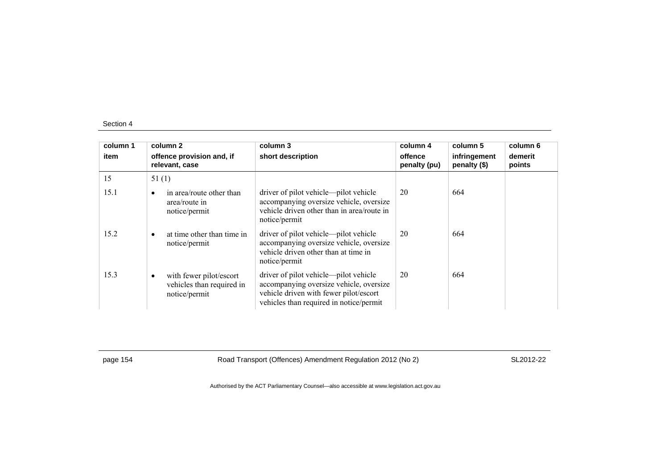| column 1<br>item | column 2<br>offence provision and, if<br>relevant, case                            | column 3<br>short description                                                                                                                                         | column 4<br>offence<br>penalty (pu) | column 5<br>infringement<br>penalty $(\$)$ | column 6<br>demerit<br>points |
|------------------|------------------------------------------------------------------------------------|-----------------------------------------------------------------------------------------------------------------------------------------------------------------------|-------------------------------------|--------------------------------------------|-------------------------------|
| 15               | 51(1)                                                                              |                                                                                                                                                                       |                                     |                                            |                               |
| 15.1             | in area/route other than<br>$\bullet$<br>area/route in<br>notice/permit            | driver of pilot vehicle—pilot vehicle<br>accompanying oversize vehicle, oversize<br>vehicle driven other than in area/route in<br>notice/permit                       | 20                                  | 664                                        |                               |
| 15.2             | at time other than time in<br>$\bullet$<br>notice/permit                           | driver of pilot vehicle—pilot vehicle<br>accompanying oversize vehicle, oversize<br>vehicle driven other than at time in<br>notice/permit                             | 20                                  | 664                                        |                               |
| 15.3             | with fewer pilot/escort<br>$\bullet$<br>vehicles than required in<br>notice/permit | driver of pilot vehicle—pilot vehicle<br>accompanying oversize vehicle, oversize<br>vehicle driven with fewer pilot/escort<br>vehicles than required in notice/permit | 20                                  | 664                                        |                               |

page 154 **Road Transport (Offences) Amendment Regulation 2012 (No 2)** SL2012-22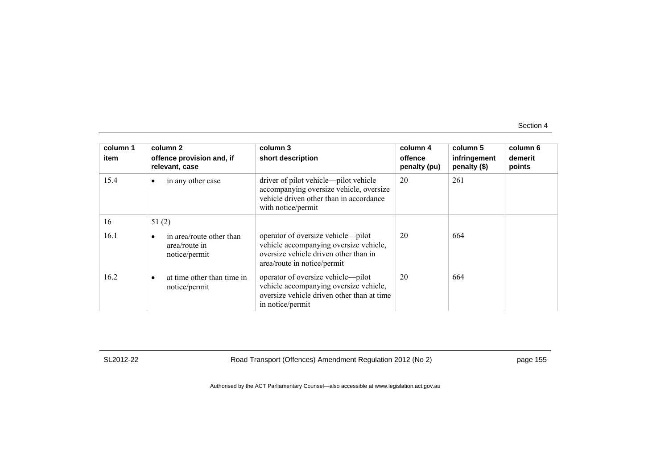| column 1<br>item | column 2<br>offence provision and, if<br>relevant, case         | column 3<br>short description                                                                                                                        | column 4<br>offence<br>penalty (pu) | column 5<br>infringement<br>penalty (\$) | column 6<br>demerit<br>points |
|------------------|-----------------------------------------------------------------|------------------------------------------------------------------------------------------------------------------------------------------------------|-------------------------------------|------------------------------------------|-------------------------------|
| 15.4             | in any other case<br>$\bullet$                                  | driver of pilot vehicle—pilot vehicle<br>accompanying oversize vehicle, oversize<br>vehicle driven other than in accordance<br>with notice/permit    | 20                                  | 261                                      |                               |
| 16               | 51(2)                                                           |                                                                                                                                                      |                                     |                                          |                               |
| 16.1             | in area/route other than<br>٠<br>area/route in<br>notice/permit | operator of oversize vehicle—pilot<br>vehicle accompanying oversize vehicle,<br>oversize vehicle driven other than in<br>area/route in notice/permit | 20                                  | 664                                      |                               |
| 16.2             | at time other than time in<br>$\bullet$<br>notice/permit        | operator of oversize vehicle—pilot<br>vehicle accompanying oversize vehicle,<br>oversize vehicle driven other than at time<br>in notice/permit       | 20                                  | 664                                      |                               |

SL2012-22 Road Transport (Offences) Amendment Regulation 2012 (No 2) page 155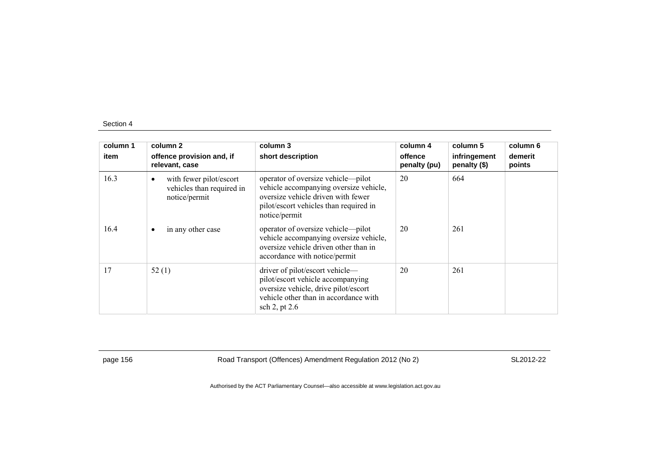| column 1<br>item | column 2<br>offence provision and, if<br>relevant, case               | column 3<br>short description                                                                                                                                                 | column 4<br>offence<br>penalty (pu) | column 5<br>infringement<br>penalty $(\$)$ | column 6<br>demerit<br>points |
|------------------|-----------------------------------------------------------------------|-------------------------------------------------------------------------------------------------------------------------------------------------------------------------------|-------------------------------------|--------------------------------------------|-------------------------------|
| 16.3             | with fewer pilot/escort<br>vehicles than required in<br>notice/permit | operator of oversize vehicle—pilot<br>vehicle accompanying oversize vehicle,<br>oversize vehicle driven with fewer<br>pilot/escort vehicles than required in<br>notice/permit | 20                                  | 664                                        |                               |
| 16.4             | in any other case<br>$\bullet$                                        | operator of oversize vehicle—pilot<br>vehicle accompanying oversize vehicle,<br>oversize vehicle driven other than in<br>accordance with notice/permit                        | 20                                  | 261                                        |                               |
| 17               | 52(1)                                                                 | driver of pilot/escort vehicle—<br>pilot/escort vehicle accompanying<br>oversize vehicle, drive pilot/escort<br>vehicle other than in accordance with<br>sch 2, pt 2.6        | 20                                  | 261                                        |                               |

page 156 **Road Transport (Offences) Amendment Regulation 2012 (No 2)** SL2012-22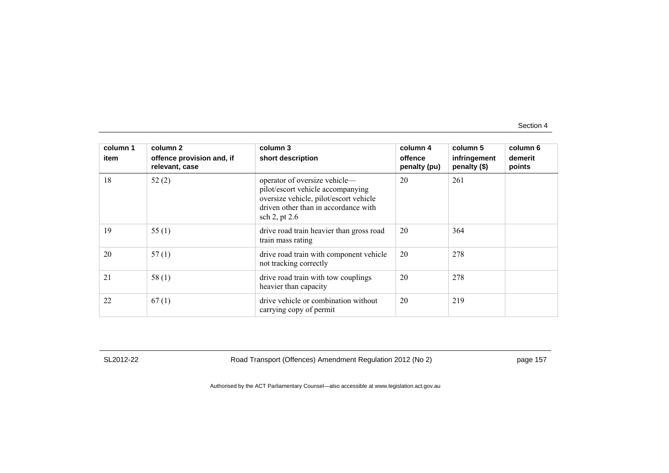| column 1 | column 2                                    | column 3                                                                                                                                                                | column 4                | column 5                     | column 6          |
|----------|---------------------------------------------|-------------------------------------------------------------------------------------------------------------------------------------------------------------------------|-------------------------|------------------------------|-------------------|
| item     | offence provision and, if<br>relevant, case | short description                                                                                                                                                       | offence<br>penalty (pu) | infringement<br>penalty (\$) | demerit<br>points |
| 18       | 52(2)                                       | operator of oversize vehicle-<br>pilot/escort vehicle accompanying<br>oversize vehicle, pilot/escort vehicle<br>driven other than in accordance with<br>sch 2, pt $2.6$ | 20                      | 261                          |                   |
| 19       | 55 $(1)$                                    | drive road train heavier than gross road<br>train mass rating                                                                                                           | 20                      | 364                          |                   |
| 20       | 57(1)                                       | drive road train with component vehicle<br>not tracking correctly                                                                                                       | 20                      | 278                          |                   |
| 21       | 58(1)                                       | drive road train with tow couplings<br>heavier than capacity                                                                                                            | 20                      | 278                          |                   |
| 22       | 67(1)                                       | drive vehicle or combination without<br>carrying copy of permit                                                                                                         | 20                      | 219                          |                   |

SL2012-22 Road Transport (Offences) Amendment Regulation 2012 (No 2) page 157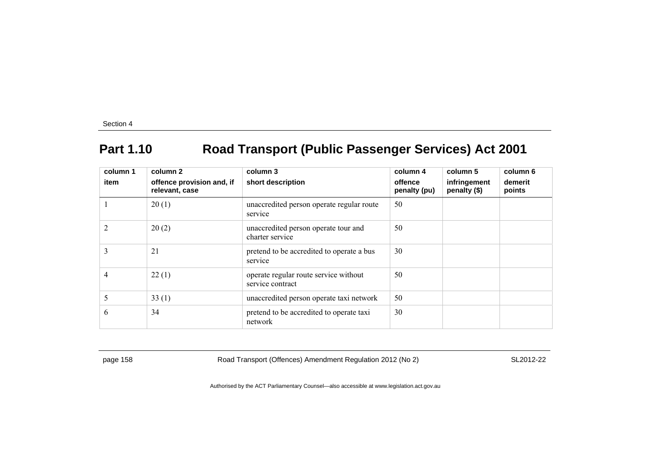# **Part 1.10 Road Transport (Public Passenger Services) Act 2001**

| column 1       | column 2                                    | column 3                                                  | column 4                | column 5                     | column 6          |
|----------------|---------------------------------------------|-----------------------------------------------------------|-------------------------|------------------------------|-------------------|
| item           | offence provision and, if<br>relevant, case | short description                                         | offence<br>penalty (pu) | infringement<br>penalty (\$) | demerit<br>points |
|                | 20(1)                                       | unaccredited person operate regular route<br>service      | 50                      |                              |                   |
| $\overline{2}$ | 20(2)                                       | unaccredited person operate tour and<br>charter service   | 50                      |                              |                   |
| 3              | 21                                          | pretend to be accredited to operate a bus<br>service      | 30                      |                              |                   |
| 4              | 22(1)                                       | operate regular route service without<br>service contract | 50                      |                              |                   |
| 5              | 33(1)                                       | unaccredited person operate taxi network                  | 50                      |                              |                   |
| 6              | 34                                          | pretend to be accredited to operate taxi<br>network       | 30                      |                              |                   |

page 158 **Road Transport (Offences) Amendment Regulation 2012 (No 2)** SL2012-22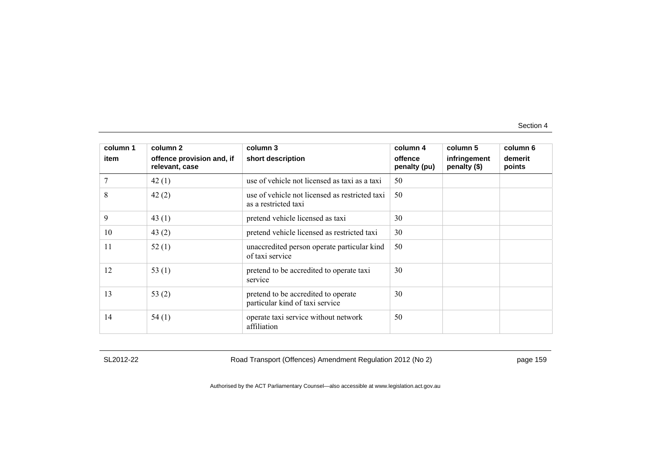| column 1 | column 2                                    | column 3                                                               | column 4                | column 5                     | column 6          |
|----------|---------------------------------------------|------------------------------------------------------------------------|-------------------------|------------------------------|-------------------|
| item     | offence provision and, if<br>relevant, case | short description                                                      | offence<br>penalty (pu) | infringement<br>penalty (\$) | demerit<br>points |
|          | 42(1)                                       | use of vehicle not licensed as taxi as a taxi                          | 50                      |                              |                   |
| 8        | 42(2)                                       | use of vehicle not licensed as restricted taxi<br>as a restricted taxi | 50                      |                              |                   |
| 9        | 43 $(1)$                                    | pretend vehicle licensed as taxi                                       | 30                      |                              |                   |
| 10       | 43 $(2)$                                    | pretend vehicle licensed as restricted taxi                            | 30                      |                              |                   |
| 11       | 52(1)                                       | unaccredited person operate particular kind<br>of taxi service         | 50                      |                              |                   |
| 12       | 53 $(1)$                                    | pretend to be accredited to operate taxi<br>service                    | 30                      |                              |                   |
| 13       | 53 $(2)$                                    | pretend to be accredited to operate<br>particular kind of taxi service | 30                      |                              |                   |
| 14       | 54(1)                                       | operate taxi service without network<br>affiliation                    | 50                      |                              |                   |

SL2012-22 Road Transport (Offences) Amendment Regulation 2012 (No 2) page 159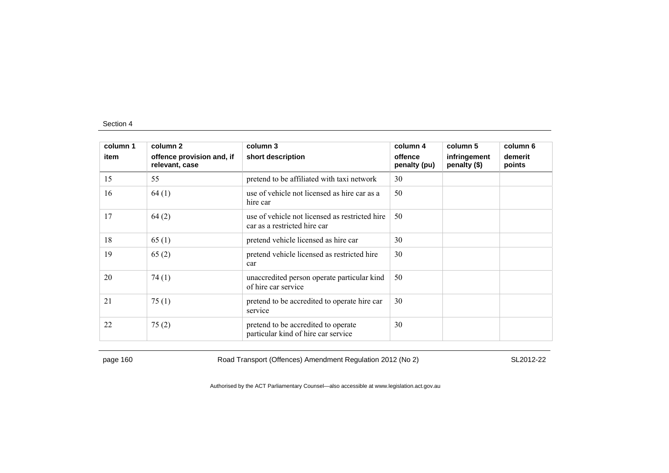| column 1 | column 2                                    | column 3                                                                       | column 4                | column 5                     | column 6          |
|----------|---------------------------------------------|--------------------------------------------------------------------------------|-------------------------|------------------------------|-------------------|
| item     | offence provision and, if<br>relevant, case | short description                                                              | offence<br>penalty (pu) | infringement<br>penalty (\$) | demerit<br>points |
| 15       | 55                                          | pretend to be affiliated with taxi network                                     | 30                      |                              |                   |
| 16       | 64(1)                                       | use of vehicle not licensed as hire car as a<br>hire car                       | 50                      |                              |                   |
| 17       | 64(2)                                       | use of vehicle not licensed as restricted hire<br>car as a restricted hire car | 50                      |                              |                   |
| 18       | 65(1)                                       | pretend vehicle licensed as hire car                                           | 30                      |                              |                   |
| 19       | 65(2)                                       | pretend vehicle licensed as restricted hire<br>car                             | 30                      |                              |                   |
| 20       | 74(1)                                       | unaccredited person operate particular kind<br>of hire car service             | 50                      |                              |                   |
| 21       | 75(1)                                       | pretend to be accredited to operate hire car<br>service                        | 30                      |                              |                   |
| 22       | 75(2)                                       | pretend to be accredited to operate<br>particular kind of hire car service     | 30                      |                              |                   |

page 160 Road Transport (Offences) Amendment Regulation 2012 (No 2) SL2012-22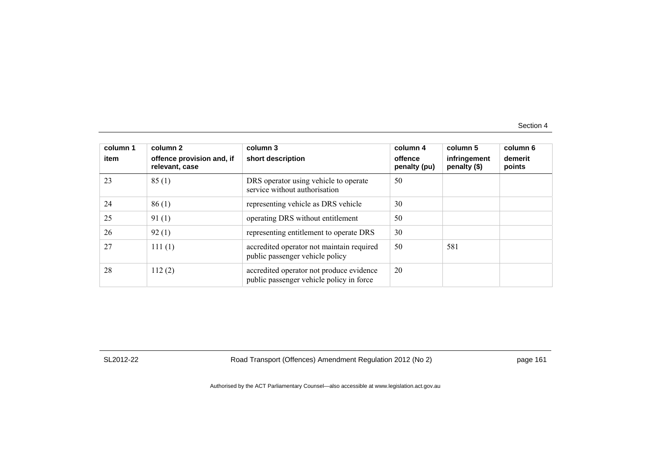| column 1<br>item | column 2<br>offence provision and, if<br>relevant, case | column 3<br>short description                                                        | column 4<br>offence<br>penalty (pu) | column 5<br>infringement<br>penalty (\$) | column 6<br>demerit<br>points |
|------------------|---------------------------------------------------------|--------------------------------------------------------------------------------------|-------------------------------------|------------------------------------------|-------------------------------|
| 23               | 85(1)                                                   | DRS operator using vehicle to operate<br>service without authorisation               | 50                                  |                                          |                               |
| 24               | 86(1)                                                   | representing vehicle as DRS vehicle                                                  | 30                                  |                                          |                               |
| 25               | 91(1)                                                   | operating DRS without entitlement                                                    | 50                                  |                                          |                               |
| 26               | 92(1)                                                   | representing entitlement to operate DRS                                              | 30                                  |                                          |                               |
| 27               | 111(1)                                                  | accredited operator not maintain required<br>public passenger vehicle policy         | 50                                  | 581                                      |                               |
| 28               | 112(2)                                                  | accredited operator not produce evidence<br>public passenger vehicle policy in force | 20                                  |                                          |                               |

SL2012-22 Road Transport (Offences) Amendment Regulation 2012 (No 2) page 161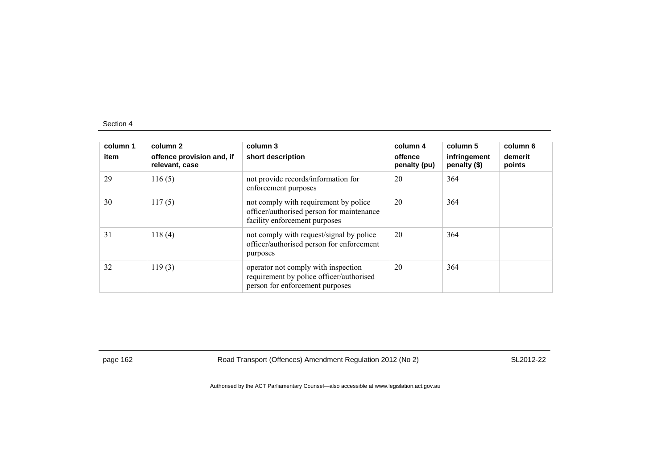| column 1<br>item | column 2<br>offence provision and, if<br>relevant, case | column 3<br>short description                                                                                       | column 4<br>offence<br>penalty (pu) | column 5<br>infringement<br>penalty (\$) | column 6<br>demerit<br>points |
|------------------|---------------------------------------------------------|---------------------------------------------------------------------------------------------------------------------|-------------------------------------|------------------------------------------|-------------------------------|
| 29               | 116(5)                                                  | not provide records/information for<br>enforcement purposes                                                         | 20                                  | 364                                      |                               |
| 30               | 117(5)                                                  | not comply with requirement by police<br>officer/authorised person for maintenance<br>facility enforcement purposes | 20                                  | 364                                      |                               |
| 31               | 118(4)                                                  | not comply with request/signal by police<br>officer/authorised person for enforcement<br>purposes                   | 20                                  | 364                                      |                               |
| 32               | 119(3)                                                  | operator not comply with inspection<br>requirement by police officer/authorised<br>person for enforcement purposes  | 20                                  | 364                                      |                               |

page 162 Road Transport (Offences) Amendment Regulation 2012 (No 2) SL2012-22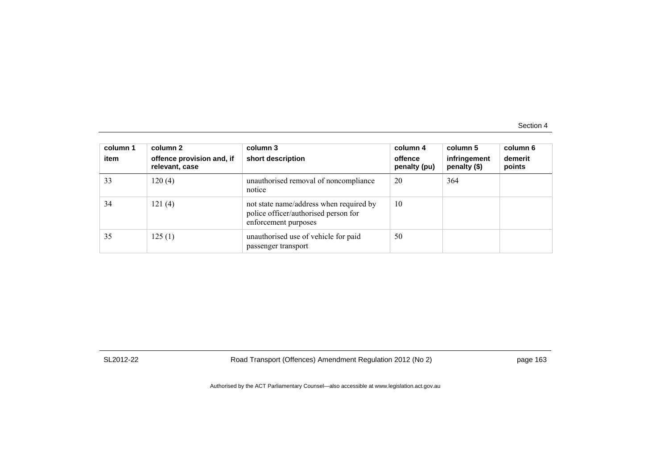| column 1<br>item | column 2<br>offence provision and, if<br>relevant, case | column 3<br>short description                                                                           | column 4<br>offence<br>penalty (pu) | column 5<br>infringement<br>penalty (\$) | column 6<br>demerit<br>points |
|------------------|---------------------------------------------------------|---------------------------------------------------------------------------------------------------------|-------------------------------------|------------------------------------------|-------------------------------|
| 33               | 120(4)                                                  | unauthorised removal of noncompliance<br>notice                                                         | 20                                  | 364                                      |                               |
| 34               | 121(4)                                                  | not state name/address when required by<br>police officer/authorised person for<br>enforcement purposes | 10                                  |                                          |                               |
| 35               | 125(1)                                                  | unauthorised use of vehicle for paid<br>passenger transport                                             | 50                                  |                                          |                               |

SL2012-22 Road Transport (Offences) Amendment Regulation 2012 (No 2) page 163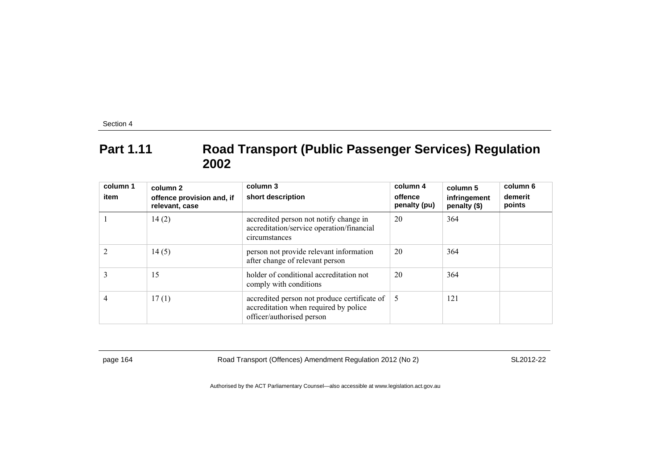## **Part 1.11 Road Transport (Public Passenger Services) Regulation 2002**

| column 1<br>item | column 2<br>offence provision and, if<br>relevant, case | column 3<br>short description                                                                                      | column 4<br>offence<br>penalty (pu) | column 5<br>infringement<br>penalty (\$) | column 6<br>demerit<br>points |
|------------------|---------------------------------------------------------|--------------------------------------------------------------------------------------------------------------------|-------------------------------------|------------------------------------------|-------------------------------|
|                  | 14(2)                                                   | accredited person not notify change in<br>accreditation/service operation/financial<br>circumstances               | 20                                  | 364                                      |                               |
|                  | 14(5)                                                   | person not provide relevant information<br>after change of relevant person                                         | 20                                  | 364                                      |                               |
|                  | 15                                                      | holder of conditional accreditation not<br>comply with conditions                                                  | 20                                  | 364                                      |                               |
| 4                | 17(1)                                                   | accredited person not produce certificate of<br>accreditation when required by police<br>officer/authorised person | -5                                  | 121                                      |                               |

page 164 Road Transport (Offences) Amendment Regulation 2012 (No 2) SL2012-22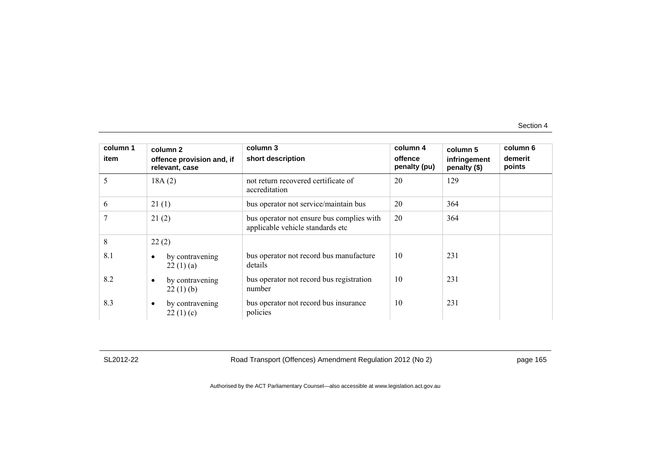| column 1 | column 2                                    | column 3                                                                      | column 4                | column 5                     | column 6          |
|----------|---------------------------------------------|-------------------------------------------------------------------------------|-------------------------|------------------------------|-------------------|
| item     | offence provision and, if<br>relevant, case | short description                                                             | offence<br>penalty (pu) | infringement<br>penalty (\$) | demerit<br>points |
| 5        | 18A(2)                                      | not return recovered certificate of<br>accreditation                          | 20                      | 129                          |                   |
| 6        | 21(1)                                       | bus operator not service/maintain bus                                         | 20                      | 364                          |                   |
| 7        | 21(2)                                       | bus operator not ensure bus complies with<br>applicable vehicle standards etc | 20                      | 364                          |                   |
| 8        | 22(2)                                       |                                                                               |                         |                              |                   |
| 8.1      | by contravening<br>$\bullet$<br>22(1)(a)    | bus operator not record bus manufacture<br>details                            | 10                      | 231                          |                   |
| 8.2      | by contravening<br>$\bullet$<br>22(1)(b)    | bus operator not record bus registration<br>number                            | 10                      | 231                          |                   |
| 8.3      | by contravening<br>$\bullet$<br>22(1)(c)    | bus operator not record bus insurance<br>policies                             | 10                      | 231                          |                   |

SL2012-22 Road Transport (Offences) Amendment Regulation 2012 (No 2) page 165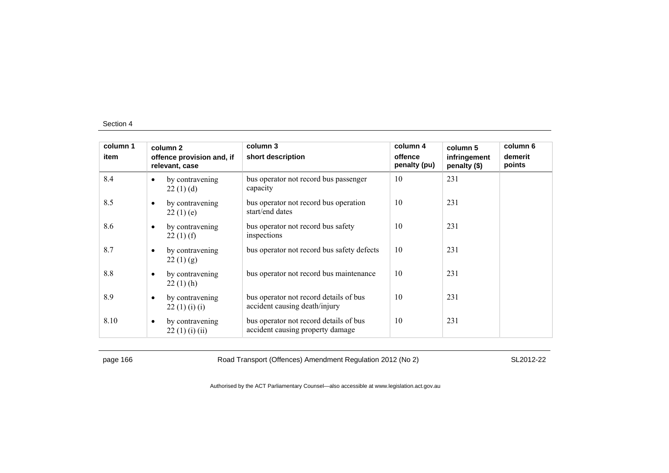| column 1 |                                             | column 2                        | column 3                                                                   | column 4                | column 5                     | column 6          |
|----------|---------------------------------------------|---------------------------------|----------------------------------------------------------------------------|-------------------------|------------------------------|-------------------|
| item     | offence provision and, if<br>relevant, case |                                 | short description                                                          | offence<br>penalty (pu) | infringement<br>penalty (\$) | demerit<br>points |
| 8.4      | $\bullet$                                   | by contravening<br>22(1)(d)     | bus operator not record bus passenger<br>capacity                          | 10                      | 231                          |                   |
| 8.5      | $\bullet$                                   | by contravening<br>22(1)(e)     | bus operator not record bus operation<br>start/end dates                   | 10                      | 231                          |                   |
| 8.6      | $\bullet$                                   | by contravening<br>$22(1)$ (f)  | bus operator not record bus safety<br>inspections                          | 10                      | 231                          |                   |
| 8.7      | $\bullet$                                   | by contravening<br>22(1)(g)     | bus operator not record bus safety defects                                 | 10                      | 231                          |                   |
| 8.8      | $\bullet$                                   | by contravening<br>$22(1)$ (h)  | bus operator not record bus maintenance                                    | 10                      | 231                          |                   |
| 8.9      | $\bullet$                                   | by contravening<br>22(1)(i)(i)  | bus operator not record details of bus<br>accident causing death/injury    | 10                      | 231                          |                   |
| 8.10     | $\bullet$                                   | by contravening<br>22(1)(i)(ii) | bus operator not record details of bus<br>accident causing property damage | 10                      | 231                          |                   |

page 166 Road Transport (Offences) Amendment Regulation 2012 (No 2) SL2012-22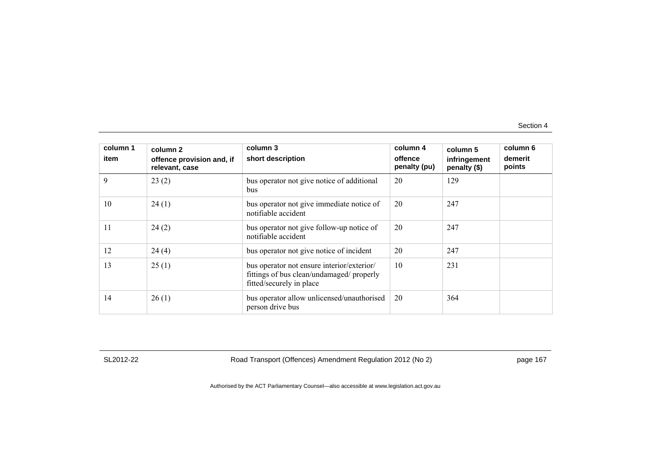| column 1<br>item | column 2<br>offence provision and, if<br>relevant, case | column 3<br>short description                                                                                       | column 4<br>offence<br>penalty (pu) | column 5<br>infringement<br>penalty (\$) | column 6<br>demerit<br>points |
|------------------|---------------------------------------------------------|---------------------------------------------------------------------------------------------------------------------|-------------------------------------|------------------------------------------|-------------------------------|
| 9                | 23(2)                                                   | bus operator not give notice of additional<br>bus                                                                   | 20                                  | 129                                      |                               |
| 10               | 24(1)                                                   | bus operator not give immediate notice of<br>notifiable accident                                                    | 20                                  | 247                                      |                               |
| 11               | 24(2)                                                   | bus operator not give follow-up notice of<br>notifiable accident                                                    | 20                                  | 247                                      |                               |
| 12               | 24(4)                                                   | bus operator not give notice of incident                                                                            | 20                                  | 247                                      |                               |
| 13               | 25(1)                                                   | bus operator not ensure interior/exterior/<br>fittings of bus clean/undamaged/ properly<br>fitted/securely in place | 10                                  | 231                                      |                               |
| 14               | 26(1)                                                   | bus operator allow unlicensed/unauthorised<br>person drive bus                                                      | 20                                  | 364                                      |                               |

SL2012-22 Road Transport (Offences) Amendment Regulation 2012 (No 2) page 167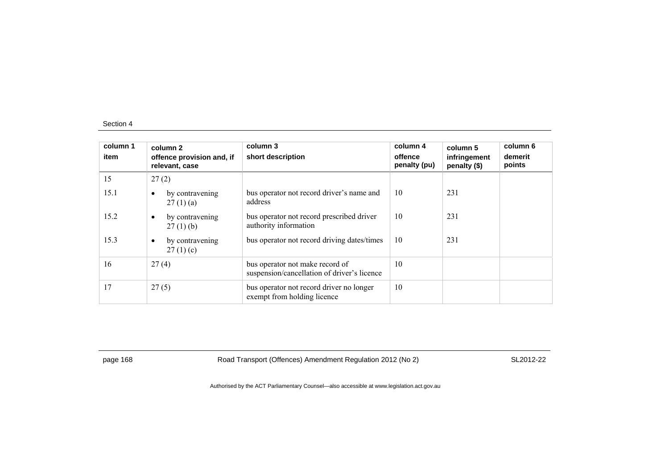| column 1<br>item | column 2<br>offence provision and, if<br>relevant, case | column 3<br>short description                                                  | column 4<br>offence<br>penalty (pu) | column 5<br>infringement<br>penalty (\$) | column 6<br>demerit<br>points |
|------------------|---------------------------------------------------------|--------------------------------------------------------------------------------|-------------------------------------|------------------------------------------|-------------------------------|
| 15               | 27(2)                                                   |                                                                                |                                     |                                          |                               |
| 15.1             | by contravening<br>$\bullet$<br>27(1)(a)                | bus operator not record driver's name and<br>address                           | 10                                  | 231                                      |                               |
| 15.2             | by contravening<br>$\bullet$<br>$27(1)$ (b)             | bus operator not record prescribed driver<br>authority information             | 10                                  | 231                                      |                               |
| 15.3             | by contravening<br>$\bullet$<br>27(1)(c)                | bus operator not record driving dates/times                                    | 10                                  | 231                                      |                               |
| 16               | 27(4)                                                   | bus operator not make record of<br>suspension/cancellation of driver's licence | 10                                  |                                          |                               |
| 17               | 27(5)                                                   | bus operator not record driver no longer<br>exempt from holding licence        | 10                                  |                                          |                               |

page 168 Road Transport (Offences) Amendment Regulation 2012 (No 2) SL2012-22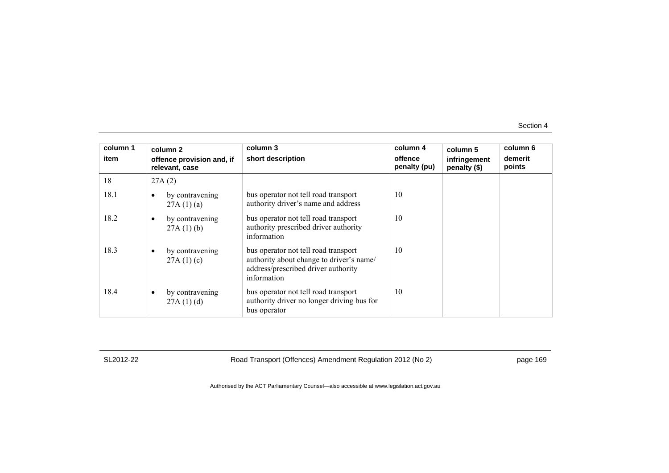| column 1<br>item |   | column 2<br>offence provision and, if<br>relevant, case | column 3<br>short description                                                                                                          | column 4<br>offence<br>penalty (pu) | column 5<br>infringement<br>penalty (\$) | column 6<br>demerit<br>points |
|------------------|---|---------------------------------------------------------|----------------------------------------------------------------------------------------------------------------------------------------|-------------------------------------|------------------------------------------|-------------------------------|
| 18               |   | 27A(2)                                                  |                                                                                                                                        |                                     |                                          |                               |
| 18.1             |   | by contravening<br>27A(1)(a)                            | bus operator not tell road transport<br>authority driver's name and address                                                            | 10                                  |                                          |                               |
| 18.2             | ٠ | by contravening<br>27A(1)(b)                            | bus operator not tell road transport<br>authority prescribed driver authority<br>information                                           | 10                                  |                                          |                               |
| 18.3             | ٠ | by contravening<br>27A(1)(c)                            | bus operator not tell road transport<br>authority about change to driver's name/<br>address/prescribed driver authority<br>information | 10                                  |                                          |                               |
| 18.4             |   | by contravening<br>27A(1)(d)                            | bus operator not tell road transport<br>authority driver no longer driving bus for<br>bus operator                                     | 10                                  |                                          |                               |

SL2012-22 Road Transport (Offences) Amendment Regulation 2012 (No 2) page 169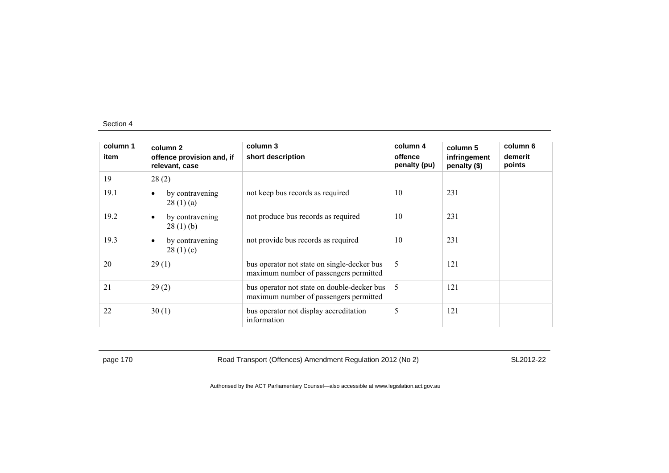| column 1<br>item | column 2<br>offence provision and, if<br>relevant, case | column 3<br>short description                                                         | column 4<br>offence<br>penalty (pu) | column 5<br>infringement<br>penalty (\$) | column 6<br>demerit<br>points |
|------------------|---------------------------------------------------------|---------------------------------------------------------------------------------------|-------------------------------------|------------------------------------------|-------------------------------|
| 19               | 28(2)                                                   |                                                                                       |                                     |                                          |                               |
| 19.1             | by contravening<br>$\bullet$<br>28(1)(a)                | not keep bus records as required                                                      | 10                                  | 231                                      |                               |
| 19.2             | by contravening<br>$\bullet$<br>28(1)(b)                | not produce bus records as required                                                   | 10                                  | 231                                      |                               |
| 19.3             | by contravening<br>$\bullet$<br>28(1)(c)                | not provide bus records as required                                                   | 10                                  | 231                                      |                               |
| 20               | 29(1)                                                   | bus operator not state on single-decker bus<br>maximum number of passengers permitted | 5                                   | 121                                      |                               |
| 21               | 29(2)                                                   | bus operator not state on double-decker bus<br>maximum number of passengers permitted | 5                                   | 121                                      |                               |
| 22               | 30(1)                                                   | bus operator not display accreditation<br>information                                 | 5                                   | 121                                      |                               |

page 170 Road Transport (Offences) Amendment Regulation 2012 (No 2) SL2012-22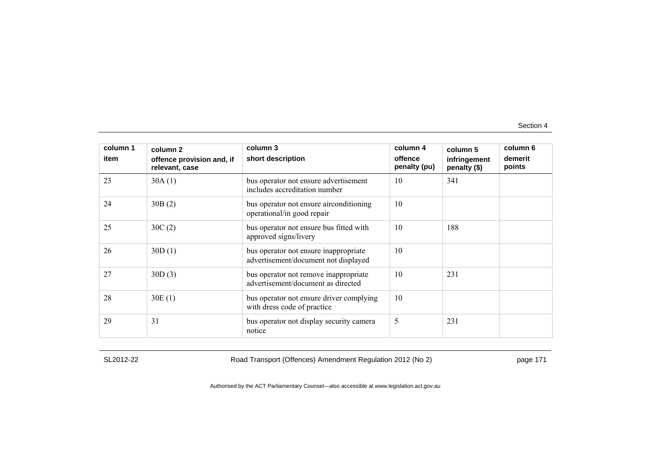| column 1<br>item | column 2<br>offence provision and, if<br>relevant, case | column 3<br>short description                                                 | column 4<br>offence<br>penalty (pu) | column 5<br>infringement<br>penalty (\$) | column 6<br>demerit<br>points |
|------------------|---------------------------------------------------------|-------------------------------------------------------------------------------|-------------------------------------|------------------------------------------|-------------------------------|
| 23               | 30A(1)                                                  | bus operator not ensure advertisement<br>includes accreditation number        | 10                                  | 341                                      |                               |
| 24               | 30B(2)                                                  | bus operator not ensure airconditioning<br>operational/in good repair         | 10                                  |                                          |                               |
| 25               | 30C(2)                                                  | bus operator not ensure bus fitted with<br>approved signs/livery              | 10                                  | 188                                      |                               |
| 26               | 30D(1)                                                  | bus operator not ensure inappropriate<br>advertisement/document not displayed | 10                                  |                                          |                               |
| 27               | 30D(3)                                                  | bus operator not remove inappropriate<br>advertisement/document as directed   | 10                                  | 231                                      |                               |
| 28               | 30E(1)                                                  | bus operator not ensure driver complying<br>with dress code of practice       | 10                                  |                                          |                               |
| 29               | 31                                                      | bus operator not display security camera<br>notice                            | 5                                   | 231                                      |                               |

SL2012-22 Road Transport (Offences) Amendment Regulation 2012 (No 2) page 171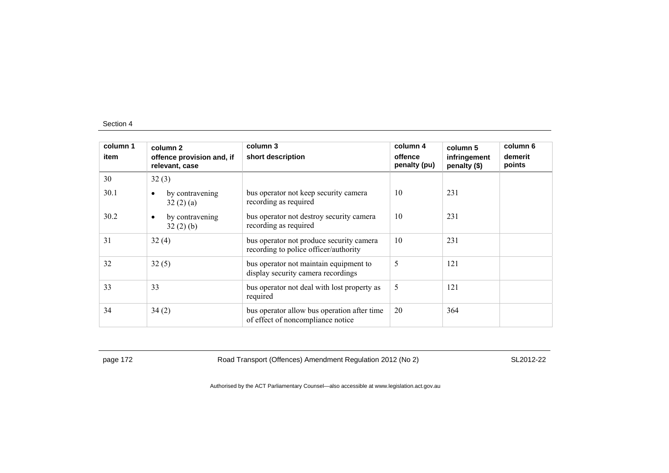| column 1<br>item | column 2<br>offence provision and, if<br>relevant, case | column 3<br>short description                                                     | column 4<br>offence<br>penalty (pu) | column 5<br>infringement<br>penalty (\$) | column 6<br>demerit<br>points |
|------------------|---------------------------------------------------------|-----------------------------------------------------------------------------------|-------------------------------------|------------------------------------------|-------------------------------|
| 30               | 32(3)                                                   |                                                                                   |                                     |                                          |                               |
| 30.1             | by contravening<br>$\bullet$<br>32(2)(a)                | bus operator not keep security camera<br>recording as required                    | 10                                  | 231                                      |                               |
| 30.2             | by contravening<br>$\bullet$<br>32(2)(b)                | bus operator not destroy security camera<br>recording as required                 | 10                                  | 231                                      |                               |
| 31               | 32(4)                                                   | bus operator not produce security camera<br>recording to police officer/authority | 10                                  | 231                                      |                               |
| 32               | 32(5)                                                   | bus operator not maintain equipment to<br>display security camera recordings      | 5                                   | 121                                      |                               |
| 33               | 33                                                      | bus operator not deal with lost property as<br>required                           | 5                                   | 121                                      |                               |
| 34               | 34(2)                                                   | bus operator allow bus operation after time<br>of effect of noncompliance notice  | 20                                  | 364                                      |                               |

page 172 **Road Transport (Offences) Amendment Regulation 2012 (No 2)** SL2012-22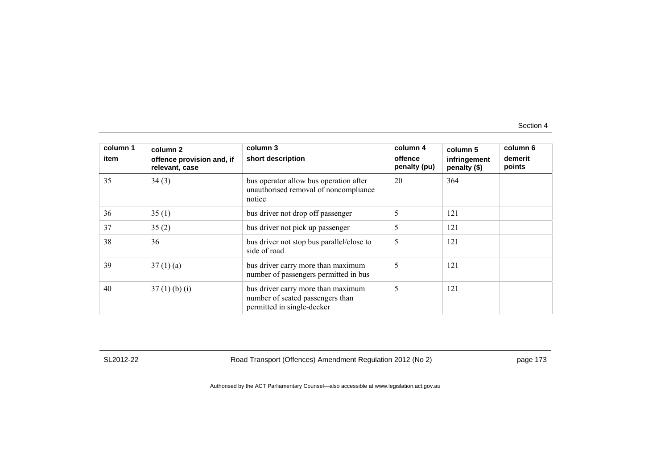| column 1<br>item | column 2<br>offence provision and, if<br>relevant, case | column 3<br>short description                                                                        | column 4<br>offence<br>penalty (pu) | column 5<br>infringement<br>penalty (\$) | column 6<br>demerit<br>points |
|------------------|---------------------------------------------------------|------------------------------------------------------------------------------------------------------|-------------------------------------|------------------------------------------|-------------------------------|
| 35               | 34(3)                                                   | bus operator allow bus operation after<br>unauthorised removal of noncompliance<br>notice            | 20                                  | 364                                      |                               |
| 36               | 35(1)                                                   | bus driver not drop off passenger                                                                    | 5                                   | 121                                      |                               |
| 37               | 35(2)                                                   | bus driver not pick up passenger                                                                     | 5                                   | 121                                      |                               |
| 38               | 36                                                      | bus driver not stop bus parallel/close to<br>side of road                                            | 5                                   | 121                                      |                               |
| 39               | 37(1)(a)                                                | bus driver carry more than maximum<br>number of passengers permitted in bus                          | 5                                   | 121                                      |                               |
| 40               | $37(1)$ (b) (i)                                         | bus driver carry more than maximum<br>number of seated passengers than<br>permitted in single-decker | 5                                   | 121                                      |                               |

SL2012-22 Road Transport (Offences) Amendment Regulation 2012 (No 2) page 173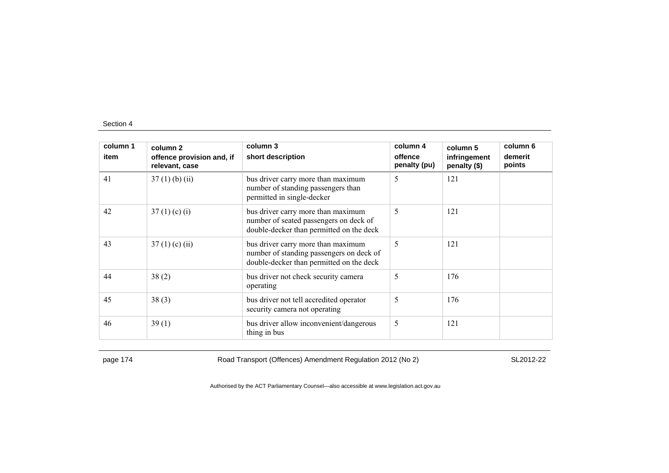| column 1 | column 2                                    | column 3                                                                                                                   | column 4                | column 5                     | column 6          |
|----------|---------------------------------------------|----------------------------------------------------------------------------------------------------------------------------|-------------------------|------------------------------|-------------------|
| item     | offence provision and, if<br>relevant, case | short description                                                                                                          | offence<br>penalty (pu) | infringement<br>penalty (\$) | demerit<br>points |
| 41       | $37(1)$ (b) (ii)                            | bus driver carry more than maximum<br>number of standing passengers than<br>permitted in single-decker                     | 5                       | 121                          |                   |
| 42       | 37(1)(c)(i)                                 | bus driver carry more than maximum<br>number of seated passengers on deck of<br>double-decker than permitted on the deck   | 5                       | 121                          |                   |
| 43       | $37(1)$ (c) (ii)                            | bus driver carry more than maximum<br>number of standing passengers on deck of<br>double-decker than permitted on the deck | 5                       | 121                          |                   |
| 44       | 38(2)                                       | bus driver not check security camera<br>operating                                                                          | 5                       | 176                          |                   |
| 45       | 38(3)                                       | bus driver not tell accredited operator<br>security camera not operating                                                   | 5                       | 176                          |                   |
| 46       | 39(1)                                       | bus driver allow inconvenient/dangerous<br>thing in bus                                                                    | 5                       | 121                          |                   |

page 174 Road Transport (Offences) Amendment Regulation 2012 (No 2) SL2012-22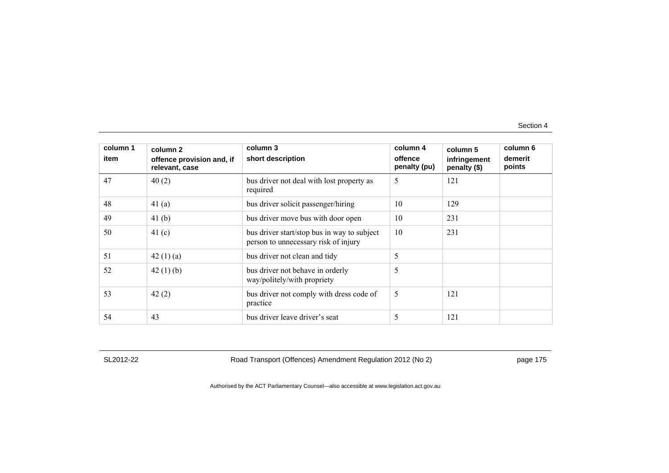| column 1<br>item | column 2<br>offence provision and, if<br>relevant, case | column 3<br>short description                                                       | column 4<br>offence<br>penalty (pu) | column 5<br>infringement<br>penalty (\$) | column 6<br>demerit<br>points |
|------------------|---------------------------------------------------------|-------------------------------------------------------------------------------------|-------------------------------------|------------------------------------------|-------------------------------|
| 47               | 40(2)                                                   | bus driver not deal with lost property as<br>required                               | 5                                   | 121                                      |                               |
| 48               | 41 $(a)$                                                | bus driver solicit passenger/hiring                                                 | 10                                  | 129                                      |                               |
| 49               | 41 <sub>(b)</sub>                                       | bus driver move bus with door open                                                  | 10                                  | 231                                      |                               |
| 50               | 41 $(c)$                                                | bus driver start/stop bus in way to subject<br>person to unnecessary risk of injury | 10                                  | 231                                      |                               |
| 51               | 42 $(1)(a)$                                             | bus driver not clean and tidy                                                       | 5                                   |                                          |                               |
| 52               | 42 $(1)$ $(b)$                                          | bus driver not behave in orderly<br>way/politely/with propriety                     | 5                                   |                                          |                               |
| 53               | 42(2)                                                   | bus driver not comply with dress code of<br>practice                                | 5                                   | 121                                      |                               |
| 54               | 43                                                      | bus driver leave driver's seat                                                      | 5                                   | 121                                      |                               |

SL2012-22 Road Transport (Offences) Amendment Regulation 2012 (No 2) page 175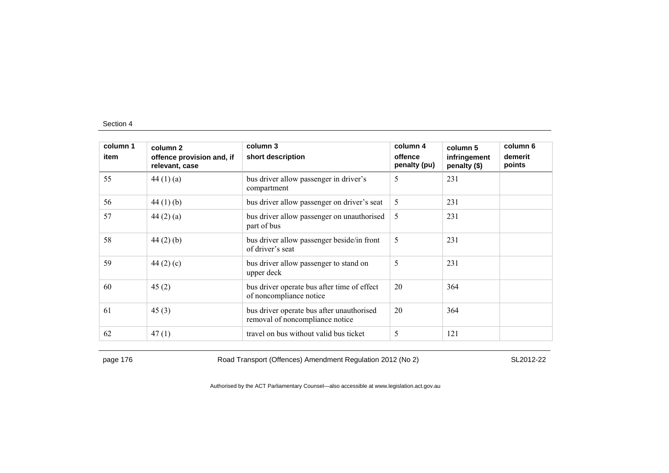| column 1<br>item | column 2<br>offence provision and, if<br>relevant, case | column 3<br>short description                                                | column 4<br>offence<br>penalty (pu) | column 5<br>infringement<br>penalty (\$) | column 6<br>demerit<br>points |
|------------------|---------------------------------------------------------|------------------------------------------------------------------------------|-------------------------------------|------------------------------------------|-------------------------------|
| 55               | 44 $(1)(a)$                                             | bus driver allow passenger in driver's<br>compartment                        | 5                                   | 231                                      |                               |
| 56               | 44 $(1)$ $(b)$                                          | bus driver allow passenger on driver's seat                                  | 5                                   | 231                                      |                               |
| 57               | 44 $(2)$ $(a)$                                          | bus driver allow passenger on unauthorised<br>part of bus                    | 5                                   | 231                                      |                               |
| 58               | 44 $(2)$ $(b)$                                          | bus driver allow passenger beside/in front<br>of driver's seat               | 5                                   | 231                                      |                               |
| 59               | 44 $(2)$ $(c)$                                          | bus driver allow passenger to stand on<br>upper deck                         | 5                                   | 231                                      |                               |
| 60               | 45(2)                                                   | bus driver operate bus after time of effect<br>of noncompliance notice       | 20                                  | 364                                      |                               |
| 61               | 45(3)                                                   | bus driver operate bus after unauthorised<br>removal of noncompliance notice | 20                                  | 364                                      |                               |
| 62               | 47(1)                                                   | travel on bus without valid bus ticket                                       | 5                                   | 121                                      |                               |

page 176 **Road Transport (Offences) Amendment Regulation 2012 (No 2)** SL2012-22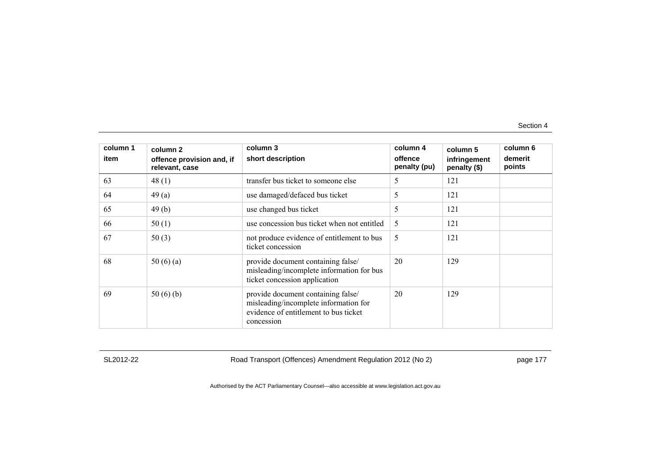| column 1<br>item | column 2<br>offence provision and, if<br>relevant, case | column 3<br>short description                                                                                                      | column 4<br>offence<br>penalty (pu) | column 5<br>infringement<br>penalty (\$) | column 6<br>demerit<br>points |
|------------------|---------------------------------------------------------|------------------------------------------------------------------------------------------------------------------------------------|-------------------------------------|------------------------------------------|-------------------------------|
| 63               | 48(1)                                                   | transfer bus ticket to someone else                                                                                                | 5                                   | 121                                      |                               |
| 64               | 49(a)                                                   | use damaged/defaced bus ticket                                                                                                     | 5                                   | 121                                      |                               |
| 65               | 49(b)                                                   | use changed bus ticket                                                                                                             | 5                                   | 121                                      |                               |
| 66               | 50(1)                                                   | use concession bus ticket when not entitled                                                                                        | 5                                   | 121                                      |                               |
| 67               | 50(3)                                                   | not produce evidence of entitlement to bus<br>ticket concession                                                                    | 5                                   | 121                                      |                               |
| 68               | 50 $(6)(a)$                                             | provide document containing false/<br>misleading/incomplete information for bus<br>ticket concession application                   | 20                                  | 129                                      |                               |
| 69               | 50 $(6)(b)$                                             | provide document containing false/<br>misleading/incomplete information for<br>evidence of entitlement to bus ticket<br>concession | 20                                  | 129                                      |                               |

SL2012-22 Road Transport (Offences) Amendment Regulation 2012 (No 2) page 177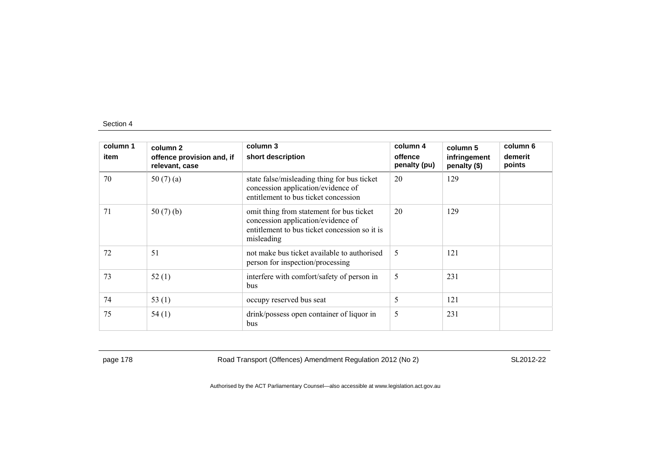| column 1<br>item | column 2<br>offence provision and, if<br>relevant, case | column 3<br>short description                                                                                                                 | column 4<br>offence<br>penalty (pu) | column 5<br>infringement<br>penalty (\$) | column 6<br>demerit<br>points |
|------------------|---------------------------------------------------------|-----------------------------------------------------------------------------------------------------------------------------------------------|-------------------------------------|------------------------------------------|-------------------------------|
| 70               | 50 $(7)(a)$                                             | state false/misleading thing for bus ticket<br>concession application/evidence of<br>entitlement to bus ticket concession                     | 20                                  | 129                                      |                               |
| 71               | 50(7)(b)                                                | omit thing from statement for bus ticket<br>concession application/evidence of<br>entitlement to bus ticket concession so it is<br>misleading | 20                                  | 129                                      |                               |
| 72               | 51                                                      | not make bus ticket available to authorised<br>person for inspection/processing                                                               | 5                                   | 121                                      |                               |
| 73               | 52(1)                                                   | interfere with comfort/safety of person in<br>bus                                                                                             | 5                                   | 231                                      |                               |
| 74               | 53 $(1)$                                                | occupy reserved bus seat                                                                                                                      | 5                                   | 121                                      |                               |
| 75               | 54(1)                                                   | drink/possess open container of liquor in<br>bus                                                                                              | 5                                   | 231                                      |                               |

page 178 **Road Transport (Offences) Amendment Regulation 2012 (No 2)** SL2012-22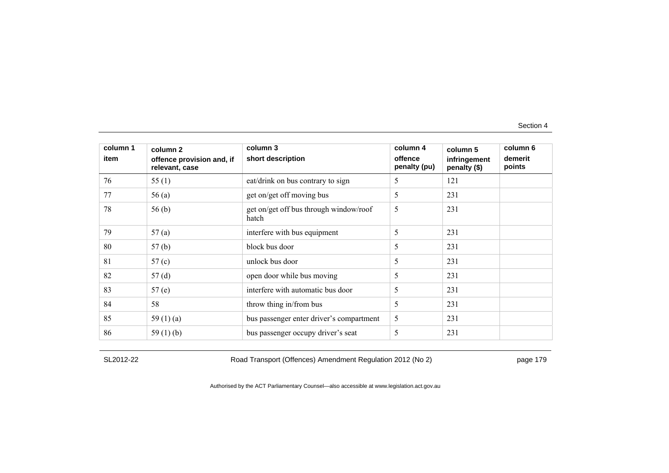| column 1<br>item | column 2<br>offence provision and, if<br>relevant, case | column 3<br>short description                   | column 4<br>offence<br>penalty (pu) | column 5<br>infringement<br>penalty (\$) | column 6<br>demerit<br>points |
|------------------|---------------------------------------------------------|-------------------------------------------------|-------------------------------------|------------------------------------------|-------------------------------|
| 76               | 55(1)                                                   | eat/drink on bus contrary to sign               | 5                                   | 121                                      |                               |
| 77               | 56(a)                                                   | get on/get off moving bus                       | 5                                   | 231                                      |                               |
| 78               | 56(b)                                                   | get on/get off bus through window/roof<br>hatch | 5                                   | 231                                      |                               |
| 79               | 57(a)                                                   | interfere with bus equipment                    | 5                                   | 231                                      |                               |
| 80               | 57(b)                                                   | block bus door                                  | 5                                   | 231                                      |                               |
| 81               | 57 $(c)$                                                | unlock bus door                                 | 5                                   | 231                                      |                               |
| 82               | 57(d)                                                   | open door while bus moving                      | 5                                   | 231                                      |                               |
| 83               | 57(e)                                                   | interfere with automatic bus door               | 5                                   | 231                                      |                               |
| 84               | 58                                                      | throw thing in/from bus                         | 5                                   | 231                                      |                               |
| 85               | 59 $(1)(a)$                                             | bus passenger enter driver's compartment        | 5                                   | 231                                      |                               |
| 86               | 59 $(1)$ (b)                                            | bus passenger occupy driver's seat              | 5                                   | 231                                      |                               |

SL2012-22 Road Transport (Offences) Amendment Regulation 2012 (No 2) page 179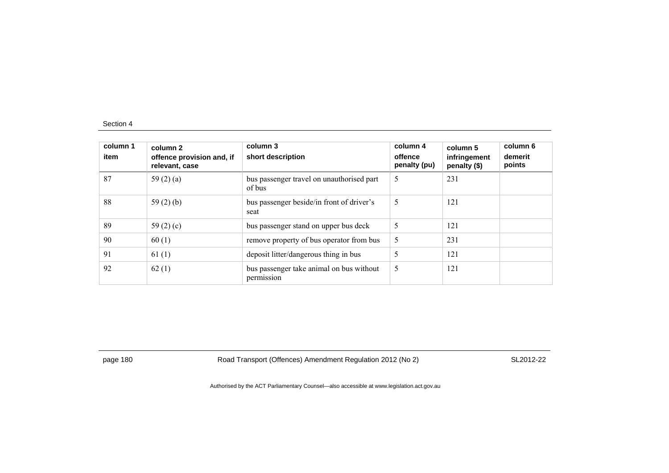| column 1<br>item | column 2<br>offence provision and, if<br>relevant, case | column 3<br>short description                          | column 4<br>offence<br>penalty (pu) | column 5<br>infringement<br>penalty (\$) | column 6<br>demerit<br>points |
|------------------|---------------------------------------------------------|--------------------------------------------------------|-------------------------------------|------------------------------------------|-------------------------------|
| 87               | 59 $(2)$ $(a)$                                          | bus passenger travel on unauthorised part<br>of bus    | 5                                   | 231                                      |                               |
| 88               | 59 $(2)$ $(b)$                                          | bus passenger beside/in front of driver's<br>seat      | 5                                   | 121                                      |                               |
| 89               | 59 $(2)$ $(c)$                                          | bus passenger stand on upper bus deck                  | 5                                   | 121                                      |                               |
| 90               | 60(1)                                                   | remove property of bus operator from bus               | 5                                   | 231                                      |                               |
| 91               | 61(1)                                                   | deposit litter/dangerous thing in bus                  | 5                                   | 121                                      |                               |
| 92               | 62(1)                                                   | bus passenger take animal on bus without<br>permission | 5                                   | 121                                      |                               |

page 180 Road Transport (Offences) Amendment Regulation 2012 (No 2) SL2012-22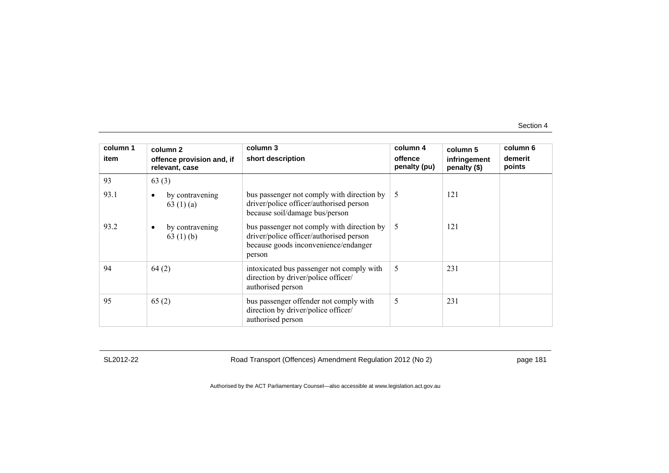| column 1<br>item | column 2<br>offence provision and, if        | column 3<br>short description                                                                                                           | column 4<br>offence | column 5<br>infringement | column 6<br>demerit |
|------------------|----------------------------------------------|-----------------------------------------------------------------------------------------------------------------------------------------|---------------------|--------------------------|---------------------|
|                  | relevant, case                               |                                                                                                                                         | penalty (pu)        | penalty (\$)             | points              |
| 93               | 63(3)                                        |                                                                                                                                         |                     |                          |                     |
| 93.1             | by contravening<br>63 $(1)(a)$               | bus passenger not comply with direction by<br>driver/police officer/authorised person<br>because soil/damage bus/person                 | .5                  | 121                      |                     |
| 93.2             | by contravening<br>$\bullet$<br>63 $(1)$ (b) | bus passenger not comply with direction by<br>driver/police officer/authorised person<br>because goods inconvenience/endanger<br>person | 5                   | 121                      |                     |
| 94               | 64(2)                                        | intoxicated bus passenger not comply with<br>direction by driver/police officer/<br>authorised person                                   | 5                   | 231                      |                     |
| 95               | 65(2)                                        | bus passenger offender not comply with<br>direction by driver/police officer/<br>authorised person                                      | 5                   | 231                      |                     |

SL2012-22 Road Transport (Offences) Amendment Regulation 2012 (No 2) page 181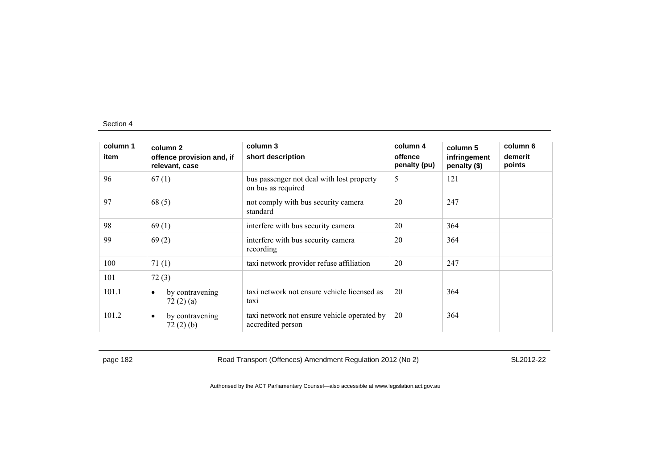| column 1 | column 2                                    | column 3                                                         | column 4                | column 5                     | column 6          |
|----------|---------------------------------------------|------------------------------------------------------------------|-------------------------|------------------------------|-------------------|
| item     | offence provision and, if<br>relevant, case | short description                                                | offence<br>penalty (pu) | infringement<br>penalty (\$) | demerit<br>points |
| 96       | 67(1)                                       | bus passenger not deal with lost property<br>on bus as required  | 5                       | 121                          |                   |
| 97       | 68(5)                                       | not comply with bus security camera<br>standard                  | 20                      | 247                          |                   |
| 98       | 69(1)                                       | interfere with bus security camera                               | 20                      | 364                          |                   |
| 99       | 69(2)                                       | interfere with bus security camera<br>recording                  | 20                      | 364                          |                   |
| 100      | 71(1)                                       | taxi network provider refuse affiliation                         | 20                      | 247                          |                   |
| 101      | 72(3)                                       |                                                                  |                         |                              |                   |
| 101.1    | by contravening<br>$\bullet$<br>72(2)(a)    | taxi network not ensure vehicle licensed as<br>taxi              | 20                      | 364                          |                   |
| 101.2    | by contravening<br>$\bullet$<br>72(2)(b)    | taxi network not ensure vehicle operated by<br>accredited person | 20                      | 364                          |                   |

page 182 Road Transport (Offences) Amendment Regulation 2012 (No 2) SL2012-22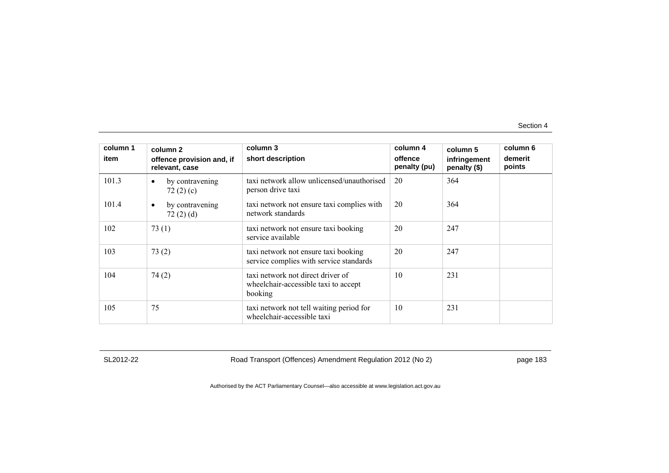| column 1<br>item | column 2<br>offence provision and, if<br>relevant, case | column 3<br>short description                                                        | column 4<br>offence<br>penalty (pu) | column 5<br>infringement<br>penalty (\$) | column 6<br>demerit<br>points |
|------------------|---------------------------------------------------------|--------------------------------------------------------------------------------------|-------------------------------------|------------------------------------------|-------------------------------|
| 101.3            | by contravening<br>$\bullet$<br>72 $(2)$ $(c)$          | taxi network allow unlicensed/unauthorised<br>person drive taxi                      | 20                                  | 364                                      |                               |
| 101.4            | by contravening<br>$\bullet$<br>72(2)(d)                | taxi network not ensure taxi complies with<br>network standards                      | 20                                  | 364                                      |                               |
| 102              | 73(1)                                                   | taxi network not ensure taxi booking<br>service available                            | 20                                  | 247                                      |                               |
| 103              | 73(2)                                                   | taxi network not ensure taxi booking<br>service complies with service standards      | 20                                  | 247                                      |                               |
| 104              | 74(2)                                                   | taxi network not direct driver of<br>wheelchair-accessible taxi to accept<br>booking | 10                                  | 231                                      |                               |
| 105              | 75                                                      | taxi network not tell waiting period for<br>wheelchair-accessible taxi               | 10                                  | 231                                      |                               |

SL2012-22 Road Transport (Offences) Amendment Regulation 2012 (No 2) page 183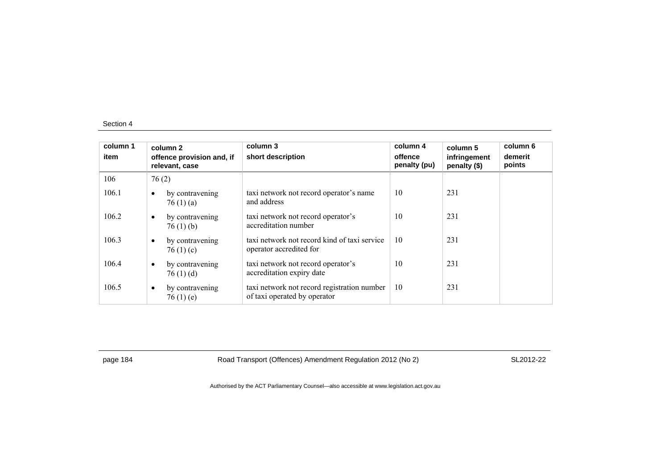| column 1<br>item | column 2<br>relevant, case | offence provision and, if         | column 3<br>short description                                               | column 4<br>offence<br>penalty (pu) | column 5<br>infringement<br>penalty (\$) | column 6<br>demerit<br>points |
|------------------|----------------------------|-----------------------------------|-----------------------------------------------------------------------------|-------------------------------------|------------------------------------------|-------------------------------|
| 106              | 76(2)                      |                                   |                                                                             |                                     |                                          |                               |
| 106.1            | $\bullet$                  | by contravening<br>76(1)(a)       | taxi network not record operator's name<br>and address                      | 10                                  | 231                                      |                               |
| 106.2            | $\bullet$                  | by contravening<br>76(1)(b)       | taxi network not record operator's<br>accreditation number                  | 10                                  | 231                                      |                               |
| 106.3            | $\bullet$                  | by contravening<br>76 $(1)$ $(c)$ | taxi network not record kind of taxi service<br>operator accredited for     | 10                                  | 231                                      |                               |
| 106.4            | $\bullet$                  | by contravening<br>76(1)(d)       | taxi network not record operator's<br>accreditation expiry date             | 10                                  | 231                                      |                               |
| 106.5            | $\bullet$                  | by contravening<br>76(1)(e)       | taxi network not record registration number<br>of taxi operated by operator | 10                                  | 231                                      |                               |

page 184 Road Transport (Offences) Amendment Regulation 2012 (No 2) SL2012-22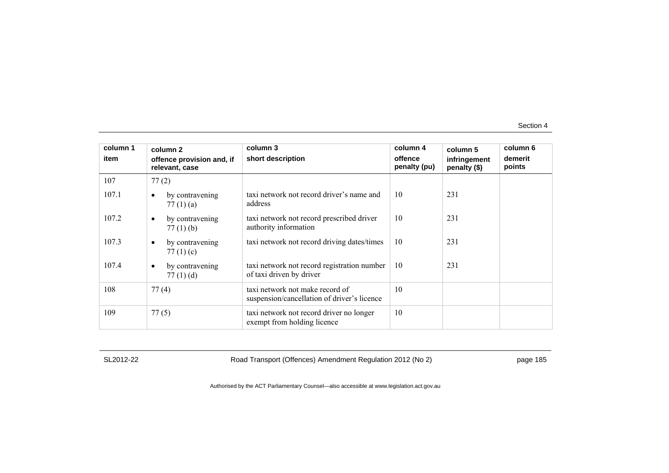| column 1 | column 2                                       | column 3                                                                       | column 4                | column 5                     | column 6          |
|----------|------------------------------------------------|--------------------------------------------------------------------------------|-------------------------|------------------------------|-------------------|
| item     | offence provision and, if<br>relevant, case    | short description                                                              | offence<br>penalty (pu) | infringement<br>penalty (\$) | demerit<br>points |
| 107      | 77(2)                                          |                                                                                |                         |                              |                   |
| 107.1    | by contravening<br>77 $(1)$ $(a)$              | taxi network not record driver's name and<br>address                           | 10                      | 231                          |                   |
| 107.2    | by contravening<br>$\bullet$<br>$77(1)$ (b)    | taxi network not record prescribed driver<br>authority information             | 10                      | 231                          |                   |
| 107.3    | by contravening<br>$\bullet$<br>77 $(1)$ $(c)$ | taxi network not record driving dates/times                                    | 10                      | 231                          |                   |
| 107.4    | by contravening<br>$\bullet$<br>77 $(1)$ $(d)$ | taxi network not record registration number<br>of taxi driven by driver        | 10                      | 231                          |                   |
| 108      | 77(4)                                          | taxi network not make record of<br>suspension/cancellation of driver's licence | 10                      |                              |                   |
| 109      | 77(5)                                          | taxi network not record driver no longer<br>exempt from holding licence        | 10                      |                              |                   |

SL2012-22 Road Transport (Offences) Amendment Regulation 2012 (No 2) page 185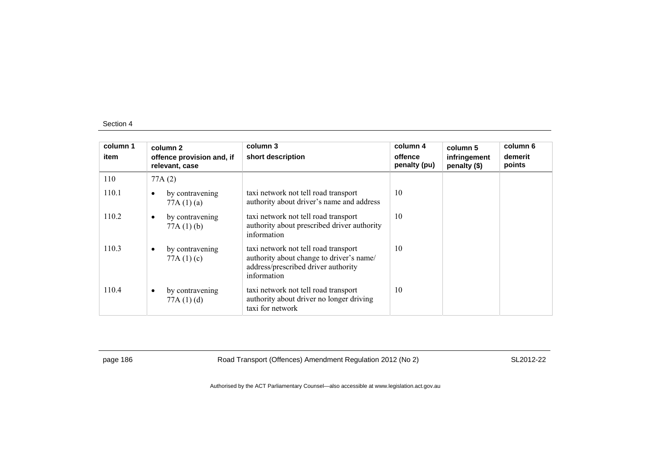| column 1<br>item |           | column 2<br>offence provision and, if<br>relevant, case | column 3<br>short description                                                                                                          | column 4<br>offence<br>penalty (pu) | column 5<br>infringement<br>penalty (\$) | column 6<br>demerit<br>points |
|------------------|-----------|---------------------------------------------------------|----------------------------------------------------------------------------------------------------------------------------------------|-------------------------------------|------------------------------------------|-------------------------------|
| 110              |           | 77A(2)                                                  |                                                                                                                                        |                                     |                                          |                               |
| 110.1            | $\bullet$ | by contravening<br>77A(1)(a)                            | taxi network not tell road transport<br>authority about driver's name and address                                                      | 10                                  |                                          |                               |
| 110.2            | $\bullet$ | by contravening<br>77A(1)(b)                            | taxi network not tell road transport<br>authority about prescribed driver authority<br>information                                     | 10                                  |                                          |                               |
| 110.3            | $\bullet$ | by contravening<br>77A $(1)(c)$                         | taxi network not tell road transport<br>authority about change to driver's name/<br>address/prescribed driver authority<br>information | 10                                  |                                          |                               |
| 110.4            | $\bullet$ | by contravening<br>77A(1)(d)                            | taxi network not tell road transport<br>authority about driver no longer driving<br>taxi for network                                   | 10                                  |                                          |                               |

page 186 Road Transport (Offences) Amendment Regulation 2012 (No 2) SL2012-22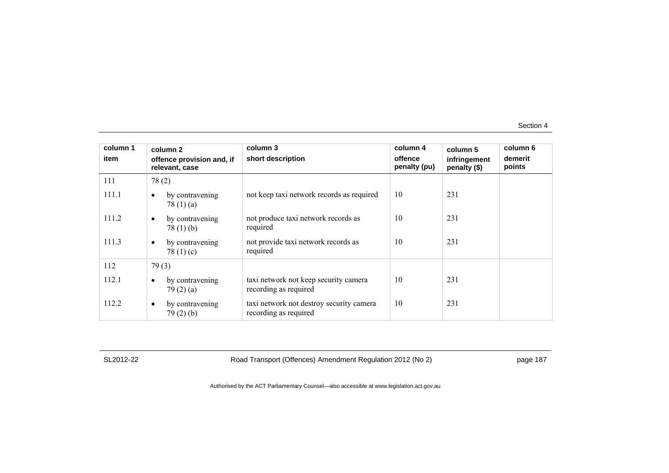| column 1<br>item | column 2<br>offence provision and, if<br>relevant, case | column 3<br>short description                                     | column 4<br>offence<br>penalty (pu) | column 5<br>infringement<br>penalty (\$) | column 6<br>demerit<br>points |
|------------------|---------------------------------------------------------|-------------------------------------------------------------------|-------------------------------------|------------------------------------------|-------------------------------|
| 111              | 78(2)                                                   |                                                                   |                                     |                                          |                               |
| 111.1            | by contravening<br>$\bullet$<br>78 $(1)$ $(a)$          | not keep taxi network records as required                         | 10                                  | 231                                      |                               |
| 111.2            | by contravening<br>٠<br>78(1)(b)                        | not produce taxi network records as<br>required                   | 10                                  | 231                                      |                               |
| 111.3            | by contravening<br>$\bullet$<br>78 $(1)(c)$             | not provide taxi network records as<br>required                   | 10                                  | 231                                      |                               |
| 112              | 79(3)                                                   |                                                                   |                                     |                                          |                               |
| 112.1            | by contravening<br>$\bullet$<br>79(2)(a)                | taxi network not keep security camera<br>recording as required    | 10                                  | 231                                      |                               |
| 112.2            | by contravening<br>٠<br>79(2)(b)                        | taxi network not destroy security camera<br>recording as required | 10                                  | 231                                      |                               |

SL2012-22 Road Transport (Offences) Amendment Regulation 2012 (No 2) page 187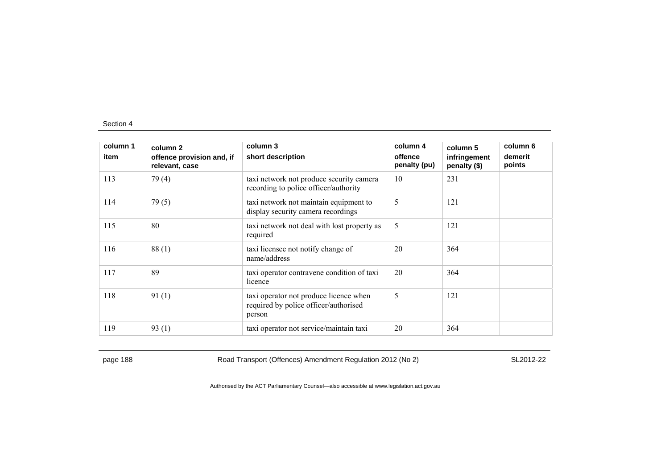| column 1<br>item | column 2<br>offence provision and, if<br>relevant, case | column 3<br>short description                                                             | column 4<br>offence<br>penalty (pu) | column 5<br>infringement<br>penalty (\$) | column 6<br>demerit<br>points |
|------------------|---------------------------------------------------------|-------------------------------------------------------------------------------------------|-------------------------------------|------------------------------------------|-------------------------------|
| 113              | 79(4)                                                   | taxi network not produce security camera<br>recording to police officer/authority         | 10                                  | 231                                      |                               |
| 114              | 79(5)                                                   | taxi network not maintain equipment to<br>display security camera recordings              | 5                                   | 121                                      |                               |
| 115              | 80                                                      | taxi network not deal with lost property as<br>required                                   | 5                                   | 121                                      |                               |
| 116              | 88(1)                                                   | taxi licensee not notify change of<br>name/address                                        | 20                                  | 364                                      |                               |
| 117              | 89                                                      | taxi operator contravene condition of taxi<br>licence                                     | 20                                  | 364                                      |                               |
| 118              | 91(1)                                                   | taxi operator not produce licence when<br>required by police officer/authorised<br>person | 5                                   | 121                                      |                               |
| 119              | 93(1)                                                   | taxi operator not service/maintain taxi                                                   | 20                                  | 364                                      |                               |

page 188 Road Transport (Offences) Amendment Regulation 2012 (No 2) SL2012-22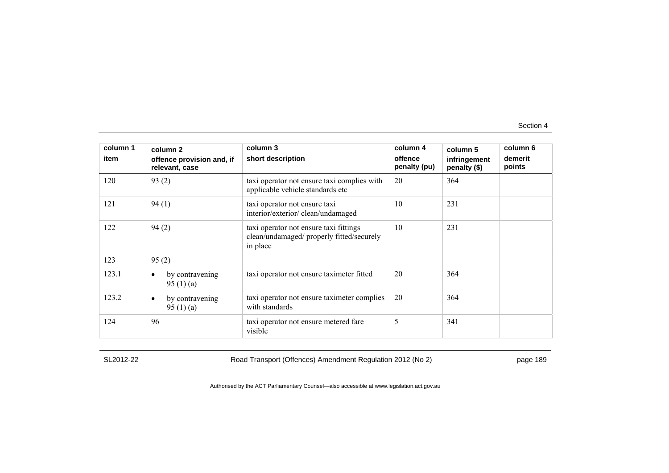| column 1<br>item      | column 2<br>offence provision and, if<br>relevant, case                                                | column 3<br>short description                                                                              | column 4<br>offence<br>penalty (pu) | column 5<br>infringement<br>penalty (\$) | column 6<br>demerit<br>points |
|-----------------------|--------------------------------------------------------------------------------------------------------|------------------------------------------------------------------------------------------------------------|-------------------------------------|------------------------------------------|-------------------------------|
| 120                   | 93(2)                                                                                                  | taxi operator not ensure taxi complies with<br>applicable vehicle standards etc                            | 20                                  | 364                                      |                               |
| 121                   | 94(1)                                                                                                  | taxi operator not ensure taxi<br>interior/exterior/clean/undamaged                                         | 10                                  | 231                                      |                               |
| 122                   | 94(2)                                                                                                  | taxi operator not ensure taxi fittings<br>clean/undamaged/ properly fitted/securely<br>in place            | 10                                  | 231                                      |                               |
| 123<br>123.1<br>123.2 | 95(2)<br>by contravening<br>$\bullet$<br>95 $(1)$ $(a)$<br>by contravening<br>$\bullet$<br>95 $(1)(a)$ | taxi operator not ensure taximeter fitted<br>taxi operator not ensure taximeter complies<br>with standards | 20<br>20                            | 364<br>364                               |                               |
| 124                   | 96                                                                                                     | taxi operator not ensure metered fare<br>visible                                                           | 5                                   | 341                                      |                               |

SL2012-22 Road Transport (Offences) Amendment Regulation 2012 (No 2) page 189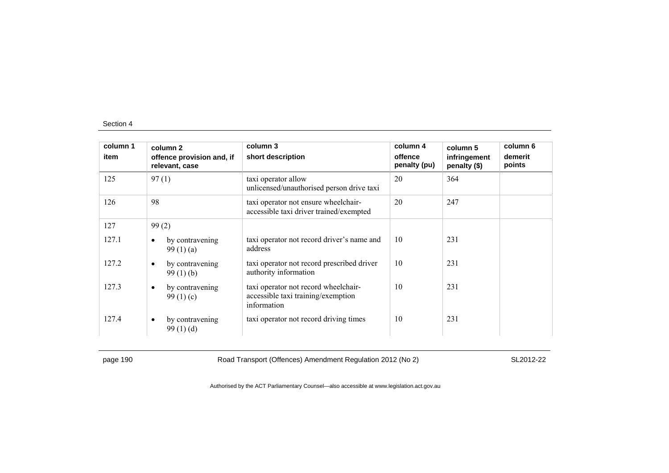| column 1<br>item | column <sub>2</sub><br>offence provision and, if<br>relevant, case | column 3<br>short description                                                             | column 4<br>offence<br>penalty (pu) | column 5<br>infringement<br>penalty (\$) | column 6<br>demerit<br>points |
|------------------|--------------------------------------------------------------------|-------------------------------------------------------------------------------------------|-------------------------------------|------------------------------------------|-------------------------------|
| 125              | 97(1)                                                              | taxi operator allow<br>unlicensed/unauthorised person drive taxi                          | 20                                  | 364                                      |                               |
| 126              | 98                                                                 | taxi operator not ensure wheelchair-<br>accessible taxi driver trained/exempted           | 20                                  | 247                                      |                               |
| 127              | 99(2)                                                              |                                                                                           |                                     |                                          |                               |
| 127.1            | by contravening<br>$\bullet$<br>99 $(1)(a)$                        | taxi operator not record driver's name and<br>address                                     | 10                                  | 231                                      |                               |
| 127.2            | by contravening<br>$\bullet$<br>99(1)(b)                           | taxi operator not record prescribed driver<br>authority information                       | 10                                  | 231                                      |                               |
| 127.3            | by contravening<br>$\bullet$<br>99 $(1)(c)$                        | taxi operator not record wheelchair-<br>accessible taxi training/exemption<br>information | 10                                  | 231                                      |                               |
| 127.4            | by contravening<br>$\bullet$<br>99(1)(d)                           | taxi operator not record driving times                                                    | 10                                  | 231                                      |                               |

page 190 Road Transport (Offences) Amendment Regulation 2012 (No 2) SL2012-22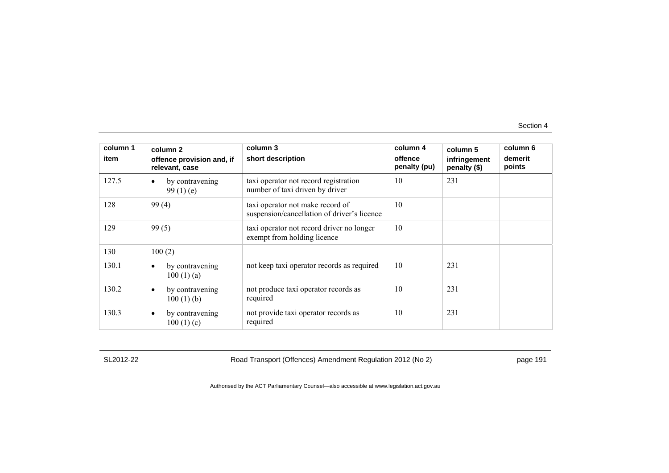| column 1<br>item | column 2<br>offence provision and, if<br>relevant, case | column 3<br>short description                                                   | column 4<br>offence<br>penalty (pu) | column 5<br>infringement<br>penalty (\$) | column 6<br>demerit<br>points |
|------------------|---------------------------------------------------------|---------------------------------------------------------------------------------|-------------------------------------|------------------------------------------|-------------------------------|
| 127.5            | by contravening<br>$\bullet$<br>99 $(1)$ $(e)$          | taxi operator not record registration<br>number of taxi driven by driver        | 10                                  | 231                                      |                               |
| 128              | 99(4)                                                   | taxi operator not make record of<br>suspension/cancellation of driver's licence | 10                                  |                                          |                               |
| 129              | 99(5)                                                   | taxi operator not record driver no longer<br>exempt from holding licence        | 10                                  |                                          |                               |
| 130              | 100(2)                                                  |                                                                                 |                                     |                                          |                               |
| 130.1            | by contravening<br>$\bullet$<br>100(1)(a)               | not keep taxi operator records as required                                      | 10                                  | 231                                      |                               |
| 130.2            | by contravening<br>$\bullet$<br>$100(1)$ (b)            | not produce taxi operator records as<br>required                                | 10                                  | 231                                      |                               |
| 130.3            | by contravening<br>$\bullet$<br>100(1)(c)               | not provide taxi operator records as<br>required                                | 10                                  | 231                                      |                               |

SL2012-22 Road Transport (Offences) Amendment Regulation 2012 (No 2) page 191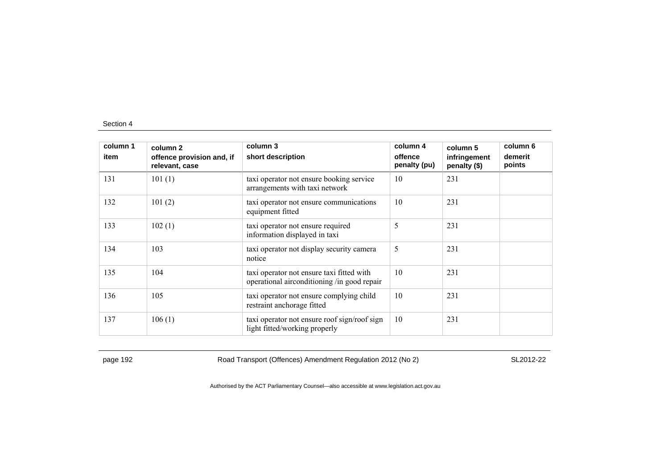| column 1<br>item | column 2<br>offence provision and, if<br>relevant, case | column 3<br>short description                                                            | column 4<br>offence<br>penalty (pu) | column 5<br>infringement<br>penalty (\$) | column 6<br>demerit<br>points |
|------------------|---------------------------------------------------------|------------------------------------------------------------------------------------------|-------------------------------------|------------------------------------------|-------------------------------|
| 131              | 101(1)                                                  | taxi operator not ensure booking service<br>arrangements with taxi network               | 10                                  | 231                                      |                               |
| 132              | 101(2)                                                  | taxi operator not ensure communications<br>equipment fitted                              | 10                                  | 231                                      |                               |
| 133              | 102(1)                                                  | taxi operator not ensure required<br>information displayed in taxi                       | 5                                   | 231                                      |                               |
| 134              | 103                                                     | taxi operator not display security camera<br>notice                                      | 5                                   | 231                                      |                               |
| 135              | 104                                                     | taxi operator not ensure taxi fitted with<br>operational airconditioning /in good repair | 10                                  | 231                                      |                               |
| 136              | 105                                                     | taxi operator not ensure complying child<br>restraint anchorage fitted                   | 10                                  | 231                                      |                               |
| 137              | 106(1)                                                  | taxi operator not ensure roof sign/roof sign<br>light fitted/working properly            | 10                                  | 231                                      |                               |

page 192 **Road Transport (Offences) Amendment Regulation 2012 (No 2)** SL2012-22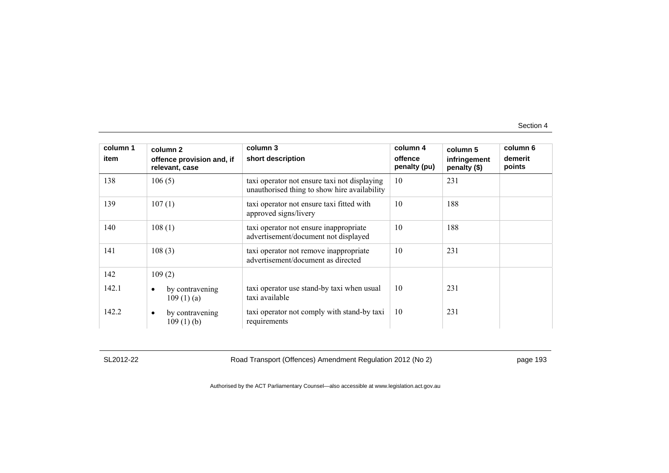| column 1 | column 2                                     | column 3                                                                                     | column 4                | column 5                     | column 6          |
|----------|----------------------------------------------|----------------------------------------------------------------------------------------------|-------------------------|------------------------------|-------------------|
| item     | offence provision and, if<br>relevant, case  | short description                                                                            | offence<br>penalty (pu) | infringement<br>penalty (\$) | demerit<br>points |
| 138      | 106(5)                                       | taxi operator not ensure taxi not displaying<br>unauthorised thing to show hire availability | 10                      | 231                          |                   |
| 139      | 107(1)                                       | taxi operator not ensure taxi fitted with<br>approved signs/livery                           | 10                      | 188                          |                   |
| 140      | 108(1)                                       | taxi operator not ensure inappropriate<br>advertisement/document not displayed               | 10                      | 188                          |                   |
| 141      | 108(3)                                       | taxi operator not remove inappropriate<br>advertisement/document as directed                 | 10                      | 231                          |                   |
| 142      | 109(2)                                       |                                                                                              |                         |                              |                   |
| 142.1    | by contravening<br>$\bullet$<br>109(1)(a)    | taxi operator use stand-by taxi when usual<br>taxi available                                 | 10                      | 231                          |                   |
| 142.2    | by contravening<br>$\bullet$<br>$109(1)$ (b) | taxi operator not comply with stand-by taxi<br>requirements                                  | 10                      | 231                          |                   |

SL2012-22 Road Transport (Offences) Amendment Regulation 2012 (No 2) page 193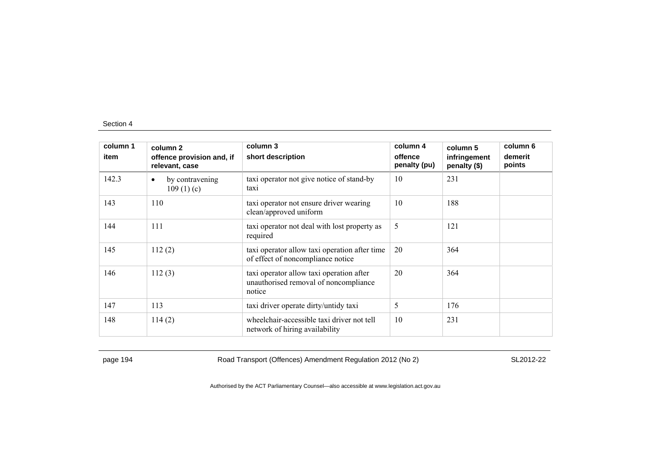| column 1<br>item | column 2<br>offence provision and, if     | column 3<br>short description                                                               | column 4<br>offence | column 5<br>infringement | column 6<br>demerit |
|------------------|-------------------------------------------|---------------------------------------------------------------------------------------------|---------------------|--------------------------|---------------------|
|                  | relevant, case                            |                                                                                             | penalty (pu)        | penalty (\$)             | points              |
| 142.3            | by contravening<br>$\bullet$<br>109(1)(c) | taxi operator not give notice of stand-by<br>taxi                                           | 10                  | 231                      |                     |
| 143              | 110                                       | taxi operator not ensure driver wearing<br>clean/approved uniform                           | 10                  | 188                      |                     |
| 144              | 111                                       | taxi operator not deal with lost property as<br>required                                    | 5                   | 121                      |                     |
| 145              | 112(2)                                    | taxi operator allow taxi operation after time<br>of effect of noncompliance notice          | 20                  | 364                      |                     |
| 146              | 112(3)                                    | taxi operator allow taxi operation after<br>unauthorised removal of noncompliance<br>notice | 20                  | 364                      |                     |
| 147              | 113                                       | taxi driver operate dirty/untidy taxi                                                       | 5                   | 176                      |                     |
| 148              | 114(2)                                    | wheelchair-accessible taxi driver not tell<br>network of hiring availability                | 10                  | 231                      |                     |

page 194 **Road Transport (Offences) Amendment Regulation 2012 (No 2)** SL2012-22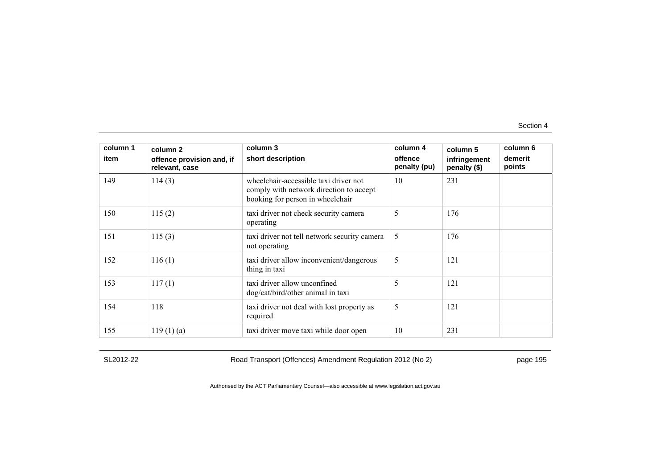| column 1<br>item | column <sub>2</sub><br>offence provision and, if<br>relevant, case | column 3<br>short description                                                                                        | column 4<br>offence<br>penalty (pu) | column 5<br>infringement<br>penalty (\$) | column 6<br>demerit<br>points |
|------------------|--------------------------------------------------------------------|----------------------------------------------------------------------------------------------------------------------|-------------------------------------|------------------------------------------|-------------------------------|
| 149              | 114(3)                                                             | wheelchair-accessible taxi driver not<br>comply with network direction to accept<br>booking for person in wheelchair | 10                                  | 231                                      |                               |
| 150              | 115(2)                                                             | taxi driver not check security camera<br>operating                                                                   | 5                                   | 176                                      |                               |
| 151              | 115(3)                                                             | taxi driver not tell network security camera<br>not operating                                                        | 5                                   | 176                                      |                               |
| 152              | 116(1)                                                             | taxi driver allow inconvenient/dangerous<br>thing in taxi                                                            | 5                                   | 121                                      |                               |
| 153              | 117(1)                                                             | taxi driver allow unconfined<br>dog/cat/bird/other animal in taxi                                                    | 5                                   | 121                                      |                               |
| 154              | 118                                                                | taxi driver not deal with lost property as<br>required                                                               | 5                                   | 121                                      |                               |
| 155              | $119(1)$ (a)                                                       | taxi driver move taxi while door open                                                                                | 10                                  | 231                                      |                               |

SL2012-22 Road Transport (Offences) Amendment Regulation 2012 (No 2) page 195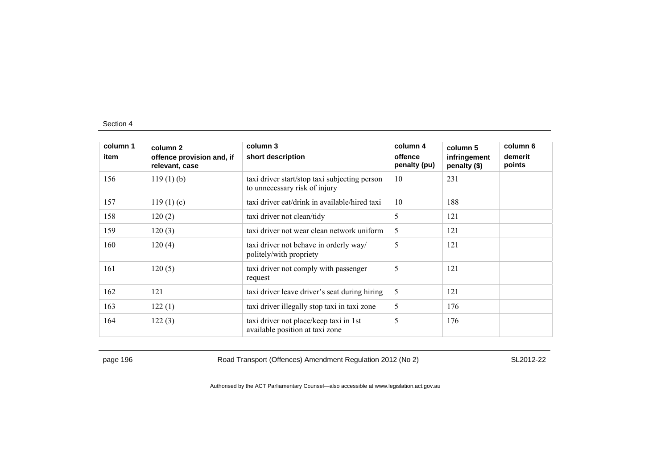| column 1 | column 2                                    | column 3                                                                       | column 4                | column 5                     | column 6          |
|----------|---------------------------------------------|--------------------------------------------------------------------------------|-------------------------|------------------------------|-------------------|
| item     | offence provision and, if<br>relevant, case | short description                                                              | offence<br>penalty (pu) | infringement<br>penalty (\$) | demerit<br>points |
| 156      | $119(1)$ (b)                                | taxi driver start/stop taxi subjecting person<br>to unnecessary risk of injury | 10                      | 231                          |                   |
| 157      | 119(1)(c)                                   | taxi driver eat/drink in available/hired taxi                                  | 10                      | 188                          |                   |
| 158      | 120(2)                                      | taxi driver not clean/tidy                                                     | 5                       | 121                          |                   |
| 159      | 120(3)                                      | taxi driver not wear clean network uniform                                     | 5                       | 121                          |                   |
| 160      | 120(4)                                      | taxi driver not behave in orderly way/<br>politely/with propriety              | 5                       | 121                          |                   |
| 161      | 120(5)                                      | taxi driver not comply with passenger<br>request                               | 5                       | 121                          |                   |
| 162      | 121                                         | taxi driver leave driver's seat during hiring                                  | 5                       | 121                          |                   |
| 163      | 122(1)                                      | taxi driver illegally stop taxi in taxi zone                                   | 5                       | 176                          |                   |
| 164      | 122(3)                                      | taxi driver not place/keep taxi in 1st<br>available position at taxi zone      | 5                       | 176                          |                   |

page 196 **Road Transport (Offences) Amendment Regulation 2012 (No 2)** SL2012-22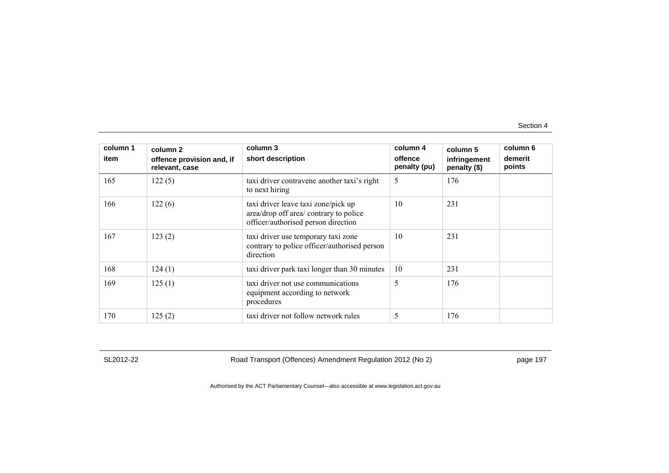| column 1<br>item | column 2<br>offence provision and, if<br>relevant, case | column 3<br>short description                                                                                        | column 4<br>offence<br>penalty (pu) | column 5<br>infringement<br>penalty (\$) | column 6<br>demerit<br>points |
|------------------|---------------------------------------------------------|----------------------------------------------------------------------------------------------------------------------|-------------------------------------|------------------------------------------|-------------------------------|
| 165              | 122(5)                                                  | taxi driver contravene another taxi's right<br>to next hiring                                                        | 5                                   | 176                                      |                               |
| 166              | 122(6)                                                  | taxi driver leave taxi zone/pick up<br>area/drop off area/ contrary to police<br>officer/authorised person direction | 10                                  | 231                                      |                               |
| 167              | 123(2)                                                  | taxi driver use temporary taxi zone<br>contrary to police officer/authorised person<br>direction                     | 10                                  | 231                                      |                               |
| 168              | 124(1)                                                  | taxi driver park taxi longer than 30 minutes                                                                         | 10                                  | 231                                      |                               |
| 169              | 125(1)                                                  | taxi driver not use communications<br>equipment according to network<br>procedures                                   | 5                                   | 176                                      |                               |
| 170              | 125(2)                                                  | taxi driver not follow network rules                                                                                 | 5                                   | 176                                      |                               |

SL2012-22 Road Transport (Offences) Amendment Regulation 2012 (No 2) page 197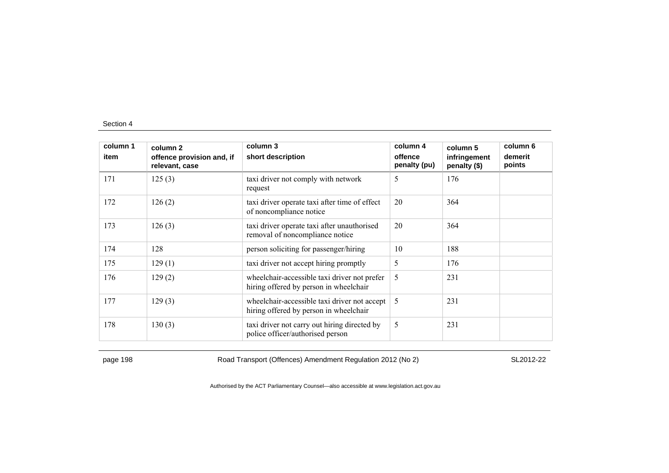| column 1<br>item | column 2<br>offence provision and, if<br>relevant, case | column 3<br>short description                                                          | column 4<br>offence<br>penalty (pu) | column 5<br>infringement<br>penalty (\$) | column 6<br>demerit<br>points |
|------------------|---------------------------------------------------------|----------------------------------------------------------------------------------------|-------------------------------------|------------------------------------------|-------------------------------|
| 171              | 125(3)                                                  | taxi driver not comply with network<br>request                                         | 5                                   | 176                                      |                               |
| 172              | 126(2)                                                  | taxi driver operate taxi after time of effect<br>of noncompliance notice               | 20                                  | 364                                      |                               |
| 173              | 126(3)                                                  | taxi driver operate taxi after unauthorised<br>removal of noncompliance notice         | 20                                  | 364                                      |                               |
| 174              | 128                                                     | person soliciting for passenger/hiring                                                 | 10                                  | 188                                      |                               |
| 175              | 129(1)                                                  | taxi driver not accept hiring promptly                                                 | 5                                   | 176                                      |                               |
| 176              | 129(2)                                                  | wheelchair-accessible taxi driver not prefer<br>hiring offered by person in wheelchair | 5                                   | 231                                      |                               |
| 177              | 129(3)                                                  | wheelchair-accessible taxi driver not accept<br>hiring offered by person in wheelchair | 5                                   | 231                                      |                               |
| 178              | 130(3)                                                  | taxi driver not carry out hiring directed by<br>police officer/authorised person       | 5                                   | 231                                      |                               |

page 198 **Road Transport (Offences) Amendment Regulation 2012 (No 2)** SL2012-22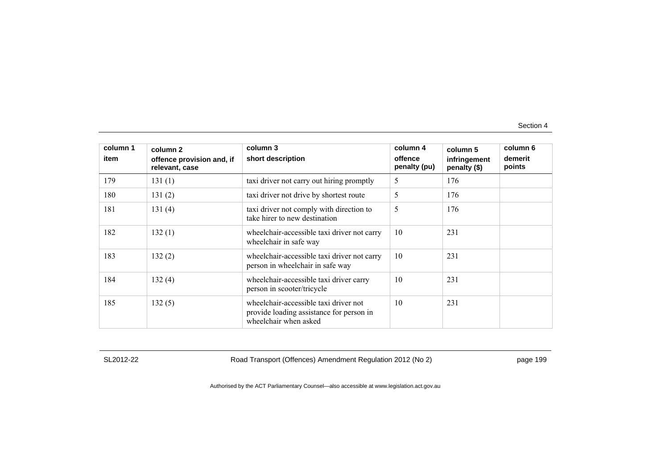| column 1<br>item | column 2<br>offence provision and, if<br>relevant, case | column 3<br>short description                                                                              | column 4<br>offence<br>penalty (pu) | column 5<br>infringement<br>penalty (\$) | column 6<br>demerit<br>points |
|------------------|---------------------------------------------------------|------------------------------------------------------------------------------------------------------------|-------------------------------------|------------------------------------------|-------------------------------|
| 179              | 131(1)                                                  | taxi driver not carry out hiring promptly                                                                  | 5                                   | 176                                      |                               |
| 180              | 131(2)                                                  | taxi driver not drive by shortest route                                                                    | 5                                   | 176                                      |                               |
| 181              | 131(4)                                                  | taxi driver not comply with direction to<br>take hirer to new destination                                  | 5                                   | 176                                      |                               |
| 182              | 132(1)                                                  | wheelchair-accessible taxi driver not carry<br>wheelchair in safe way                                      | 10                                  | 231                                      |                               |
| 183              | 132(2)                                                  | wheelchair-accessible taxi driver not carry<br>person in wheelchair in safe way                            | 10                                  | 231                                      |                               |
| 184              | 132(4)                                                  | wheelchair-accessible taxi driver carry<br>person in scooter/tricycle                                      | 10                                  | 231                                      |                               |
| 185              | 132(5)                                                  | wheelchair-accessible taxi driver not<br>provide loading assistance for person in<br>wheelchair when asked | 10                                  | 231                                      |                               |

SL2012-22 Road Transport (Offences) Amendment Regulation 2012 (No 2) page 199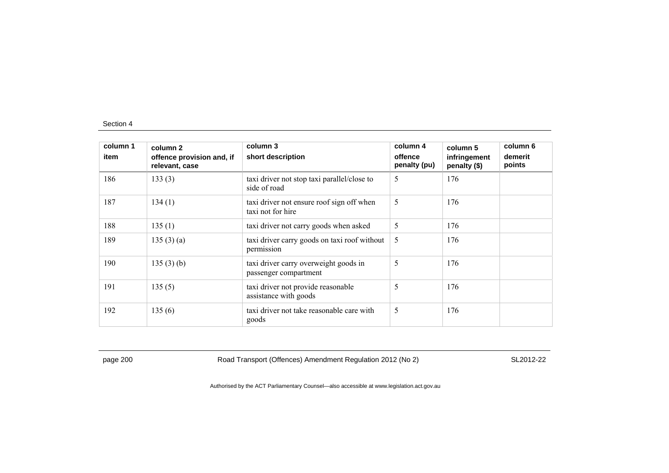| column 1<br>item | column 2<br>offence provision and, if<br>relevant, case | column 3<br>short description                                  | column 4<br>offence<br>penalty (pu) | column 5<br>infringement<br>penalty (\$) | column 6<br>demerit<br>points |
|------------------|---------------------------------------------------------|----------------------------------------------------------------|-------------------------------------|------------------------------------------|-------------------------------|
| 186              | 133(3)                                                  | taxi driver not stop taxi parallel/close to<br>side of road    | 5                                   | 176                                      |                               |
| 187              | 134(1)                                                  | taxi driver not ensure roof sign off when<br>taxi not for hire | 5                                   | 176                                      |                               |
| 188              | 135(1)                                                  | taxi driver not carry goods when asked                         | 5                                   | 176                                      |                               |
| 189              | 135(3)(a)                                               | taxi driver carry goods on taxi roof without<br>permission     | 5                                   | 176                                      |                               |
| 190              | 135(3)(b)                                               | taxi driver carry overweight goods in<br>passenger compartment | 5                                   | 176                                      |                               |
| 191              | 135(5)                                                  | taxi driver not provide reasonable<br>assistance with goods    | 5                                   | 176                                      |                               |
| 192              | 135(6)                                                  | taxi driver not take reasonable care with<br>goods             | 5                                   | 176                                      |                               |

page 200 Road Transport (Offences) Amendment Regulation 2012 (No 2) SL2012-22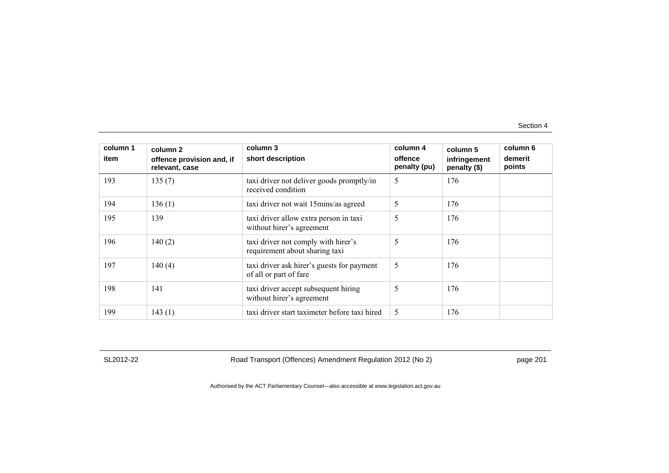| column 1<br>item | column 2<br>offence provision and, if<br>relevant, case | column 3<br>short description                                         | column 4<br>offence<br>penalty (pu) | column 5<br>infringement<br>penalty (\$) | column 6<br>demerit<br>points |
|------------------|---------------------------------------------------------|-----------------------------------------------------------------------|-------------------------------------|------------------------------------------|-------------------------------|
| 193              | 135(7)                                                  | taxi driver not deliver goods promptly/in<br>received condition       | 5                                   | 176                                      |                               |
| 194              | 136(1)                                                  | taxi driver not wait 15 mins/as agreed                                | 5                                   | 176                                      |                               |
| 195              | 139                                                     | taxi driver allow extra person in taxi<br>without hirer's agreement   | 5                                   | 176                                      |                               |
| 196              | 140(2)                                                  | taxi driver not comply with hirer's<br>requirement about sharing taxi | 5                                   | 176                                      |                               |
| 197              | 140(4)                                                  | taxi driver ask hirer's guests for payment<br>of all or part of fare  | 5                                   | 176                                      |                               |
| 198              | 141                                                     | taxi driver accept subsequent hiring<br>without hirer's agreement     | 5                                   | 176                                      |                               |
| 199              | 143(1)                                                  | taxi driver start taximeter before taxi hired                         | 5                                   | 176                                      |                               |

SL2012-22 Road Transport (Offences) Amendment Regulation 2012 (No 2) page 201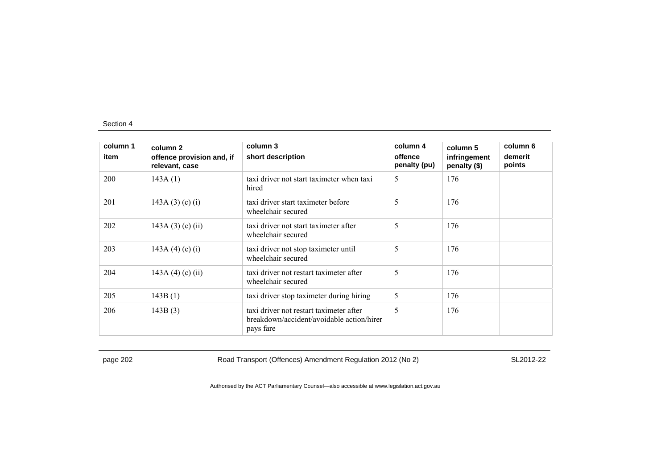| column 1 | column 2                                    | column 3                                                                                          | column 4                | column 5                     | column 6          |
|----------|---------------------------------------------|---------------------------------------------------------------------------------------------------|-------------------------|------------------------------|-------------------|
| item     | offence provision and, if<br>relevant, case | short description                                                                                 | offence<br>penalty (pu) | infringement<br>penalty (\$) | demerit<br>points |
| 200      | 143A(1)                                     | taxi driver not start taximeter when taxi<br>hired                                                | 5                       | 176                          |                   |
| 201      | 143A $(3)$ $(c)$ $(i)$                      | taxi driver start taximeter before<br>wheelchair secured                                          | 5                       | 176                          |                   |
| 202      | 143A $(3)$ $(c)$ $(ii)$                     | taxi driver not start taximeter after<br>wheelchair secured                                       | 5                       | 176                          |                   |
| 203      | 143A (4) (c) (i)                            | taxi driver not stop taximeter until<br>wheelchair secured                                        | 5                       | 176                          |                   |
| 204      | 143A (4) (c) (ii)                           | taxi driver not restart taximeter after<br>wheelchair secured                                     | 5                       | 176                          |                   |
| 205      | 143B(1)                                     | taxi driver stop taximeter during hiring                                                          | 5                       | 176                          |                   |
| 206      | 143B(3)                                     | taxi driver not restart taximeter after<br>breakdown/accident/avoidable action/hirer<br>pays fare | 5                       | 176                          |                   |

page 202 Road Transport (Offences) Amendment Regulation 2012 (No 2) SL2012-22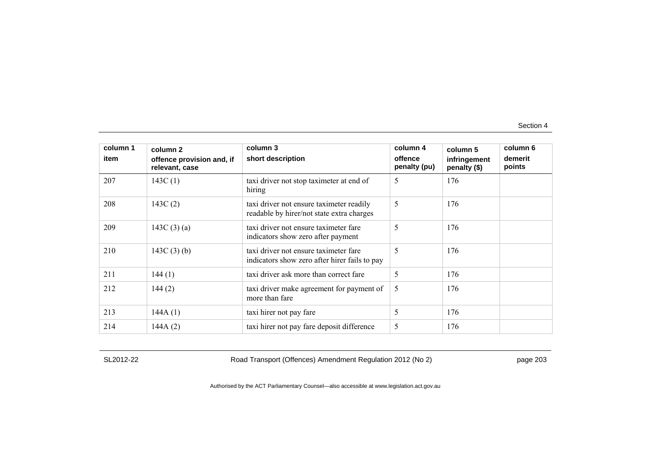| column 1<br>item | column 2<br>offence provision and, if<br>relevant, case | column 3<br>short description                                                          | column 4<br>offence<br>penalty (pu) | column 5<br>infringement<br>penalty (\$) | column 6<br>demerit<br>points |
|------------------|---------------------------------------------------------|----------------------------------------------------------------------------------------|-------------------------------------|------------------------------------------|-------------------------------|
| 207              | 143C $(1)$                                              | taxi driver not stop taximeter at end of<br>hiring                                     | 5                                   | 176                                      |                               |
| 208              | 143C(2)                                                 | taxi driver not ensure taximeter readily<br>readable by hirer/not state extra charges  | 5                                   | 176                                      |                               |
| 209              | 143C $(3)(a)$                                           | taxi driver not ensure taximeter fare<br>indicators show zero after payment            | 5                                   | 176                                      |                               |
| 210              | 143C $(3)$ $(b)$                                        | taxi driver not ensure taximeter fare<br>indicators show zero after hirer fails to pay | 5                                   | 176                                      |                               |
| 211              | 144(1)                                                  | taxi driver ask more than correct fare                                                 | 5                                   | 176                                      |                               |
| 212              | 144(2)                                                  | taxi driver make agreement for payment of<br>more than fare                            | 5                                   | 176                                      |                               |
| 213              | 144A(1)                                                 | taxi hirer not pay fare                                                                | 5                                   | 176                                      |                               |
| 214              | 144A(2)                                                 | taxi hirer not pay fare deposit difference                                             | 5                                   | 176                                      |                               |

SL2012-22 Road Transport (Offences) Amendment Regulation 2012 (No 2) page 203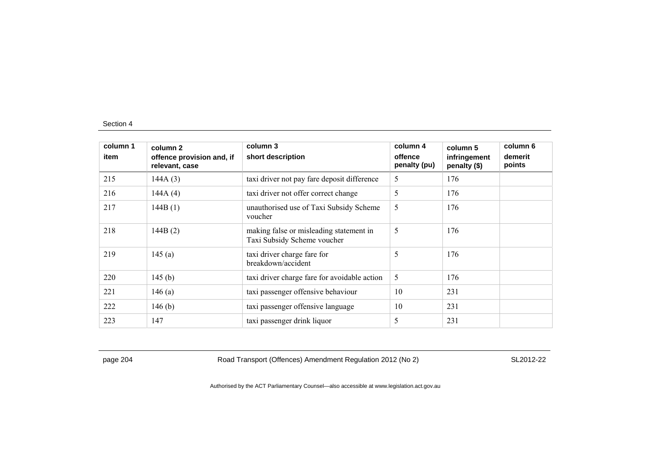| column 1<br>item | column <sub>2</sub><br>offence provision and, if<br>relevant, case | column 3<br>short description                                          | column 4<br>offence<br>penalty (pu) | column 5<br>infringement<br>penalty (\$) | column 6<br>demerit<br>points |
|------------------|--------------------------------------------------------------------|------------------------------------------------------------------------|-------------------------------------|------------------------------------------|-------------------------------|
| 215              | 144A(3)                                                            | taxi driver not pay fare deposit difference                            | 5                                   | 176                                      |                               |
| 216              | 144A(4)                                                            | taxi driver not offer correct change                                   | 5                                   | 176                                      |                               |
| 217              | 144B(1)                                                            | unauthorised use of Taxi Subsidy Scheme<br>voucher                     | 5                                   | 176                                      |                               |
| 218              | 144B(2)                                                            | making false or misleading statement in<br>Taxi Subsidy Scheme voucher | 5                                   | 176                                      |                               |
| 219              | 145(a)                                                             | taxi driver charge fare for<br>breakdown/accident                      | 5                                   | 176                                      |                               |
| 220              | 145(b)                                                             | taxi driver charge fare for avoidable action                           | 5                                   | 176                                      |                               |
| 221              | 146(a)                                                             | taxi passenger offensive behaviour                                     | 10                                  | 231                                      |                               |
| 222              | 146(b)                                                             | taxi passenger offensive language                                      | 10                                  | 231                                      |                               |
| 223              | 147                                                                | taxi passenger drink liquor                                            | 5                                   | 231                                      |                               |

page 204 Road Transport (Offences) Amendment Regulation 2012 (No 2) SL2012-22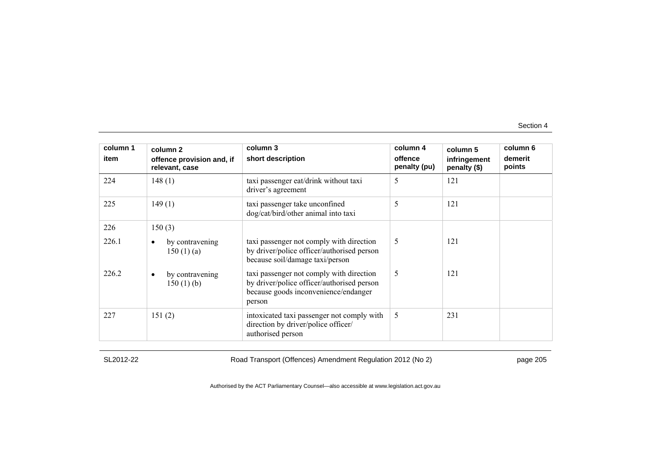| column 1<br>item | column 2<br>offence provision and, if<br>relevant, case | column 3<br>short description                                                                                                            | column 4<br>offence<br>penalty (pu) | column 5<br>infringement<br>penalty (\$) | column 6<br>demerit<br>points |
|------------------|---------------------------------------------------------|------------------------------------------------------------------------------------------------------------------------------------------|-------------------------------------|------------------------------------------|-------------------------------|
| 224              | 148(1)                                                  | taxi passenger eat/drink without taxi<br>driver's agreement                                                                              | 5                                   | 121                                      |                               |
| 225              | 149(1)                                                  | taxi passenger take unconfined<br>dog/cat/bird/other animal into taxi                                                                    | 5                                   | 121                                      |                               |
| 226              | 150(3)                                                  |                                                                                                                                          |                                     |                                          |                               |
| 226.1            | by contravening<br>150(1)(a)                            | taxi passenger not comply with direction<br>by driver/police officer/authorised person<br>because soil/damage taxi/person                | 5                                   | 121                                      |                               |
| 226.2            | by contravening<br>$\bullet$<br>150(1)(b)               | taxi passenger not comply with direction<br>by driver/police officer/authorised person<br>because goods inconvenience/endanger<br>person | 5                                   | 121                                      |                               |
| 227              | 151(2)                                                  | intoxicated taxi passenger not comply with<br>direction by driver/police officer/<br>authorised person                                   | 5                                   | 231                                      |                               |

SL2012-22 Road Transport (Offences) Amendment Regulation 2012 (No 2) page 205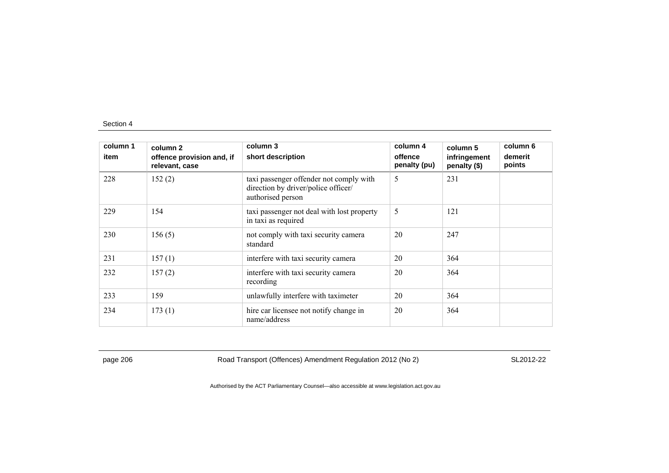| column 1<br>item | column 2<br>offence provision and, if<br>relevant, case | column 3<br>short description                                                                       | column 4<br>offence<br>penalty (pu) | column 5<br>infringement<br>penalty (\$) | column 6<br>demerit<br>points |
|------------------|---------------------------------------------------------|-----------------------------------------------------------------------------------------------------|-------------------------------------|------------------------------------------|-------------------------------|
| 228              | 152(2)                                                  | taxi passenger offender not comply with<br>direction by driver/police officer/<br>authorised person | 5                                   | 231                                      |                               |
| 229              | 154                                                     | taxi passenger not deal with lost property<br>in taxi as required                                   | 5                                   | 121                                      |                               |
| 230              | 156(5)                                                  | not comply with taxi security camera<br>standard                                                    | 20                                  | 247                                      |                               |
| 231              | 157(1)                                                  | interfere with taxi security camera                                                                 | 20                                  | 364                                      |                               |
| 232              | 157(2)                                                  | interfere with taxi security camera<br>recording                                                    | 20                                  | 364                                      |                               |
| 233              | 159                                                     | unlawfully interfere with taximeter                                                                 | 20                                  | 364                                      |                               |
| 234              | 173(1)                                                  | hire car licensee not notify change in<br>name/address                                              | 20                                  | 364                                      |                               |

page 206 Road Transport (Offences) Amendment Regulation 2012 (No 2) SL2012-22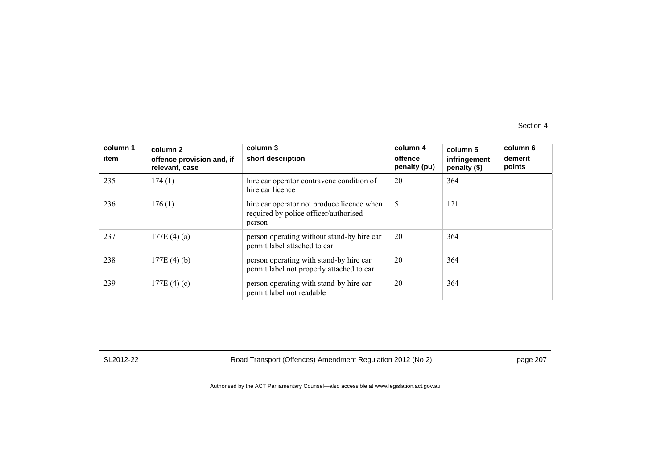| column 1<br>item | column 2<br>offence provision and, if<br>relevant, case | column 3<br>short description                                                                 | column 4<br>offence<br>penalty (pu) | column 5<br>infringement<br>penalty (\$) | column 6<br>demerit<br>points |
|------------------|---------------------------------------------------------|-----------------------------------------------------------------------------------------------|-------------------------------------|------------------------------------------|-------------------------------|
| 235              | 174(1)                                                  | hire car operator contravene condition of<br>hire car licence                                 | 20                                  | 364                                      |                               |
| 236              | 176(1)                                                  | hire car operator not produce licence when<br>required by police officer/authorised<br>person | 5                                   | 121                                      |                               |
| 237              | 177E $(4)(a)$                                           | person operating without stand-by hire car<br>permit label attached to car                    | 20                                  | 364                                      |                               |
| 238              | 177E(4)(b)                                              | person operating with stand-by hire car<br>permit label not properly attached to car          | 20                                  | 364                                      |                               |
| 239              | 177E $(4)(c)$                                           | person operating with stand-by hire car<br>permit label not readable                          | 20                                  | 364                                      |                               |

SL2012-22 Road Transport (Offences) Amendment Regulation 2012 (No 2) page 207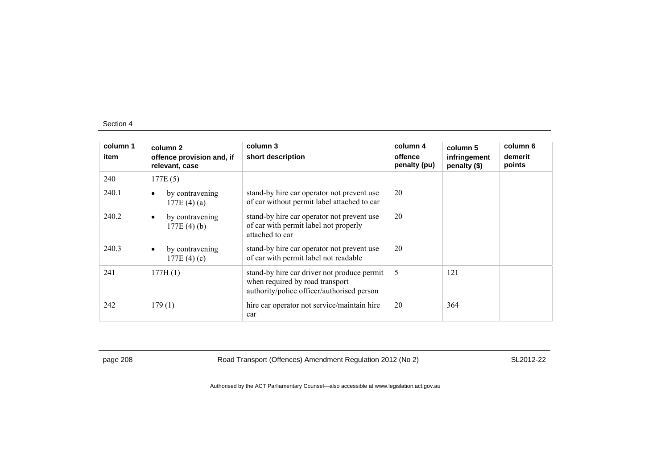| column 1<br>item | column 2<br>offence provision and, if<br>relevant, case | column 3<br>short description                                                                                                | column 4<br>offence<br>penalty (pu) | column 5<br>infringement<br>penalty (\$) | column 6<br>demerit<br>points |
|------------------|---------------------------------------------------------|------------------------------------------------------------------------------------------------------------------------------|-------------------------------------|------------------------------------------|-------------------------------|
| 240              | 177E(5)                                                 |                                                                                                                              |                                     |                                          |                               |
| 240.1            | by contravening<br>$\bullet$<br>177E(4)(a)              | stand-by hire car operator not prevent use<br>of car without permit label attached to car                                    | 20                                  |                                          |                               |
| 240.2            | by contravening<br>٠<br>$177E(4)$ (b)                   | stand-by hire car operator not prevent use<br>of car with permit label not properly<br>attached to car                       | 20                                  |                                          |                               |
| 240.3            | by contravening<br>$\bullet$<br>177E $(4)(c)$           | stand-by hire car operator not prevent use<br>of car with permit label not readable                                          | 20                                  |                                          |                               |
| 241              | 177H(1)                                                 | stand-by hire car driver not produce permit<br>when required by road transport<br>authority/police officer/authorised person | 5                                   | 121                                      |                               |
| 242              | 179(1)                                                  | hire car operator not service/maintain hire<br>car                                                                           | 20                                  | 364                                      |                               |

page 208 Road Transport (Offences) Amendment Regulation 2012 (No 2) SL2012-22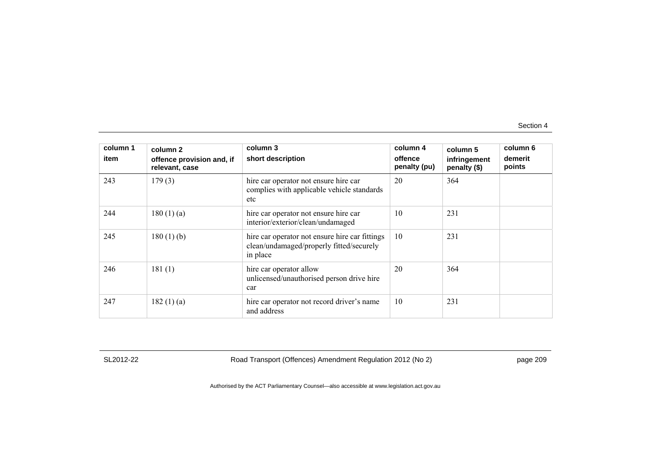| column 1<br>item | column 2<br>offence provision and, if<br>relevant, case | column 3<br>short description                                                                          | column 4<br>offence<br>penalty (pu) | column 5<br>infringement<br>penalty (\$) | column 6<br>demerit<br>points |
|------------------|---------------------------------------------------------|--------------------------------------------------------------------------------------------------------|-------------------------------------|------------------------------------------|-------------------------------|
| 243              | 179(3)                                                  | hire car operator not ensure hire car<br>complies with applicable vehicle standards<br>etc             | 20                                  | 364                                      |                               |
| 244              | 180(1)(a)                                               | hire car operator not ensure hire car<br>interior/exterior/clean/undamaged                             | 10                                  | 231                                      |                               |
| 245              | $180(1)$ (b)                                            | hire car operator not ensure hire car fittings<br>clean/undamaged/properly fitted/securely<br>in place | 10                                  | 231                                      |                               |
| 246              | 181(1)                                                  | hire car operator allow<br>unlicensed/unauthorised person drive hire<br>car                            | 20                                  | 364                                      |                               |
| 247              | 182 $(1)$ $(a)$                                         | hire car operator not record driver's name<br>and address                                              | 10                                  | 231                                      |                               |

SL2012-22 Road Transport (Offences) Amendment Regulation 2012 (No 2) page 209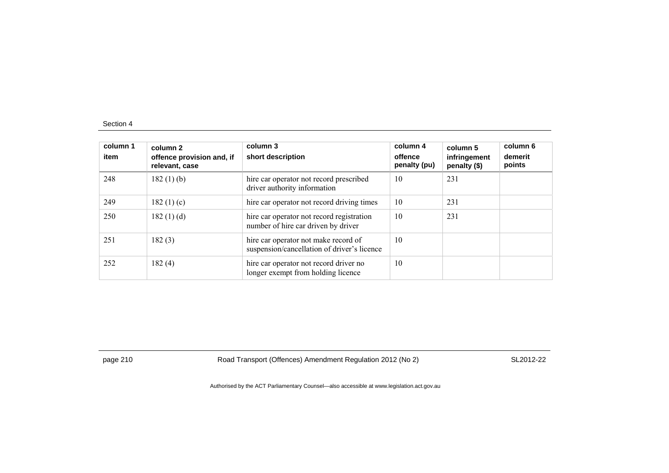| column 1<br>item | column <sub>2</sub><br>offence provision and, if<br>relevant, case | column 3<br>short description                                                       | column 4<br>offence<br>penalty (pu) | column 5<br>infringement<br>penalty (\$) | column 6<br>demerit<br>points |
|------------------|--------------------------------------------------------------------|-------------------------------------------------------------------------------------|-------------------------------------|------------------------------------------|-------------------------------|
| 248              | 182(1)(b)                                                          | hire car operator not record prescribed<br>driver authority information             | 10                                  | 231                                      |                               |
| 249              | 182 $(1)(c)$                                                       | hire car operator not record driving times                                          | 10                                  | 231                                      |                               |
| 250              | 182(1)(d)                                                          | hire car operator not record registration<br>number of hire car driven by driver    | 10                                  | 231                                      |                               |
| 251              | 182(3)                                                             | hire car operator not make record of<br>suspension/cancellation of driver's licence | 10                                  |                                          |                               |
| 252              | 182(4)                                                             | hire car operator not record driver no<br>longer exempt from holding licence        | 10                                  |                                          |                               |

page 210 Road Transport (Offences) Amendment Regulation 2012 (No 2) SL2012-22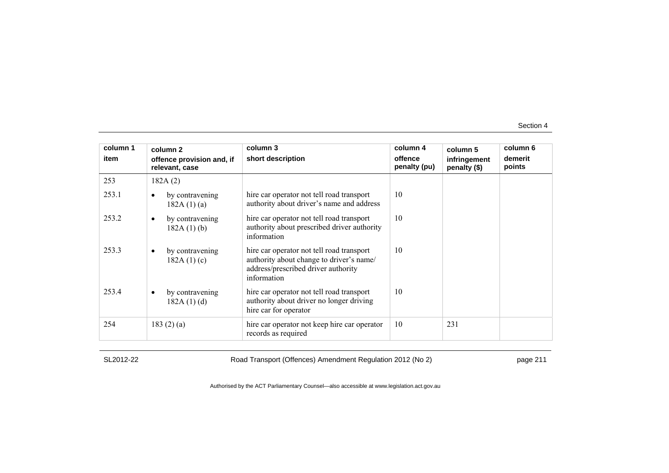| column 1 | column 2                                      | column 3                                                                                                                                    | column 4                | column 5                     | column 6          |
|----------|-----------------------------------------------|---------------------------------------------------------------------------------------------------------------------------------------------|-------------------------|------------------------------|-------------------|
| item     | offence provision and, if<br>relevant, case   | short description                                                                                                                           | offence<br>penalty (pu) | infringement<br>penalty (\$) | demerit<br>points |
| 253      | 182A(2)                                       |                                                                                                                                             |                         |                              |                   |
| 253.1    | by contravening<br>$\bullet$<br>182A(1)(a)    | hire car operator not tell road transport<br>authority about driver's name and address                                                      | 10                      |                              |                   |
| 253.2    | by contravening<br>$\bullet$<br>$182A(1)$ (b) | hire car operator not tell road transport<br>authority about prescribed driver authority<br>information                                     | 10                      |                              |                   |
| 253.3    | by contravening<br>$\bullet$<br>182A(1)(c)    | hire car operator not tell road transport<br>authority about change to driver's name/<br>address/prescribed driver authority<br>information | 10                      |                              |                   |
| 253.4    | by contravening<br>$\bullet$<br>182A(1)(d)    | hire car operator not tell road transport<br>authority about driver no longer driving<br>hire car for operator                              | 10                      |                              |                   |
| 254      | 183 $(2)$ $(a)$                               | hire car operator not keep hire car operator<br>records as required                                                                         | 10                      | 231                          |                   |

SL2012-22 Road Transport (Offences) Amendment Regulation 2012 (No 2) page 211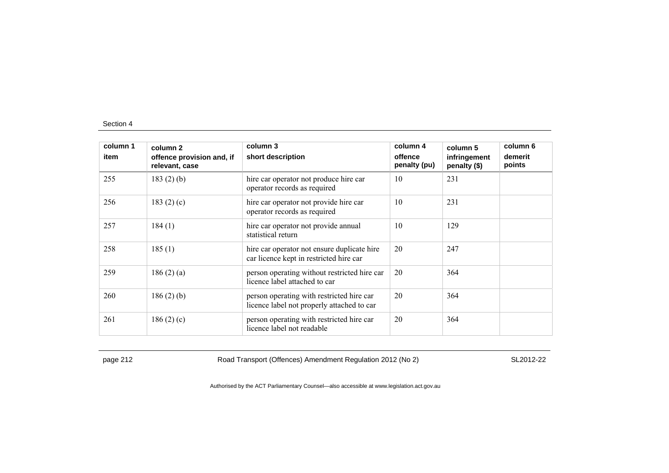| column 1<br>item | column 2<br>offence provision and, if<br>relevant, case | column 3<br>short description                                                           | column 4<br>offence<br>penalty (pu) | column 5<br>infringement<br>penalty (\$) | column 6<br>demerit<br>points |
|------------------|---------------------------------------------------------|-----------------------------------------------------------------------------------------|-------------------------------------|------------------------------------------|-------------------------------|
| 255              | 183 $(2)$ $(b)$                                         | hire car operator not produce hire car<br>operator records as required                  | 10                                  | 231                                      |                               |
| 256              | 183 $(2)$ $(c)$                                         | hire car operator not provide hire car<br>operator records as required                  | 10                                  | 231                                      |                               |
| 257              | 184(1)                                                  | hire car operator not provide annual<br>statistical return                              | 10                                  | 129                                      |                               |
| 258              | 185(1)                                                  | hire car operator not ensure duplicate hire<br>car licence kept in restricted hire car  | 20                                  | 247                                      |                               |
| 259              | 186(2)(a)                                               | person operating without restricted hire car<br>licence label attached to car           | 20                                  | 364                                      |                               |
| 260              | $186(2)$ (b)                                            | person operating with restricted hire car<br>licence label not properly attached to car | 20                                  | 364                                      |                               |
| 261              | 186(2)(c)                                               | person operating with restricted hire car<br>licence label not readable                 | 20                                  | 364                                      |                               |

page 212 Road Transport (Offences) Amendment Regulation 2012 (No 2) SL2012-22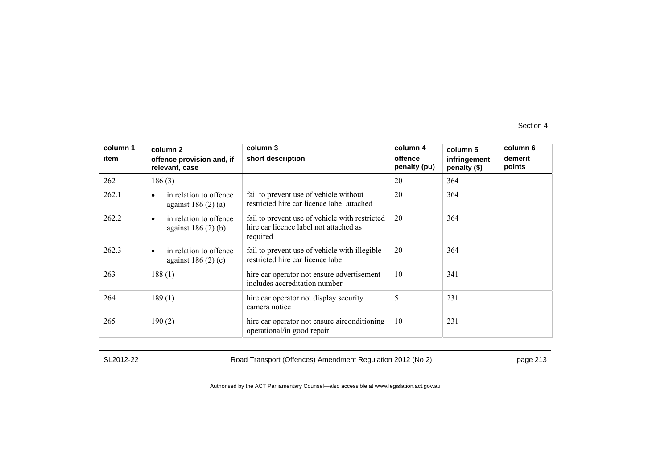| column 1 | column 2                                                       | column 3                                                                                             | column 4                | column 5                     | column 6          |
|----------|----------------------------------------------------------------|------------------------------------------------------------------------------------------------------|-------------------------|------------------------------|-------------------|
| item     | offence provision and, if<br>relevant, case                    | short description                                                                                    | offence<br>penalty (pu) | infringement<br>penalty (\$) | demerit<br>points |
| 262      | 186(3)                                                         |                                                                                                      | 20                      | 364                          |                   |
| 262.1    | in relation to offence<br>$\bullet$<br>against $186(2)(a)$     | fail to prevent use of vehicle without<br>restricted hire car licence label attached                 | 20                      | 364                          |                   |
| 262.2    | in relation to offence<br>$\bullet$<br>against $186(2)$ (b)    | fail to prevent use of vehicle with restricted<br>hire car licence label not attached as<br>required | 20                      | 364                          |                   |
| 262.3    | in relation to offence<br>$\bullet$<br>against 186 $(2)$ $(c)$ | fail to prevent use of vehicle with illegible<br>restricted hire car licence label                   | 20                      | 364                          |                   |
| 263      | 188(1)                                                         | hire car operator not ensure advertisement<br>includes accreditation number                          | 10                      | 341                          |                   |
| 264      | 189(1)                                                         | hire car operator not display security<br>camera notice                                              | 5                       | 231                          |                   |
| 265      | 190(2)                                                         | hire car operator not ensure airconditioning<br>operational/in good repair                           | 10                      | 231                          |                   |

SL2012-22 Road Transport (Offences) Amendment Regulation 2012 (No 2) page 213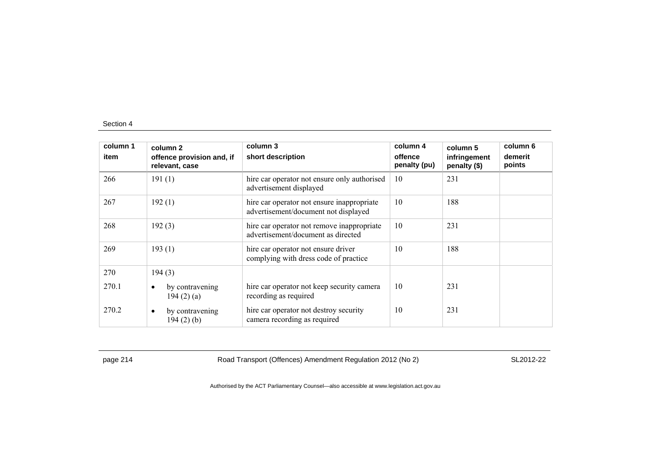| column 1<br>item | column 2<br>offence provision and, if<br>relevant, case | column 3<br>short description                                                      | column 4<br>offence<br>penalty (pu) | column 5<br>infringement<br>penalty (\$) | column 6<br>demerit<br>points |
|------------------|---------------------------------------------------------|------------------------------------------------------------------------------------|-------------------------------------|------------------------------------------|-------------------------------|
| 266              | 191(1)                                                  | hire car operator not ensure only authorised<br>advertisement displayed            | 10                                  | 231                                      |                               |
| 267              | 192(1)                                                  | hire car operator not ensure inappropriate<br>advertisement/document not displayed | 10                                  | 188                                      |                               |
| 268              | 192(3)                                                  | hire car operator not remove inappropriate<br>advertisement/document as directed   | 10                                  | 231                                      |                               |
| 269              | 193(1)                                                  | hire car operator not ensure driver<br>complying with dress code of practice       | 10                                  | 188                                      |                               |
| 270              | 194(3)                                                  |                                                                                    |                                     |                                          |                               |
| 270.1            | by contravening<br>$\bullet$<br>194(2)(a)               | hire car operator not keep security camera<br>recording as required                | 10                                  | 231                                      |                               |
| 270.2            | by contravening<br>٠<br>194(2)(b)                       | hire car operator not destroy security<br>camera recording as required             | 10                                  | 231                                      |                               |

page 214 Road Transport (Offences) Amendment Regulation 2012 (No 2) SL2012-22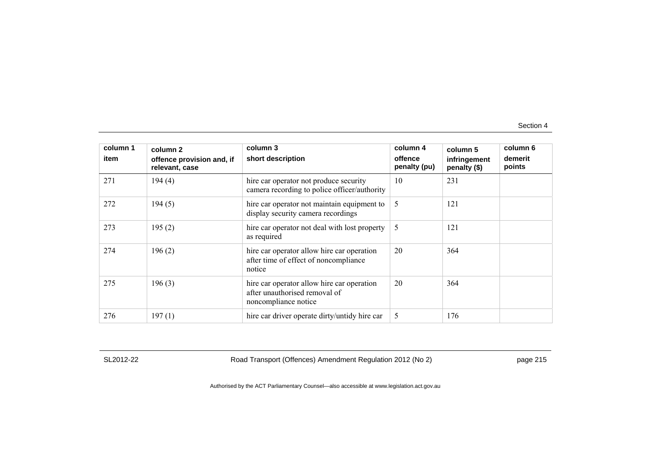| column 1<br>item | column 2<br>offence provision and, if<br>relevant, case | column 3<br>short description                                                                       | column 4<br>offence<br>penalty (pu) | column 5<br>infringement<br>penalty (\$) | column 6<br>demerit<br>points |
|------------------|---------------------------------------------------------|-----------------------------------------------------------------------------------------------------|-------------------------------------|------------------------------------------|-------------------------------|
| 271              | 194(4)                                                  | hire car operator not produce security<br>camera recording to police officer/authority              | 10                                  | 231                                      |                               |
| 272              | 194(5)                                                  | hire car operator not maintain equipment to<br>display security camera recordings                   | 5                                   | 121                                      |                               |
| 273              | 195(2)                                                  | hire car operator not deal with lost property<br>as required                                        | 5                                   | 121                                      |                               |
| 274              | 196(2)                                                  | hire car operator allow hire car operation<br>after time of effect of noncompliance<br>notice       | 20                                  | 364                                      |                               |
| 275              | 196(3)                                                  | hire car operator allow hire car operation<br>after unauthorised removal of<br>noncompliance notice | 20                                  | 364                                      |                               |
| 276              | 197(1)                                                  | hire car driver operate dirty/untidy hire car                                                       | 5                                   | 176                                      |                               |

SL2012-22 Road Transport (Offences) Amendment Regulation 2012 (No 2) page 215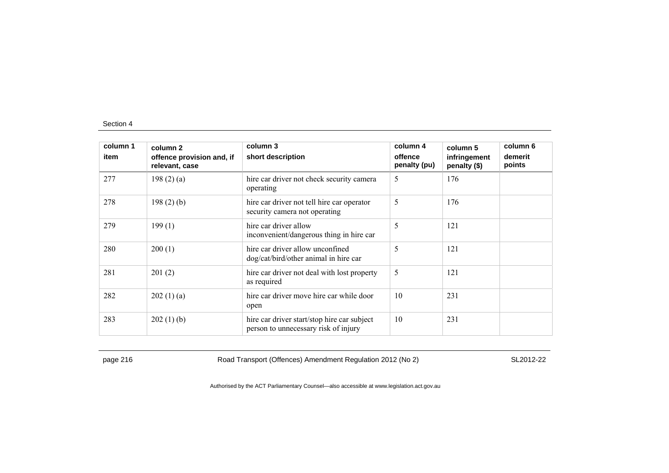| column 1<br>item | column 2<br>offence provision and, if<br>relevant, case | column 3<br>short description                                                       | column 4<br>offence<br>penalty (pu) | column 5<br>infringement<br>penalty (\$) | column 6<br>demerit<br>points |
|------------------|---------------------------------------------------------|-------------------------------------------------------------------------------------|-------------------------------------|------------------------------------------|-------------------------------|
| 277              | 198(2)(a)                                               | hire car driver not check security camera<br>operating                              | 5                                   | 176                                      |                               |
| 278              | $198(2)$ (b)                                            | hire car driver not tell hire car operator<br>security camera not operating         | 5                                   | 176                                      |                               |
| 279              | 199(1)                                                  | hire car driver allow<br>inconvenient/dangerous thing in hire car                   | 5                                   | 121                                      |                               |
| 280              | 200(1)                                                  | hire car driver allow unconfined<br>dog/cat/bird/other animal in hire car           | 5                                   | 121                                      |                               |
| 281              | 201(2)                                                  | hire car driver not deal with lost property<br>as required                          | 5                                   | 121                                      |                               |
| 282              | 202(1)(a)                                               | hire car driver move hire car while door<br>open                                    | 10                                  | 231                                      |                               |
| 283              | 202(1)(b)                                               | hire car driver start/stop hire car subject<br>person to unnecessary risk of injury | 10                                  | 231                                      |                               |

page 216 **Road Transport (Offences) Amendment Regulation 2012 (No 2)** SL2012-22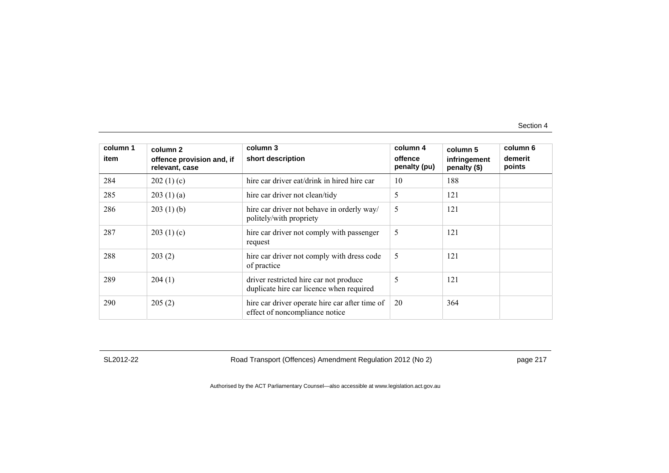| column 1<br>item | column 2<br>offence provision and, if<br>relevant, case | column 3<br>short description                                                      | column 4<br>offence<br>penalty (pu) | column 5<br>infringement<br>penalty (\$) | column 6<br>demerit<br>points |
|------------------|---------------------------------------------------------|------------------------------------------------------------------------------------|-------------------------------------|------------------------------------------|-------------------------------|
| 284              | 202(1)(c)                                               | hire car driver eat/drink in hired hire car                                        | 10                                  | 188                                      |                               |
| 285              | 203(1)(a)                                               | hire car driver not clean/tidy                                                     | 5                                   | 121                                      |                               |
| 286              | 203(1)(b)                                               | hire car driver not behave in orderly way/<br>politely/with propriety              | 5                                   | 121                                      |                               |
| 287              | 203(1)(c)                                               | hire car driver not comply with passenger<br>request                               | 5                                   | 121                                      |                               |
| 288              | 203(2)                                                  | hire car driver not comply with dress code<br>of practice                          | 5                                   | 121                                      |                               |
| 289              | 204(1)                                                  | driver restricted hire car not produce<br>duplicate hire car licence when required | 5                                   | 121                                      |                               |
| 290              | 205(2)                                                  | hire car driver operate hire car after time of<br>effect of noncompliance notice   | 20                                  | 364                                      |                               |

SL2012-22 Road Transport (Offences) Amendment Regulation 2012 (No 2) page 217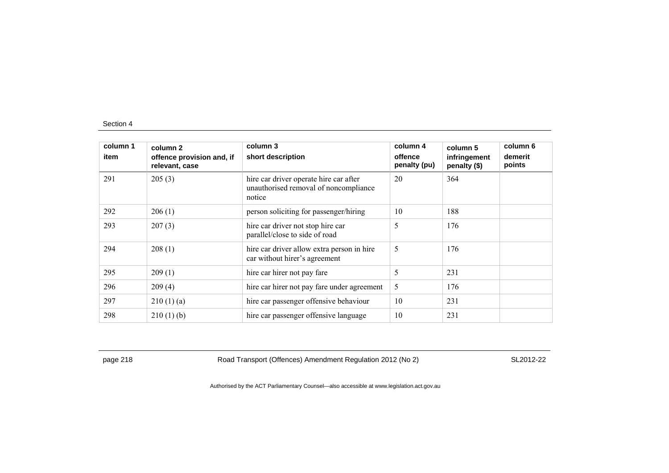| column 1<br>item | column 2<br>offence provision and, if<br>relevant, case | column 3<br>short description                                                             | column 4<br>offence<br>penalty (pu) | column 5<br>infringement<br>penalty (\$) | column 6<br>demerit<br>points |
|------------------|---------------------------------------------------------|-------------------------------------------------------------------------------------------|-------------------------------------|------------------------------------------|-------------------------------|
| 291              | 205(3)                                                  | hire car driver operate hire car after<br>unauthorised removal of noncompliance<br>notice | 20                                  | 364                                      |                               |
| 292              | 206(1)                                                  | person soliciting for passenger/hiring                                                    | 10                                  | 188                                      |                               |
| 293              | 207(3)                                                  | hire car driver not stop hire car<br>parallel/close to side of road                       | 5                                   | 176                                      |                               |
| 294              | 208(1)                                                  | hire car driver allow extra person in hire<br>car without hirer's agreement               | 5                                   | 176                                      |                               |
| 295              | 209(1)                                                  | hire car hirer not pay fare                                                               | 5                                   | 231                                      |                               |
| 296              | 209(4)                                                  | hire car hirer not pay fare under agreement                                               | 5                                   | 176                                      |                               |
| 297              | 210(1)(a)                                               | hire car passenger offensive behaviour                                                    | 10                                  | 231                                      |                               |
| 298              | $210(1)$ (b)                                            | hire car passenger offensive language                                                     | 10                                  | 231                                      |                               |

page 218 **Road Transport (Offences) Amendment Regulation 2012 (No 2)** SL2012-22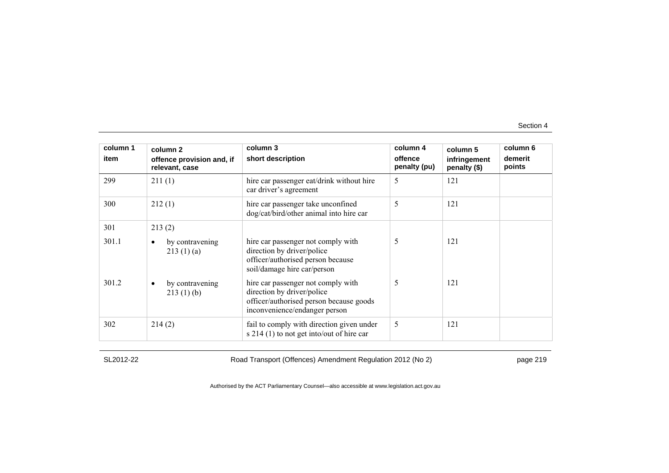| column 1<br>item | column 2<br>offence provision and, if<br>relevant, case | column 3<br>short description                                                                                                                | column 4<br>offence<br>penalty (pu) | column 5<br>infringement<br>penalty $(\$)$ | column 6<br>demerit<br>points |
|------------------|---------------------------------------------------------|----------------------------------------------------------------------------------------------------------------------------------------------|-------------------------------------|--------------------------------------------|-------------------------------|
| 299              | 211(1)                                                  | hire car passenger eat/drink without hire<br>car driver's agreement                                                                          | 5                                   | 121                                        |                               |
| 300              | 212(1)                                                  | hire car passenger take unconfined<br>dog/cat/bird/other animal into hire car                                                                | 5                                   | 121                                        |                               |
| 301              | 213(2)                                                  |                                                                                                                                              |                                     |                                            |                               |
| 301.1            | by contravening<br>٠<br>213(1)(a)                       | hire car passenger not comply with<br>direction by driver/police<br>officer/authorised person because<br>soil/damage hire car/person         | 5                                   | 121                                        |                               |
| 301.2            | by contravening<br>$\bullet$<br>213(1)(b)               | hire car passenger not comply with<br>direction by driver/police<br>officer/authorised person because goods<br>inconvenience/endanger person | 5                                   | 121                                        |                               |
| 302              | 214(2)                                                  | fail to comply with direction given under<br>s $214(1)$ to not get into/out of hire car                                                      | 5                                   | 121                                        |                               |

SL2012-22 Road Transport (Offences) Amendment Regulation 2012 (No 2) page 219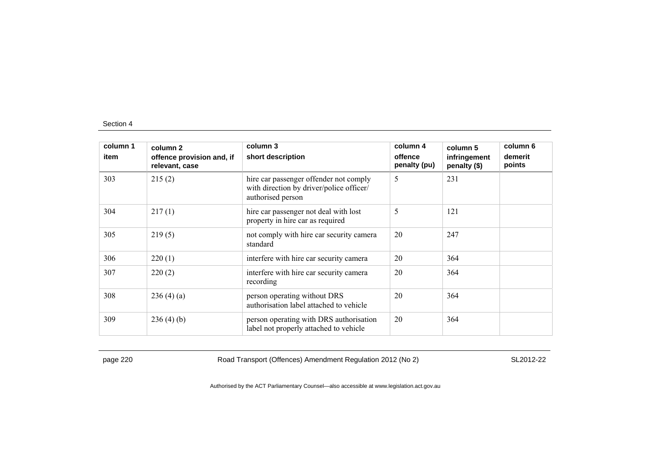| column 1 | column 2                                    | column 3                                                                                                | column 4                | column 5                     | column 6          |
|----------|---------------------------------------------|---------------------------------------------------------------------------------------------------------|-------------------------|------------------------------|-------------------|
| item     | offence provision and, if<br>relevant, case | short description                                                                                       | offence<br>penalty (pu) | infringement<br>penalty (\$) | demerit<br>points |
| 303      | 215(2)                                      | hire car passenger offender not comply<br>with direction by driver/police officer/<br>authorised person | 5                       | 231                          |                   |
| 304      | 217(1)                                      | hire car passenger not deal with lost<br>property in hire car as required                               | 5                       | 121                          |                   |
| 305      | 219(5)                                      | not comply with hire car security camera<br>standard                                                    | 20                      | 247                          |                   |
| 306      | 220(1)                                      | interfere with hire car security camera                                                                 | 20                      | 364                          |                   |
| 307      | 220(2)                                      | interfere with hire car security camera<br>recording                                                    | 20                      | 364                          |                   |
| 308      | 236(4)(a)                                   | person operating without DRS<br>authorisation label attached to vehicle                                 | 20                      | 364                          |                   |
| 309      | 236(4)(b)                                   | person operating with DRS authorisation<br>label not properly attached to vehicle                       | 20                      | 364                          |                   |

page 220 Road Transport (Offences) Amendment Regulation 2012 (No 2) SL2012-22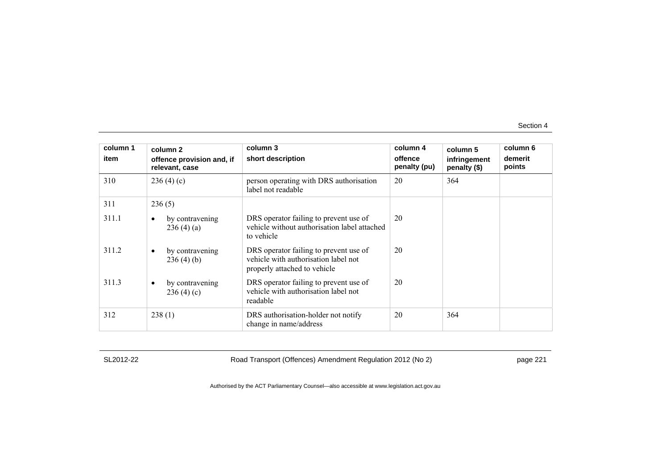| column 1 | column 2                                    | column 3                                                                                                       | column 4                | column 5                     | column 6          |
|----------|---------------------------------------------|----------------------------------------------------------------------------------------------------------------|-------------------------|------------------------------|-------------------|
| item     | offence provision and, if<br>relevant, case | short description                                                                                              | offence<br>penalty (pu) | infringement<br>penalty (\$) | demerit<br>points |
| 310      | 236(4)(c)                                   | person operating with DRS authorisation<br>label not readable                                                  | 20                      | 364                          |                   |
| 311      | 236(5)                                      |                                                                                                                |                         |                              |                   |
| 311.1    | by contravening<br>٠<br>236(4)(a)           | DRS operator failing to prevent use of<br>vehicle without authorisation label attached<br>to vehicle           | 20                      |                              |                   |
| 311.2    | by contravening<br>$\bullet$<br>236(4)(b)   | DRS operator failing to prevent use of<br>vehicle with authorisation label not<br>properly attached to vehicle | 20                      |                              |                   |
| 311.3    | by contravening<br>$\bullet$<br>236(4)(c)   | DRS operator failing to prevent use of<br>vehicle with authorisation label not<br>readable                     | 20                      |                              |                   |
| 312      | 238(1)                                      | DRS authorisation-holder not notify<br>change in name/address                                                  | 20                      | 364                          |                   |

SL2012-22 Road Transport (Offences) Amendment Regulation 2012 (No 2) page 221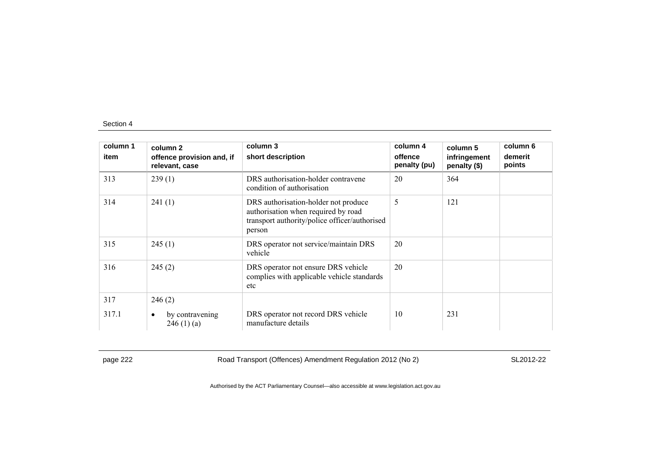| column 1 | column 2                                    | column 3                                                                                                                               | column 4                | column 5                     | column 6          |
|----------|---------------------------------------------|----------------------------------------------------------------------------------------------------------------------------------------|-------------------------|------------------------------|-------------------|
| item     | offence provision and, if<br>relevant, case | short description                                                                                                                      | offence<br>penalty (pu) | infringement<br>penalty (\$) | demerit<br>points |
| 313      | 239(1)                                      | DRS authorisation-holder contravene<br>condition of authorisation                                                                      | 20                      | 364                          |                   |
| 314      | 241(1)                                      | DRS authorisation-holder not produce<br>authorisation when required by road<br>transport authority/police officer/authorised<br>person | 5                       | 121                          |                   |
| 315      | 245(1)                                      | DRS operator not service/maintain DRS<br>vehicle                                                                                       | 20                      |                              |                   |
| 316      | 245(2)                                      | DRS operator not ensure DRS vehicle<br>complies with applicable vehicle standards<br>etc                                               | 20                      |                              |                   |
| 317      | 246(2)                                      |                                                                                                                                        |                         |                              |                   |
| 317.1    | by contravening<br>$\bullet$<br>246(1)(a)   | DRS operator not record DRS vehicle<br>manufacture details                                                                             | 10                      | 231                          |                   |

page 222 Road Transport (Offences) Amendment Regulation 2012 (No 2) SL2012-22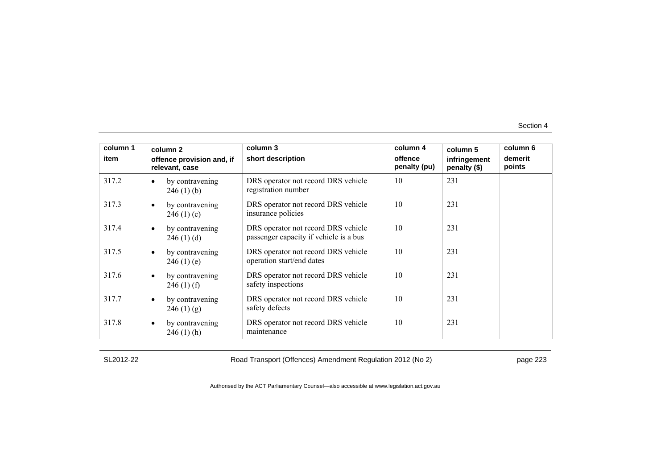| column 1 |           | column 2                                    | column 3                                                                      | column 4                | column 5                     | column 6          |
|----------|-----------|---------------------------------------------|-------------------------------------------------------------------------------|-------------------------|------------------------------|-------------------|
| item     |           | offence provision and, if<br>relevant, case | short description                                                             | offence<br>penalty (pu) | infringement<br>penalty (\$) | demerit<br>points |
| 317.2    | $\bullet$ | by contravening<br>246(1)(b)                | DRS operator not record DRS vehicle<br>registration number                    | 10                      | 231                          |                   |
| 317.3    | $\bullet$ | by contravening<br>246(1)(c)                | DRS operator not record DRS vehicle<br>insurance policies                     | 10                      | 231                          |                   |
| 317.4    | ٠         | by contravening<br>246(1)(d)                | DRS operator not record DRS vehicle<br>passenger capacity if vehicle is a bus | 10                      | 231                          |                   |
| 317.5    | $\bullet$ | by contravening<br>246(1)(e)                | DRS operator not record DRS vehicle<br>operation start/end dates              | 10                      | 231                          |                   |
| 317.6    | $\bullet$ | by contravening<br>$246(1)$ (f)             | DRS operator not record DRS vehicle<br>safety inspections                     | 10                      | 231                          |                   |
| 317.7    | $\bullet$ | by contravening<br>246(1)(g)                | DRS operator not record DRS vehicle<br>safety defects                         | 10                      | 231                          |                   |
| 317.8    | $\bullet$ | by contravening<br>$246(1)$ (h)             | DRS operator not record DRS vehicle<br>maintenance                            | 10                      | 231                          |                   |

SL2012-22 Road Transport (Offences) Amendment Regulation 2012 (No 2) page 223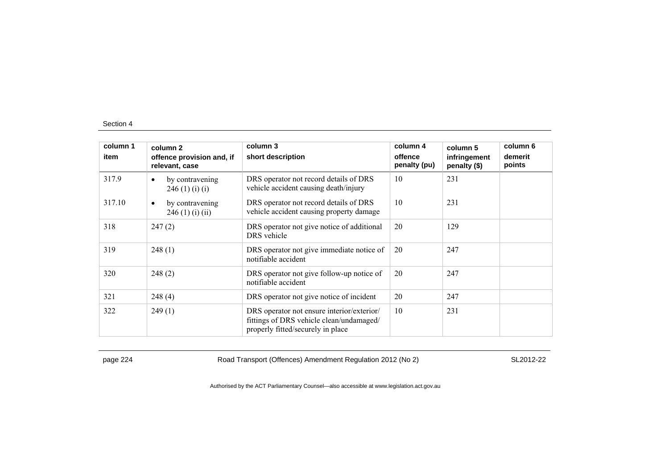| column 1 | column <sub>2</sub>                              | column 3                                                                                                                    | column 4                | column 5                     | column 6          |
|----------|--------------------------------------------------|-----------------------------------------------------------------------------------------------------------------------------|-------------------------|------------------------------|-------------------|
| item     | offence provision and, if<br>relevant, case      | short description                                                                                                           | offence<br>penalty (pu) | infringement<br>penalty (\$) | demerit<br>points |
| 317.9    | by contravening<br>$\bullet$<br>246(1)(i)(i)     | DRS operator not record details of DRS<br>vehicle accident causing death/injury                                             | 10                      | 231                          |                   |
| 317.10   | by contravening<br>$\bullet$<br>246 (1) (i) (ii) | DRS operator not record details of DRS<br>vehicle accident causing property damage                                          | 10                      | 231                          |                   |
| 318      | 247(2)                                           | DRS operator not give notice of additional<br>DRS vehicle                                                                   | 20                      | 129                          |                   |
| 319      | 248(1)                                           | DRS operator not give immediate notice of<br>notifiable accident                                                            | 20                      | 247                          |                   |
| 320      | 248(2)                                           | DRS operator not give follow-up notice of<br>notifiable accident                                                            | 20                      | 247                          |                   |
| 321      | 248(4)                                           | DRS operator not give notice of incident                                                                                    | 20                      | 247                          |                   |
| 322      | 249(1)                                           | DRS operator not ensure interior/exterior/<br>fittings of DRS vehicle clean/undamaged/<br>properly fitted/securely in place | 10                      | 231                          |                   |

page 224 Road Transport (Offences) Amendment Regulation 2012 (No 2) SL2012-22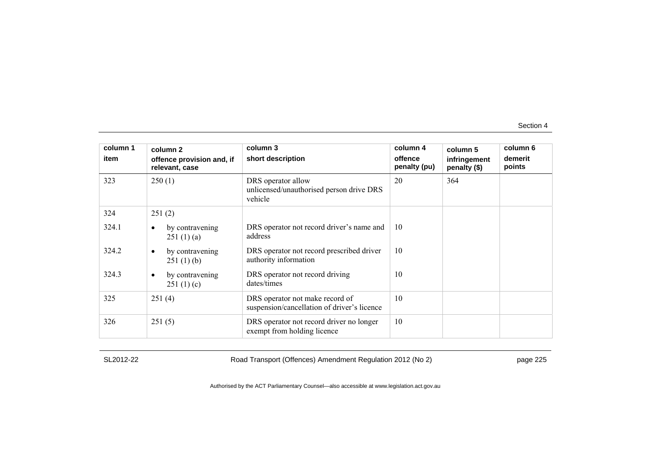| column 1<br>item | column 2<br>offence provision and, if<br>relevant, case | column 3<br>short description                                                  | column 4<br>offence<br>penalty (pu) | column 5<br>infringement<br>penalty (\$) | column 6<br>demerit<br>points |
|------------------|---------------------------------------------------------|--------------------------------------------------------------------------------|-------------------------------------|------------------------------------------|-------------------------------|
| 323              | 250(1)                                                  | DRS operator allow<br>unlicensed/unauthorised person drive DRS<br>vehicle      | 20                                  | 364                                      |                               |
| 324              | 251(2)                                                  |                                                                                |                                     |                                          |                               |
| 324.1            | by contravening<br>$\bullet$<br>251(1)(a)               | DRS operator not record driver's name and<br>address                           | 10                                  |                                          |                               |
| 324.2            | by contravening<br>$\bullet$<br>251(1)(b)               | DRS operator not record prescribed driver<br>authority information             | 10                                  |                                          |                               |
| 324.3            | by contravening<br>$\bullet$<br>251(1)(c)               | DRS operator not record driving<br>dates/times                                 | 10                                  |                                          |                               |
| 325              | 251(4)                                                  | DRS operator not make record of<br>suspension/cancellation of driver's licence | 10                                  |                                          |                               |
| 326              | 251(5)                                                  | DRS operator not record driver no longer<br>exempt from holding licence        | 10                                  |                                          |                               |

SL2012-22 Road Transport (Offences) Amendment Regulation 2012 (No 2) page 225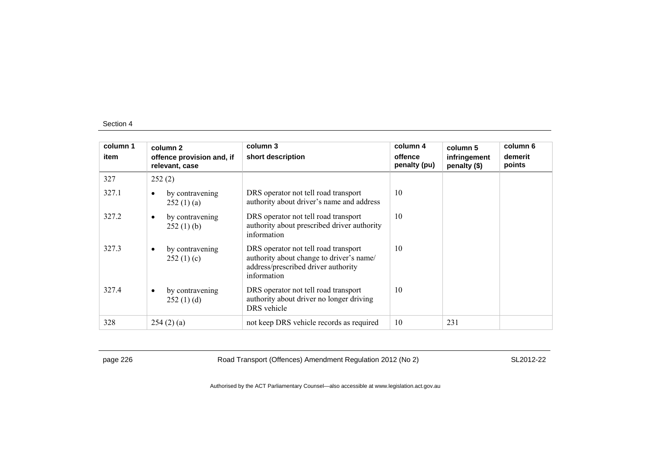| column 1<br>item | column 2<br>offence provision and, if<br>relevant, case | column 3<br>short description                                                                                                          | column 4<br>offence<br>penalty (pu) | column 5<br>infringement<br>penalty (\$) | column 6<br>demerit<br>points |
|------------------|---------------------------------------------------------|----------------------------------------------------------------------------------------------------------------------------------------|-------------------------------------|------------------------------------------|-------------------------------|
| 327              | 252(2)                                                  |                                                                                                                                        |                                     |                                          |                               |
| 327.1            | by contravening<br>$\bullet$<br>252(1)(a)               | DRS operator not tell road transport<br>authority about driver's name and address                                                      | 10                                  |                                          |                               |
| 327.2            | by contravening<br>$\bullet$<br>252(1)(b)               | DRS operator not tell road transport<br>authority about prescribed driver authority<br>information                                     | 10                                  |                                          |                               |
| 327.3            | by contravening<br>$\bullet$<br>252(1)(c)               | DRS operator not tell road transport<br>authority about change to driver's name/<br>address/prescribed driver authority<br>information | 10                                  |                                          |                               |
| 327.4            | by contravening<br>٠<br>252(1)(d)                       | DRS operator not tell road transport<br>authority about driver no longer driving<br>DRS vehicle                                        | 10                                  |                                          |                               |
| 328              | 254(2)(a)                                               | not keep DRS vehicle records as required                                                                                               | 10                                  | 231                                      |                               |

page 226 Road Transport (Offences) Amendment Regulation 2012 (No 2) SL2012-22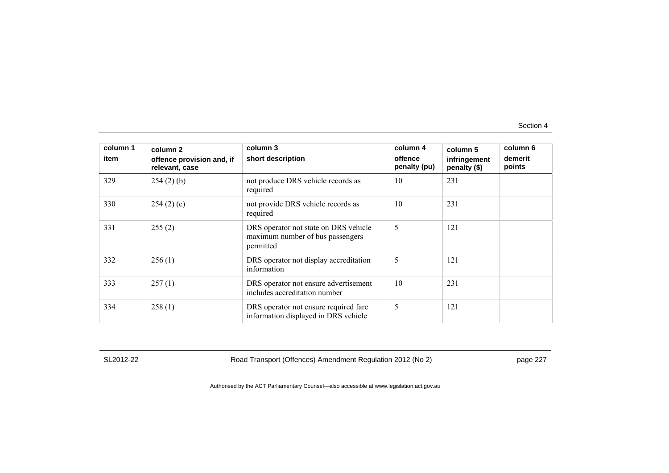| column 1<br>item | column 2<br>offence provision and, if<br>relevant, case | column 3<br>short description                                                          | column 4<br>offence<br>penalty (pu) | column 5<br>infringement<br>penalty (\$) | column 6<br>demerit<br>points |
|------------------|---------------------------------------------------------|----------------------------------------------------------------------------------------|-------------------------------------|------------------------------------------|-------------------------------|
| 329              | $254(2)$ (b)                                            | not produce DRS vehicle records as<br>required                                         | 10                                  | 231                                      |                               |
| 330              | 254(2)(c)                                               | not provide DRS vehicle records as<br>required                                         | 10                                  | 231                                      |                               |
| 331              | 255(2)                                                  | DRS operator not state on DRS vehicle<br>maximum number of bus passengers<br>permitted | 5                                   | 121                                      |                               |
| 332              | 256(1)                                                  | DRS operator not display accreditation<br>information                                  | 5                                   | 121                                      |                               |
| 333              | 257(1)                                                  | DRS operator not ensure advertisement<br>includes accreditation number                 | 10                                  | 231                                      |                               |
| 334              | 258(1)                                                  | DRS operator not ensure required fare<br>information displayed in DRS vehicle          | 5                                   | 121                                      |                               |

SL2012-22 Road Transport (Offences) Amendment Regulation 2012 (No 2) page 227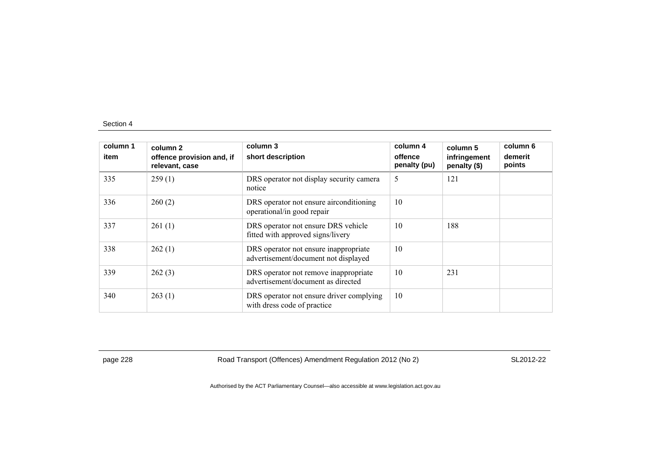| column 1<br>item | column 2<br>offence provision and, if<br>relevant, case | column 3<br>short description                                                 | column 4<br>offence<br>penalty (pu) | column 5<br>infringement<br>penalty (\$) | column 6<br>demerit<br>points |
|------------------|---------------------------------------------------------|-------------------------------------------------------------------------------|-------------------------------------|------------------------------------------|-------------------------------|
| 335              | 259(1)                                                  | DRS operator not display security camera<br>notice                            | 5                                   | 121                                      |                               |
| 336              | 260(2)                                                  | DRS operator not ensure airconditioning<br>operational/in good repair         | 10                                  |                                          |                               |
| 337              | 261(1)                                                  | DRS operator not ensure DRS vehicle<br>fitted with approved signs/livery      | 10                                  | 188                                      |                               |
| 338              | 262(1)                                                  | DRS operator not ensure inappropriate<br>advertisement/document not displayed | 10                                  |                                          |                               |
| 339              | 262(3)                                                  | DRS operator not remove inappropriate<br>advertisement/document as directed   | 10                                  | 231                                      |                               |
| 340              | 263(1)                                                  | DRS operator not ensure driver complying<br>with dress code of practice       | 10                                  |                                          |                               |

page 228 Road Transport (Offences) Amendment Regulation 2012 (No 2) SL2012-22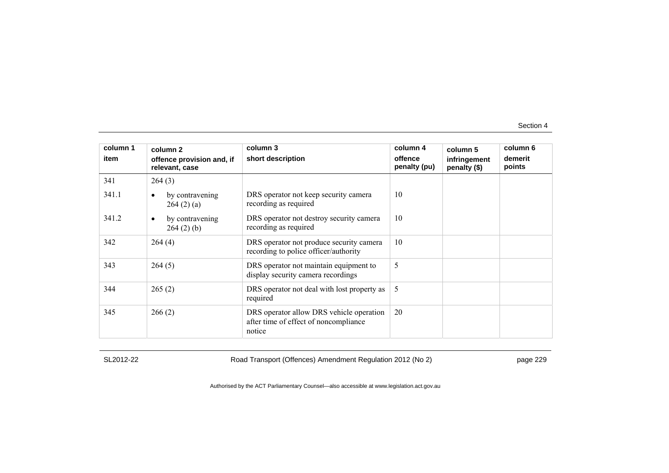| column 1<br>item | column 2<br>offence provision and, if<br>relevant, case | column 3<br>short description                                                               | column 4<br>offence<br>penalty (pu) | column 5<br>infringement<br>penalty (\$) | column 6<br>demerit<br>points |
|------------------|---------------------------------------------------------|---------------------------------------------------------------------------------------------|-------------------------------------|------------------------------------------|-------------------------------|
| 341              | 264(3)                                                  |                                                                                             |                                     |                                          |                               |
| 341.1            | by contravening<br>$\bullet$<br>264(2)(a)               | DRS operator not keep security camera<br>recording as required                              | 10                                  |                                          |                               |
| 341.2            | by contravening<br>$\bullet$<br>264(2)(b)               | DRS operator not destroy security camera<br>recording as required                           | 10                                  |                                          |                               |
| 342              | 264(4)                                                  | DRS operator not produce security camera<br>recording to police officer/authority           | 10                                  |                                          |                               |
| 343              | 264(5)                                                  | DRS operator not maintain equipment to<br>display security camera recordings                | 5                                   |                                          |                               |
| 344              | 265(2)                                                  | DRS operator not deal with lost property as<br>required                                     | 5                                   |                                          |                               |
| 345              | 266(2)                                                  | DRS operator allow DRS vehicle operation<br>after time of effect of noncompliance<br>notice | 20                                  |                                          |                               |

SL2012-22 Road Transport (Offences) Amendment Regulation 2012 (No 2) page 229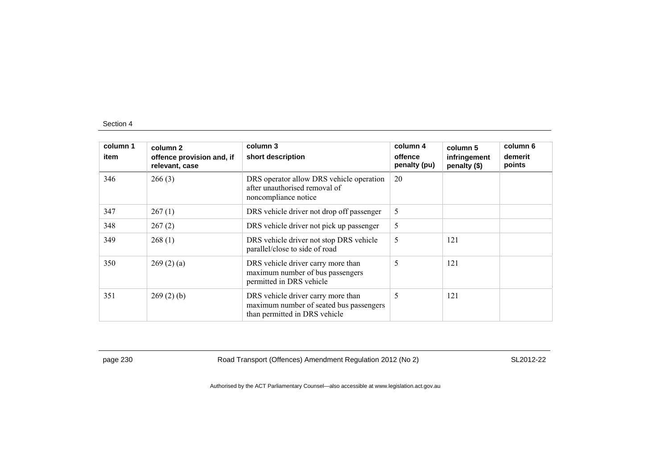| column 1<br>item | column 2<br>offence provision and, if<br>relevant, case | column 3<br>short description                                                                                  | column 4<br>offence<br>penalty (pu) | column 5<br>infringement<br>penalty (\$) | column 6<br>demerit<br>points |
|------------------|---------------------------------------------------------|----------------------------------------------------------------------------------------------------------------|-------------------------------------|------------------------------------------|-------------------------------|
| 346              | 266(3)                                                  | DRS operator allow DRS vehicle operation<br>after unauthorised removal of<br>noncompliance notice              | 20                                  |                                          |                               |
| 347              | 267(1)                                                  | DRS vehicle driver not drop off passenger                                                                      | 5                                   |                                          |                               |
| 348              | 267(2)                                                  | DRS vehicle driver not pick up passenger                                                                       | 5                                   |                                          |                               |
| 349              | 268(1)                                                  | DRS vehicle driver not stop DRS vehicle<br>parallel/close to side of road                                      | 5                                   | 121                                      |                               |
| 350              | 269(2)(a)                                               | DRS vehicle driver carry more than<br>maximum number of bus passengers<br>permitted in DRS vehicle             | 5                                   | 121                                      |                               |
| 351              | 269(2)(b)                                               | DRS vehicle driver carry more than<br>maximum number of seated bus passengers<br>than permitted in DRS vehicle | 5                                   | 121                                      |                               |

page 230 Road Transport (Offences) Amendment Regulation 2012 (No 2) SL2012-22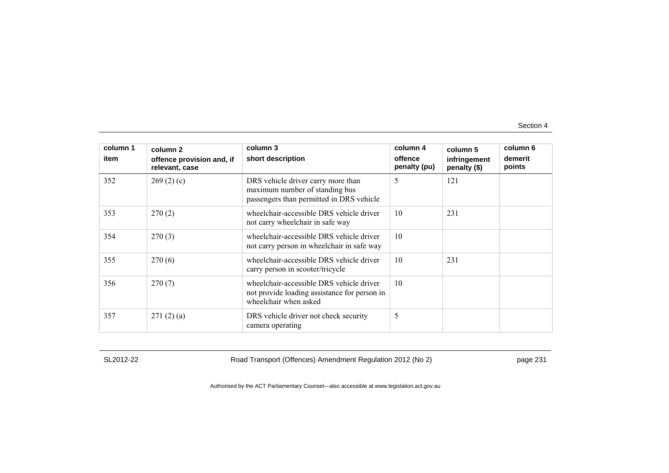| column 1<br>item | column <sub>2</sub><br>offence provision and, if<br>relevant, case | column 3<br>short description                                                                                     | column 4<br>offence<br>penalty (pu) | column 5<br>infringement<br>penalty (\$) | column 6<br>demerit<br>points |
|------------------|--------------------------------------------------------------------|-------------------------------------------------------------------------------------------------------------------|-------------------------------------|------------------------------------------|-------------------------------|
| 352              | 269(2)(c)                                                          | DRS vehicle driver carry more than<br>maximum number of standing bus<br>passengers than permitted in DRS vehicle  | 5                                   | 121                                      |                               |
| 353              | 270(2)                                                             | wheelchair-accessible DRS vehicle driver<br>not carry wheelchair in safe way                                      | 10                                  | 231                                      |                               |
| 354              | 270(3)                                                             | wheelchair-accessible DRS vehicle driver<br>not carry person in wheelchair in safe way                            | 10                                  |                                          |                               |
| 355              | 270(6)                                                             | wheelchair-accessible DRS vehicle driver<br>carry person in scooter/tricycle                                      | 10                                  | 231                                      |                               |
| 356              | 270(7)                                                             | wheelchair-accessible DRS vehicle driver<br>not provide loading assistance for person in<br>wheelchair when asked | 10                                  |                                          |                               |
| 357              | 271(2)(a)                                                          | DRS vehicle driver not check security<br>camera operating                                                         | 5                                   |                                          |                               |

SL2012-22 Road Transport (Offences) Amendment Regulation 2012 (No 2) page 231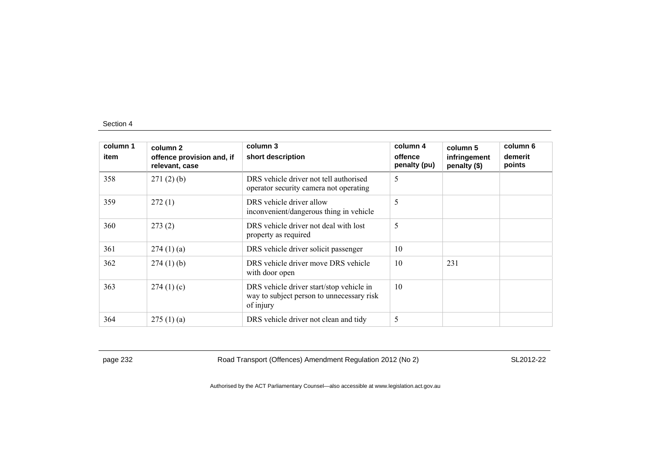| column 1<br>item | column 2<br>offence provision and, if<br>relevant, case | column 3<br>short description                                                                      | column 4<br>offence<br>penalty (pu) | column 5<br>infringement<br>penalty (\$) | column 6<br>demerit<br>points |
|------------------|---------------------------------------------------------|----------------------------------------------------------------------------------------------------|-------------------------------------|------------------------------------------|-------------------------------|
| 358              | 271(2)(b)                                               | DRS vehicle driver not tell authorised<br>operator security camera not operating                   | 5                                   |                                          |                               |
| 359              | 272(1)                                                  | DRS vehicle driver allow<br>inconvenient/dangerous thing in vehicle                                | 5                                   |                                          |                               |
| 360              | 273(2)                                                  | DRS vehicle driver not deal with lost<br>property as required                                      | 5                                   |                                          |                               |
| 361              | 274(1)(a)                                               | DRS vehicle driver solicit passenger                                                               | 10                                  |                                          |                               |
| 362              | $274(1)$ (b)                                            | DRS vehicle driver move DRS vehicle<br>with door open                                              | 10                                  | 231                                      |                               |
| 363              | 274(1)(c)                                               | DRS vehicle driver start/stop vehicle in<br>way to subject person to unnecessary risk<br>of injury | 10                                  |                                          |                               |
| 364              | 275(1)(a)                                               | DRS vehicle driver not clean and tidy                                                              | 5                                   |                                          |                               |

page 232 Road Transport (Offences) Amendment Regulation 2012 (No 2) SL2012-22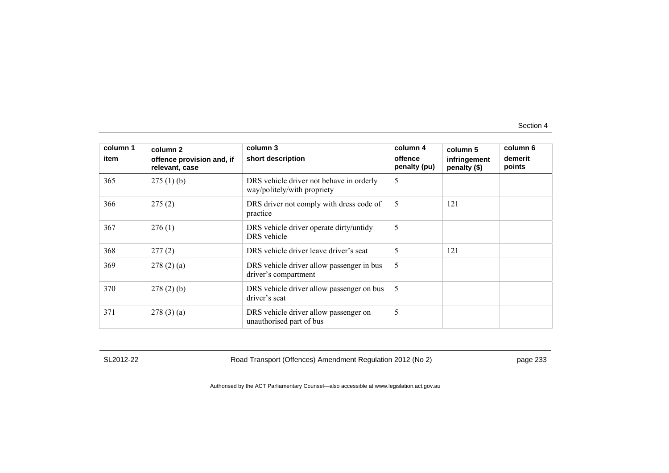| column 1<br>item | column <sub>2</sub><br>offence provision and, if<br>relevant, case | column 3<br>short description                                           | column 4<br>offence<br>penalty (pu) | column 5<br>infringement<br>penalty (\$) | column 6<br>demerit<br>points |
|------------------|--------------------------------------------------------------------|-------------------------------------------------------------------------|-------------------------------------|------------------------------------------|-------------------------------|
| 365              | 275(1)(b)                                                          | DRS vehicle driver not behave in orderly<br>way/politely/with propriety | 5                                   |                                          |                               |
| 366              | 275(2)                                                             | DRS driver not comply with dress code of<br>practice                    | 5                                   | 121                                      |                               |
| 367              | 276(1)                                                             | DRS vehicle driver operate dirty/untidy<br>DRS vehicle                  | 5                                   |                                          |                               |
| 368              | 277(2)                                                             | DRS vehicle driver leave driver's seat                                  | 5                                   | 121                                      |                               |
| 369              | 278(2)(a)                                                          | DRS vehicle driver allow passenger in bus<br>driver's compartment       | 5                                   |                                          |                               |
| 370              | 278(2)(b)                                                          | DRS vehicle driver allow passenger on bus<br>driver's seat              | 5                                   |                                          |                               |
| 371              | 278(3)(a)                                                          | DRS vehicle driver allow passenger on<br>unauthorised part of bus       | 5                                   |                                          |                               |

SL2012-22 Road Transport (Offences) Amendment Regulation 2012 (No 2) page 233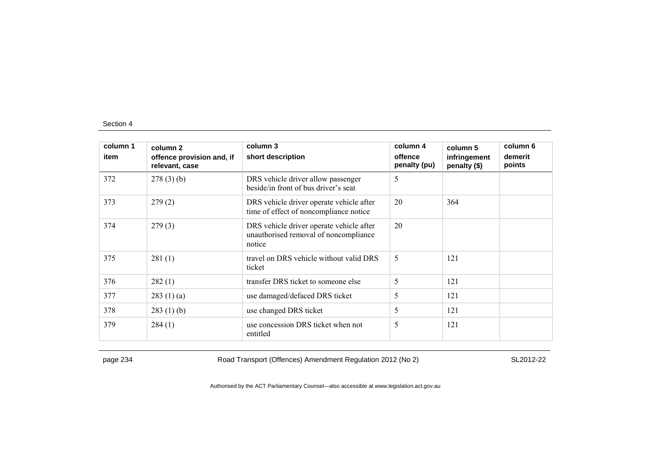| column 1 | column 2                                    | column 3                                                                                    | column 4                | column 5                     | column 6          |
|----------|---------------------------------------------|---------------------------------------------------------------------------------------------|-------------------------|------------------------------|-------------------|
| item     | offence provision and, if<br>relevant, case | short description                                                                           | offence<br>penalty (pu) | infringement<br>penalty (\$) | demerit<br>points |
| 372      | $278(3)$ (b)                                | DRS vehicle driver allow passenger<br>beside/in front of bus driver's seat                  | 5                       |                              |                   |
| 373      | 279(2)                                      | DRS vehicle driver operate vehicle after<br>time of effect of noncompliance notice          | 20                      | 364                          |                   |
| 374      | 279(3)                                      | DRS vehicle driver operate vehicle after<br>unauthorised removal of noncompliance<br>notice | 20                      |                              |                   |
| 375      | 281(1)                                      | travel on DRS vehicle without valid DRS<br>ticket                                           | 5                       | 121                          |                   |
| 376      | 282(1)                                      | transfer DRS ticket to someone else                                                         | 5                       | 121                          |                   |
| 377      | 283(1)(a)                                   | use damaged/defaced DRS ticket                                                              | 5                       | 121                          |                   |
| 378      | 283(1)(b)                                   | use changed DRS ticket                                                                      | 5                       | 121                          |                   |
| 379      | 284(1)                                      | use concession DRS ticket when not<br>entitled                                              | 5                       | 121                          |                   |

page 234 Road Transport (Offences) Amendment Regulation 2012 (No 2) SL2012-22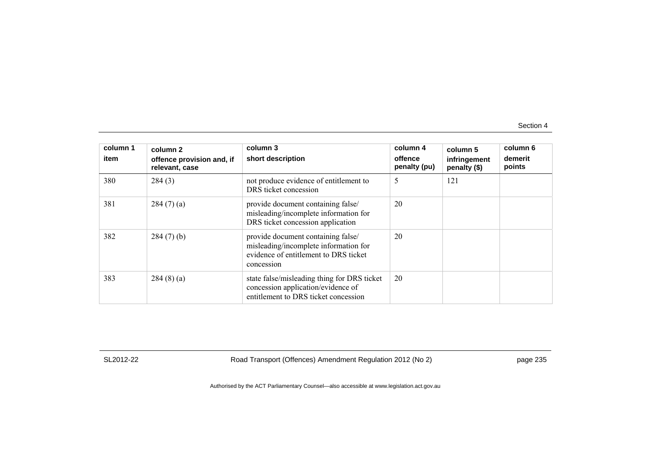| column 1<br>item | column 2<br>offence provision and, if<br>relevant, case | column 3<br>short description                                                                                                      | column 4<br>offence<br>penalty (pu) | column 5<br>infringement<br>penalty (\$) | column 6<br>demerit<br>points |
|------------------|---------------------------------------------------------|------------------------------------------------------------------------------------------------------------------------------------|-------------------------------------|------------------------------------------|-------------------------------|
| 380              | 284(3)                                                  | not produce evidence of entitlement to<br>DRS ticket concession                                                                    | 5                                   | 121                                      |                               |
| 381              | 284(7)(a)                                               | provide document containing false/<br>misleading/incomplete information for<br>DRS ticket concession application                   | 20                                  |                                          |                               |
| 382              | $284(7)$ (b)                                            | provide document containing false/<br>misleading/incomplete information for<br>evidence of entitlement to DRS ticket<br>concession | 20                                  |                                          |                               |
| 383              | 284(8)(a)                                               | state false/misleading thing for DRS ticket<br>concession application/evidence of<br>entitlement to DRS ticket concession          | 20                                  |                                          |                               |

SL2012-22 Road Transport (Offences) Amendment Regulation 2012 (No 2) page 235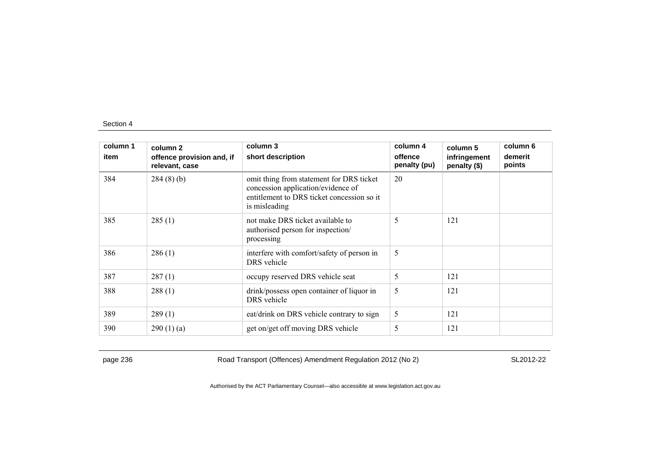| column 1 | column 2                                    | column 3                                                                                                                                      | column 4                | column 5                     | column 6          |
|----------|---------------------------------------------|-----------------------------------------------------------------------------------------------------------------------------------------------|-------------------------|------------------------------|-------------------|
| item     | offence provision and, if<br>relevant, case | short description                                                                                                                             | offence<br>penalty (pu) | infringement<br>penalty (\$) | demerit<br>points |
| 384      | 284(8)(b)                                   | omit thing from statement for DRS ticket<br>concession application/evidence of<br>entitlement to DRS ticket concession so it<br>is misleading | 20                      |                              |                   |
| 385      | 285(1)                                      | not make DRS ticket available to<br>authorised person for inspection/<br>processing                                                           | 5                       | 121                          |                   |
| 386      | 286(1)                                      | interfere with comfort/safety of person in<br>DRS vehicle                                                                                     | 5                       |                              |                   |
| 387      | 287(1)                                      | occupy reserved DRS vehicle seat                                                                                                              | 5                       | 121                          |                   |
| 388      | 288(1)                                      | drink/possess open container of liquor in<br>DRS vehicle                                                                                      | 5                       | 121                          |                   |
| 389      | 289(1)                                      | eat/drink on DRS vehicle contrary to sign                                                                                                     | 5                       | 121                          |                   |
| 390      | 290(1)(a)                                   | get on/get off moving DRS vehicle                                                                                                             | 5                       | 121                          |                   |

page 236 Road Transport (Offences) Amendment Regulation 2012 (No 2) SL2012-22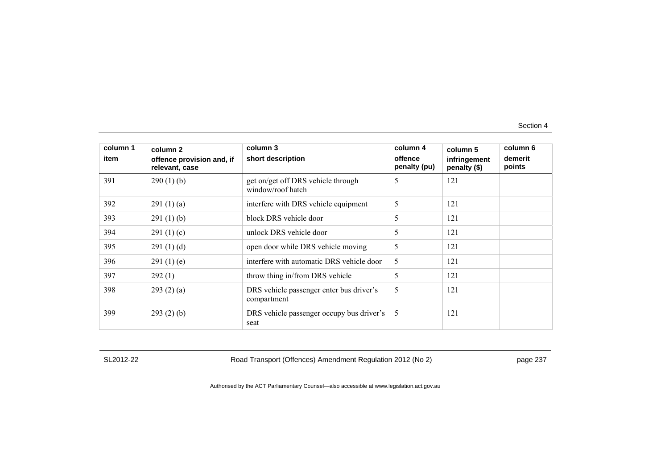| column 1<br>item | column 2<br>offence provision and, if | column 3<br>short description                           | column 4<br>offence | column 5<br>infringement | column 6<br>demerit |
|------------------|---------------------------------------|---------------------------------------------------------|---------------------|--------------------------|---------------------|
|                  | relevant, case                        |                                                         | penalty (pu)        | penalty (\$)             | points              |
| 391              | 290(1)(b)                             | get on/get off DRS vehicle through<br>window/roof hatch | 5                   | 121                      |                     |
| 392              | 291(1)(a)                             | interfere with DRS vehicle equipment                    | 5                   | 121                      |                     |
| 393              | 291(1)(b)                             | block DRS vehicle door                                  | 5                   | 121                      |                     |
| 394              | 291 $(1)(c)$                          | unlock DRS vehicle door                                 | 5                   | 121                      |                     |
| 395              | 291(1)(d)                             | open door while DRS vehicle moving                      | 5                   | 121                      |                     |
| 396              | 291(1)(e)                             | interfere with automatic DRS vehicle door               | 5                   | 121                      |                     |
| 397              | 292(1)                                | throw thing in/from DRS vehicle                         | 5                   | 121                      |                     |
| 398              | 293(2)(a)                             | DRS vehicle passenger enter bus driver's<br>compartment | 5                   | 121                      |                     |
| 399              | 293(2)(b)                             | DRS vehicle passenger occupy bus driver's<br>seat       | 5                   | 121                      |                     |

SL2012-22 Road Transport (Offences) Amendment Regulation 2012 (No 2) page 237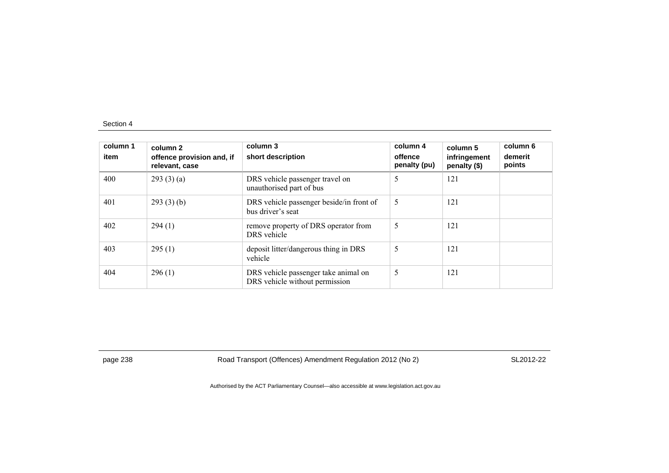| column 1<br>item | column 2<br>offence provision and, if<br>relevant, case | column 3<br>short description                                          | column 4<br>offence<br>penalty (pu) | column 5<br>infringement<br>penalty (\$) | column 6<br>demerit<br>points |
|------------------|---------------------------------------------------------|------------------------------------------------------------------------|-------------------------------------|------------------------------------------|-------------------------------|
| 400              | 293(3)(a)                                               | DRS vehicle passenger travel on<br>unauthorised part of bus            | 5                                   | 121                                      |                               |
| 401              | 293(3)(b)                                               | DRS vehicle passenger beside/in front of<br>bus driver's seat          | 5                                   | 121                                      |                               |
| 402              | 294(1)                                                  | remove property of DRS operator from<br>DRS vehicle                    | 5                                   | 121                                      |                               |
| 403              | 295(1)                                                  | deposit litter/dangerous thing in DRS<br>vehicle                       | 5                                   | 121                                      |                               |
| 404              | 296(1)                                                  | DRS vehicle passenger take animal on<br>DRS vehicle without permission | 5                                   | 121                                      |                               |

page 238 Road Transport (Offences) Amendment Regulation 2012 (No 2) SL2012-22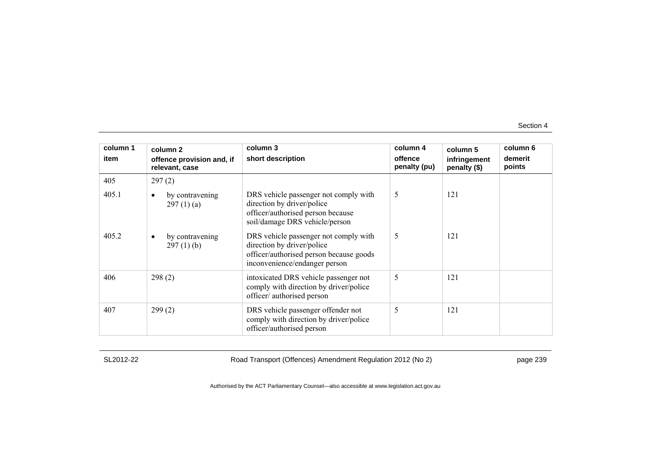| column 1 | column 2                                     | column 3                                                                                                                                        | column 4                | column 5                     | column 6          |
|----------|----------------------------------------------|-------------------------------------------------------------------------------------------------------------------------------------------------|-------------------------|------------------------------|-------------------|
| item     | offence provision and, if<br>relevant, case  | short description                                                                                                                               | offence<br>penalty (pu) | infringement<br>penalty (\$) | demerit<br>points |
| 405      | 297(2)                                       |                                                                                                                                                 |                         |                              |                   |
| 405.1    | by contravening<br>297(1)(a)                 | DRS vehicle passenger not comply with<br>direction by driver/police<br>officer/authorised person because<br>soil/damage DRS vehicle/person      | 5                       | 121                          |                   |
| 405.2    | by contravening<br>$\bullet$<br>$297(1)$ (b) | DRS vehicle passenger not comply with<br>direction by driver/police<br>officer/authorised person because goods<br>inconvenience/endanger person | 5                       | 121                          |                   |
| 406      | 298(2)                                       | intoxicated DRS vehicle passenger not<br>comply with direction by driver/police<br>officer/authorised person                                    | 5                       | 121                          |                   |
| 407      | 299(2)                                       | DRS vehicle passenger offender not<br>comply with direction by driver/police<br>officer/authorised person                                       | 5                       | 121                          |                   |

SL2012-22 Road Transport (Offences) Amendment Regulation 2012 (No 2) page 239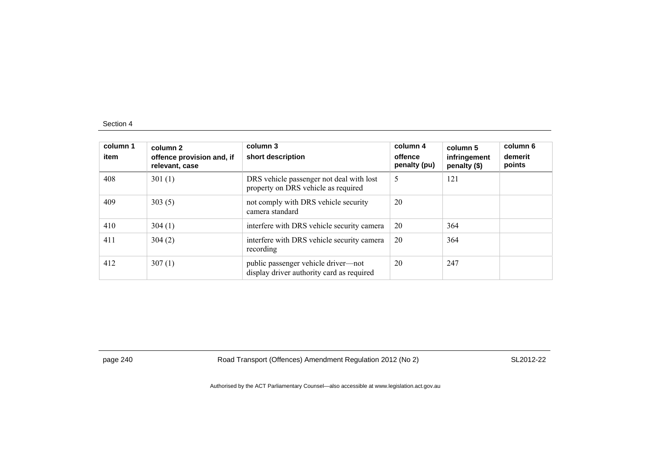| column 1<br>item | column 2<br>offence provision and, if<br>relevant, case | column 3<br>short description                                                    | column 4<br>offence<br>penalty (pu) | column 5<br>infringement<br>penalty (\$) | column 6<br>demerit<br>points |
|------------------|---------------------------------------------------------|----------------------------------------------------------------------------------|-------------------------------------|------------------------------------------|-------------------------------|
| 408              | 301(1)                                                  | DRS vehicle passenger not deal with lost<br>property on DRS vehicle as required  | 5                                   | 121                                      |                               |
| 409              | 303(5)                                                  | not comply with DRS vehicle security<br>camera standard                          | 20                                  |                                          |                               |
| 410              | 304(1)                                                  | interfere with DRS vehicle security camera                                       | 20                                  | 364                                      |                               |
| 411              | 304(2)                                                  | interfere with DRS vehicle security camera<br>recording                          | 20                                  | 364                                      |                               |
| 412              | 307(1)                                                  | public passenger vehicle driver—not<br>display driver authority card as required | 20                                  | 247                                      |                               |

page 240 Road Transport (Offences) Amendment Regulation 2012 (No 2) SL2012-22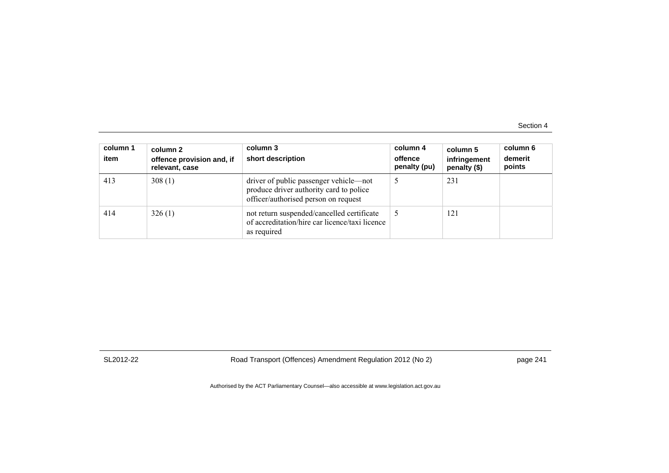| column 1<br>item | column 2<br>offence provision and, if<br>relevant, case | column 3<br>short description                                                                                             | column 4<br>offence<br>penalty (pu) | column 5<br>infringement<br>penalty (\$) | column 6<br>demerit<br>points |
|------------------|---------------------------------------------------------|---------------------------------------------------------------------------------------------------------------------------|-------------------------------------|------------------------------------------|-------------------------------|
| 413              | 308(1)                                                  | driver of public passenger vehicle—not<br>produce driver authority card to police<br>officer/authorised person on request |                                     | 231                                      |                               |
| 414              | 326(1)                                                  | not return suspended/cancelled certificate<br>of accreditation/hire car licence/taxi licence<br>as required               |                                     | 121                                      |                               |

SL2012-22 Road Transport (Offences) Amendment Regulation 2012 (No 2) page 241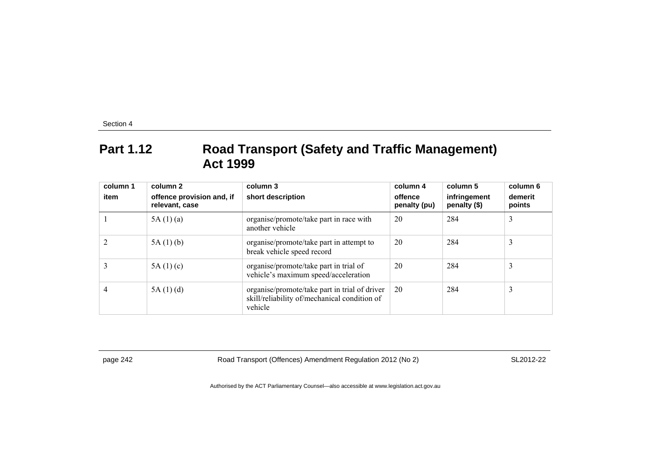## **Part 1.12 Road Transport (Safety and Traffic Management) Act 1999**

| column 1<br>item | column 2<br>offence provision and, if<br>relevant, case | column 3<br>short description                                                                            | column 4<br>offence<br>penalty (pu) | column 5<br>infringement<br>penalty (\$) | column 6<br>demerit<br>points |
|------------------|---------------------------------------------------------|----------------------------------------------------------------------------------------------------------|-------------------------------------|------------------------------------------|-------------------------------|
|                  | 5A(1)(a)                                                | organise/promote/take part in race with<br>another vehicle                                               | 20                                  | 284                                      | 3                             |
|                  | 5A(1)(b)                                                | organise/promote/take part in attempt to<br>break vehicle speed record                                   | 20                                  | 284                                      | 3                             |
|                  | 5A(1)(c)                                                | organise/promote/take part in trial of<br>vehicle's maximum speed/acceleration                           | 20                                  | 284                                      | 3                             |
| 4                | 5A(1)(d)                                                | organise/promote/take part in trial of driver<br>skill/reliability of/mechanical condition of<br>vehicle | 20                                  | 284                                      | 3                             |

page 242 Road Transport (Offences) Amendment Regulation 2012 (No 2) SL2012-22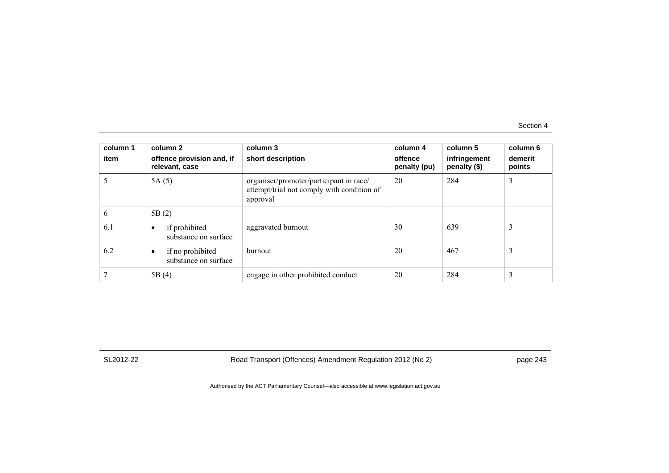| column 1<br>item | column 2<br>offence provision and, if<br>relevant, case | column 3<br>short description                                                                     | column 4<br>offence<br>penalty (pu) | column 5<br>infringement<br>penalty (\$) | column 6<br>demerit<br>points |
|------------------|---------------------------------------------------------|---------------------------------------------------------------------------------------------------|-------------------------------------|------------------------------------------|-------------------------------|
|                  | 5A(5)                                                   | organiser/promoter/participant in race/<br>attempt/trial not comply with condition of<br>approval | 20                                  | 284                                      | 3                             |
| 6                | 5B(2)                                                   |                                                                                                   |                                     |                                          |                               |
| 6.1              | if prohibited<br>substance on surface                   | aggravated burnout                                                                                | 30                                  | 639                                      | 3                             |
| 6.2              | if no prohibited<br>substance on surface                | burnout                                                                                           | 20                                  | 467                                      | 3                             |
|                  | 5B(4)                                                   | engage in other prohibited conduct                                                                | 20                                  | 284                                      | 3                             |

SL2012-22 Road Transport (Offences) Amendment Regulation 2012 (No 2) page 243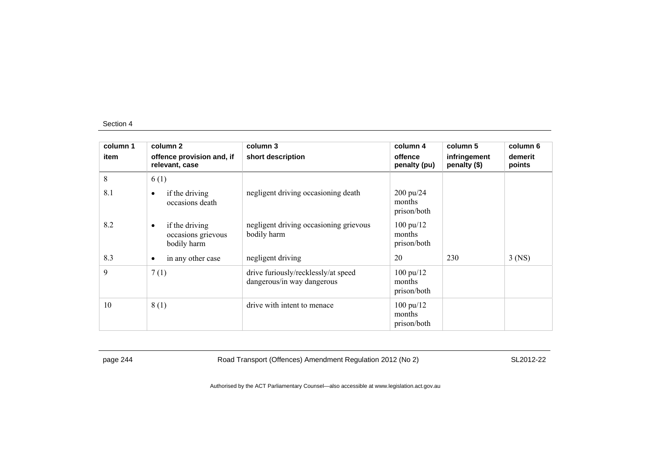| column 1 | column 2                                                         | column 3                                                          | column 4                                      | column 5                     | column 6          |
|----------|------------------------------------------------------------------|-------------------------------------------------------------------|-----------------------------------------------|------------------------------|-------------------|
| item     | offence provision and, if<br>relevant, case                      | short description                                                 | offence<br>penalty (pu)                       | infringement<br>penalty (\$) | demerit<br>points |
| 8        | 6(1)                                                             |                                                                   |                                               |                              |                   |
| 8.1      | if the driving<br>$\bullet$<br>occasions death                   | negligent driving occasioning death                               | $200 \frac{\mu}{24}$<br>months<br>prison/both |                              |                   |
| 8.2      | if the driving<br>$\bullet$<br>occasions grievous<br>bodily harm | negligent driving occasioning grievous<br>bodily harm             | $100 \text{ pu}/12$<br>months<br>prison/both  |                              |                   |
| 8.3      | in any other case<br>$\bullet$                                   | negligent driving                                                 | 20                                            | 230                          | $3$ (NS)          |
| 9        | 7(1)                                                             | drive furiously/recklessly/at speed<br>dangerous/in way dangerous | $100 \text{ pu}/12$<br>months<br>prison/both  |                              |                   |
| 10       | 8(1)                                                             | drive with intent to menace                                       | $100 \text{ pu}/12$<br>months<br>prison/both  |                              |                   |

page 244 Road Transport (Offences) Amendment Regulation 2012 (No 2) SL2012-22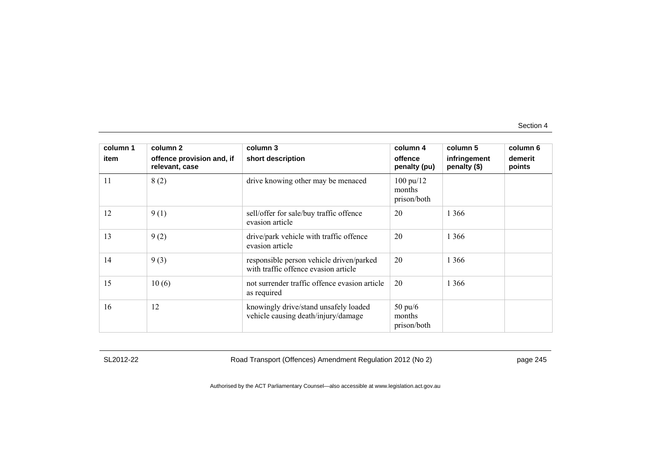| column 1 | column 2                                    | column 3                                                                         | column 4                                     | column 5                     | column 6          |
|----------|---------------------------------------------|----------------------------------------------------------------------------------|----------------------------------------------|------------------------------|-------------------|
| item     | offence provision and, if<br>relevant, case | short description                                                                | offence<br>penalty (pu)                      | infringement<br>penalty (\$) | demerit<br>points |
| 11       | 8(2)                                        | drive knowing other may be menaced                                               | $100 \text{ pu}/12$<br>months<br>prison/both |                              |                   |
| 12       | 9(1)                                        | sell/offer for sale/buy traffic offence<br>evasion article                       | 20                                           | 1 3 6 6                      |                   |
| 13       | 9(2)                                        | drive/park vehicle with traffic offence<br>evasion article                       | 20                                           | 1 3 6 6                      |                   |
| 14       | 9(3)                                        | responsible person vehicle driven/parked<br>with traffic offence evasion article | 20                                           | 1 3 6 6                      |                   |
| 15       | 10(6)                                       | not surrender traffic offence evasion article<br>as required                     | 20                                           | 1 3 6 6                      |                   |
| 16       | 12                                          | knowingly drive/stand unsafely loaded<br>vehicle causing death/injury/damage     | $50 \text{ pu}/6$<br>months<br>prison/both   |                              |                   |

SL2012-22 Road Transport (Offences) Amendment Regulation 2012 (No 2) page 245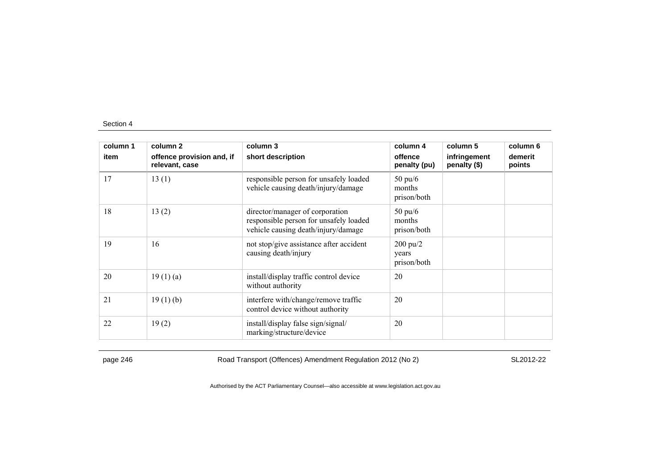| column 1 | column 2                                    | column 3                                                                                                         | column 4                                   | column 5                     | column 6          |
|----------|---------------------------------------------|------------------------------------------------------------------------------------------------------------------|--------------------------------------------|------------------------------|-------------------|
| item     | offence provision and, if<br>relevant, case | short description                                                                                                | offence<br>penalty (pu)                    | infringement<br>penalty (\$) | demerit<br>points |
| 17       | 13(1)                                       | responsible person for unsafely loaded<br>vehicle causing death/injury/damage                                    | $50 \text{ pu}/6$<br>months<br>prison/both |                              |                   |
| 18       | 13(2)                                       | director/manager of corporation<br>responsible person for unsafely loaded<br>vehicle causing death/injury/damage | $50 \text{ pu}/6$<br>months<br>prison/both |                              |                   |
| 19       | 16                                          | not stop/give assistance after accident<br>causing death/injury                                                  | $200 \text{ pu}/2$<br>years<br>prison/both |                              |                   |
| 20       | 19(1)(a)                                    | install/display traffic control device<br>without authority                                                      | 20                                         |                              |                   |
| 21       | 19(1)(b)                                    | interfere with/change/remove traffic<br>control device without authority                                         | 20                                         |                              |                   |
| 22       | 19(2)                                       | install/display false sign/signal/<br>marking/structure/device                                                   | 20                                         |                              |                   |

page 246 Road Transport (Offences) Amendment Regulation 2012 (No 2) SL2012-22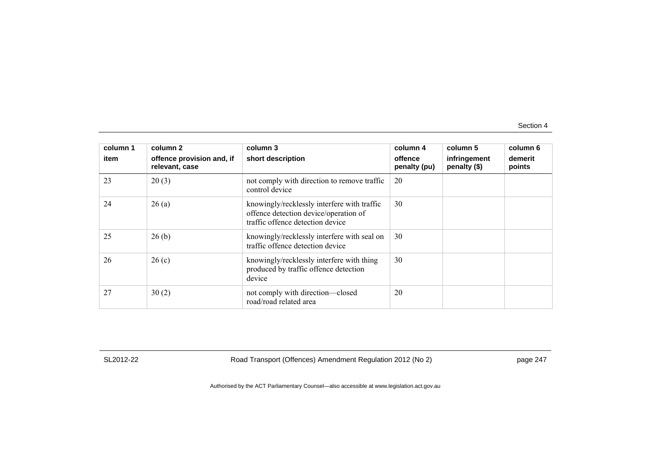| column 1<br>item | column 2<br>offence provision and, if<br>relevant, case | column 3<br>short description                                                                                            | column 4<br>offence<br>penalty (pu) | column 5<br>infringement<br>penalty (\$) | column 6<br>demerit<br>points |
|------------------|---------------------------------------------------------|--------------------------------------------------------------------------------------------------------------------------|-------------------------------------|------------------------------------------|-------------------------------|
| 23               | 20(3)                                                   | not comply with direction to remove traffic<br>control device                                                            | 20                                  |                                          |                               |
| 24               | 26(a)                                                   | knowingly/recklessly interfere with traffic<br>offence detection device/operation of<br>traffic offence detection device | 30                                  |                                          |                               |
| 25               | 26(b)                                                   | knowingly/recklessly interfere with seal on<br>traffic offence detection device                                          | 30                                  |                                          |                               |
| 26               | 26(c)                                                   | knowingly/recklessly interfere with thing<br>produced by traffic offence detection<br>device                             | 30                                  |                                          |                               |
| 27               | 30(2)                                                   | not comply with direction-closed<br>road/road related area                                                               | 20                                  |                                          |                               |

SL2012-22 Road Transport (Offences) Amendment Regulation 2012 (No 2) page 247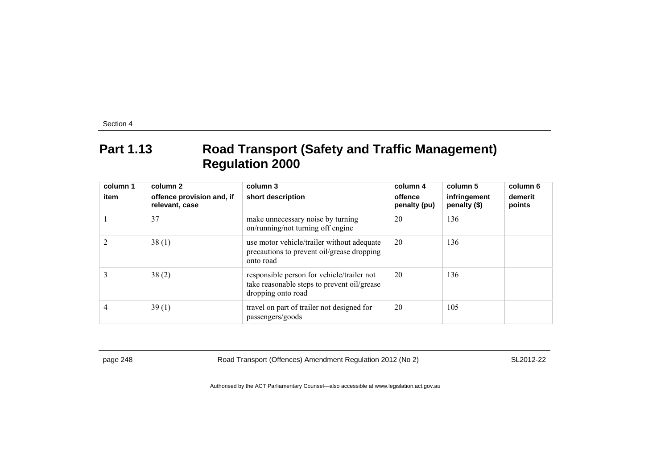## **Part 1.13 Road Transport (Safety and Traffic Management) Regulation 2000**

| column 1 | column 2                                    | column 3                                                                                                        | column 4                | column 5                     | column 6          |
|----------|---------------------------------------------|-----------------------------------------------------------------------------------------------------------------|-------------------------|------------------------------|-------------------|
| item     | offence provision and, if<br>relevant, case | short description                                                                                               | offence<br>penalty (pu) | infringement<br>penalty (\$) | demerit<br>points |
|          | 37                                          | make unnecessary noise by turning<br>on/running/not turning off engine                                          | 20                      | 136                          |                   |
|          | 38(1)                                       | use motor vehicle/trailer without adequate<br>precautions to prevent oil/grease dropping<br>onto road           | 20                      | 136                          |                   |
|          | 38(2)                                       | responsible person for vehicle/trailer not<br>take reasonable steps to prevent oil/grease<br>dropping onto road | 20                      | 136                          |                   |
| 4        | 39(1)                                       | travel on part of trailer not designed for<br>passengers/goods                                                  | 20                      | 105                          |                   |

page 248 Road Transport (Offences) Amendment Regulation 2012 (No 2) SL2012-22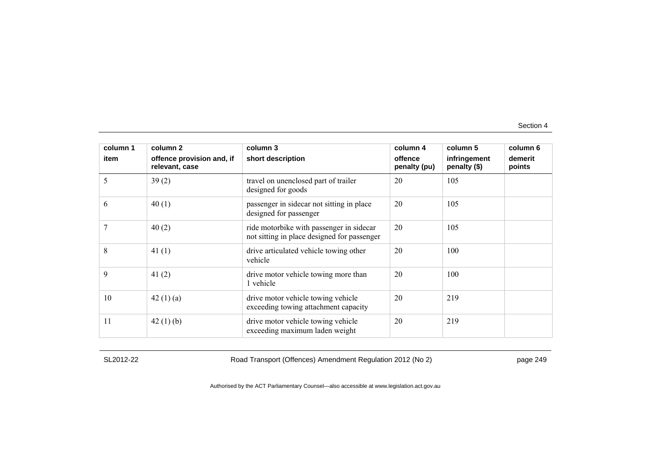| column 1<br>item | column 2<br>offence provision and, if<br>relevant, case | column 3<br>short description                                                           | column 4<br>offence<br>penalty (pu) | column 5<br>infringement<br>penalty (\$) | column 6<br>demerit<br>points |
|------------------|---------------------------------------------------------|-----------------------------------------------------------------------------------------|-------------------------------------|------------------------------------------|-------------------------------|
| 5                | 39(2)                                                   | travel on unenclosed part of trailer<br>designed for goods                              | 20                                  | 105                                      |                               |
| 6                | 40(1)                                                   | passenger in sidecar not sitting in place<br>designed for passenger                     | 20                                  | 105                                      |                               |
|                  | 40(2)                                                   | ride motorbike with passenger in sidecar<br>not sitting in place designed for passenger | 20                                  | 105                                      |                               |
| 8                | 41 $(1)$                                                | drive articulated vehicle towing other<br>vehicle                                       | 20                                  | 100                                      |                               |
| 9                | 41(2)                                                   | drive motor vehicle towing more than<br>1 vehicle                                       | 20                                  | 100                                      |                               |
| 10               | 42(1)(a)                                                | drive motor vehicle towing vehicle<br>exceeding towing attachment capacity              | 20                                  | 219                                      |                               |
| 11               | 42(1)(b)                                                | drive motor vehicle towing vehicle<br>exceeding maximum laden weight                    | 20                                  | 219                                      |                               |

SL2012-22 Road Transport (Offences) Amendment Regulation 2012 (No 2) page 249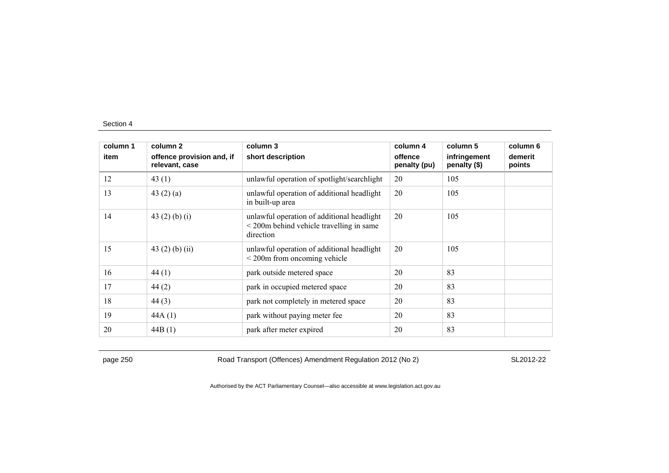| column 1 | column 2                                    | column 3                                                                                                           | column 4                | column 5                     | column 6          |
|----------|---------------------------------------------|--------------------------------------------------------------------------------------------------------------------|-------------------------|------------------------------|-------------------|
| item     | offence provision and, if<br>relevant, case | short description                                                                                                  | offence<br>penalty (pu) | infringement<br>penalty (\$) | demerit<br>points |
| 12       | 43(1)                                       | unlawful operation of spotlight/searchlight                                                                        | 20                      | 105                          |                   |
| 13       | 43 $(2)$ $(a)$                              | unlawful operation of additional headlight<br>in built-up area                                                     | 20                      | 105                          |                   |
| 14       | 43 $(2)$ $(b)$ $(i)$                        | unlawful operation of additional headlight<br>$\leq$ 200 $\text{m}$ behind vehicle travelling in same<br>direction | 20                      | 105                          |                   |
| 15       | 43 $(2)$ $(b)$ $(ii)$                       | unlawful operation of additional headlight<br>$\leq$ 200 $\text{m}$ from oncoming vehicle                          | 20                      | 105                          |                   |
| 16       | 44(1)                                       | park outside metered space                                                                                         | 20                      | 83                           |                   |
| 17       | 44(2)                                       | park in occupied metered space                                                                                     | 20                      | 83                           |                   |
| 18       | 44(3)                                       | park not completely in metered space                                                                               | 20                      | 83                           |                   |
| 19       | 44A(1)                                      | park without paying meter fee                                                                                      | 20                      | 83                           |                   |
| 20       | 44B(1)                                      | park after meter expired                                                                                           | 20                      | 83                           |                   |

page 250 Road Transport (Offences) Amendment Regulation 2012 (No 2) SL2012-22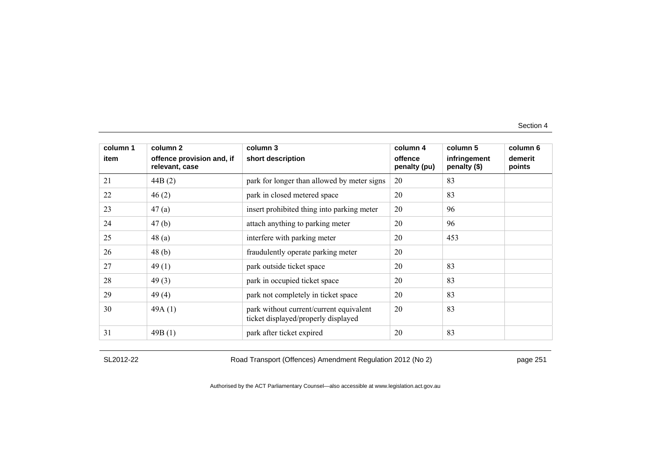| column 1 | column 2                                    | column 3                                                                       | column 4                | column 5                     | column 6          |
|----------|---------------------------------------------|--------------------------------------------------------------------------------|-------------------------|------------------------------|-------------------|
| item     | offence provision and, if<br>relevant, case | short description                                                              | offence<br>penalty (pu) | infringement<br>penalty (\$) | demerit<br>points |
| 21       | 44B(2)                                      | park for longer than allowed by meter signs                                    | 20                      | 83                           |                   |
| 22       | 46(2)                                       | park in closed metered space                                                   | 20                      | 83                           |                   |
| 23       | 47(a)                                       | insert prohibited thing into parking meter                                     | 20                      | 96                           |                   |
| 24       | 47(b)                                       | attach anything to parking meter                                               | 20                      | 96                           |                   |
| 25       | 48(a)                                       | interfere with parking meter                                                   | 20                      | 453                          |                   |
| 26       | 48(b)                                       | fraudulently operate parking meter                                             | 20                      |                              |                   |
| 27       | 49(1)                                       | park outside ticket space                                                      | 20                      | 83                           |                   |
| 28       | 49(3)                                       | park in occupied ticket space                                                  | 20                      | 83                           |                   |
| 29       | 49(4)                                       | park not completely in ticket space                                            | 20                      | 83                           |                   |
| 30       | 49A(1)                                      | park without current/current equivalent<br>ticket displayed/properly displayed | 20                      | 83                           |                   |
| 31       | 49B(1)                                      | park after ticket expired                                                      | 20                      | 83                           |                   |

SL2012-22 Road Transport (Offences) Amendment Regulation 2012 (No 2) page 251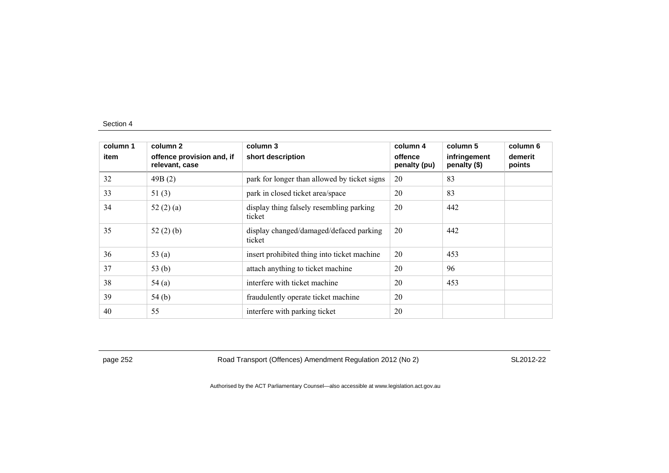| column 1<br>item | column 2<br>offence provision and, if<br>relevant, case | column 3<br>short description                      | column 4<br>offence<br>penalty (pu) | column 5<br>infringement<br>penalty (\$) | column 6<br>demerit<br>points |
|------------------|---------------------------------------------------------|----------------------------------------------------|-------------------------------------|------------------------------------------|-------------------------------|
| 32               | 49B(2)                                                  | park for longer than allowed by ticket signs       | 20                                  | 83                                       |                               |
| 33               | 51(3)                                                   | park in closed ticket area/space                   | 20                                  | 83                                       |                               |
| 34               | 52(2)(a)                                                | display thing falsely resembling parking<br>ticket | 20                                  | 442                                      |                               |
| 35               | 52(2)(b)                                                | display changed/damaged/defaced parking<br>ticket  | 20                                  | 442                                      |                               |
| 36               | 53 $(a)$                                                | insert prohibited thing into ticket machine        | 20                                  | 453                                      |                               |
| 37               | 53(b)                                                   | attach anything to ticket machine                  | 20                                  | 96                                       |                               |
| 38               | 54(a)                                                   | interfere with ticket machine                      | 20                                  | 453                                      |                               |
| 39               | 54(b)                                                   | fraudulently operate ticket machine                | 20                                  |                                          |                               |
| 40               | 55                                                      | interfere with parking ticket                      | 20                                  |                                          |                               |

page 252 Road Transport (Offences) Amendment Regulation 2012 (No 2) SL2012-22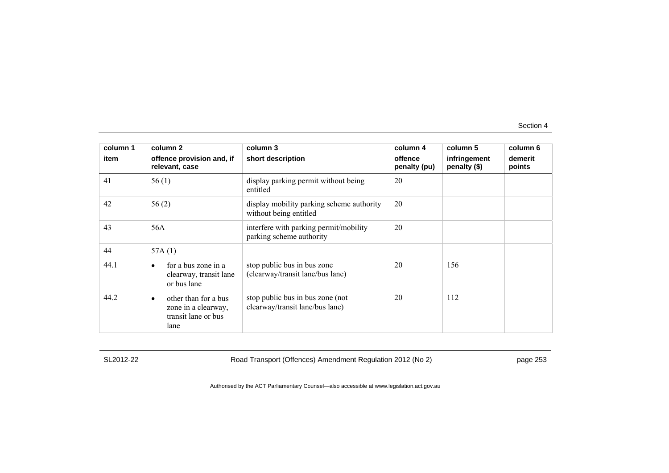| column 1 | column <sub>2</sub>                                                                     | column 3                                                            | column 4                | column 5                     | column 6          |
|----------|-----------------------------------------------------------------------------------------|---------------------------------------------------------------------|-------------------------|------------------------------|-------------------|
| item     | offence provision and, if<br>relevant, case                                             | short description                                                   | offence<br>penalty (pu) | infringement<br>penalty (\$) | demerit<br>points |
| 41       | 56(1)                                                                                   | display parking permit without being<br>entitled                    | 20                      |                              |                   |
| 42       | 56(2)                                                                                   | display mobility parking scheme authority<br>without being entitled | 20                      |                              |                   |
| 43       | 56A                                                                                     | interfere with parking permit/mobility<br>parking scheme authority  | 20                      |                              |                   |
| 44       | 57A(1)                                                                                  |                                                                     |                         |                              |                   |
| 44.1     | for a bus zone in a<br>$\bullet$<br>clearway, transit lane<br>or bus lane               | stop public bus in bus zone<br>(clearway/transit lane/bus lane)     | 20                      | 156                          |                   |
| 44.2     | other than for a bus<br>$\bullet$<br>zone in a clearway,<br>transit lane or bus<br>lane | stop public bus in bus zone (not<br>clearway/transit lane/bus lane) | 20                      | 112                          |                   |

SL2012-22 Road Transport (Offences) Amendment Regulation 2012 (No 2) page 253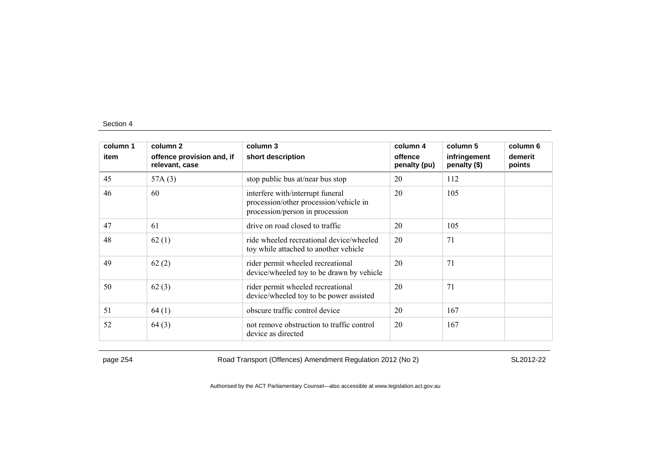| column 1 | column 2                                    | column 3                                                                                                      | column 4                | column 5                     | column 6          |
|----------|---------------------------------------------|---------------------------------------------------------------------------------------------------------------|-------------------------|------------------------------|-------------------|
| item     | offence provision and, if<br>relevant, case | short description                                                                                             | offence<br>penalty (pu) | infringement<br>penalty (\$) | demerit<br>points |
| 45       | 57A(3)                                      | stop public bus at/near bus stop                                                                              | 20                      | 112                          |                   |
| 46       | 60                                          | interfere with/interrupt funeral<br>procession/other procession/vehicle in<br>procession/person in procession | 20                      | 105                          |                   |
| 47       | 61                                          | drive on road closed to traffic                                                                               | 20                      | 105                          |                   |
| 48       | 62(1)                                       | ride wheeled recreational device/wheeled<br>toy while attached to another vehicle                             | 20                      | 71                           |                   |
| 49       | 62(2)                                       | rider permit wheeled recreational<br>device/wheeled toy to be drawn by vehicle                                | 20                      | 71                           |                   |
| 50       | 62(3)                                       | rider permit wheeled recreational<br>device/wheeled toy to be power assisted                                  | 20                      | 71                           |                   |
| 51       | 64(1)                                       | obscure traffic control device                                                                                | 20                      | 167                          |                   |
| 52       | 64(3)                                       | not remove obstruction to traffic control<br>device as directed                                               | 20                      | 167                          |                   |

page 254 Road Transport (Offences) Amendment Regulation 2012 (No 2) SL2012-22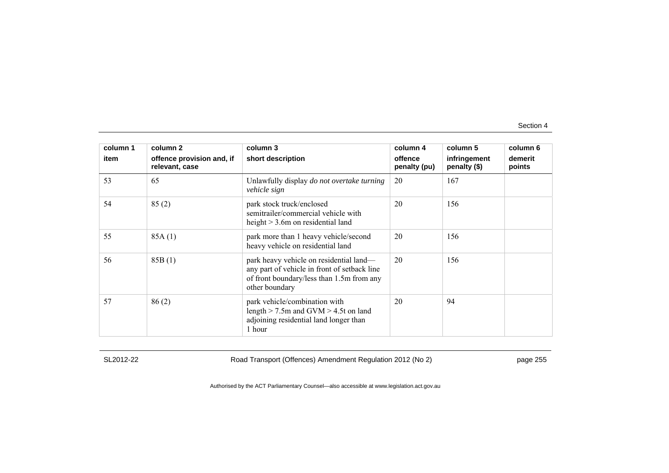| column 1 | column 2                                    | column 3                                                                                                                                               | column 4                | column 5                     | column 6          |
|----------|---------------------------------------------|--------------------------------------------------------------------------------------------------------------------------------------------------------|-------------------------|------------------------------|-------------------|
| item     | offence provision and, if<br>relevant, case | short description                                                                                                                                      | offence<br>penalty (pu) | infringement<br>penalty (\$) | demerit<br>points |
| 53       | 65                                          | Unlawfully display <i>do not overtake turning</i><br>vehicle sign                                                                                      | 20                      | 167                          |                   |
| 54       | 85(2)                                       | park stock truck/enclosed<br>semitrailer/commercial vehicle with<br>height $> 3.6$ m on residential land                                               | 20                      | 156                          |                   |
| 55       | 85A(1)                                      | park more than 1 heavy vehicle/second<br>heavy vehicle on residential land                                                                             | 20                      | 156                          |                   |
| 56       | 85B(1)                                      | park heavy vehicle on residential land-<br>any part of vehicle in front of setback line<br>of front boundary/less than 1.5m from any<br>other boundary | 20                      | 156                          |                   |
| 57       | 86(2)                                       | park vehicle/combination with<br>length $>$ 7.5m and GVM $>$ 4.5t on land<br>adjoining residential land longer than<br>1 hour                          | 20                      | 94                           |                   |

SL2012-22 Road Transport (Offences) Amendment Regulation 2012 (No 2) page 255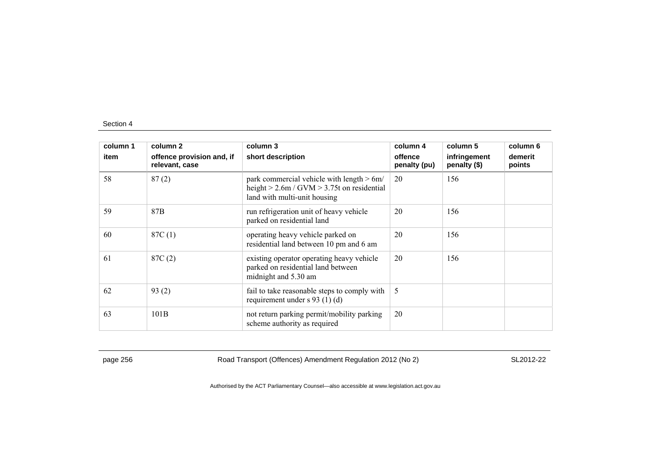| column 1 | column 2                                    | column 3                                                                                                                        | column 4                | column 5                     | column 6          |
|----------|---------------------------------------------|---------------------------------------------------------------------------------------------------------------------------------|-------------------------|------------------------------|-------------------|
| item     | offence provision and, if<br>relevant, case | short description                                                                                                               | offence<br>penalty (pu) | infringement<br>penalty (\$) | demerit<br>points |
| 58       | 87(2)                                       | park commercial vehicle with length $> 6m/$<br>height $> 2.6$ m / GVM $> 3.75$ t on residential<br>land with multi-unit housing | 20                      | 156                          |                   |
| 59       | 87 <sub>B</sub>                             | run refrigeration unit of heavy vehicle<br>parked on residential land                                                           | 20                      | 156                          |                   |
| 60       | 87C(1)                                      | operating heavy vehicle parked on<br>residential land between 10 pm and 6 am                                                    | 20                      | 156                          |                   |
| 61       | 87C(2)                                      | existing operator operating heavy vehicle<br>parked on residential land between<br>midnight and 5.30 am                         | 20                      | 156                          |                   |
| 62       | 93(2)                                       | fail to take reasonable steps to comply with<br>requirement under $s$ 93 (1) (d)                                                | 5                       |                              |                   |
| 63       | 101B                                        | not return parking permit/mobility parking<br>scheme authority as required                                                      | 20                      |                              |                   |

page 256 Road Transport (Offences) Amendment Regulation 2012 (No 2) SL2012-22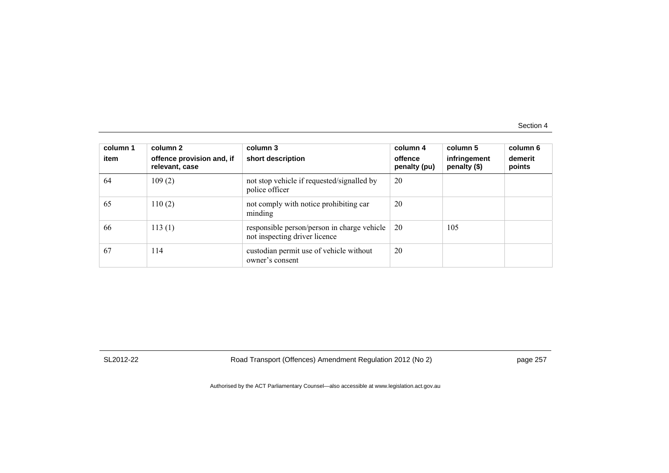| column 1<br>item | column 2<br>offence provision and, if<br>relevant, case | column 3<br>short description                                                | column 4<br>offence<br>penalty (pu) | column 5<br>infringement<br>penalty (\$) | column 6<br>demerit<br>points |
|------------------|---------------------------------------------------------|------------------------------------------------------------------------------|-------------------------------------|------------------------------------------|-------------------------------|
| 64               | 109(2)                                                  | not stop vehicle if requested/signalled by<br>police officer                 | 20                                  |                                          |                               |
| 65               | 110(2)                                                  | not comply with notice prohibiting car<br>minding                            | 20                                  |                                          |                               |
| 66               | 113(1)                                                  | responsible person/person in charge vehicle<br>not inspecting driver licence | 20                                  | 105                                      |                               |
| 67               | 114                                                     | custodian permit use of vehicle without<br>owner's consent                   | 20                                  |                                          |                               |

SL2012-22 Road Transport (Offences) Amendment Regulation 2012 (No 2) page 257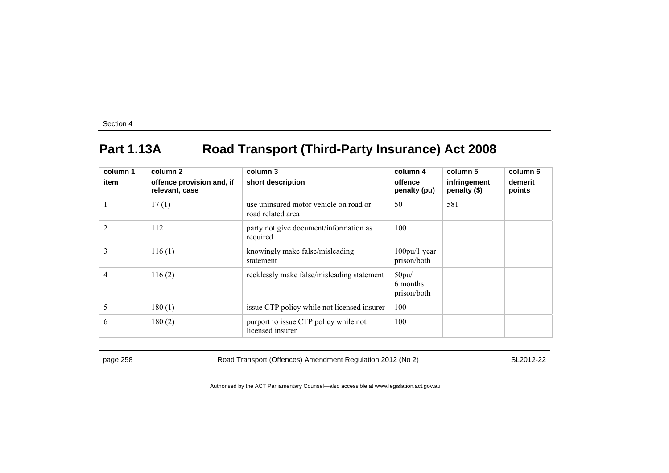## **Part 1.13A Road Transport (Third-Party Insurance) Act 2008**

| column 1<br>item | column 2<br>offence provision and, if | column 3<br>short description                               | column 4<br>offence              | column 5<br>infringement | column 6<br>demerit |
|------------------|---------------------------------------|-------------------------------------------------------------|----------------------------------|--------------------------|---------------------|
|                  | relevant, case                        |                                                             | penalty (pu)                     | penalty (\$)             | points              |
|                  | 17(1)                                 | use uninsured motor vehicle on road or<br>road related area | 50                               | 581                      |                     |
| $\overline{2}$   | 112                                   | party not give document/information as<br>required          | 100                              |                          |                     |
| 3                | 116(1)                                | knowingly make false/misleading<br>statement                | $100$ pu/1 year<br>prison/both   |                          |                     |
| 4                | 116(2)                                | recklessly make false/misleading statement                  | 50pu/<br>6 months<br>prison/both |                          |                     |
| 5                | 180(1)                                | issue CTP policy while not licensed insurer                 | 100                              |                          |                     |
| 6                | 180(2)                                | purport to issue CTP policy while not<br>licensed insurer   | 100                              |                          |                     |

page 258 Road Transport (Offences) Amendment Regulation 2012 (No 2) SL2012-22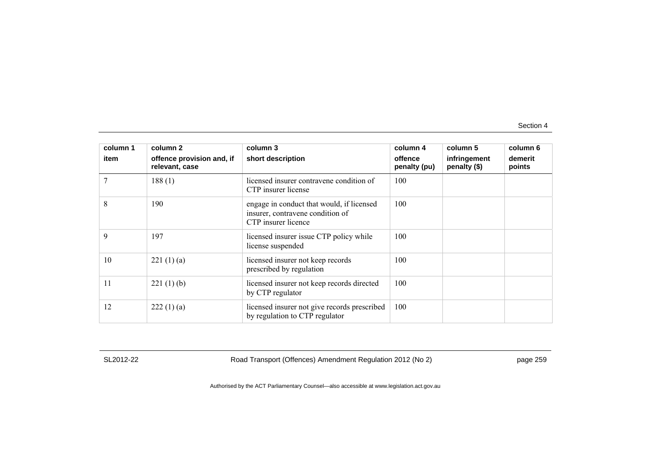| column 1 | column 2                                    | column 3                                                                                             | column 4                | column 5                     | column 6          |
|----------|---------------------------------------------|------------------------------------------------------------------------------------------------------|-------------------------|------------------------------|-------------------|
| item     | offence provision and, if<br>relevant, case | short description                                                                                    | offence<br>penalty (pu) | infringement<br>penalty (\$) | demerit<br>points |
| 7        | 188(1)                                      | licensed insurer contravene condition of<br>CTP insurer license                                      | 100                     |                              |                   |
| 8        | 190                                         | engage in conduct that would, if licensed<br>insurer, contravene condition of<br>CTP insurer licence | 100                     |                              |                   |
| 9        | 197                                         | licensed insurer issue CTP policy while<br>license suspended                                         | 100                     |                              |                   |
| 10       | 221(1)(a)                                   | licensed insurer not keep records<br>prescribed by regulation                                        | 100                     |                              |                   |
| 11       | 221(1)(b)                                   | licensed insurer not keep records directed<br>by CTP regulator                                       | 100                     |                              |                   |
| 12       | 222(1)(a)                                   | licensed insurer not give records prescribed<br>by regulation to CTP regulator                       | 100                     |                              |                   |

SL2012-22 Road Transport (Offences) Amendment Regulation 2012 (No 2) page 259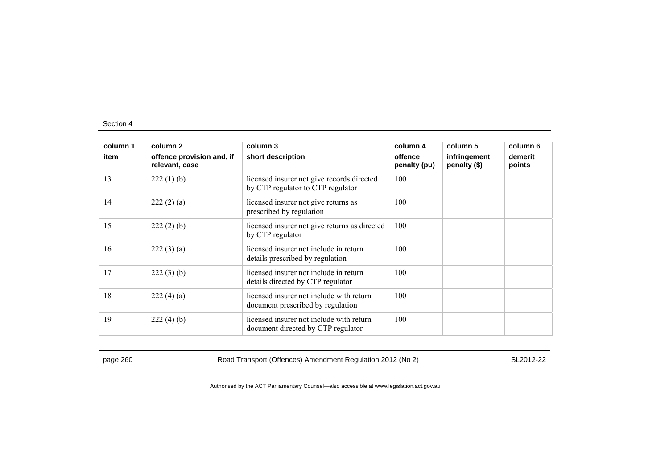| column 1 | column 2                                    | column 3                                                                        | column 4                | column 5                     | column 6          |
|----------|---------------------------------------------|---------------------------------------------------------------------------------|-------------------------|------------------------------|-------------------|
| item     | offence provision and, if<br>relevant, case | short description                                                               | offence<br>penalty (pu) | infringement<br>penalty (\$) | demerit<br>points |
| 13       | $222(1)$ (b)                                | licensed insurer not give records directed<br>by CTP regulator to CTP regulator | 100                     |                              |                   |
| 14       | 222(2)(a)                                   | licensed insurer not give returns as<br>prescribed by regulation                | 100                     |                              |                   |
| 15       | $222(2)$ (b)                                | licensed insurer not give returns as directed<br>by CTP regulator               | 100                     |                              |                   |
| 16       | 222(3)(a)                                   | licensed insurer not include in return<br>details prescribed by regulation      | 100                     |                              |                   |
| 17       | $222(3)$ (b)                                | licensed insurer not include in return<br>details directed by CTP regulator     | 100                     |                              |                   |
| 18       | 222(4)(a)                                   | licensed insurer not include with return<br>document prescribed by regulation   | 100                     |                              |                   |
| 19       | 222(4)(b)                                   | licensed insurer not include with return<br>document directed by CTP regulator  | 100                     |                              |                   |

page 260 Road Transport (Offences) Amendment Regulation 2012 (No 2) SL2012-22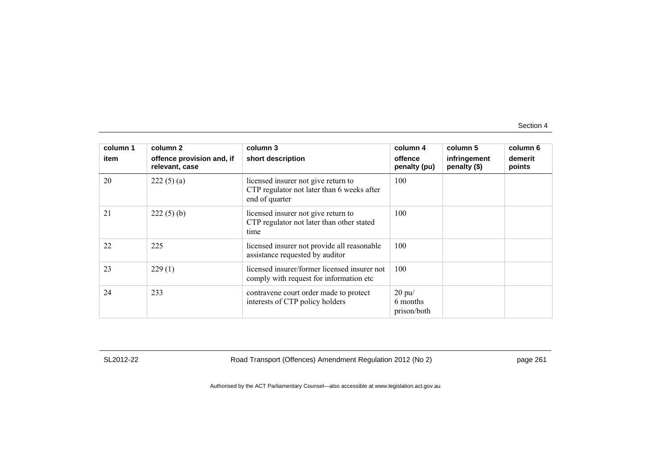| column 1 | column 2                                    | column 3                                                                                            | column 4                               | column 5                     | column 6          |
|----------|---------------------------------------------|-----------------------------------------------------------------------------------------------------|----------------------------------------|------------------------------|-------------------|
| item     | offence provision and, if<br>relevant, case | short description                                                                                   | offence<br>penalty (pu)                | infringement<br>penalty (\$) | demerit<br>points |
| 20       | 222(5)(a)                                   | licensed insurer not give return to<br>CTP regulator not later than 6 weeks after<br>end of quarter | 100                                    |                              |                   |
| 21       | $222(5)$ (b)                                | licensed insurer not give return to<br>CTP regulator not later than other stated<br>time            | 100                                    |                              |                   |
| 22       | 225                                         | licensed insurer not provide all reasonable<br>assistance requested by auditor                      | 100                                    |                              |                   |
| 23       | 229(1)                                      | licensed insurer/former licensed insurer not<br>comply with request for information etc.            | 100                                    |                              |                   |
| 24       | 233                                         | contravene court order made to protect<br>interests of CTP policy holders                           | $20$ pu $/$<br>6 months<br>prison/both |                              |                   |

SL2012-22 Road Transport (Offences) Amendment Regulation 2012 (No 2) page 261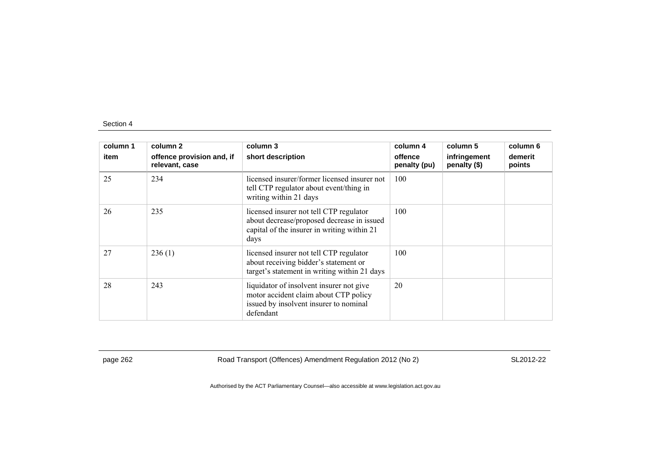| column 1<br>item | column 2<br>offence provision and, if<br>relevant, case | column 3<br>short description                                                                                                                | column 4<br>offence<br>penalty (pu) | column 5<br>infringement<br>penalty (\$) | column 6<br>demerit<br>points |
|------------------|---------------------------------------------------------|----------------------------------------------------------------------------------------------------------------------------------------------|-------------------------------------|------------------------------------------|-------------------------------|
| 25               | 234                                                     | licensed insurer/former licensed insurer not<br>tell CTP regulator about event/thing in<br>writing within 21 days                            | 100                                 |                                          |                               |
| 26               | 235                                                     | licensed insurer not tell CTP regulator<br>about decrease/proposed decrease in issued<br>capital of the insurer in writing within 21<br>days | 100                                 |                                          |                               |
| 27               | 236(1)                                                  | licensed insurer not tell CTP regulator<br>about receiving bidder's statement or<br>target's statement in writing within 21 days             | 100                                 |                                          |                               |
| 28               | 243                                                     | liquidator of insolvent insurer not give<br>motor accident claim about CTP policy<br>issued by insolvent insurer to nominal<br>defendant     | 20                                  |                                          |                               |

page 262 Road Transport (Offences) Amendment Regulation 2012 (No 2) SL2012-22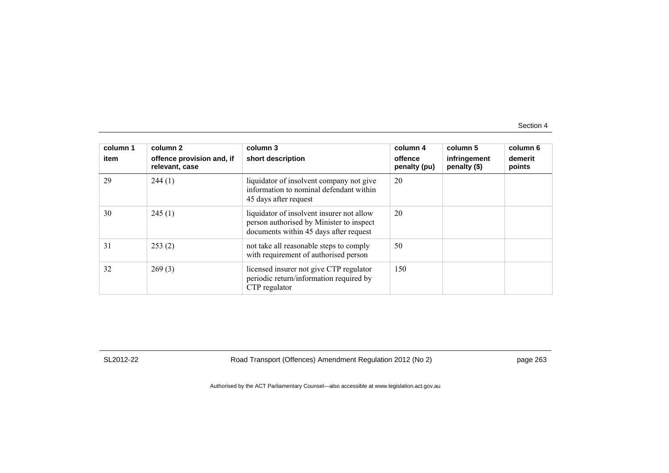| column 1<br>item | column 2<br>offence provision and, if<br>relevant, case | column 3<br>short description                                                                                                   | column 4<br>offence<br>penalty (pu) | column 5<br>infringement<br>penalty (\$) | column 6<br>demerit<br>points |
|------------------|---------------------------------------------------------|---------------------------------------------------------------------------------------------------------------------------------|-------------------------------------|------------------------------------------|-------------------------------|
| 29               | 244(1)                                                  | liquidator of insolvent company not give<br>information to nominal defendant within<br>45 days after request                    | 20                                  |                                          |                               |
| 30               | 245(1)                                                  | liquidator of insolvent insurer not allow<br>person authorised by Minister to inspect<br>documents within 45 days after request | 20                                  |                                          |                               |
| 31               | 253(2)                                                  | not take all reasonable steps to comply<br>with requirement of authorised person                                                | 50                                  |                                          |                               |
| 32               | 269(3)                                                  | licensed insurer not give CTP regulator<br>periodic return/information required by<br>CTP regulator                             | 150                                 |                                          |                               |

SL2012-22 Road Transport (Offences) Amendment Regulation 2012 (No 2) page 263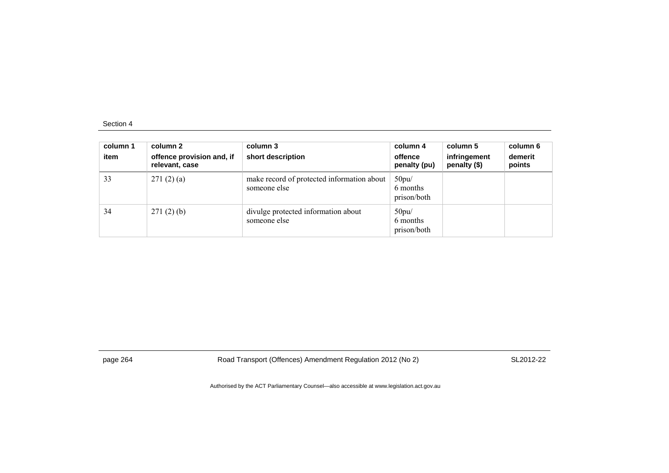| column 1<br>item | column 2<br>offence provision and, if<br>relevant, case | column 3<br>short description                              | column 4<br>offence<br>penalty (pu) | column 5<br>infringement<br>penalty (\$) | column 6<br>demerit<br>points |
|------------------|---------------------------------------------------------|------------------------------------------------------------|-------------------------------------|------------------------------------------|-------------------------------|
| 33               | 271(2)(a)                                               | make record of protected information about<br>someone else | 50pu/<br>6 months<br>prison/both    |                                          |                               |
| 34               | 271(2)(b)                                               | divulge protected information about<br>someone else        | 50pu/<br>6 months<br>prison/both    |                                          |                               |

page 264 Road Transport (Offences) Amendment Regulation 2012 (No 2) SL2012-22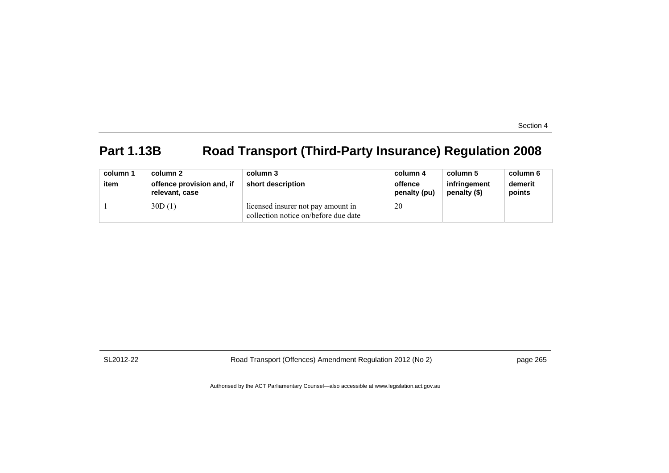# **Part 1.13B Road Transport (Third-Party Insurance) Regulation 2008**

| column 1<br>item | column 2<br>offence provision and, if<br>relevant, case | column 3<br>short description                                              | column 4<br>offence<br>penalty (pu) | column 5<br>infringement<br>penalty (\$) | column 6<br>demerit<br>points |
|------------------|---------------------------------------------------------|----------------------------------------------------------------------------|-------------------------------------|------------------------------------------|-------------------------------|
|                  | 30D(1)                                                  | licensed insurer not pay amount in<br>collection notice on/before due date | 20                                  |                                          |                               |

SL2012-22 Road Transport (Offences) Amendment Regulation 2012 (No 2) page 265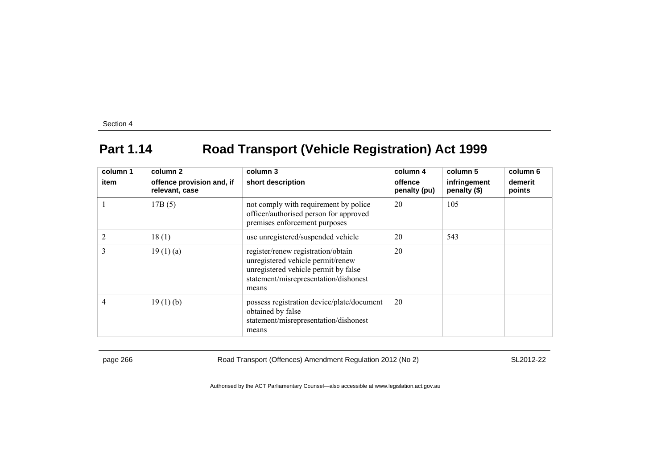## **Part 1.14 Road Transport (Vehicle Registration) Act 1999**

| column 1<br>item | column 2<br>offence provision and, if | column 3<br>short description                                                                                                                                     | column 4<br>offence | column 5<br>infringement | column 6<br>demerit |
|------------------|---------------------------------------|-------------------------------------------------------------------------------------------------------------------------------------------------------------------|---------------------|--------------------------|---------------------|
|                  | relevant, case                        |                                                                                                                                                                   | penalty (pu)        | penalty (\$)             | points              |
|                  | 17B(5)                                | not comply with requirement by police<br>officer/authorised person for approved<br>premises enforcement purposes                                                  | 20                  | 105                      |                     |
| $\overline{2}$   | 18(1)                                 | use unregistered/suspended vehicle                                                                                                                                | 20                  | 543                      |                     |
| 3                | 19(1)(a)                              | register/renew registration/obtain<br>unregistered vehicle permit/renew<br>unregistered vehicle permit by false<br>statement/misrepresentation/dishonest<br>means | 20                  |                          |                     |
| 4                | 19(1)(b)                              | possess registration device/plate/document<br>obtained by false<br>statement/misrepresentation/dishonest<br>means                                                 | 20                  |                          |                     |

page 266 Road Transport (Offences) Amendment Regulation 2012 (No 2) SL2012-22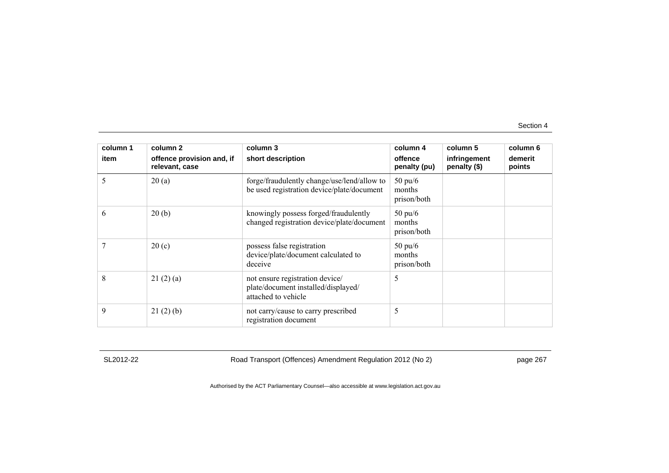| column 1 | column 2                                    | column 3                                                                                      | column 4                                   | column 5                     | column 6          |
|----------|---------------------------------------------|-----------------------------------------------------------------------------------------------|--------------------------------------------|------------------------------|-------------------|
| item     | offence provision and, if<br>relevant, case | short description                                                                             | offence<br>penalty (pu)                    | infringement<br>penalty (\$) | demerit<br>points |
| 5        | 20(a)                                       | forge/fraudulently change/use/lend/allow to<br>be used registration device/plate/document     | $50 \text{ pu}/6$<br>months<br>prison/both |                              |                   |
| 6        | 20(b)                                       | knowingly possess forged/fraudulently<br>changed registration device/plate/document           | $50 \text{ pu/}6$<br>months<br>prison/both |                              |                   |
|          | 20(c)                                       | possess false registration<br>device/plate/document calculated to<br>deceive                  | $50 \text{ pu/}6$<br>months<br>prison/both |                              |                   |
| 8        | 21(2)(a)                                    | not ensure registration device/<br>plate/document installed/displayed/<br>attached to vehicle | 5                                          |                              |                   |
| 9        | 21(2)(b)                                    | not carry/cause to carry prescribed<br>registration document                                  | 5                                          |                              |                   |

SL2012-22 Road Transport (Offences) Amendment Regulation 2012 (No 2) page 267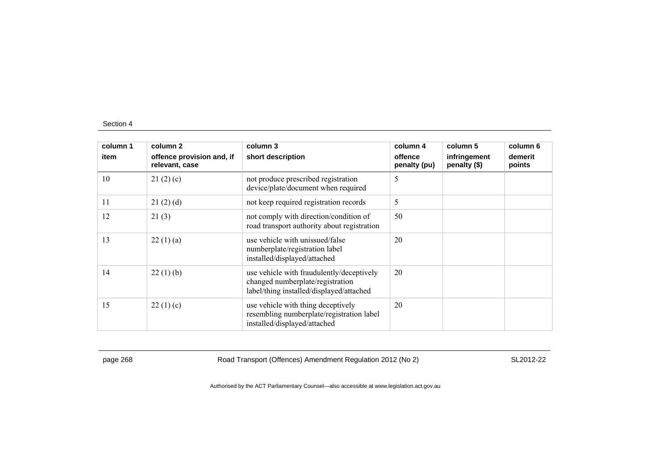| column 1 | column 2                                    | column 3                                                                                                                  | column 4                | column 5                     | column 6          |
|----------|---------------------------------------------|---------------------------------------------------------------------------------------------------------------------------|-------------------------|------------------------------|-------------------|
| item     | offence provision and, if<br>relevant, case | short description                                                                                                         | offence<br>penalty (pu) | infringement<br>penalty (\$) | demerit<br>points |
| 10       | 21(2)(c)                                    | not produce prescribed registration<br>device/plate/document when required                                                | 5                       |                              |                   |
| 11       | 21(2)(d)                                    | not keep required registration records                                                                                    | 5                       |                              |                   |
| 12       | 21(3)                                       | not comply with direction/condition of<br>road transport authority about registration                                     | 50                      |                              |                   |
| 13       | 22(1)(a)                                    | use vehicle with unissued/false<br>numberplate/registration label<br>installed/displayed/attached                         | 20                      |                              |                   |
| 14       | 22(1)(b)                                    | use vehicle with fraudulently/deceptively<br>changed numberplate/registration<br>label/thing installed/displayed/attached | 20                      |                              |                   |
| 15       | 22(1)(c)                                    | use vehicle with thing deceptively<br>resembling numberplate/registration label<br>installed/displayed/attached           | 20                      |                              |                   |

page 268 Road Transport (Offences) Amendment Regulation 2012 (No 2) SL2012-22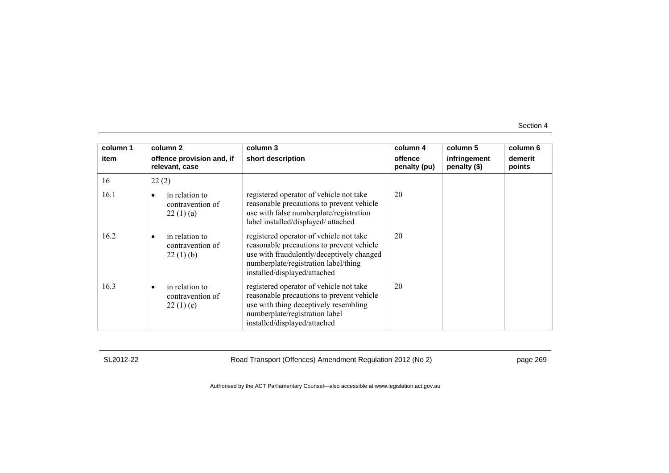| column 1 | column 2                                                    | column 3                                                                                                                                                                                                  | column 4                | column 5                     | column 6          |
|----------|-------------------------------------------------------------|-----------------------------------------------------------------------------------------------------------------------------------------------------------------------------------------------------------|-------------------------|------------------------------|-------------------|
| item     | offence provision and, if<br>relevant, case                 | short description                                                                                                                                                                                         | offence<br>penalty (pu) | infringement<br>penalty (\$) | demerit<br>points |
| 16       | 22(2)                                                       |                                                                                                                                                                                                           |                         |                              |                   |
| 16.1     | in relation to<br>٠<br>contravention of<br>22(1)(a)         | registered operator of vehicle not take<br>reasonable precautions to prevent vehicle<br>use with false numberplate/registration<br>label installed/displayed/attached                                     | 20                      |                              |                   |
| 16.2     | in relation to<br>$\bullet$<br>contravention of<br>22(1)(b) | registered operator of vehicle not take<br>reasonable precautions to prevent vehicle<br>use with fraudulently/deceptively changed<br>numberplate/registration label/thing<br>installed/displayed/attached | 20                      |                              |                   |
| 16.3     | in relation to<br>$\bullet$<br>contravention of<br>22(1)(c) | registered operator of vehicle not take<br>reasonable precautions to prevent vehicle<br>use with thing deceptively resembling<br>numberplate/registration label<br>installed/displayed/attached           | 20                      |                              |                   |

SL2012-22 Road Transport (Offences) Amendment Regulation 2012 (No 2) page 269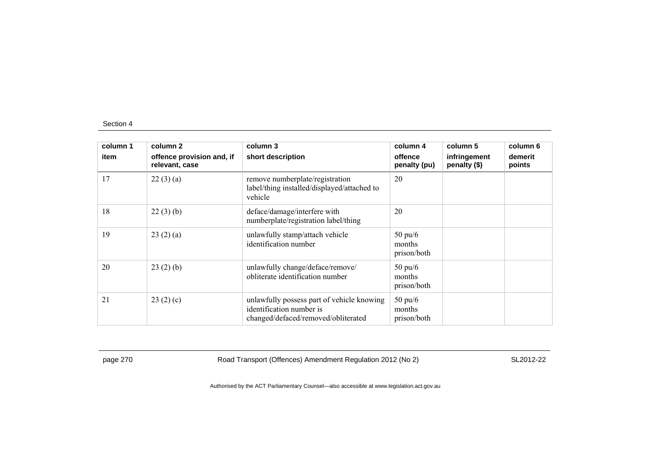| column 1 | column 2                                    | column 3                                                                                                      | column 4                                   | column 5                     | column 6          |
|----------|---------------------------------------------|---------------------------------------------------------------------------------------------------------------|--------------------------------------------|------------------------------|-------------------|
| item     | offence provision and, if<br>relevant, case | short description                                                                                             | offence<br>penalty (pu)                    | infringement<br>penalty (\$) | demerit<br>points |
| 17       | 22(3)(a)                                    | remove numberplate/registration<br>label/thing installed/displayed/attached to<br>vehicle                     | 20                                         |                              |                   |
| 18       | 22(3)(b)                                    | deface/damage/interfere with<br>numberplate/registration label/thing                                          | 20                                         |                              |                   |
| 19       | 23(2)(a)                                    | unlawfully stamp/attach vehicle<br>identification number                                                      | $50 \text{ pu}/6$<br>months<br>prison/both |                              |                   |
| 20       | 23(2)(b)                                    | unlawfully change/deface/remove/<br>obliterate identification number                                          | $50 \text{ pu}/6$<br>months<br>prison/both |                              |                   |
| 21       | 23(2)(c)                                    | unlawfully possess part of vehicle knowing<br>identification number is<br>changed/defaced/removed/obliterated | $50 \text{ pu}/6$<br>months<br>prison/both |                              |                   |

page 270 Road Transport (Offences) Amendment Regulation 2012 (No 2) SL2012-22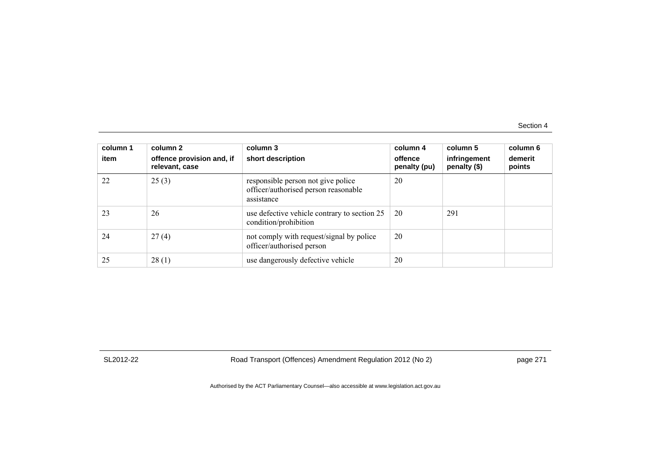| column 1<br>item | column 2<br>offence provision and, if<br>relevant, case | column 3<br>short description                                                            | column 4<br>offence<br>penalty (pu) | column 5<br>infringement<br>penalty (\$) | column 6<br>demerit<br>points |
|------------------|---------------------------------------------------------|------------------------------------------------------------------------------------------|-------------------------------------|------------------------------------------|-------------------------------|
| 22               | 25(3)                                                   | responsible person not give police<br>officer/authorised person reasonable<br>assistance | 20                                  |                                          |                               |
| 23               | 26                                                      | use defective vehicle contrary to section 25<br>condition/prohibition                    | 20                                  | 291                                      |                               |
| 24               | 27(4)                                                   | not comply with request/signal by police<br>officer/authorised person                    | 20                                  |                                          |                               |
| 25               | 28(1)                                                   | use dangerously defective vehicle                                                        | 20                                  |                                          |                               |

SL2012-22 Road Transport (Offences) Amendment Regulation 2012 (No 2) page 271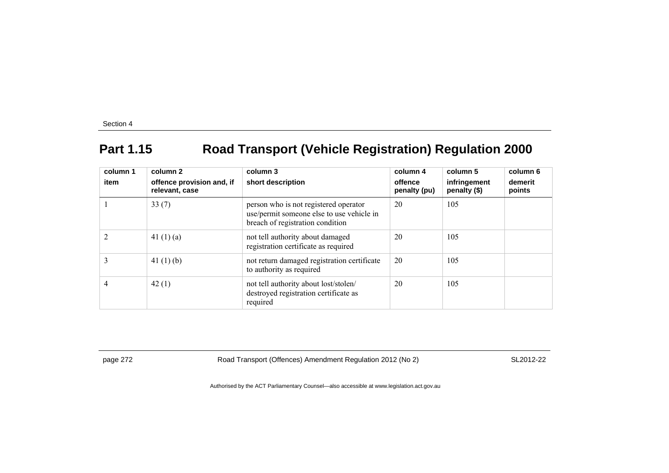## **Part 1.15 Road Transport (Vehicle Registration) Regulation 2000**

| column 1<br>item | column 2<br>offence provision and, if<br>relevant, case | column 3<br>short description                                                                                          | column 4<br>offence<br>penalty (pu) | column 5<br>infringement<br>penalty (\$) | column 6<br>demerit<br>points |
|------------------|---------------------------------------------------------|------------------------------------------------------------------------------------------------------------------------|-------------------------------------|------------------------------------------|-------------------------------|
|                  | 33(7)                                                   | person who is not registered operator<br>use/permit someone else to use vehicle in<br>breach of registration condition | 20                                  | 105                                      |                               |
| $\overline{2}$   | 41 $(1)(a)$                                             | not tell authority about damaged<br>registration certificate as required                                               | 20                                  | 105                                      |                               |
| 3                | 41 $(1)$ $(b)$                                          | not return damaged registration certificate<br>to authority as required                                                | 20                                  | 105                                      |                               |
| 4                | 42(1)                                                   | not tell authority about lost/stolen/<br>destroyed registration certificate as<br>required                             | 20                                  | 105                                      |                               |

page 272 Road Transport (Offences) Amendment Regulation 2012 (No 2) SL2012-22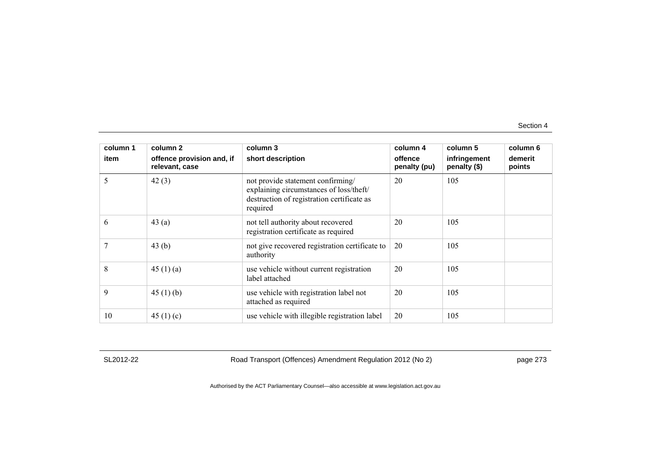| column 1 | column 2                                    | column 3                                                                                                                               | column 4                | column 5                     | column 6          |
|----------|---------------------------------------------|----------------------------------------------------------------------------------------------------------------------------------------|-------------------------|------------------------------|-------------------|
| item     | offence provision and, if<br>relevant, case | short description                                                                                                                      | offence<br>penalty (pu) | infringement<br>penalty (\$) | demerit<br>points |
| 5        | 42(3)                                       | not provide statement confirming/<br>explaining circumstances of loss/theft/<br>destruction of registration certificate as<br>required | 20                      | 105                          |                   |
| 6        | 43(a)                                       | not tell authority about recovered<br>registration certificate as required                                                             | 20                      | 105                          |                   |
|          | 43(b)                                       | not give recovered registration certificate to<br>authority                                                                            | 20                      | 105                          |                   |
| 8        | 45 $(1)(a)$                                 | use vehicle without current registration<br>label attached                                                                             | 20                      | 105                          |                   |
| 9        | 45(1)(b)                                    | use vehicle with registration label not<br>attached as required                                                                        | 20                      | 105                          |                   |
| 10       | 45 $(1)(c)$                                 | use vehicle with illegible registration label                                                                                          | 20                      | 105                          |                   |

SL2012-22 Road Transport (Offences) Amendment Regulation 2012 (No 2) page 273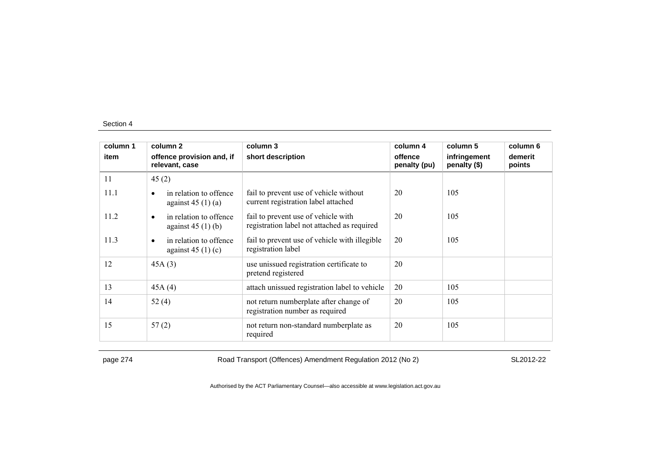| column 1 | column 2                                                  | column 3                                                                           | column 4                | column 5                     | column 6          |
|----------|-----------------------------------------------------------|------------------------------------------------------------------------------------|-------------------------|------------------------------|-------------------|
| item     | offence provision and, if<br>relevant, case               | short description                                                                  | offence<br>penalty (pu) | infringement<br>penalty (\$) | demerit<br>points |
| 11       | 45(2)                                                     |                                                                                    |                         |                              |                   |
| 11.1     | in relation to offence<br>$\bullet$<br>against $45(1)(a)$ | fail to prevent use of vehicle without<br>current registration label attached      | 20                      | 105                          |                   |
| 11.2     | in relation to offence<br>$\bullet$<br>against $45(1)(b)$ | fail to prevent use of vehicle with<br>registration label not attached as required | 20                      | 105                          |                   |
| 11.3     | in relation to offence<br>$\bullet$<br>against $45(1)(c)$ | fail to prevent use of vehicle with illegible<br>registration label                | 20                      | 105                          |                   |
| 12       | 45A(3)                                                    | use unissued registration certificate to<br>pretend registered                     | 20                      |                              |                   |
| 13       | 45A(4)                                                    | attach unissued registration label to vehicle                                      | 20                      | 105                          |                   |
| 14       | 52(4)                                                     | not return numberplate after change of<br>registration number as required          | 20                      | 105                          |                   |
| 15       | 57(2)                                                     | not return non-standard numberplate as<br>required                                 | 20                      | 105                          |                   |

page 274 Road Transport (Offences) Amendment Regulation 2012 (No 2) SL2012-22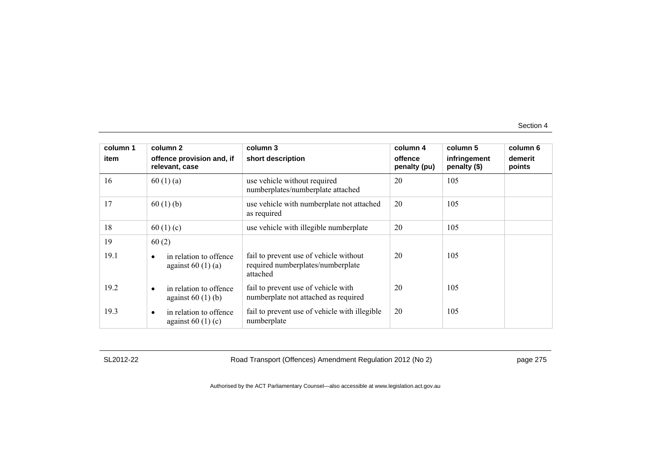| column 1 | column 2                                                  | column 3                                                                                | column 4                | column 5                     | column 6          |
|----------|-----------------------------------------------------------|-----------------------------------------------------------------------------------------|-------------------------|------------------------------|-------------------|
| item     | offence provision and, if<br>relevant, case               | short description                                                                       | offence<br>penalty (pu) | infringement<br>penalty (\$) | demerit<br>points |
| 16       | 60(1)(a)                                                  | use vehicle without required<br>numberplates/numberplate attached                       | 20                      | 105                          |                   |
| 17       | 60(1)(b)                                                  | use vehicle with numberplate not attached<br>as required                                | 20                      | 105                          |                   |
| 18       | 60(1)(c)                                                  | use vehicle with illegible numberplate                                                  | 20                      | 105                          |                   |
| 19       | 60(2)                                                     |                                                                                         |                         |                              |                   |
| 19.1     | in relation to offence<br>against $60(1)(a)$              | fail to prevent use of vehicle without<br>required numberplates/numberplate<br>attached | 20                      | 105                          |                   |
| 19.2     | in relation to offence<br>$\bullet$<br>against $60(1)(b)$ | fail to prevent use of vehicle with<br>numberplate not attached as required             | 20                      | 105                          |                   |
| 19.3     | in relation to offence<br>٠<br>against $60(1)(c)$         | fail to prevent use of vehicle with illegible<br>numberplate                            | 20                      | 105                          |                   |

SL2012-22 Road Transport (Offences) Amendment Regulation 2012 (No 2) page 275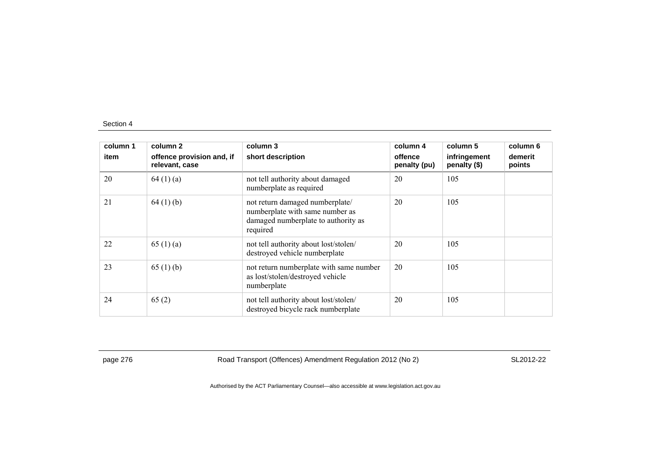| column 1<br>item | column 2<br>offence provision and, if<br>relevant, case | column 3<br>short description                                                                                         | column 4<br>offence<br>penalty (pu) | column 5<br>infringement<br>penalty (\$) | column 6<br>demerit<br>points |
|------------------|---------------------------------------------------------|-----------------------------------------------------------------------------------------------------------------------|-------------------------------------|------------------------------------------|-------------------------------|
| 20               | 64(1)(a)                                                | not tell authority about damaged<br>numberplate as required                                                           | 20                                  | 105                                      |                               |
| 21               | 64(1)(b)                                                | not return damaged numberplate/<br>numberplate with same number as<br>damaged numberplate to authority as<br>required | 20                                  | 105                                      |                               |
| 22               | 65(1)(a)                                                | not tell authority about lost/stolen/<br>destroyed vehicle numberplate                                                | 20                                  | 105                                      |                               |
| 23               | 65 $(1)$ (b)                                            | not return numberplate with same number<br>as lost/stolen/destroyed vehicle<br>numberplate                            | 20                                  | 105                                      |                               |
| 24               | 65(2)                                                   | not tell authority about lost/stolen/<br>destroyed bicycle rack numberplate                                           | 20                                  | 105                                      |                               |

page 276 Road Transport (Offences) Amendment Regulation 2012 (No 2) SL2012-22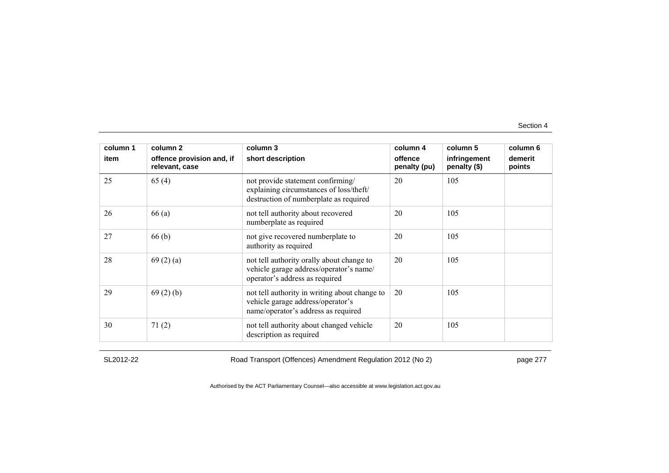| column 1 | column 2                                    | column 3                                                                                                                  | column 4                | column 5                     | column 6          |
|----------|---------------------------------------------|---------------------------------------------------------------------------------------------------------------------------|-------------------------|------------------------------|-------------------|
| item     | offence provision and, if<br>relevant, case | short description                                                                                                         | offence<br>penalty (pu) | infringement<br>penalty (\$) | demerit<br>points |
| 25       | 65(4)                                       | not provide statement confirming/<br>explaining circumstances of loss/theft/<br>destruction of numberplate as required    | 20                      | 105                          |                   |
| 26       | 66(a)                                       | not tell authority about recovered<br>numberplate as required                                                             | 20                      | 105                          |                   |
| 27       | 66(b)                                       | not give recovered numberplate to<br>authority as required                                                                | 20                      | 105                          |                   |
| 28       | 69(2)(a)                                    | not tell authority orally about change to<br>vehicle garage address/operator's name/<br>operator's address as required    | 20                      | 105                          |                   |
| 29       | 69(2)(b)                                    | not tell authority in writing about change to<br>vehicle garage address/operator's<br>name/operator's address as required | 20                      | 105                          |                   |
| 30       | 71(2)                                       | not tell authority about changed vehicle<br>description as required                                                       | 20                      | 105                          |                   |

SL2012-22 Road Transport (Offences) Amendment Regulation 2012 (No 2) page 277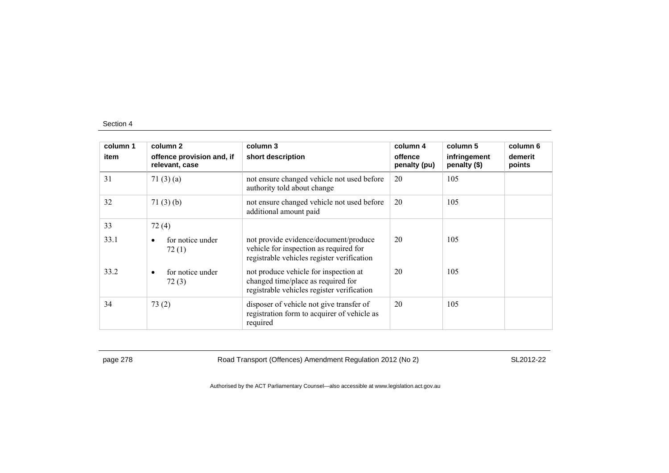| column 1 | column 2                                    | column 3                                                                                                                      | column 4                | column 5                     | column 6          |
|----------|---------------------------------------------|-------------------------------------------------------------------------------------------------------------------------------|-------------------------|------------------------------|-------------------|
| item     | offence provision and, if<br>relevant, case | short description                                                                                                             | offence<br>penalty (pu) | infringement<br>penalty (\$) | demerit<br>points |
| 31       | 71(3)(a)                                    | not ensure changed vehicle not used before<br>authority told about change                                                     | 20                      | 105                          |                   |
| 32       | 71(3)(b)                                    | not ensure changed vehicle not used before<br>additional amount paid                                                          | 20                      | 105                          |                   |
| 33       | 72(4)                                       |                                                                                                                               |                         |                              |                   |
| 33.1     | for notice under<br>٠<br>72(1)              | not provide evidence/document/produce<br>vehicle for inspection as required for<br>registrable vehicles register verification | 20                      | 105                          |                   |
| 33.2     | for notice under<br>$\bullet$<br>72(3)      | not produce vehicle for inspection at<br>changed time/place as required for<br>registrable vehicles register verification     | 20                      | 105                          |                   |
| 34       | 73(2)                                       | disposer of vehicle not give transfer of<br>registration form to acquirer of vehicle as<br>required                           | 20                      | 105                          |                   |

page 278 Road Transport (Offences) Amendment Regulation 2012 (No 2) SL2012-22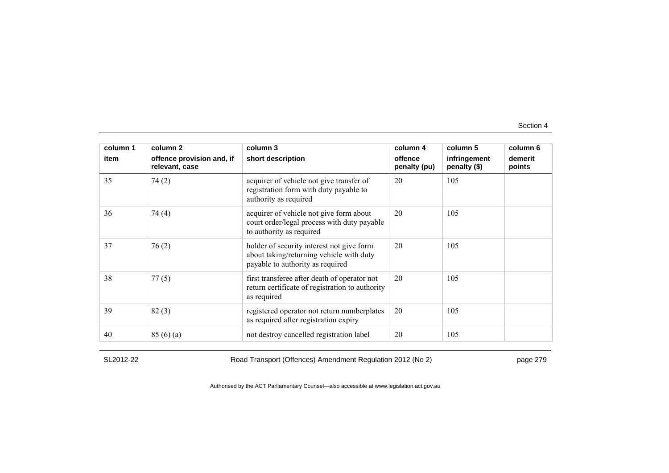| column 1 | column 2                                    | column 3                                                                                                                  | column 4                | column 5                     | column 6          |
|----------|---------------------------------------------|---------------------------------------------------------------------------------------------------------------------------|-------------------------|------------------------------|-------------------|
| item     | offence provision and, if<br>relevant, case | short description                                                                                                         | offence<br>penalty (pu) | infringement<br>penalty (\$) | demerit<br>points |
| 35       | 74(2)                                       | acquirer of vehicle not give transfer of<br>registration form with duty payable to<br>authority as required               | 20                      | 105                          |                   |
| 36       | 74 (4)                                      | acquirer of vehicle not give form about<br>court order/legal process with duty payable<br>to authority as required        | 20                      | 105                          |                   |
| 37       | 76(2)                                       | holder of security interest not give form<br>about taking/returning vehicle with duty<br>payable to authority as required | 20                      | 105                          |                   |
| 38       | 77(5)                                       | first transferee after death of operator not<br>return certificate of registration to authority<br>as required            | 20                      | 105                          |                   |
| 39       | 82(3)                                       | registered operator not return numberplates<br>as required after registration expiry                                      | 20                      | 105                          |                   |
| 40       | 85(6)(a)                                    | not destroy cancelled registration label                                                                                  | 20                      | 105                          |                   |

SL2012-22 Road Transport (Offences) Amendment Regulation 2012 (No 2) page 279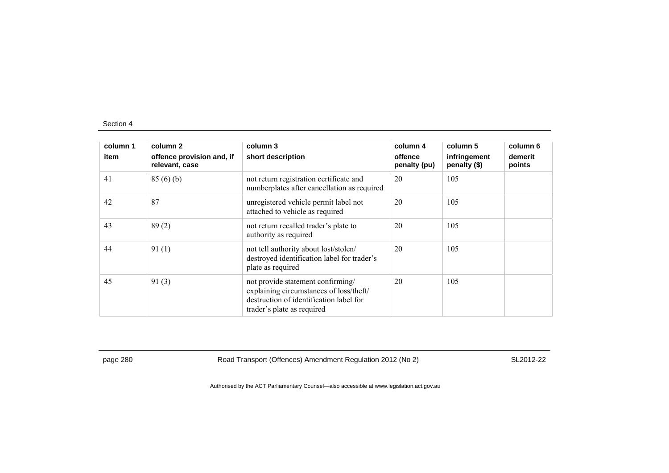| column 1<br>item | column <sub>2</sub><br>offence provision and, if<br>relevant, case | column 3<br>short description                                                                                                                         | column 4<br>offence<br>penalty (pu) | column 5<br>infringement<br>penalty (\$) | column 6<br>demerit<br>points |
|------------------|--------------------------------------------------------------------|-------------------------------------------------------------------------------------------------------------------------------------------------------|-------------------------------------|------------------------------------------|-------------------------------|
| 41               | 85(6)(b)                                                           | not return registration certificate and<br>numberplates after cancellation as required                                                                | 20                                  | 105                                      |                               |
| 42               | 87                                                                 | unregistered vehicle permit label not<br>attached to vehicle as required                                                                              | 20                                  | 105                                      |                               |
| 43               | 89(2)                                                              | not return recalled trader's plate to<br>authority as required                                                                                        | 20                                  | 105                                      |                               |
| 44               | 91(1)                                                              | not tell authority about lost/stolen/<br>destroyed identification label for trader's<br>plate as required                                             | 20                                  | 105                                      |                               |
| 45               | 91(3)                                                              | not provide statement confirming/<br>explaining circumstances of loss/theft/<br>destruction of identification label for<br>trader's plate as required | 20                                  | 105                                      |                               |

page 280 Road Transport (Offences) Amendment Regulation 2012 (No 2) SL2012-22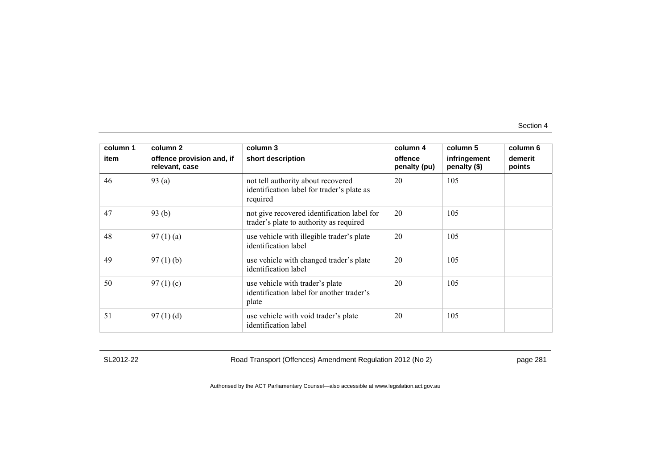| column 1<br>item | column 2<br>offence provision and, if<br>relevant, case | column 3<br>short description                                                                | column 4<br>offence<br>penalty (pu) | column 5<br>infringement<br>penalty (\$) | column 6<br>demerit<br>points |
|------------------|---------------------------------------------------------|----------------------------------------------------------------------------------------------|-------------------------------------|------------------------------------------|-------------------------------|
| 46               | 93(a)                                                   | not tell authority about recovered<br>identification label for trader's plate as<br>required | 20                                  | 105                                      |                               |
| 47               | 93(b)                                                   | not give recovered identification label for<br>trader's plate to authority as required       | 20                                  | 105                                      |                               |
| 48               | 97(1)(a)                                                | use vehicle with illegible trader's plate<br>identification label                            | 20                                  | 105                                      |                               |
| 49               | 97(1)(b)                                                | use vehicle with changed trader's plate<br>identification label                              | 20                                  | 105                                      |                               |
| 50               | 97 $(1)(c)$                                             | use vehicle with trader's plate<br>identification label for another trader's<br>plate        | 20                                  | 105                                      |                               |
| 51               | 97(1)(d)                                                | use vehicle with void trader's plate<br>identification label                                 | 20                                  | 105                                      |                               |

SL2012-22 Road Transport (Offences) Amendment Regulation 2012 (No 2) page 281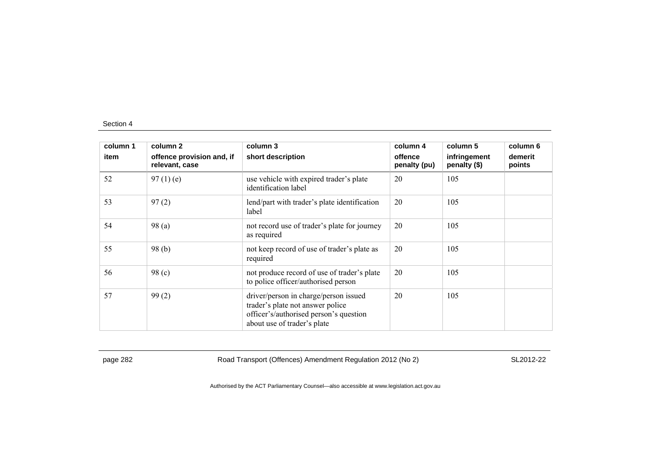| column 1 | column 2                                    | column 3                                                                                                                                           | column 4                | column 5                     | column 6          |
|----------|---------------------------------------------|----------------------------------------------------------------------------------------------------------------------------------------------------|-------------------------|------------------------------|-------------------|
| item     | offence provision and, if<br>relevant, case | short description                                                                                                                                  | offence<br>penalty (pu) | infringement<br>penalty (\$) | demerit<br>points |
| 52       | $97(1)$ (e)                                 | use vehicle with expired trader's plate<br>identification label                                                                                    | 20                      | 105                          |                   |
| 53       | 97(2)                                       | lend/part with trader's plate identification<br>label                                                                                              | 20                      | 105                          |                   |
| 54       | 98(a)                                       | not record use of trader's plate for journey<br>as required                                                                                        | 20                      | 105                          |                   |
| 55       | 98(b)                                       | not keep record of use of trader's plate as<br>required                                                                                            | 20                      | 105                          |                   |
| 56       | 98 <sub>(c)</sub>                           | not produce record of use of trader's plate<br>to police officer/authorised person                                                                 | 20                      | 105                          |                   |
| 57       | 99(2)                                       | driver/person in charge/person issued<br>trader's plate not answer police<br>officer's/authorised person's question<br>about use of trader's plate | 20                      | 105                          |                   |

page 282 Road Transport (Offences) Amendment Regulation 2012 (No 2) SL2012-22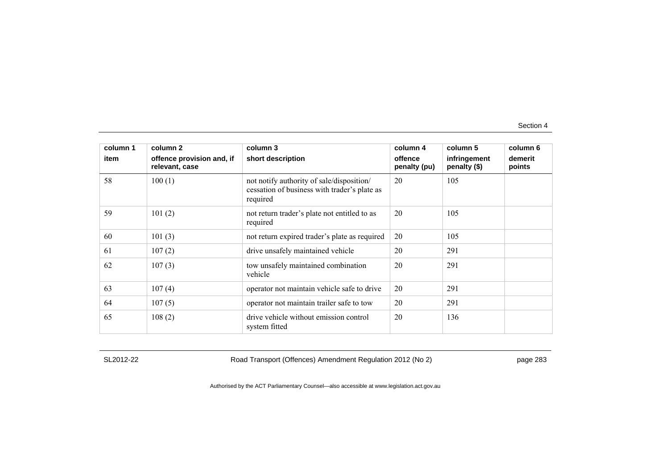| column 1 | column 2                                    | column 3                                                                                              | column 4                | column 5                     | column 6          |
|----------|---------------------------------------------|-------------------------------------------------------------------------------------------------------|-------------------------|------------------------------|-------------------|
| item     | offence provision and, if<br>relevant, case | short description                                                                                     | offence<br>penalty (pu) | infringement<br>penalty (\$) | demerit<br>points |
| 58       | 100(1)                                      | not notify authority of sale/disposition/<br>cessation of business with trader's plate as<br>required | 20                      | 105                          |                   |
| 59       | 101(2)                                      | not return trader's plate not entitled to as<br>required                                              | 20                      | 105                          |                   |
| 60       | 101(3)                                      | not return expired trader's plate as required                                                         | 20                      | 105                          |                   |
| 61       | 107(2)                                      | drive unsafely maintained vehicle                                                                     | 20                      | 291                          |                   |
| 62       | 107(3)                                      | tow unsafely maintained combination<br>vehicle                                                        | 20                      | 291                          |                   |
| 63       | 107(4)                                      | operator not maintain vehicle safe to drive                                                           | 20                      | 291                          |                   |
| 64       | 107(5)                                      | operator not maintain trailer safe to tow                                                             | 20                      | 291                          |                   |
| 65       | 108(2)                                      | drive vehicle without emission control<br>system fitted                                               | 20                      | 136                          |                   |

SL2012-22 Road Transport (Offences) Amendment Regulation 2012 (No 2) page 283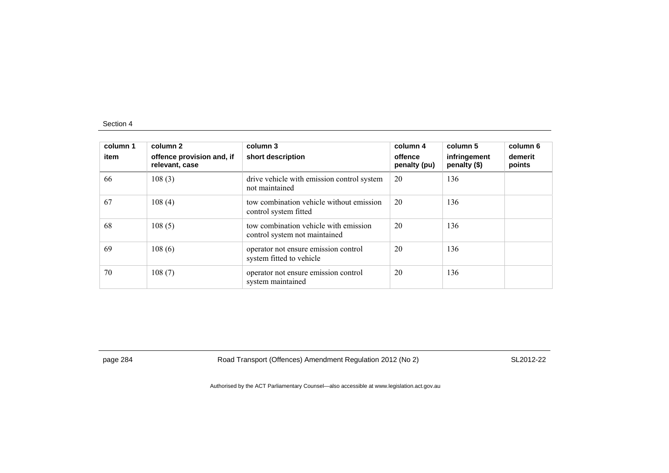| column 1<br>item | column 2<br>offence provision and, if<br>relevant, case | column 3<br>short description                                          | column 4<br>offence<br>penalty (pu) | column 5<br>infringement<br>penalty (\$) | column 6<br>demerit<br>points |
|------------------|---------------------------------------------------------|------------------------------------------------------------------------|-------------------------------------|------------------------------------------|-------------------------------|
| 66               | 108(3)                                                  | drive vehicle with emission control system<br>not maintained           | 20                                  | 136                                      |                               |
| 67               | 108(4)                                                  | tow combination vehicle without emission<br>control system fitted      | 20                                  | 136                                      |                               |
| 68               | 108(5)                                                  | tow combination vehicle with emission<br>control system not maintained | 20                                  | 136                                      |                               |
| 69               | 108(6)                                                  | operator not ensure emission control<br>system fitted to vehicle       | 20                                  | 136                                      |                               |
| 70               | 108(7)                                                  | operator not ensure emission control<br>system maintained              | 20                                  | 136                                      |                               |

page 284 Road Transport (Offences) Amendment Regulation 2012 (No 2) SL2012-22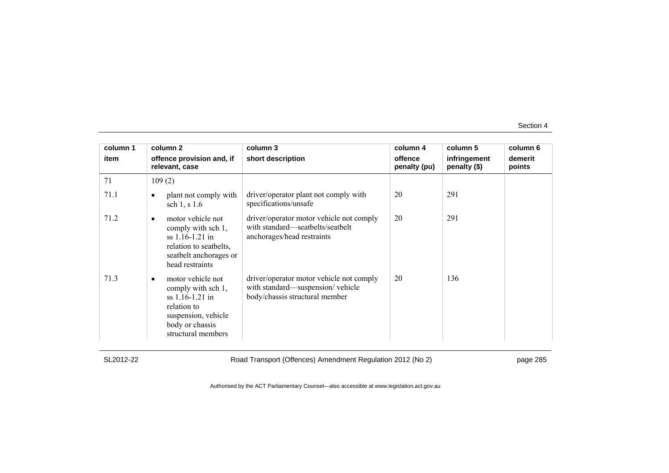| column 1 | column 2                                                                                                                                         | column 3                                                                                                       | column 4                | column 5                     | column 6          |
|----------|--------------------------------------------------------------------------------------------------------------------------------------------------|----------------------------------------------------------------------------------------------------------------|-------------------------|------------------------------|-------------------|
| item     | offence provision and, if<br>relevant, case                                                                                                      | short description                                                                                              | offence<br>penalty (pu) | infringement<br>penalty (\$) | demerit<br>points |
| 71       | 109(2)                                                                                                                                           |                                                                                                                |                         |                              |                   |
| 71.1     | plant not comply with<br>٠<br>sch 1, s 1.6                                                                                                       | driver/operator plant not comply with<br>specifications/unsafe                                                 | 20                      | 291                          |                   |
| 71.2     | motor vehicle not<br>٠<br>comply with sch 1,<br>ss 1.16-1.21 in<br>relation to seatbelts,<br>seatbelt anchorages or<br>head restraints           | driver/operator motor vehicle not comply<br>with standard—seatbelts/seatbelt<br>anchorages/head restraints     | 20                      | 291                          |                   |
| 71.3     | motor vehicle not<br>٠<br>comply with sch 1,<br>$ss$ 1.16-1.21 in<br>relation to<br>suspension, vehicle<br>body or chassis<br>structural members | driver/operator motor vehicle not comply<br>with standard—suspension/vehicle<br>body/chassis structural member | 20                      | 136                          |                   |

SL2012-22 Road Transport (Offences) Amendment Regulation 2012 (No 2) page 285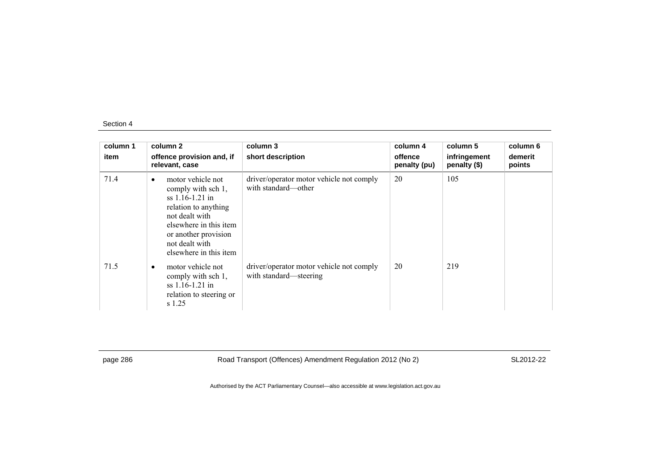| column 1<br>item | column 2<br>offence provision and, if<br>relevant, case                                                                                                                                                           | column 3<br>short description                                      | column 4<br>offence<br>penalty (pu) | column 5<br>infringement<br>penalty (\$) | column 6<br>demerit<br>points |
|------------------|-------------------------------------------------------------------------------------------------------------------------------------------------------------------------------------------------------------------|--------------------------------------------------------------------|-------------------------------------|------------------------------------------|-------------------------------|
| 71.4             | motor vehicle not<br>$\bullet$<br>comply with sch 1,<br>$ss$ 1.16-1.21 in<br>relation to anything<br>not dealt with<br>elsewhere in this item<br>or another provision<br>not dealt with<br>elsewhere in this item | driver/operator motor vehicle not comply<br>with standard—other    | 20                                  | 105                                      |                               |
| 71.5             | motor vehicle not<br>$\bullet$<br>comply with sch 1,<br>$ss$ 1.16-1.21 in<br>relation to steering or<br>s 1.25                                                                                                    | driver/operator motor vehicle not comply<br>with standard—steering | 20                                  | 219                                      |                               |

page 286 Road Transport (Offences) Amendment Regulation 2012 (No 2) SL2012-22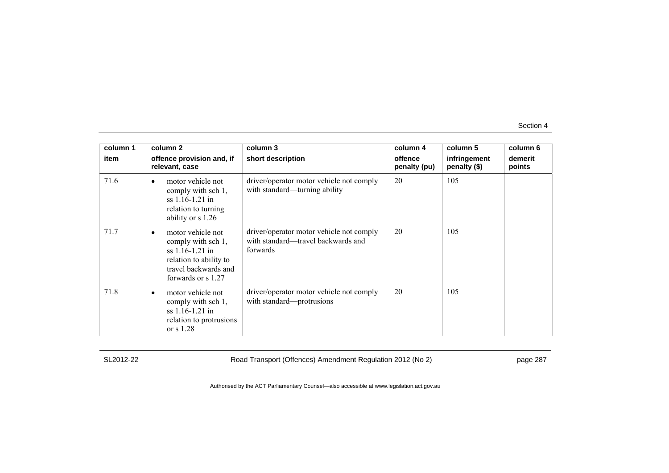| column 1 | column 2                                                                                                                                          | column 3                                                                                   | column 4                | column 5                     | column 6          |
|----------|---------------------------------------------------------------------------------------------------------------------------------------------------|--------------------------------------------------------------------------------------------|-------------------------|------------------------------|-------------------|
| item     | offence provision and, if<br>relevant, case                                                                                                       | short description                                                                          | offence<br>penalty (pu) | infringement<br>penalty (\$) | demerit<br>points |
| 71.6     | motor vehicle not<br>$\bullet$<br>comply with sch 1,<br>$ss$ 1.16-1.21 in<br>relation to turning<br>ability or s 1.26                             | driver/operator motor vehicle not comply<br>with standard—turning ability                  | 20                      | 105                          |                   |
| 71.7     | motor vehicle not<br>$\bullet$<br>comply with sch 1,<br>$ss$ 1.16-1.21 in<br>relation to ability to<br>travel backwards and<br>forwards or s 1.27 | driver/operator motor vehicle not comply<br>with standard—travel backwards and<br>forwards | 20                      | 105                          |                   |
| 71.8     | motor vehicle not<br>comply with sch 1,<br>$ss$ 1.16-1.21 in<br>relation to protrusions<br>or $s$ 1.28                                            | driver/operator motor vehicle not comply<br>with standard—protrusions                      | 20                      | 105                          |                   |

SL2012-22 Road Transport (Offences) Amendment Regulation 2012 (No 2) page 287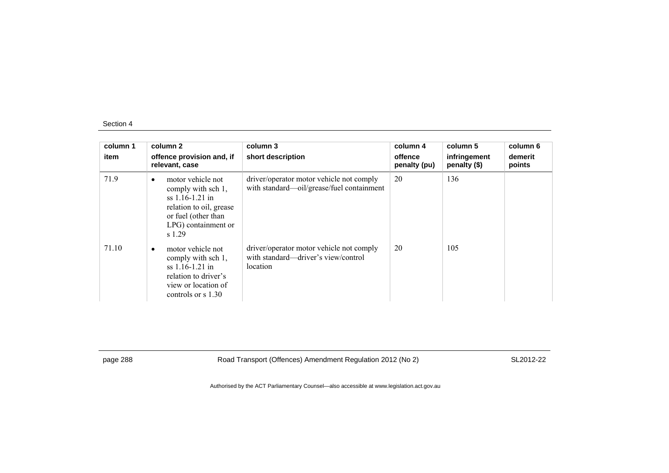| column 1<br>item | column 2<br>offence provision and, if<br>relevant, case                                                                                                      | column 3<br>short description                                                               | column 4<br>offence<br>penalty (pu) | column 5<br>infringement<br>penalty (\$) | column 6<br>demerit<br>points |
|------------------|--------------------------------------------------------------------------------------------------------------------------------------------------------------|---------------------------------------------------------------------------------------------|-------------------------------------|------------------------------------------|-------------------------------|
| 71.9             | motor vehicle not<br>$\bullet$<br>comply with sch 1,<br>$ss$ 1.16-1.21 in<br>relation to oil, grease<br>or fuel (other than<br>LPG) containment or<br>s 1.29 | driver/operator motor vehicle not comply<br>with standard-oil/grease/fuel containment       | 20                                  | 136                                      |                               |
| 71.10            | motor vehicle not<br>$\bullet$<br>comply with sch 1,<br>$ss$ 1.16-1.21 in<br>relation to driver's<br>view or location of<br>controls or $\frac{s}{1.30}$     | driver/operator motor vehicle not comply<br>with standard—driver's view/control<br>location | 20                                  | 105                                      |                               |

page 288 Road Transport (Offences) Amendment Regulation 2012 (No 2) SL2012-22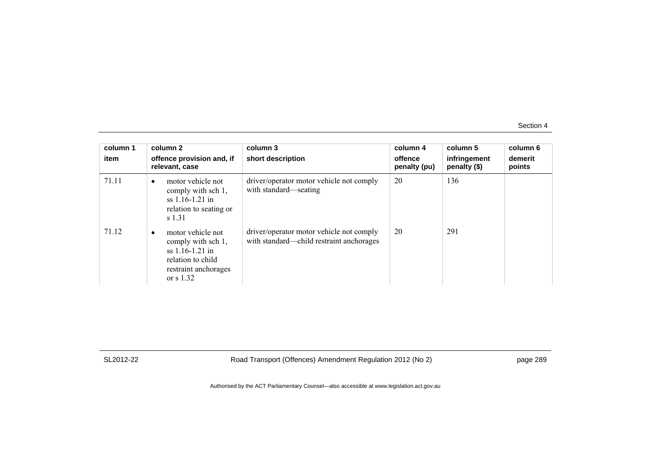| column 1<br>item | column 2<br>offence provision and, if<br>relevant, case                                                                                  | column 3<br>short description                                                        | column 4<br>offence<br>penalty (pu) | column 5<br>infringement<br>penalty (\$) | column 6<br>demerit<br>points |
|------------------|------------------------------------------------------------------------------------------------------------------------------------------|--------------------------------------------------------------------------------------|-------------------------------------|------------------------------------------|-------------------------------|
| 71.11            | motor vehicle not<br>$\bullet$<br>comply with sch 1,<br>$ss$ 1.16-1.21 in<br>relation to seating or<br>s 1.31                            | driver/operator motor vehicle not comply<br>with standard—seating                    | 20                                  | 136                                      |                               |
| 71.12            | motor vehicle not<br>$\bullet$<br>comply with sch 1,<br>$ss$ 1.16-1.21 in<br>relation to child<br>restraint anchorages<br>or $\sin 1.32$ | driver/operator motor vehicle not comply<br>with standard—child restraint anchorages | 20                                  | 291                                      |                               |

SL2012-22 Road Transport (Offences) Amendment Regulation 2012 (No 2) page 289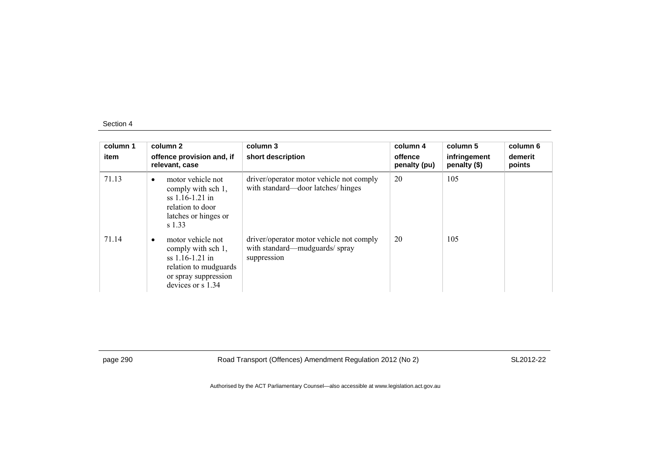| column 1<br>item | column 2<br>offence provision and, if<br>relevant, case                                                                            | column 3<br>short description                                                            | column 4<br>offence<br>penalty (pu) | column 5<br>infringement<br>penalty (\$) | column 6<br>demerit<br>points |
|------------------|------------------------------------------------------------------------------------------------------------------------------------|------------------------------------------------------------------------------------------|-------------------------------------|------------------------------------------|-------------------------------|
| 71.13            | motor vehicle not<br>$\bullet$<br>comply with sch 1,<br>$ss$ 1.16-1.21 in<br>relation to door<br>latches or hinges or<br>s 1.33    | driver/operator motor vehicle not comply<br>with standard—door latches/hinges            | 20                                  | 105                                      |                               |
| 71.14            | motor vehicle not<br>comply with sch 1,<br>$ss$ 1.16-1.21 in<br>relation to mudguards<br>or spray suppression<br>devices or s 1.34 | driver/operator motor vehicle not comply<br>with standard—mudguards/spray<br>suppression | 20                                  | 105                                      |                               |

page 290 Road Transport (Offences) Amendment Regulation 2012 (No 2) SL2012-22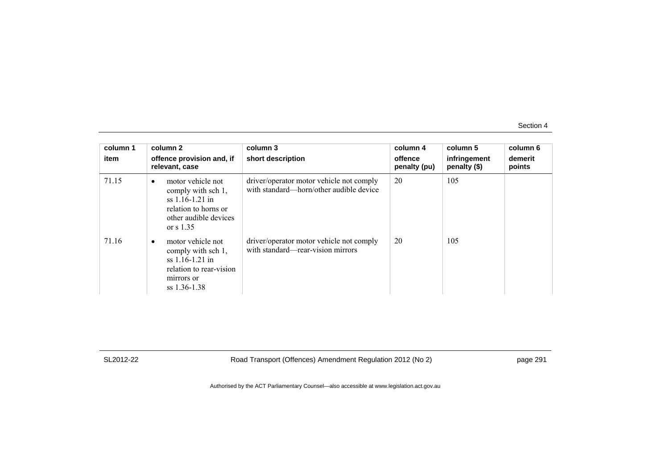| column 1<br>item | column 2<br>offence provision and, if<br>relevant, case                                                                                   | column 3<br>short description                                                       | column 4<br>offence<br>penalty (pu) | column 5<br>infringement<br>penalty (\$) | column 6<br>demerit<br>points |
|------------------|-------------------------------------------------------------------------------------------------------------------------------------------|-------------------------------------------------------------------------------------|-------------------------------------|------------------------------------------|-------------------------------|
| 71.15            | motor vehicle not<br>$\bullet$<br>comply with sch 1,<br>$ss$ 1.16-1.21 in<br>relation to horns or<br>other audible devices<br>or $s$ 1.35 | driver/operator motor vehicle not comply<br>with standard—horn/other audible device | 20                                  | 105                                      |                               |
| 71.16            | motor vehicle not<br>comply with sch 1,<br>$ss$ 1.16-1.21 in<br>relation to rear-vision<br>mirrors or<br>$ss$ 1.36-1.38                   | driver/operator motor vehicle not comply<br>with standard—rear-vision mirrors       | 20                                  | 105                                      |                               |

SL2012-22 Road Transport (Offences) Amendment Regulation 2012 (No 2) page 291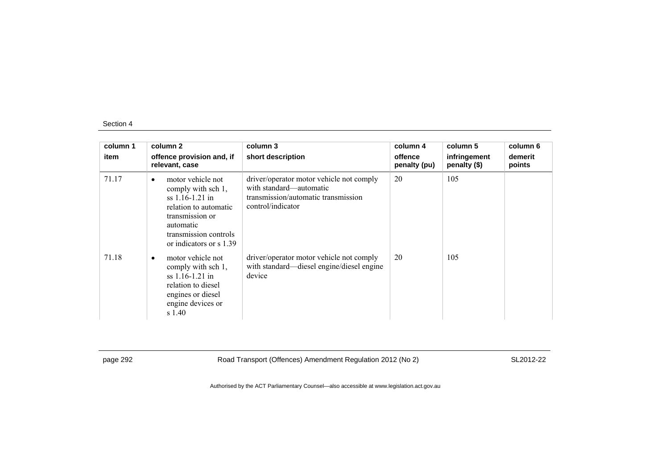| column 1<br>item | column 2<br>offence provision and, if<br>relevant, case                                                                                                                        | column 3<br>short description                                                                                                   | column 4<br>offence<br>penalty (pu) | column 5<br>infringement<br>penalty (\$) | column 6<br>demerit<br>points |
|------------------|--------------------------------------------------------------------------------------------------------------------------------------------------------------------------------|---------------------------------------------------------------------------------------------------------------------------------|-------------------------------------|------------------------------------------|-------------------------------|
| 71.17            | motor vehicle not<br>٠<br>comply with sch 1,<br>$ss$ 1.16-1.21 in<br>relation to automatic<br>transmission or<br>automatic<br>transmission controls<br>or indicators or s 1.39 | driver/operator motor vehicle not comply<br>with standard—automatic<br>transmission/automatic transmission<br>control/indicator | 20                                  | 105                                      |                               |
| 71.18            | motor vehicle not<br>٠<br>comply with sch 1,<br>$ss$ 1.16-1.21 in<br>relation to diesel<br>engines or diesel<br>engine devices or<br>s 1.40                                    | driver/operator motor vehicle not comply<br>with standard—diesel engine/diesel engine<br>device                                 | 20                                  | 105                                      |                               |

page 292 Road Transport (Offences) Amendment Regulation 2012 (No 2) SL2012-22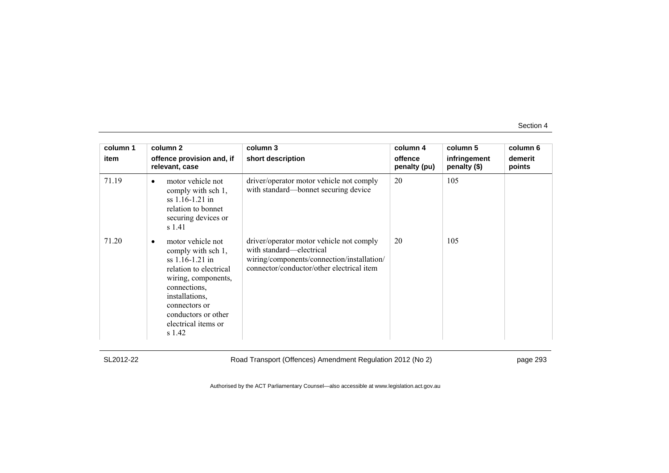| column 1<br>item | column 2<br>offence provision and, if<br>relevant, case                                                                                                                                                                | column 3<br>short description                                                                                                                                   | column 4<br>offence<br>penalty (pu) | column 5<br>infringement<br>penalty (\$) | column 6<br>demerit<br>points |
|------------------|------------------------------------------------------------------------------------------------------------------------------------------------------------------------------------------------------------------------|-----------------------------------------------------------------------------------------------------------------------------------------------------------------|-------------------------------------|------------------------------------------|-------------------------------|
| 71.19            | motor vehicle not<br>comply with sch 1,<br>$ss$ 1.16-1.21 in<br>relation to bonnet<br>securing devices or<br>s 1.41                                                                                                    | driver/operator motor vehicle not comply<br>with standard—bonnet securing device                                                                                | 20                                  | 105                                      |                               |
| 71.20            | motor vehicle not<br>comply with sch 1,<br>ss 1.16-1.21 in<br>relation to electrical<br>wiring, components,<br>connections,<br>installations,<br>connectors or<br>conductors or other<br>electrical items or<br>s 1.42 | driver/operator motor vehicle not comply<br>with standard—electrical<br>wiring/components/connection/installation/<br>connector/conductor/other electrical item | 20                                  | 105                                      |                               |

SL2012-22 Road Transport (Offences) Amendment Regulation 2012 (No 2) page 293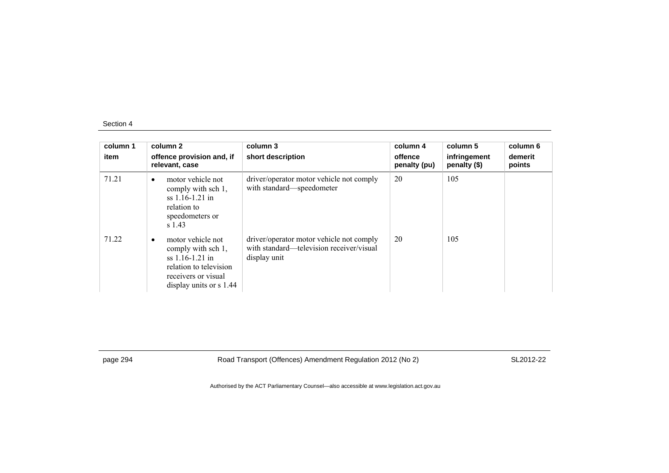| column 1<br>item | column 2<br>offence provision and, if<br>relevant, case                                                                                    | column 3<br>short description                                                                        | column 4<br>offence<br>penalty (pu) | column 5<br>infringement<br>penalty (\$) | column 6<br>demerit<br>points |
|------------------|--------------------------------------------------------------------------------------------------------------------------------------------|------------------------------------------------------------------------------------------------------|-------------------------------------|------------------------------------------|-------------------------------|
| 71.21            | motor vehicle not<br>$\bullet$<br>comply with sch 1,<br>$ss$ 1.16-1.21 in<br>relation to<br>speedometers or<br>$s$ 1.43                    | driver/operator motor vehicle not comply<br>with standard-speedometer                                | 20                                  | 105                                      |                               |
| 71.22            | motor vehicle not<br>comply with sch 1,<br>$ss$ 1.16-1.21 in<br>relation to television<br>receivers or visual<br>display units or $s$ 1.44 | driver/operator motor vehicle not comply<br>with standard—television receiver/visual<br>display unit | 20                                  | 105                                      |                               |

page 294 Road Transport (Offences) Amendment Regulation 2012 (No 2) SL2012-22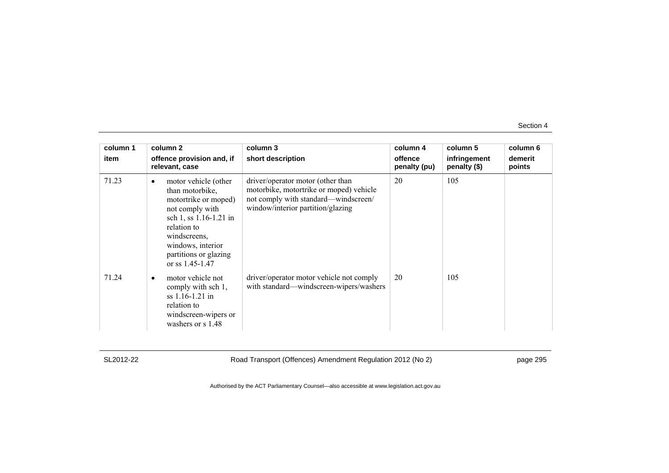| column 1 | column 2                                                                                                                                                                                                              | column 3                                                                                                                                                  | column 4                | column 5                     | column 6          |
|----------|-----------------------------------------------------------------------------------------------------------------------------------------------------------------------------------------------------------------------|-----------------------------------------------------------------------------------------------------------------------------------------------------------|-------------------------|------------------------------|-------------------|
| item     | offence provision and, if<br>relevant, case                                                                                                                                                                           | short description                                                                                                                                         | offence<br>penalty (pu) | infringement<br>penalty (\$) | demerit<br>points |
| 71.23    | motor vehicle (other<br>٠<br>than motorbike,<br>motortrike or moped)<br>not comply with<br>sch 1, ss 1.16-1.21 in<br>relation to<br>windscreens,<br>windows, interior<br>partitions or glazing<br>or ss $1.45 - 1.47$ | driver/operator motor (other than<br>motorbike, motortrike or moped) vehicle<br>not comply with standard—windscreen/<br>window/interior partition/glazing | 20                      | 105                          |                   |
| 71.24    | motor vehicle not<br>٠<br>comply with sch 1,<br>$ss$ 1.16-1.21 in<br>relation to<br>windscreen-wipers or<br>washers or s 1.48                                                                                         | driver/operator motor vehicle not comply<br>with standard—windscreen-wipers/washers                                                                       | 20                      | 105                          |                   |

SL2012-22 Road Transport (Offences) Amendment Regulation 2012 (No 2) page 295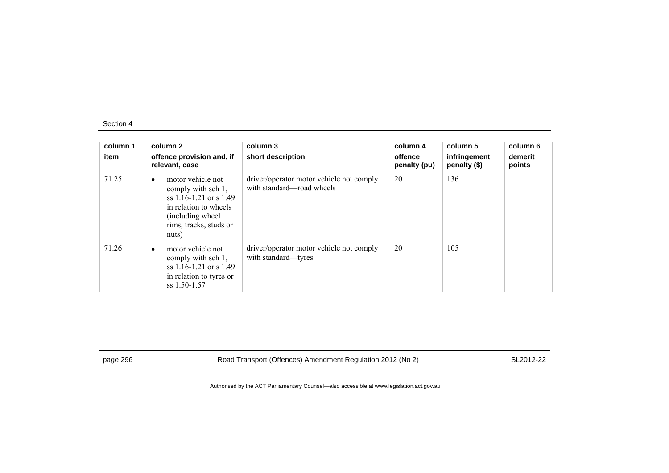| column 1<br>item | column 2<br>offence provision and, if<br>relevant, case                                                                                                               | column 3<br>short description                                         | column 4<br>offence<br>penalty (pu) | column 5<br>infringement<br>penalty (\$) | column 6<br>demerit<br>points |
|------------------|-----------------------------------------------------------------------------------------------------------------------------------------------------------------------|-----------------------------------------------------------------------|-------------------------------------|------------------------------------------|-------------------------------|
| 71.25            | motor vehicle not<br>$\bullet$<br>comply with sch 1,<br>ss $1.16 - 1.21$ or s $1.49$<br>in relation to wheels<br>(including wheel)<br>rims, tracks, studs or<br>nuts) | driver/operator motor vehicle not comply<br>with standard—road wheels | 20                                  | 136                                      |                               |
| 71.26            | motor vehicle not<br>$\bullet$<br>comply with sch 1,<br>ss $1.16 - 1.21$ or s $1.49$<br>in relation to tyres or<br>$ss$ 1.50-1.57                                     | driver/operator motor vehicle not comply<br>with standard—tyres       | 20                                  | 105                                      |                               |

page 296 Road Transport (Offences) Amendment Regulation 2012 (No 2) SL2012-22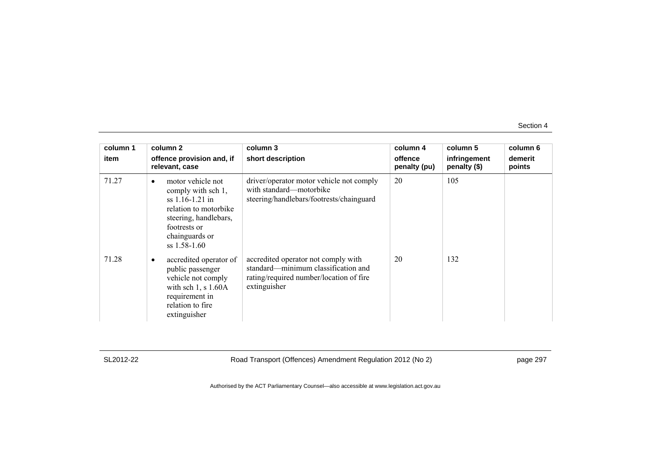| column 1 | column 2                                                                                                                                                                      | column 3                                                                                                                              | column 4                | column 5                     | column 6          |
|----------|-------------------------------------------------------------------------------------------------------------------------------------------------------------------------------|---------------------------------------------------------------------------------------------------------------------------------------|-------------------------|------------------------------|-------------------|
| item     | offence provision and, if<br>relevant, case                                                                                                                                   | short description                                                                                                                     | offence<br>penalty (pu) | infringement<br>penalty (\$) | demerit<br>points |
| 71.27    | motor vehicle not<br>$\bullet$<br>comply with sch 1,<br>ss 1.16-1.21 in<br>relation to motorbike<br>steering, handlebars,<br>footrests or<br>chainguards or<br>$ss$ 1.58-1.60 | driver/operator motor vehicle not comply<br>with standard—motorbike<br>steering/handlebars/footrests/chainguard                       | 20                      | 105                          |                   |
| 71.28    | accredited operator of<br>public passenger<br>vehicle not comply<br>with sch $1$ , s $1.60A$<br>requirement in<br>relation to fire.<br>extinguisher                           | accredited operator not comply with<br>standard—minimum classification and<br>rating/required number/location of fire<br>extinguisher | 20                      | 132                          |                   |

SL2012-22 Road Transport (Offences) Amendment Regulation 2012 (No 2) page 297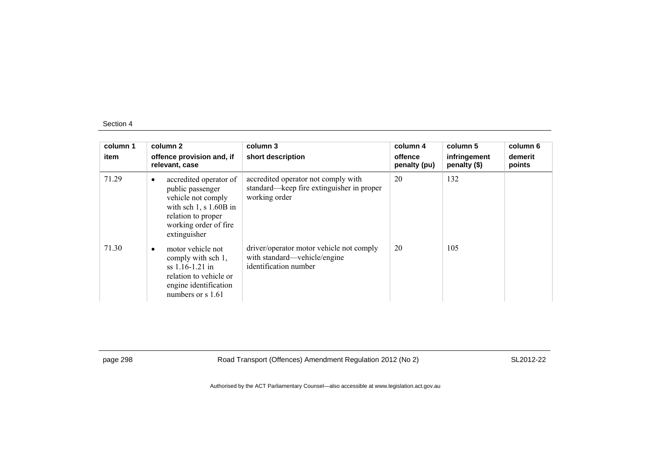| column 1<br>item | column 2<br>offence provision and, if<br>relevant, case                                                                                                          | column 3<br>short description                                                                     | column 4<br>offence<br>penalty (pu) | column 5<br>infringement<br>penalty (\$) | column 6<br>demerit<br>points |
|------------------|------------------------------------------------------------------------------------------------------------------------------------------------------------------|---------------------------------------------------------------------------------------------------|-------------------------------------|------------------------------------------|-------------------------------|
| 71.29            | accredited operator of<br>٠<br>public passenger<br>vehicle not comply<br>with sch $1, s 1.60B$ in<br>relation to proper<br>working order of fire<br>extinguisher | accredited operator not comply with<br>standard—keep fire extinguisher in proper<br>working order | 20                                  | 132                                      |                               |
| 71.30            | motor vehicle not<br>٠<br>comply with sch 1,<br>$ss$ 1.16-1.21 in<br>relation to vehicle or<br>engine identification<br>numbers or $s$ 1.61                      | driver/operator motor vehicle not comply<br>with standard—vehicle/engine<br>identification number | 20                                  | 105                                      |                               |

page 298 Road Transport (Offences) Amendment Regulation 2012 (No 2) SL2012-22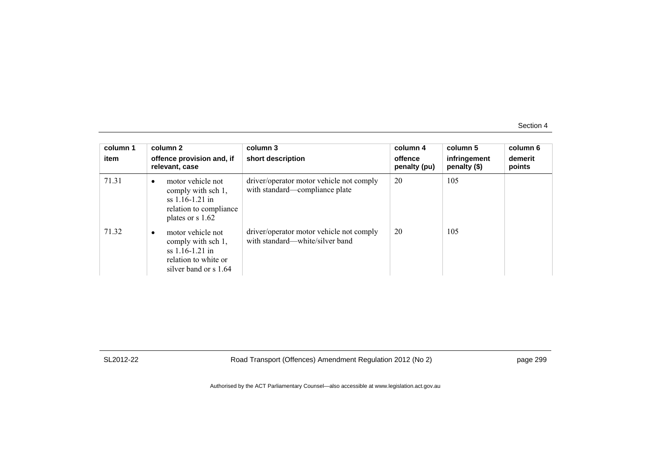| column 1<br>item | column 2<br>offence provision and, if<br>relevant, case                                                                   | column 3<br>short description                                               | column 4<br>offence<br>penalty (pu) | column 5<br>infringement<br>penalty $(\$)$ | column 6<br>demerit<br>points |
|------------------|---------------------------------------------------------------------------------------------------------------------------|-----------------------------------------------------------------------------|-------------------------------------|--------------------------------------------|-------------------------------|
| 71.31            | motor vehicle not<br>$\bullet$<br>comply with sch 1,<br>ss $1.16 - 1.21$ in<br>relation to compliance<br>plates or s 1.62 | driver/operator motor vehicle not comply<br>with standard—compliance plate  | 20                                  | 105                                        |                               |
| 71.32            | motor vehicle not<br>٠<br>comply with sch 1,<br>$ss$ 1.16-1.21 in<br>relation to white or<br>silver band or s 1.64        | driver/operator motor vehicle not comply<br>with standard—white/silver band | 20                                  | 105                                        |                               |

SL2012-22 Road Transport (Offences) Amendment Regulation 2012 (No 2) page 299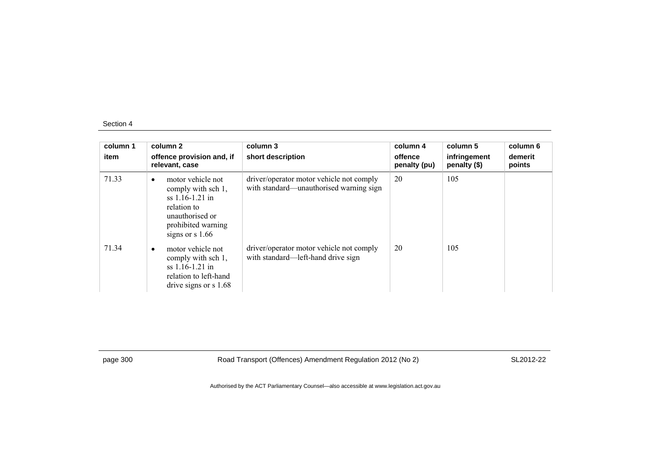| column 1<br>item | column 2<br>offence provision and, if<br>relevant, case                                                                                                | column 3<br>short description                                                       | column 4<br>offence<br>penalty (pu) | column 5<br>infringement<br>penalty (\$) | column 6<br>demerit<br>points |
|------------------|--------------------------------------------------------------------------------------------------------------------------------------------------------|-------------------------------------------------------------------------------------|-------------------------------------|------------------------------------------|-------------------------------|
| 71.33            | motor vehicle not<br>$\bullet$<br>comply with sch 1,<br>$ss$ 1.16-1.21 in<br>relation to<br>unauthorised or<br>prohibited warning<br>signs or $s$ 1.66 | driver/operator motor vehicle not comply<br>with standard—unauthorised warning sign | 20                                  | 105                                      |                               |
| 71.34            | motor vehicle not<br>comply with sch 1,<br>$ss$ 1.16-1.21 in<br>relation to left-hand<br>drive signs or $s$ 1.68                                       | driver/operator motor vehicle not comply<br>with standard—left-hand drive sign      | 20                                  | 105                                      |                               |

page 300 Road Transport (Offences) Amendment Regulation 2012 (No 2) SL2012-22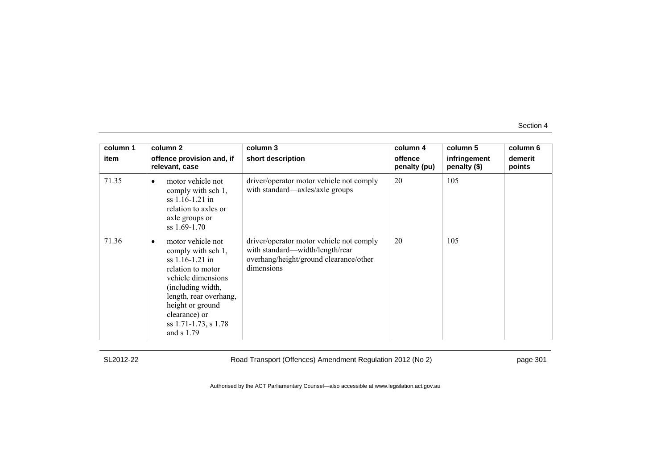| column 1<br>item | column 2<br>offence provision and, if<br>relevant, case                                                                                                                                                                           | column 3<br>short description                                                                                                       | column 4<br>offence<br>penalty (pu) | column 5<br>infringement<br>penalty (\$) | column 6<br>demerit<br>points |
|------------------|-----------------------------------------------------------------------------------------------------------------------------------------------------------------------------------------------------------------------------------|-------------------------------------------------------------------------------------------------------------------------------------|-------------------------------------|------------------------------------------|-------------------------------|
| 71.35            | motor vehicle not<br>comply with sch 1,<br>$ss$ 1.16-1.21 in<br>relation to axles or<br>axle groups or<br>$ss$ 1.69-1.70                                                                                                          | driver/operator motor vehicle not comply<br>with standard—axles/axle groups                                                         | 20                                  | 105                                      |                               |
| 71.36            | motor vehicle not<br>comply with sch 1,<br>$ss$ 1.16-1.21 in<br>relation to motor<br>vehicle dimensions<br>(including width,<br>length, rear overhang,<br>height or ground<br>clearance) or<br>ss 1.71-1.73, s 1.78<br>and s 1.79 | driver/operator motor vehicle not comply<br>with standard—width/length/rear<br>overhang/height/ground clearance/other<br>dimensions | 20                                  | 105                                      |                               |

SL2012-22 Road Transport (Offences) Amendment Regulation 2012 (No 2) page 301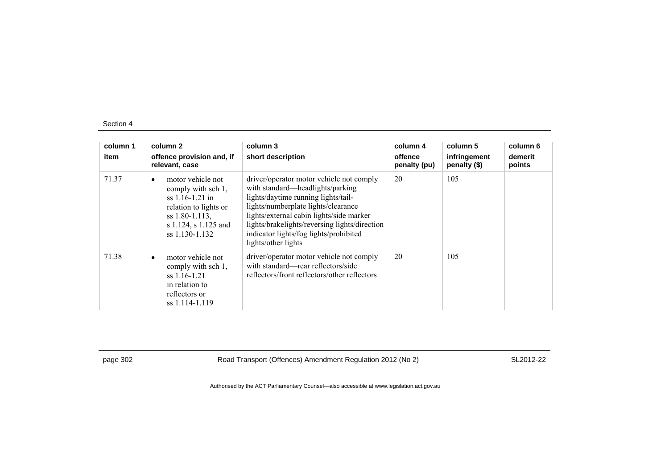| column 1<br>item | column 2<br>offence provision and, if<br>relevant, case                                                                                                        | column 3<br>short description                                                                                                                                                                                                                                                                                            | column 4<br>offence<br>penalty (pu) | column 5<br>infringement<br>penalty (\$) | column 6<br>demerit<br>points |
|------------------|----------------------------------------------------------------------------------------------------------------------------------------------------------------|--------------------------------------------------------------------------------------------------------------------------------------------------------------------------------------------------------------------------------------------------------------------------------------------------------------------------|-------------------------------------|------------------------------------------|-------------------------------|
| 71.37            | motor vehicle not<br>$\bullet$<br>comply with sch 1,<br>$ss$ 1.16-1.21 in<br>relation to lights or<br>ss 1.80-1.113,<br>s 1.124, s 1.125 and<br>ss 1.130-1.132 | driver/operator motor vehicle not comply<br>with standard—headlights/parking<br>lights/daytime running lights/tail-<br>lights/numberplate lights/clearance<br>lights/external cabin lights/side marker<br>lights/brakelights/reversing lights/direction<br>indicator lights/fog lights/prohibited<br>lights/other lights | 20                                  | 105                                      |                               |
| 71.38            | motor vehicle not<br>$\bullet$<br>comply with sch 1,<br>$ss$ 1.16-1.21<br>in relation to<br>reflectors or<br>ss 1.114-1.119                                    | driver/operator motor vehicle not comply<br>with standard—rear reflectors/side<br>reflectors/front reflectors/other reflectors                                                                                                                                                                                           | 20                                  | 105                                      |                               |

page 302 Road Transport (Offences) Amendment Regulation 2012 (No 2) SL2012-22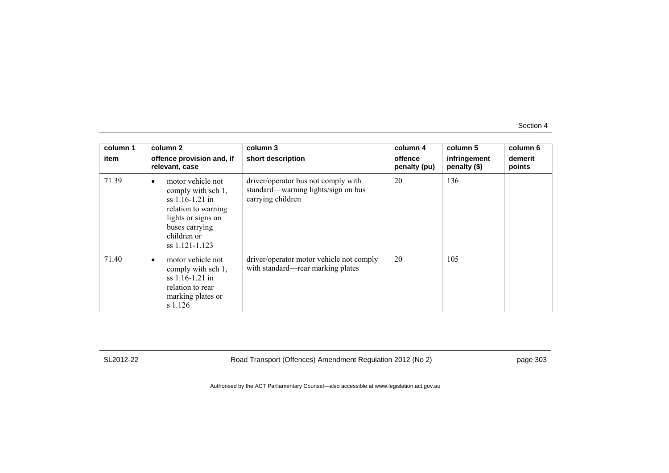| column 1<br>item | column 2<br>offence provision and, if<br>relevant, case                                                                                                                   | column 3<br>short description                                                                   | column 4<br>offence<br>penalty (pu) | column 5<br>infringement<br>penalty (\$) | column 6<br>demerit<br>points |
|------------------|---------------------------------------------------------------------------------------------------------------------------------------------------------------------------|-------------------------------------------------------------------------------------------------|-------------------------------------|------------------------------------------|-------------------------------|
| 71.39            | motor vehicle not<br>$\bullet$<br>comply with sch 1,<br>$ss$ 1.16-1.21 in<br>relation to warning<br>lights or signs on<br>buses carrying<br>children or<br>ss 1.121-1.123 | driver/operator bus not comply with<br>standard—warning lights/sign on bus<br>carrying children | 20                                  | 136                                      |                               |
| 71.40            | motor vehicle not<br>comply with sch 1,<br>$ss$ 1.16-1.21 in<br>relation to rear<br>marking plates or<br>s 1.126                                                          | driver/operator motor vehicle not comply<br>with standard—rear marking plates                   | 20                                  | 105                                      |                               |

SL2012-22 Road Transport (Offences) Amendment Regulation 2012 (No 2) page 303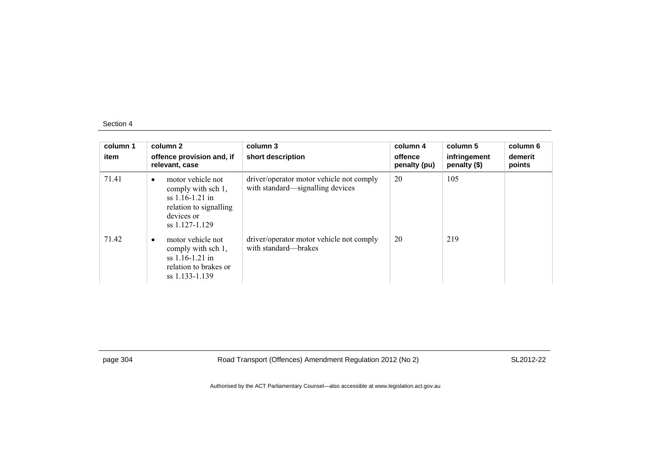| column 1<br>item | column 2<br>offence provision and, if<br>relevant, case                                                                             | column 3<br>short description                                                | column 4<br>offence<br>penalty (pu) | column 5<br>infringement<br>penalty (\$) | column 6<br>demerit<br>points |
|------------------|-------------------------------------------------------------------------------------------------------------------------------------|------------------------------------------------------------------------------|-------------------------------------|------------------------------------------|-------------------------------|
| 71.41            | motor vehicle not<br>$\bullet$<br>comply with sch 1,<br>$ss$ 1.16-1.21 in<br>relation to signalling<br>devices or<br>ss 1.127-1.129 | driver/operator motor vehicle not comply<br>with standard—signalling devices | 20                                  | 105                                      |                               |
| 71.42            | motor vehicle not<br>$\bullet$<br>comply with sch 1,<br>$ss$ 1.16-1.21 in<br>relation to brakes or<br>ss 1.133-1.139                | driver/operator motor vehicle not comply<br>with standard—brakes             | 20                                  | 219                                      |                               |

page 304 Road Transport (Offences) Amendment Regulation 2012 (No 2) SL2012-22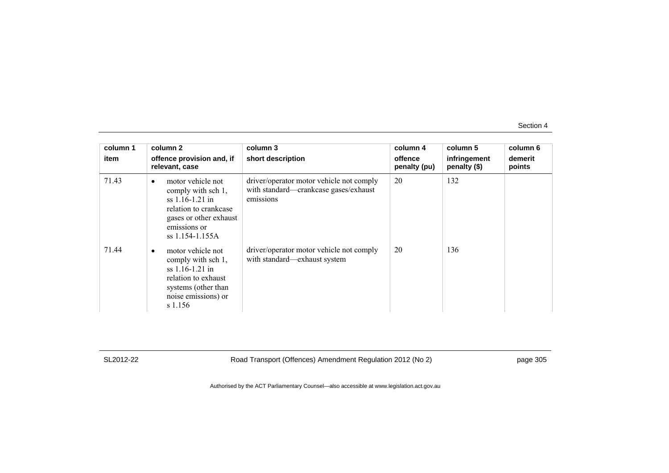| column 1<br>item | column 2<br>offence provision and, if<br>relevant, case                                                                                                         | column 3<br>short description                                                                  | column 4<br>offence<br>penalty (pu) | column 5<br>infringement<br>penalty (\$) | column 6<br>demerit<br>points |
|------------------|-----------------------------------------------------------------------------------------------------------------------------------------------------------------|------------------------------------------------------------------------------------------------|-------------------------------------|------------------------------------------|-------------------------------|
| 71.43            | motor vehicle not<br>$\bullet$<br>comply with sch 1,<br>$ss$ 1.16-1.21 in<br>relation to crankcase<br>gases or other exhaust<br>emissions or<br>ss 1.154-1.155A | driver/operator motor vehicle not comply<br>with standard—crankcase gases/exhaust<br>emissions | 20                                  | 132                                      |                               |
| 71.44            | motor vehicle not<br>comply with sch 1,<br>$ss$ 1.16-1.21 in<br>relation to exhaust<br>systems (other than<br>noise emissions) or<br>s 1.156                    | driver/operator motor vehicle not comply<br>with standard—exhaust system                       | 20                                  | 136                                      |                               |

SL2012-22 Road Transport (Offences) Amendment Regulation 2012 (No 2) page 305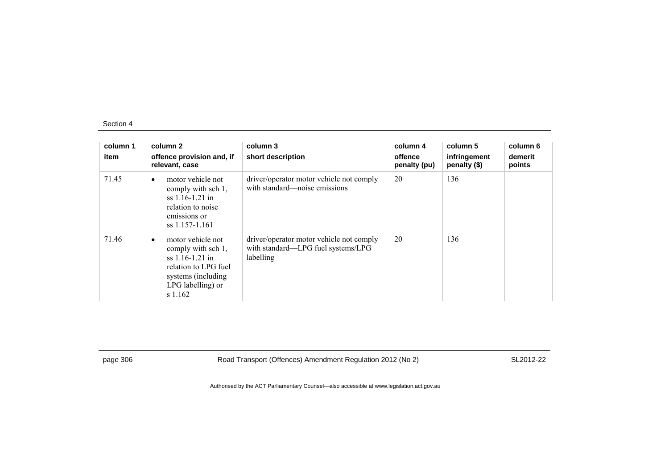| column 1<br>item | column 2<br>offence provision and, if<br>relevant, case                                                                                     | column 3<br>short description                                                               | column 4<br>offence<br>penalty (pu) | column 5<br>infringement<br>penalty (\$) | column 6<br>demerit<br>points |
|------------------|---------------------------------------------------------------------------------------------------------------------------------------------|---------------------------------------------------------------------------------------------|-------------------------------------|------------------------------------------|-------------------------------|
| 71.45            | motor vehicle not<br>٠<br>comply with sch 1,<br>$ss$ 1.16-1.21 in<br>relation to noise<br>emissions or<br>ss 1.157-1.161                    | driver/operator motor vehicle not comply<br>with standard—noise emissions                   | 20                                  | 136                                      |                               |
| 71.46            | motor vehicle not<br>comply with sch 1,<br>$ss$ 1.16-1.21 in<br>relation to LPG fuel<br>systems (including)<br>LPG labelling) or<br>s 1.162 | driver/operator motor vehicle not comply<br>with standard—LPG fuel systems/LPG<br>labelling | 20                                  | 136                                      |                               |

page 306 Road Transport (Offences) Amendment Regulation 2012 (No 2) SL2012-22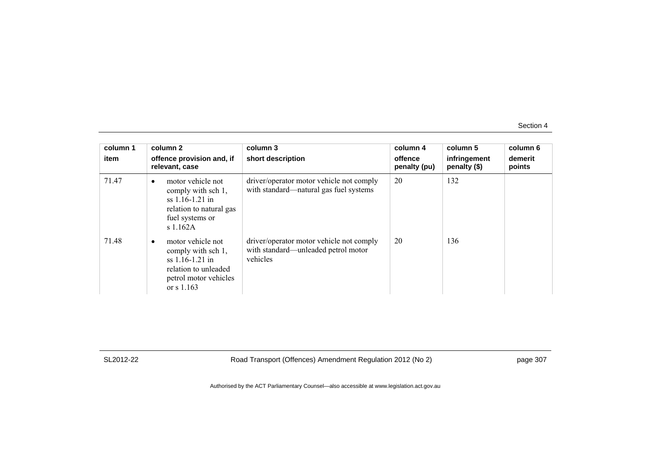| column 1<br>item | column 2<br>offence provision and, if<br>relevant, case                                                                               | column 3<br>short description                                                               | column 4<br>offence<br>penalty (pu) | column 5<br>infringement<br>penalty (\$) | column 6<br>demerit<br>points |
|------------------|---------------------------------------------------------------------------------------------------------------------------------------|---------------------------------------------------------------------------------------------|-------------------------------------|------------------------------------------|-------------------------------|
| 71.47            | motor vehicle not<br>$\bullet$<br>comply with sch 1,<br>$ss$ 1.16-1.21 in<br>relation to natural gas<br>fuel systems or<br>s1.162A    | driver/operator motor vehicle not comply<br>with standard—natural gas fuel systems          | 20                                  | 132                                      |                               |
| 71.48            | motor vehicle not<br>comply with sch 1,<br>$ss$ 1.16-1.21 in<br>relation to unleaded<br>petrol motor vehicles<br>or $\frac{s}{1.163}$ | driver/operator motor vehicle not comply<br>with standard—unleaded petrol motor<br>vehicles | 20                                  | 136                                      |                               |

SL2012-22 Road Transport (Offences) Amendment Regulation 2012 (No 2) page 307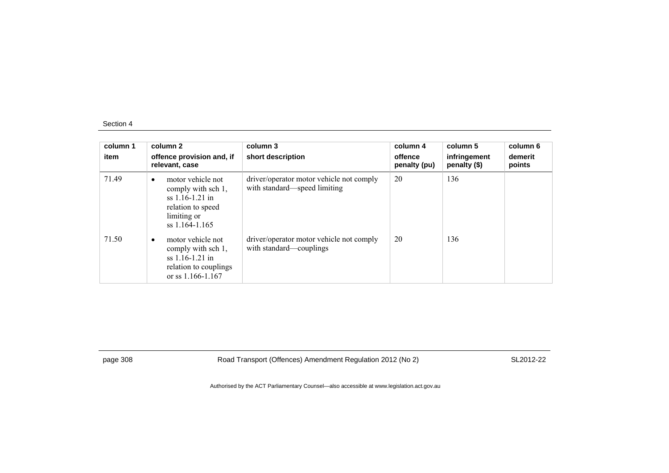| column 1<br>item | column 2<br>offence provision and, if<br>relevant, case                                                              | column 3<br>short description                                            | column 4<br>offence<br>penalty (pu) | column 5<br>infringement<br>penalty (\$) | column 6<br>demerit<br>points |
|------------------|----------------------------------------------------------------------------------------------------------------------|--------------------------------------------------------------------------|-------------------------------------|------------------------------------------|-------------------------------|
| 71.49            | motor vehicle not<br>comply with sch 1,<br>$ss$ 1.16-1.21 in<br>relation to speed<br>limiting or<br>$ss$ 1.164-1.165 | driver/operator motor vehicle not comply<br>with standard—speed limiting | 20                                  | 136                                      |                               |
| 71.50            | motor vehicle not<br>comply with sch 1,<br>$ss$ 1.16-1.21 in<br>relation to couplings<br>or ss $1.166 - 1.167$       | driver/operator motor vehicle not comply<br>with standard—couplings      | 20                                  | 136                                      |                               |

page 308 Road Transport (Offences) Amendment Regulation 2012 (No 2) SL2012-22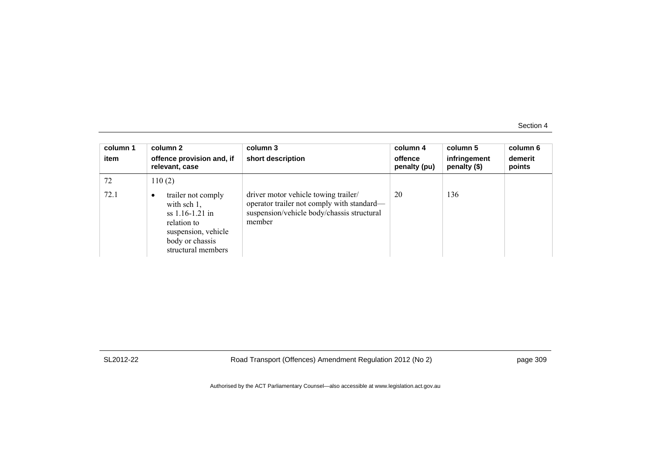| column 1<br>item | column 2<br>offence provision and, if<br>relevant, case                                                                                       | column 3<br>short description                                                                                                              | column 4<br>offence<br>penalty (pu) | column 5<br>infringement<br>penalty (\$) | column 6<br>demerit<br>points |
|------------------|-----------------------------------------------------------------------------------------------------------------------------------------------|--------------------------------------------------------------------------------------------------------------------------------------------|-------------------------------------|------------------------------------------|-------------------------------|
| 72               | 110(2)                                                                                                                                        |                                                                                                                                            |                                     |                                          |                               |
| 72.1             | trailer not comply<br>٠<br>with sch $1$ ,<br>$ss$ 1.16-1.21 in<br>relation to<br>suspension, vehicle<br>body or chassis<br>structural members | driver motor vehicle towing trailer/<br>operator trailer not comply with standard—<br>suspension/vehicle body/chassis structural<br>member | 20                                  | 136                                      |                               |

SL2012-22 Road Transport (Offences) Amendment Regulation 2012 (No 2) page 309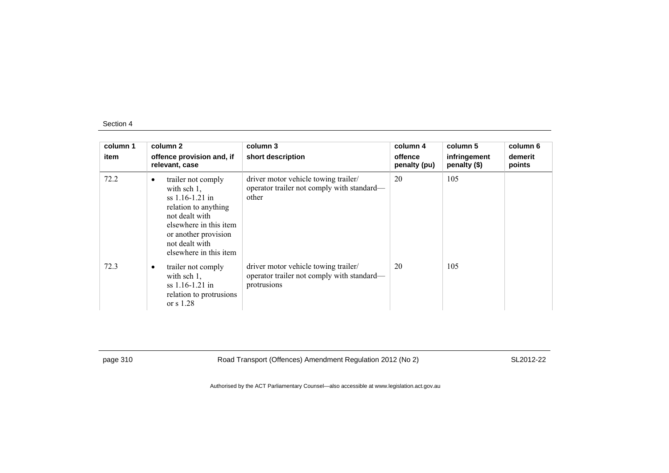| column 1<br>item | column 2<br>offence provision and, if<br>relevant, case                                                                                                                                                        | column 3<br>short description                                                                     | column 4<br>offence<br>penalty (pu) | column 5<br>infringement<br>penalty (\$) | column 6<br>demerit<br>points |
|------------------|----------------------------------------------------------------------------------------------------------------------------------------------------------------------------------------------------------------|---------------------------------------------------------------------------------------------------|-------------------------------------|------------------------------------------|-------------------------------|
| 72.2             | trailer not comply<br>$\bullet$<br>with $sch 1$ ,<br>$ss$ 1.16-1.21 in<br>relation to anything<br>not dealt with<br>elsewhere in this item<br>or another provision<br>not dealt with<br>elsewhere in this item | driver motor vehicle towing trailer/<br>operator trailer not comply with standard-<br>other       | 20                                  | 105                                      |                               |
| 72.3             | trailer not comply<br>$\bullet$<br>with sch $1$ ,<br>$ss$ 1.16-1.21 in<br>relation to protrusions<br>or $s$ 1.28                                                                                               | driver motor vehicle towing trailer/<br>operator trailer not comply with standard—<br>protrusions | 20                                  | 105                                      |                               |

page 310 Road Transport (Offences) Amendment Regulation 2012 (No 2) SL2012-22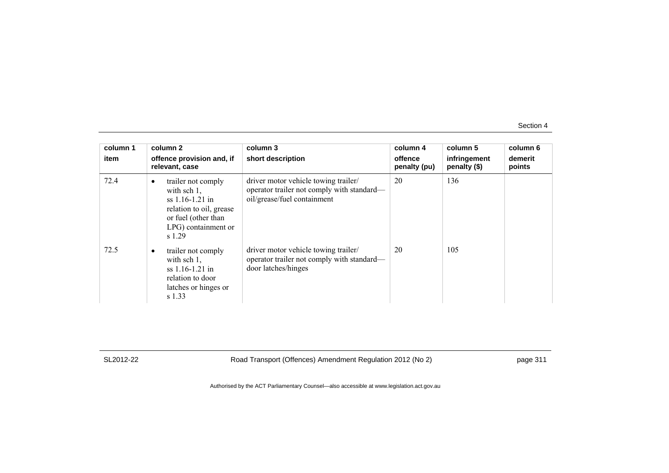| column 1<br>item | column 2<br>offence provision and, if<br>relevant, case                                                                                                   | column 3<br>short description                                                                                     | column 4<br>offence<br>penalty (pu) | column 5<br>infringement<br>penalty $(\$)$ | column 6<br>demerit<br>points |
|------------------|-----------------------------------------------------------------------------------------------------------------------------------------------------------|-------------------------------------------------------------------------------------------------------------------|-------------------------------------|--------------------------------------------|-------------------------------|
| 72.4             | trailer not comply<br>$\bullet$<br>with sch $1$ ,<br>$ss$ 1.16-1.21 in<br>relation to oil, grease<br>or fuel (other than<br>LPG) containment or<br>s 1.29 | driver motor vehicle towing trailer/<br>operator trailer not comply with standard—<br>oil/grease/fuel containment | 20                                  | 136                                        |                               |
| 72.5             | trailer not comply<br>٠<br>with sch $1$ ,<br>ss 1.16-1.21 in<br>relation to door<br>latches or hinges or<br>s 1.33                                        | driver motor vehicle towing trailer/<br>operator trailer not comply with standard—<br>door latches/hinges         | 20                                  | 105                                        |                               |

SL2012-22 Road Transport (Offences) Amendment Regulation 2012 (No 2) page 311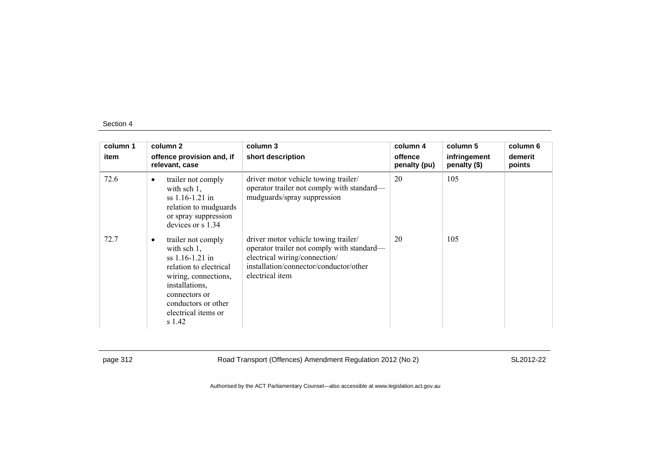| column 1 | column 2                                                                                                                                                                                                            | column 3                                                                                                                                                                         | column 4                | column 5                     | column 6          |
|----------|---------------------------------------------------------------------------------------------------------------------------------------------------------------------------------------------------------------------|----------------------------------------------------------------------------------------------------------------------------------------------------------------------------------|-------------------------|------------------------------|-------------------|
| item     | offence provision and, if<br>relevant, case                                                                                                                                                                         | short description                                                                                                                                                                | offence<br>penalty (pu) | infringement<br>penalty (\$) | demerit<br>points |
| 72.6     | trailer not comply<br>$\bullet$<br>with sch $1$ ,<br>$ss$ 1.16-1.21 in<br>relation to mudguards<br>or spray suppression<br>devices or $s$ 1.34                                                                      | driver motor vehicle towing trailer/<br>operator trailer not comply with standard—<br>mudguards/spray suppression                                                                | 20                      | 105                          |                   |
| 72.7     | trailer not comply<br>$\bullet$<br>with sch $1$ ,<br>$ss$ 1.16-1.21 in<br>relation to electrical<br>wiring, connections,<br>installations,<br>connectors or<br>conductors or other<br>electrical items or<br>s 1.42 | driver motor vehicle towing trailer/<br>operator trailer not comply with standard—<br>electrical wiring/connection/<br>installation/connector/conductor/other<br>electrical item | 20                      | 105                          |                   |

page 312 Road Transport (Offences) Amendment Regulation 2012 (No 2) SL2012-22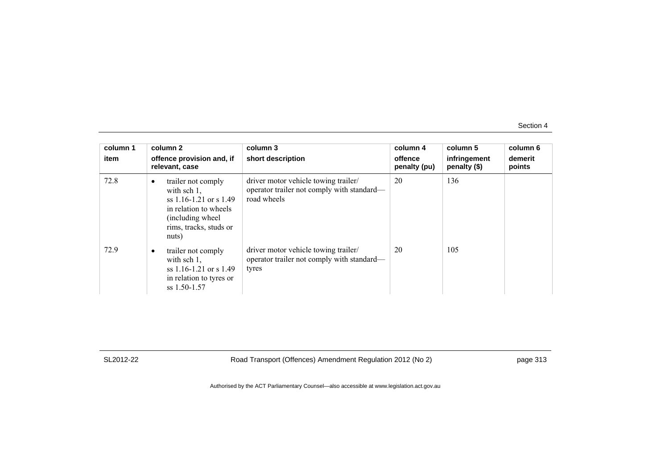| column 1<br>item | column 2<br>offence provision and, if<br>relevant, case                                                                                               | column 3<br>short description                                                                     | column 4<br>offence<br>penalty (pu) | column 5<br>infringement<br>penalty (\$) | column 6<br>demerit<br>points |
|------------------|-------------------------------------------------------------------------------------------------------------------------------------------------------|---------------------------------------------------------------------------------------------------|-------------------------------------|------------------------------------------|-------------------------------|
| 72.8             | trailer not comply<br>with $sch 1$ ,<br>ss $1.16 - 1.21$ or s $1.49$<br>in relation to wheels<br>(including wheel)<br>rims, tracks, studs or<br>nuts) | driver motor vehicle towing trailer/<br>operator trailer not comply with standard—<br>road wheels | 20                                  | 136                                      |                               |
| 72.9             | trailer not comply<br>with sch $1$ ,<br>ss $1.16 - 1.21$ or s $1.49$<br>in relation to tyres or<br>ss 1.50-1.57                                       | driver motor vehicle towing trailer/<br>operator trailer not comply with standard-<br>tyres       | 20                                  | 105                                      |                               |

SL2012-22 Road Transport (Offences) Amendment Regulation 2012 (No 2) page 313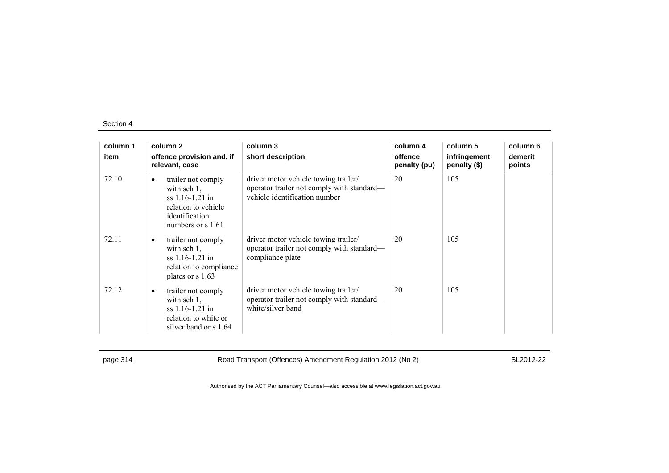| column 1 | column 2                                                                                                                                       | column 3                                                                                                            | column 4                | column 5                     | column 6          |
|----------|------------------------------------------------------------------------------------------------------------------------------------------------|---------------------------------------------------------------------------------------------------------------------|-------------------------|------------------------------|-------------------|
| item     | offence provision and, if<br>relevant, case                                                                                                    | short description                                                                                                   | offence<br>penalty (pu) | infringement<br>penalty (\$) | demerit<br>points |
| 72.10    | trailer not comply<br>$\bullet$<br>with sch $1$ ,<br>$ss$ 1.16-1.21 in<br>relation to vehicle<br>identification<br>numbers or $\frac{s}{1.61}$ | driver motor vehicle towing trailer/<br>operator trailer not comply with standard—<br>vehicle identification number | 20                      | 105                          |                   |
| 72.11    | trailer not comply<br>٠<br>with sch $1$ ,<br>$ss$ 1.16-1.21 in<br>relation to compliance<br>plates or s 1.63                                   | driver motor vehicle towing trailer/<br>operator trailer not comply with standard—<br>compliance plate              | 20                      | 105                          |                   |
| 72.12    | trailer not comply<br>٠<br>with sch $1$ ,<br>ss 1.16-1.21 in<br>relation to white or<br>silver band or s 1.64                                  | driver motor vehicle towing trailer/<br>operator trailer not comply with standard—<br>white/silver band             | 20                      | 105                          |                   |

page 314 Road Transport (Offences) Amendment Regulation 2012 (No 2) SL2012-22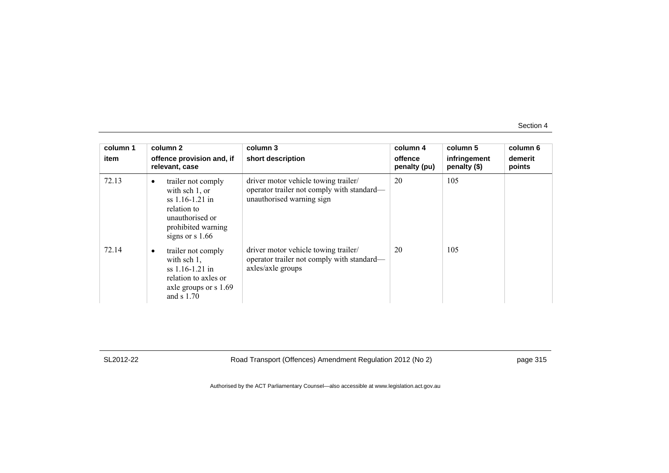| column 1<br>item | column 2<br>offence provision and, if<br>relevant, case                                                                                           | column 3<br>short description                                                                                   | column 4<br>offence<br>penalty (pu) | column 5<br>infringement<br>penalty $(\$)$ | column 6<br>demerit<br>points |
|------------------|---------------------------------------------------------------------------------------------------------------------------------------------------|-----------------------------------------------------------------------------------------------------------------|-------------------------------------|--------------------------------------------|-------------------------------|
| 72.13            | trailer not comply<br>$\bullet$<br>with sch 1, or<br>ss 1.16-1.21 in<br>relation to<br>unauthorised or<br>prohibited warning<br>signs or $s$ 1.66 | driver motor vehicle towing trailer/<br>operator trailer not comply with standard—<br>unauthorised warning sign | 20                                  | 105                                        |                               |
| 72.14            | trailer not comply<br>with sch $1$ ,<br>$ss$ 1.16-1.21 in<br>relation to axles or<br>axle groups or s 1.69<br>and $s$ 1.70                        | driver motor vehicle towing trailer/<br>operator trailer not comply with standard—<br>axles/axle groups         | 20                                  | 105                                        |                               |

SL2012-22 Road Transport (Offences) Amendment Regulation 2012 (No 2) page 315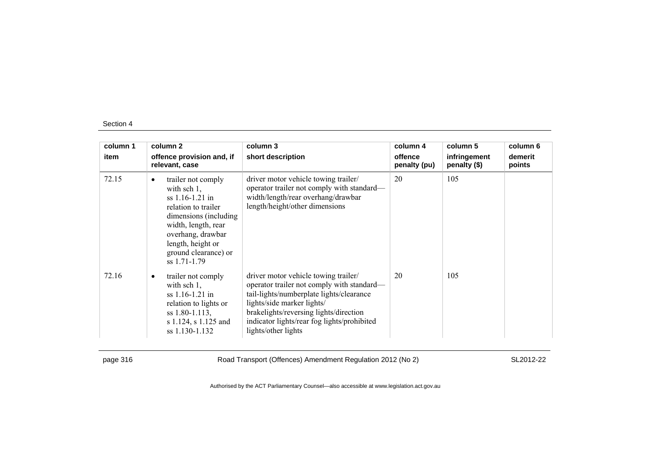| column 1 | column 2                                                                                                                                                                                                                         | column 3                                                                                                                                                                                                                                                                     | column 4                | column 5                     | column 6          |
|----------|----------------------------------------------------------------------------------------------------------------------------------------------------------------------------------------------------------------------------------|------------------------------------------------------------------------------------------------------------------------------------------------------------------------------------------------------------------------------------------------------------------------------|-------------------------|------------------------------|-------------------|
| item     | offence provision and, if<br>relevant, case                                                                                                                                                                                      | short description                                                                                                                                                                                                                                                            | offence<br>penalty (pu) | infringement<br>penalty (\$) | demerit<br>points |
| 72.15    | trailer not comply<br>$\bullet$<br>with sch $1$ ,<br>$ss$ 1.16-1.21 in<br>relation to trailer<br>dimensions (including)<br>width, length, rear<br>overhang, drawbar<br>length, height or<br>ground clearance) or<br>ss 1.71-1.79 | driver motor vehicle towing trailer/<br>operator trailer not comply with standard—<br>width/length/rear overhang/drawbar<br>length/height/other dimensions                                                                                                                   | 20                      | 105                          |                   |
| 72.16    | trailer not comply<br>٠<br>with sch $1$ ,<br>ss 1.16-1.21 in<br>relation to lights or<br>$ss$ 1.80-1.113,<br>s 1.124, s 1.125 and<br>ss 1.130-1.132                                                                              | driver motor vehicle towing trailer/<br>operator trailer not comply with standard—<br>tail-lights/numberplate lights/clearance<br>lights/side marker lights/<br>brakelights/reversing lights/direction<br>indicator lights/rear fog lights/prohibited<br>lights/other lights | 20                      | 105                          |                   |

page 316 Road Transport (Offences) Amendment Regulation 2012 (No 2) SL2012-22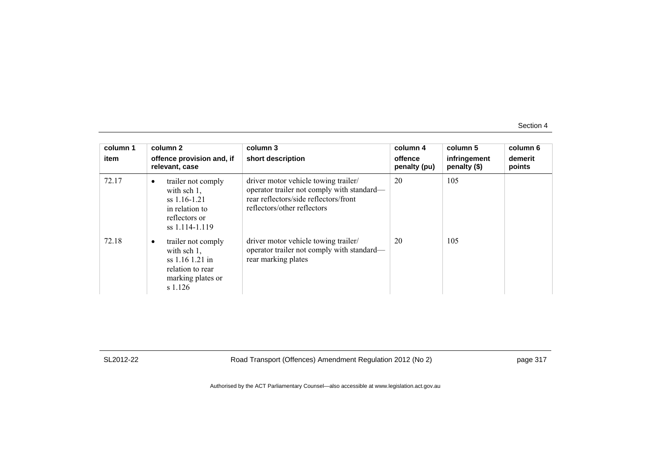| column 1<br>item | column 2<br>offence provision and, if<br>relevant, case                                                                | column 3<br>short description                                                                                                                              | column 4<br>offence<br>penalty (pu) | column 5<br>infringement<br>penalty (\$) | column 6<br>demerit<br>points |
|------------------|------------------------------------------------------------------------------------------------------------------------|------------------------------------------------------------------------------------------------------------------------------------------------------------|-------------------------------------|------------------------------------------|-------------------------------|
| 72.17            | trailer not comply<br>$\bullet$<br>with sch $1$ ,<br>ss 1.16-1.21<br>in relation to<br>reflectors or<br>ss 1.114-1.119 | driver motor vehicle towing trailer/<br>operator trailer not comply with standard—<br>rear reflectors/side reflectors/front<br>reflectors/other reflectors | 20                                  | 105                                      |                               |
| 72.18            | trailer not comply<br>with sch $1$ ,<br>$ss 1.16 1.21$ in<br>relation to rear<br>marking plates or<br>s 1.126          | driver motor vehicle towing trailer/<br>operator trailer not comply with standard—<br>rear marking plates                                                  | 20                                  | 105                                      |                               |

SL2012-22 Road Transport (Offences) Amendment Regulation 2012 (No 2) page 317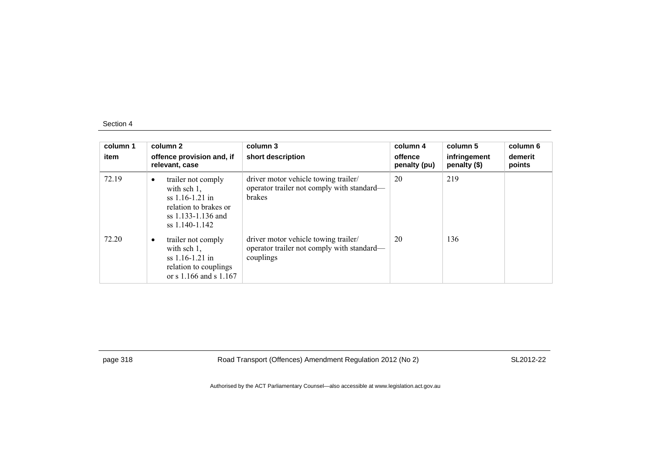| column 1<br>item | column 2<br>offence provision and, if<br>relevant, case                                                                                 | column 3<br>short description                                                                       | column 4<br>offence<br>penalty (pu) | column 5<br>infringement<br>penalty (\$) | column 6<br>demerit<br>points |
|------------------|-----------------------------------------------------------------------------------------------------------------------------------------|-----------------------------------------------------------------------------------------------------|-------------------------------------|------------------------------------------|-------------------------------|
| 72.19            | trailer not comply<br>$\bullet$<br>with sch $1$ ,<br>$ss$ 1.16-1.21 in<br>relation to brakes or<br>ss 1.133-1.136 and<br>ss 1.140-1.142 | driver motor vehicle towing trailer/<br>operator trailer not comply with standard—<br><b>brakes</b> | 20                                  | 219                                      |                               |
| 72.20            | trailer not comply<br>$\bullet$<br>with sch $1$ ,<br>$ss$ 1.16-1.21 in<br>relation to couplings<br>or s $1.166$ and s $1.167$           | driver motor vehicle towing trailer/<br>operator trailer not comply with standard—<br>couplings     | 20                                  | 136                                      |                               |

page 318 Road Transport (Offences) Amendment Regulation 2012 (No 2) SL2012-22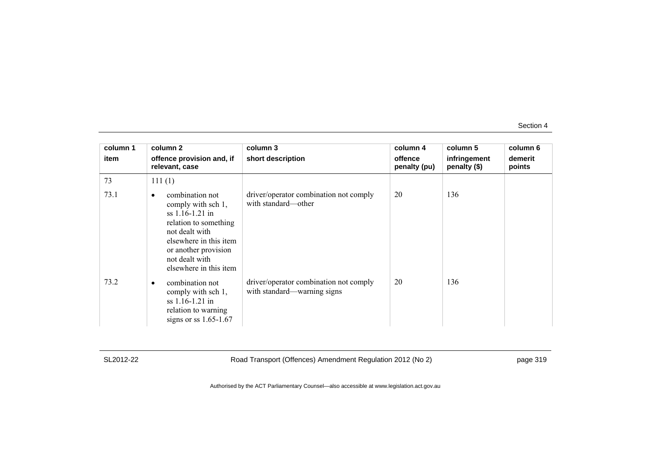| column 1 | column 2                                                                                                                                                                                                 | column 3                                                              | column 4                | column 5                     | column 6          |
|----------|----------------------------------------------------------------------------------------------------------------------------------------------------------------------------------------------------------|-----------------------------------------------------------------------|-------------------------|------------------------------|-------------------|
| item     | offence provision and, if<br>relevant, case                                                                                                                                                              | short description                                                     | offence<br>penalty (pu) | infringement<br>penalty (\$) | demerit<br>points |
| 73       | 111(1)                                                                                                                                                                                                   |                                                                       |                         |                              |                   |
| 73.1     | combination not<br>٠<br>comply with sch 1,<br>$ss$ 1.16-1.21 in<br>relation to something<br>not dealt with<br>elsewhere in this item<br>or another provision<br>not dealt with<br>elsewhere in this item | driver/operator combination not comply<br>with standard—other         | 20                      | 136                          |                   |
| 73.2     | combination not<br>٠<br>comply with sch 1,<br>ss 1.16-1.21 in<br>relation to warning<br>signs or ss $1.65-1.67$                                                                                          | driver/operator combination not comply<br>with standard—warning signs | 20                      | 136                          |                   |

SL2012-22 Road Transport (Offences) Amendment Regulation 2012 (No 2) page 319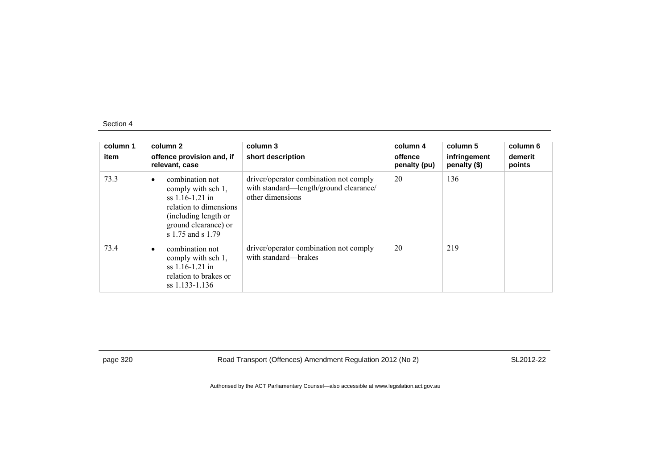| column 1<br>item | column 2<br>offence provision and, if<br>relevant, case                                                                                                                | column 3<br>short description                                                                        | column 4<br>offence<br>penalty (pu) | column 5<br>infringement<br>penalty (\$) | column 6<br>demerit<br>points |
|------------------|------------------------------------------------------------------------------------------------------------------------------------------------------------------------|------------------------------------------------------------------------------------------------------|-------------------------------------|------------------------------------------|-------------------------------|
| 73.3             | combination not<br>$\bullet$<br>comply with sch 1,<br>$ss$ 1.16-1.21 in<br>relation to dimensions<br>(including length or<br>ground clearance) or<br>s 1.75 and s 1.79 | driver/operator combination not comply<br>with standard—length/ground clearance/<br>other dimensions | 20                                  | 136                                      |                               |
| 73.4             | combination not<br>$\bullet$<br>comply with sch 1,<br>$ss$ 1.16-1.21 in<br>relation to brakes or<br>ss 1.133-1.136                                                     | driver/operator combination not comply<br>with standard—brakes                                       | 20                                  | 219                                      |                               |

page 320 Road Transport (Offences) Amendment Regulation 2012 (No 2) SL2012-22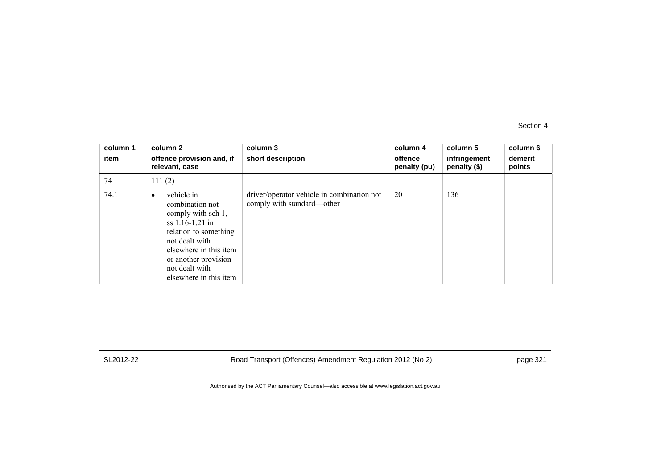| column 1<br>item | column 2<br>offence provision and, if<br>relevant, case                                                                                                                                                                        | column 3<br>short description                                            | column 4<br>offence<br>penalty (pu) | column 5<br>infringement<br>penalty (\$) | column 6<br>demerit<br>points |
|------------------|--------------------------------------------------------------------------------------------------------------------------------------------------------------------------------------------------------------------------------|--------------------------------------------------------------------------|-------------------------------------|------------------------------------------|-------------------------------|
| 74               | 111(2)                                                                                                                                                                                                                         |                                                                          |                                     |                                          |                               |
| 74.1             | vehicle in<br>$\bullet$<br>combination not<br>comply with sch 1,<br>$ss$ 1.16-1.21 in<br>relation to something<br>not dealt with<br>elsewhere in this item<br>or another provision<br>not dealt with<br>elsewhere in this item | driver/operator vehicle in combination not<br>comply with standard—other | 20                                  | 136                                      |                               |

SL2012-22 Road Transport (Offences) Amendment Regulation 2012 (No 2) page 321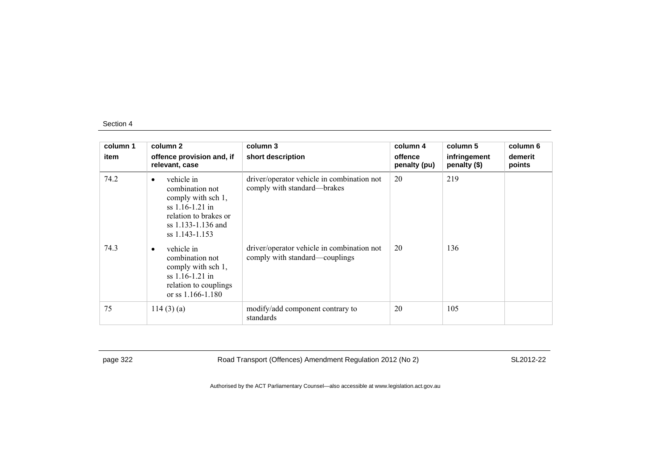| column 1 | column 2                                                                                                                                               | column 3                                                                     | column 4                | column 5                     | column 6          |
|----------|--------------------------------------------------------------------------------------------------------------------------------------------------------|------------------------------------------------------------------------------|-------------------------|------------------------------|-------------------|
| item     | offence provision and, if<br>relevant, case                                                                                                            | short description                                                            | offence<br>penalty (pu) | infringement<br>penalty (\$) | demerit<br>points |
| 74.2     | vehicle in<br>$\bullet$<br>combination not<br>comply with sch 1,<br>$ss$ 1.16-1.21 in<br>relation to brakes or<br>ss 1.133-1.136 and<br>ss 1.143-1.153 | driver/operator vehicle in combination not<br>comply with standard—brakes    | 20                      | 219                          |                   |
| 74.3     | vehicle in<br>$\bullet$<br>combination not<br>comply with sch 1,<br>ss 1.16-1.21 in<br>relation to couplings<br>or ss 1.166-1.180                      | driver/operator vehicle in combination not<br>comply with standard—couplings | 20                      | 136                          |                   |
| 75       | 114(3)(a)                                                                                                                                              | modify/add component contrary to<br>standards                                | 20                      | 105                          |                   |

page 322 Road Transport (Offences) Amendment Regulation 2012 (No 2) SL2012-22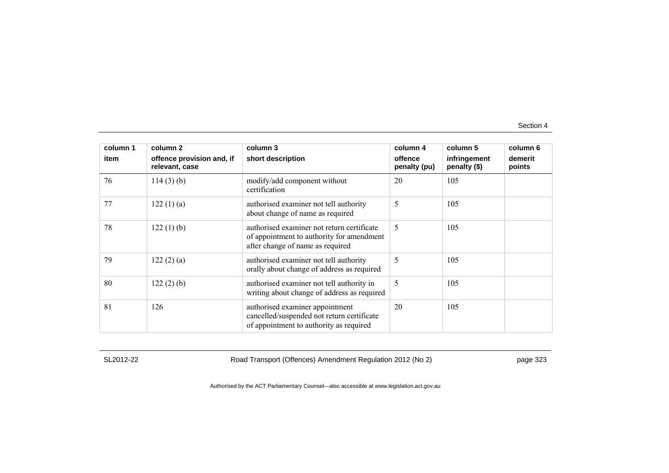| column 1 | column 2                                    | column 3                                                                                                                    | column 4                | column 5                     | column 6          |
|----------|---------------------------------------------|-----------------------------------------------------------------------------------------------------------------------------|-------------------------|------------------------------|-------------------|
| item     | offence provision and, if<br>relevant, case | short description                                                                                                           | offence<br>penalty (pu) | infringement<br>penalty (\$) | demerit<br>points |
| 76       | $114(3)$ (b)                                | modify/add component without<br>certification                                                                               | 20                      | 105                          |                   |
| 77       | 122(1)(a)                                   | authorised examiner not tell authority<br>about change of name as required                                                  | 5                       | 105                          |                   |
| 78       | $122(1)$ (b)                                | authorised examiner not return certificate<br>of appointment to authority for amendment<br>after change of name as required | 5                       | 105                          |                   |
| 79       | 122(2)(a)                                   | authorised examiner not tell authority<br>orally about change of address as required                                        | 5                       | 105                          |                   |
| 80       | 122(2)(b)                                   | authorised examiner not tell authority in<br>writing about change of address as required                                    | 5                       | 105                          |                   |
| 81       | 126                                         | authorised examiner appointment<br>cancelled/suspended not return certificate<br>of appointment to authority as required    | 20                      | 105                          |                   |

SL2012-22 Road Transport (Offences) Amendment Regulation 2012 (No 2) page 323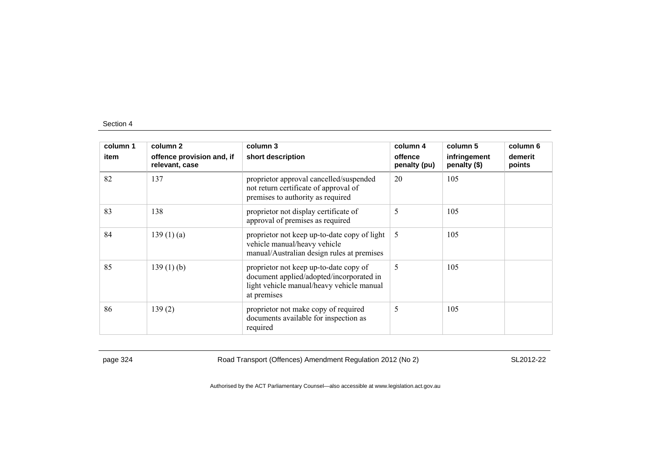| column 1 | column 2                                    | column 3                                                                                                                                       | column 4                | column 5                     | column 6          |
|----------|---------------------------------------------|------------------------------------------------------------------------------------------------------------------------------------------------|-------------------------|------------------------------|-------------------|
| item     | offence provision and, if<br>relevant, case | short description                                                                                                                              | offence<br>penalty (pu) | infringement<br>penalty (\$) | demerit<br>points |
| 82       | 137                                         | proprietor approval cancelled/suspended<br>not return certificate of approval of<br>premises to authority as required                          | 20                      | 105                          |                   |
| 83       | 138                                         | proprietor not display certificate of<br>approval of premises as required                                                                      | 5                       | 105                          |                   |
| 84       | 139(1)(a)                                   | proprietor not keep up-to-date copy of light<br>vehicle manual/heavy vehicle<br>manual/Australian design rules at premises                     | 5                       | 105                          |                   |
| 85       | $139(1)$ (b)                                | proprietor not keep up-to-date copy of<br>document applied/adopted/incorporated in<br>light vehicle manual/heavy vehicle manual<br>at premises | 5                       | 105                          |                   |
| 86       | 139(2)                                      | proprietor not make copy of required<br>documents available for inspection as<br>required                                                      | 5                       | 105                          |                   |

page 324 Road Transport (Offences) Amendment Regulation 2012 (No 2) SL2012-22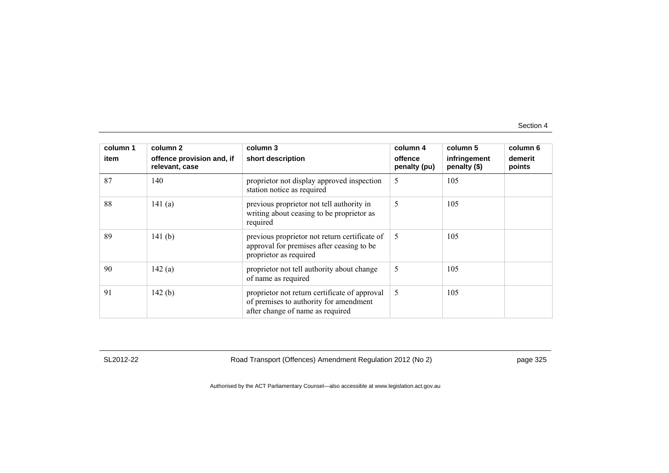| column 1 | column 2                                    | column 3                                                                                                                    | column 4                | column 5                     | column 6          |
|----------|---------------------------------------------|-----------------------------------------------------------------------------------------------------------------------------|-------------------------|------------------------------|-------------------|
| item     | offence provision and, if<br>relevant, case | short description                                                                                                           | offence<br>penalty (pu) | infringement<br>penalty (\$) | demerit<br>points |
| 87       | 140                                         | proprietor not display approved inspection<br>station notice as required                                                    | 5                       | 105                          |                   |
| 88       | 141(a)                                      | previous proprietor not tell authority in<br>writing about ceasing to be proprietor as<br>required                          | 5                       | 105                          |                   |
| 89       | 141 $(b)$                                   | previous proprietor not return certificate of<br>approval for premises after ceasing to be<br>proprietor as required        | 5                       | 105                          |                   |
| 90       | 142(a)                                      | proprietor not tell authority about change<br>of name as required                                                           | 5                       | 105                          |                   |
| 91       | 142(b)                                      | proprietor not return certificate of approval<br>of premises to authority for amendment<br>after change of name as required | 5                       | 105                          |                   |

SL2012-22 Road Transport (Offences) Amendment Regulation 2012 (No 2) page 325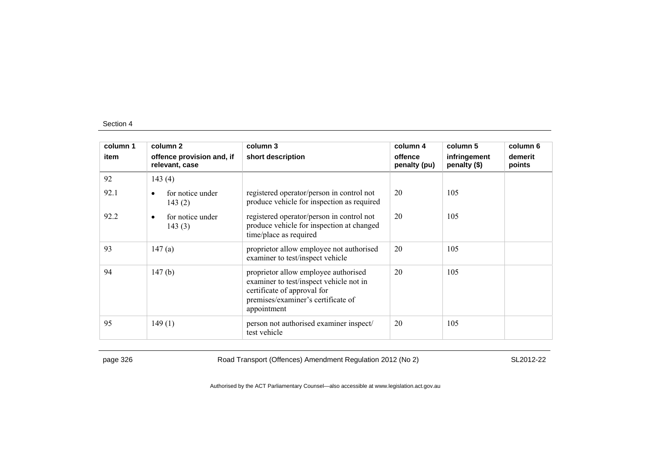| column 1 | column 2                                    | column 3                                                                                                                                                            | column 4                | column 5                     | column 6          |
|----------|---------------------------------------------|---------------------------------------------------------------------------------------------------------------------------------------------------------------------|-------------------------|------------------------------|-------------------|
| item     | offence provision and, if<br>relevant, case | short description                                                                                                                                                   | offence<br>penalty (pu) | infringement<br>penalty (\$) | demerit<br>points |
| 92       | 143(4)                                      |                                                                                                                                                                     |                         |                              |                   |
| 92.1     | for notice under<br>$\bullet$<br>143(2)     | registered operator/person in control not<br>produce vehicle for inspection as required                                                                             | 20                      | 105                          |                   |
| 92.2     | for notice under<br>$\bullet$<br>143(3)     | registered operator/person in control not<br>produce vehicle for inspection at changed<br>time/place as required                                                    | 20                      | 105                          |                   |
| 93       | 147(a)                                      | proprietor allow employee not authorised<br>examiner to test/inspect vehicle                                                                                        | 20                      | 105                          |                   |
| 94       | 147(b)                                      | proprietor allow employee authorised<br>examiner to test/inspect vehicle not in<br>certificate of approval for<br>premises/examiner's certificate of<br>appointment | 20                      | 105                          |                   |
| 95       | 149(1)                                      | person not authorised examiner inspect/<br>test vehicle                                                                                                             | 20                      | 105                          |                   |

page 326 Road Transport (Offences) Amendment Regulation 2012 (No 2) SL2012-22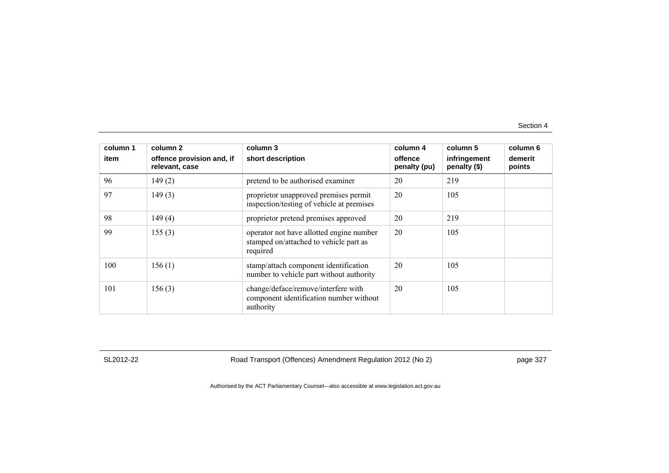| column 1 | column 2                                    | column 3                                                                                       | column 4                | column 5                     | column 6          |
|----------|---------------------------------------------|------------------------------------------------------------------------------------------------|-------------------------|------------------------------|-------------------|
| item     | offence provision and, if<br>relevant, case | short description                                                                              | offence<br>penalty (pu) | infringement<br>penalty (\$) | demerit<br>points |
| 96       | 149(2)                                      | pretend to be authorised examiner                                                              | 20                      | 219                          |                   |
| 97       | 149(3)                                      | proprietor unapproved premises permit<br>inspection/testing of vehicle at premises             | 20                      | 105                          |                   |
| 98       | 149(4)                                      | proprietor pretend premises approved                                                           | 20                      | 219                          |                   |
| 99       | 155(3)                                      | operator not have allotted engine number<br>stamped on/attached to vehicle part as<br>required | 20                      | 105                          |                   |
| 100      | 156(1)                                      | stamp/attach component identification<br>number to vehicle part without authority              | 20                      | 105                          |                   |
| 101      | 156(3)                                      | change/deface/remove/interfere with<br>component identification number without<br>authority    | 20                      | 105                          |                   |

SL2012-22 Road Transport (Offences) Amendment Regulation 2012 (No 2) page 327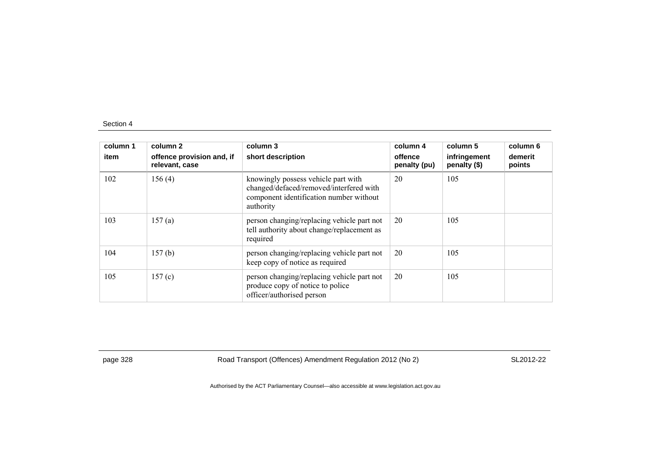| column 1<br>item | column 2<br>offence provision and, if<br>relevant, case | column 3<br>short description                                                                                                          | column 4<br>offence<br>penalty (pu) | column 5<br>infringement<br>penalty (\$) | column 6<br>demerit<br>points |
|------------------|---------------------------------------------------------|----------------------------------------------------------------------------------------------------------------------------------------|-------------------------------------|------------------------------------------|-------------------------------|
| 102              | 156(4)                                                  | knowingly possess vehicle part with<br>changed/defaced/removed/interfered with<br>component identification number without<br>authority | 20                                  | 105                                      |                               |
| 103              | 157(a)                                                  | person changing/replacing vehicle part not<br>tell authority about change/replacement as<br>required                                   | 20                                  | 105                                      |                               |
| 104              | 157(b)                                                  | person changing/replacing vehicle part not<br>keep copy of notice as required                                                          | 20                                  | 105                                      |                               |
| 105              | 157(c)                                                  | person changing/replacing vehicle part not<br>produce copy of notice to police<br>officer/authorised person                            | 20                                  | 105                                      |                               |

page 328 Road Transport (Offences) Amendment Regulation 2012 (No 2) SL2012-22